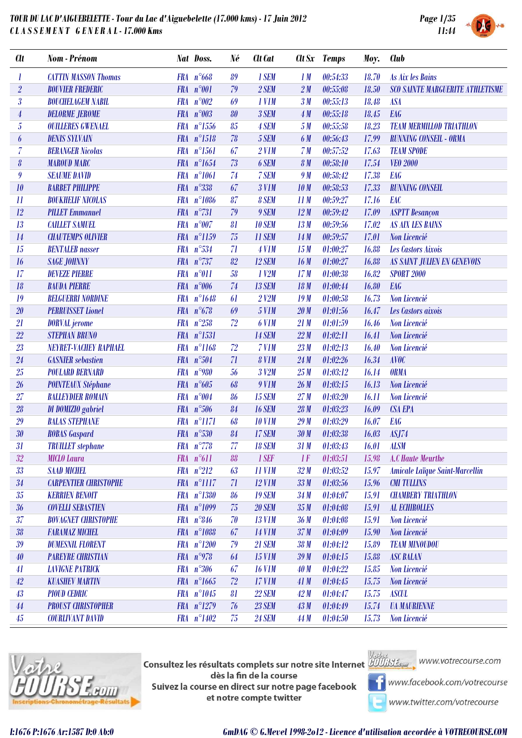

| <b>Clt</b>              | <b>Nom</b> - Prénom          |            | Nat Doss.          | Né | <b>Clt</b> Cat      |                 | Clt Sx Temps             | Moy.  | <b>Club</b>                             |
|-------------------------|------------------------------|------------|--------------------|----|---------------------|-----------------|--------------------------|-------|-----------------------------------------|
| $\boldsymbol{l}$        | <b>CATTIN MASSON Thomas</b>  |            | $FRA n^{\circ}668$ | 89 | 1 SEM               | 1M              | 00:54:33                 | 18.70 | As Aix les Bains                        |
| $\overline{2}$          | <b>BOUVIER FREDERIC</b>      |            | FRA n°001          | 79 | 2 SEM               | 2M              | 00:55:08                 | 18.50 | <b>SCO SAINTE MARGUERITE ATHLETISME</b> |
| $\overline{\mathbf{3}}$ | <b>BOUCHELAGEM NABIL</b>     | <b>FRA</b> | $n^{\circ}002$     | 69 | 1 V <sub>1</sub> M  | 3M              | 00:55:13                 | 18.48 | <b>ASA</b>                              |
| $\overline{4}$          | <b>DELORME JEROME</b>        |            | FRA $n°003$        | 80 | 3 SEM               | 4M              | 00:55:18                 | 18.45 | <b>EAG</b>                              |
| $\overline{5}$          | <b>OUILLERES GWENAEL</b>     |            | FRA n°1556         | 85 | 4 SEM               | 5M              | 00:55:58                 | 18.23 | <b>TEAM MERMILLOD TRIATHLON</b>         |
| 6                       | <b>DENIS SYLVAIN</b>         |            | FRA n°1518         | 78 | 5 SEM               | 6 M             | 00:56:43                 | 17.99 | <b>RUNNING CONSEIL - ORMA</b>           |
| $\overline{7}$          | <b>BERANGER Nicolas</b>      |            | FRA n°1561         | 67 | $2$ V1M             | 7 <sub>M</sub>  | 00:57:52                 | 17.63 | <b>TEAM SPODE</b>                       |
| $\pmb{\delta}$          | <b>MAROUD MARC</b>           |            | FRA n°1654         | 73 | 6 SEM               | 8 <sub>M</sub>  | 00:58:10                 | 17.54 | <b>VEO 2000</b>                         |
| $\boldsymbol{9}$        | <b>SEAUME DAVID</b>          | <b>FRA</b> | $n^{\circ}1061$    | 74 | 7 SEM               | 9 M             | 00:58:42                 | 17.38 | <b>EAG</b>                              |
| 10                      | <b>BARBET PHILIPPE</b>       |            | FRA n°338          | 67 | <b>3 V1M</b>        | 10 <sub>M</sub> | 00:58:53                 | 17.33 | <b>RUNNING CONSEIL</b>                  |
| 11                      | <b>BOUKHELIF NICOLAS</b>     |            | FRA n°1086         | 87 | 8 SEM               | 11M             | 00:59:27                 | 17.16 | EAC                                     |
| 12                      | <b>PILLET Emmanuel</b>       |            | $FRA n^{\circ}731$ | 79 | 9 SEM               | 12M             | 00:59:42                 | 17.09 | <b>ASPTT</b> Besançon                   |
| 13                      | <b>CAILLET SAMUEL</b>        |            | FRA n°007          | 81 | <b>10 SEM</b>       | 13M             | 00:59:56                 | 17.02 | <b>AS AIX LES BAINS</b>                 |
| 14                      | <b>CHAUTEMPS OLIVIER</b>     |            | FRA n°1159         | 75 | <b>11 SEM</b>       | 14M             | 00:59:57                 | 17.01 | Non Licencié                            |
| 15                      | <b>BENTALEB</b> nasser       |            | FRA n°534          | 71 | 4 V1M               | 15M             | 01:00:27                 | 16.88 | Les Castors Aixois                      |
| 16                      | <b>SAGE JOHNNY</b>           |            | FRA n°737          | 82 | <b>12 SEM</b>       | 16M             | 01:00:27                 | 16.88 | <b>AS SAINT JULIEN EN GENEVOIS</b>      |
| 17                      | <b>DEVEZE PIERRE</b>         |            | FRA n°011          | 58 | $1$ $V2M$           | 17M             | 01:00:38                 | 16.82 | <b>SPORT 2000</b>                       |
| 18                      | <b>BAUDA PIERRE</b>          |            | FRA n°006          | 74 | <b>13 SEM</b>       | 18M             | 01:00:44                 | 16.80 | <b>EAG</b>                              |
| 19                      | <b>BELGUERRI NORDINE</b>     |            | FRA n°1648         | 61 | $2$ $V2M$           | 19M             | 01:00:58                 | 16.73 | Non Licencié                            |
| $20\,$                  | <b>PERRUISSET Lionel</b>     |            | FRA $n^{\circ}678$ | 69 | 5 V1M               | 20M             | 01:01:56                 | 16.47 | Les Castors aixois                      |
| 21                      | <b>DORVAL</b> jerome         |            | FRA $n^{\circ}258$ | 72 | 6 V <sub>1</sub> M  | 21M             | 01:01:59                 | 16.46 | Non Licencié                            |
| $22\,$                  | <b>STEPHAN BRUNO</b>         |            | FRA n°1531         |    | <b>14 SEM</b>       | 22M             | 01:02:11                 | 16.41 | Non Licencié                            |
| 23                      | NEYRET-VACHEY RAPHAEL        |            | FRA n°1168         | 72 | 7 V1M               | 23M             | 01:02:13                 | 16.40 | Non Licencié                            |
| 24                      | <b>GASNIER</b> sebastien     |            | FRA $n^{\circ}504$ | 71 | 8 V1M               | 24M             | 01:02:26                 | 16.34 | <b>AVOC</b>                             |
| 25                      | <b>POULARD BERNARD</b>       |            | FRA n°980          | 56 | 3 V2M               | 25M             | 01:03:12                 | 16.14 | <b>ORMA</b>                             |
| 26                      | <b>POINTEAUX Stéphane</b>    |            | FRA $n^{\circ}605$ | 68 | 9 V1M               | 26M             | 01:03:15                 | 16.13 | Non Licencié                            |
| 27                      | <b>BALLEYDIER ROMAIN</b>     |            | FRA n°004          | 86 | <b>15 SEM</b>       | 27M             | 01:03:20                 | 16.11 | Non Licencié                            |
| 28                      | <b>DI DOMIZIO gabriel</b>    |            | FRA n°506          | 84 | <b>16 SEM</b>       | 28M             | 01:03:23                 | 16.09 | <b>CSA EPA</b>                          |
| 29                      | <b>BALAS STEPHANE</b>        |            | FRA n°1171         | 68 | <b>10 V1M</b>       | 29M             | 01:03:29                 | 16.07 | <b>EAG</b>                              |
| $30\,$                  | <b>ROBAS Gaspard</b>         |            | FRA n°530          | 84 | <b>17 SEM</b>       | 30 M            | 01:03:38                 | 16.03 | ASJ74                                   |
| 31                      | <b>TRUILLET</b> stephane     |            | FRA $n^{\circ}778$ | 77 | <b>18 SEM</b>       |                 | 31 M 01:03:43 16.01 ALSM |       |                                         |
| $32\,$                  | <b>MICLO Laura</b>           |            | $FRA n^{\circ}611$ | 88 | 1 SEF               | 1F              | 01:03:51                 | 15.98 | A.C Haute Meurthe                       |
| $33\,$                  | <b>SAAD MICHEL</b>           |            | $FRA n^{\circ}212$ | 63 | 11 V <sub>1</sub> M | 32M             | 01:03:52                 | 15.97 | Amicale Laïque Saint-Marcellin          |
| 34                      | <b>CARPENTIER CHRISTOPHE</b> |            | FRA n°1117         | 71 | <b>12 V1M</b>       | 33 <sub>M</sub> | 01:03:56                 | 15.96 | <b>CMI TULLINS</b>                      |
| 35                      | <b>KERRIEN BENOIT</b>        |            | FRA n°1380         | 86 | <b>19 SEM</b>       | 34M             | 01:04:07                 | 15.91 | <b>CHAMBERY TRIATHLON</b>               |
| $36\,$                  | <b>COVELLI SEBASTIEN</b>     |            | FRA n°1099         | 75 | <b>20 SEM</b>       | 35M             | 01:04:08                 | 15.91 | <b>AL ECHIROLLES</b>                    |
| 37                      | <b>BOVAGNET CHRISTOPHE</b>   |            | $FRA n^{\circ}846$ | 70 | <b>13 V1M</b>       | 36 <sub>M</sub> | 01:04:08                 | 15.91 | Non Licencié                            |
| $3\mathrm{\textit{8}}$  | <b>FARAMAZ MICHEL</b>        |            | FRA n°1088         | 67 | <b>14 V1M</b>       | 37 <sub>M</sub> | 01:04:09                 | 15.90 | Non Licencié                            |
| 39                      | <b>DUMESNIL FLORENT</b>      |            | FRA n°1200         | 79 | <b>21 SEM</b>       | 38 <sub>M</sub> | 01:04:12                 | 15.89 | <b>TEAM MINOUDOU</b>                    |
| 40                      | <b>PAREYRE CHRISTIAN</b>     |            | FRA n°978          | 64 | <b>15 V1M</b>       | 39M             | 01:04:15                 | 15.88 | <b>ASC BALAN</b>                        |
| 41                      | <b>LAVIGNE PATRICK</b>       |            | FRA n°306          | 67 | <b>16 V1M</b>       | 40M             | 01:04:22                 | 15.85 | Non Licencié                            |
| $42\,$                  | <b>KUASHEV MARTIN</b>        |            | FRA n°1665         | 72 | <b>17 V1M</b>       | 41M             | 01:04:45                 | 15.75 | Non Licencié                            |
| 43                      | <b>PIOUD CEDRIC</b>          |            | FRA n°1045         | 81 | <b>22 SEM</b>       | 42M             | 01:04:47                 | 15.75 | <b>ASCUL</b>                            |
| $44\,$                  | <b>PROUST CHRISTOPHER</b>    |            | FRA n°1279         | 76 | <b>23 SEM</b>       | 43M             | 01:04:49                 | 15.74 | <b><i>UA MAURIENNE</i></b>              |
| $45\,$                  | <b>COURLIVANT DAVID</b>      |            | FRA n°1402         | 75 | <b>24 SEM</b>       | 44 M            | 01:04:50                 | 15.73 | Non Licencié                            |



**Consultez les résultats complets sur notre site Internet** Willis Esquise WWW.votrecourse.com dès la fin de la course Suivez la course en direct sur notre page facebook



**T** www.facebook.com/votrecourse

www.twitter.com/votrecourse

et notre compte twitter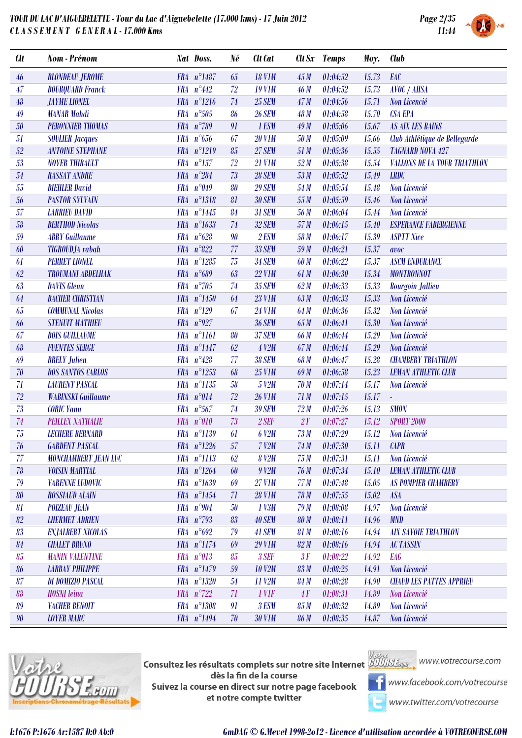

| <b>Clt</b> | Nom - Prénom                | Nat Doss.           | Né     | Clt Cat       |             | Clt Sx Temps    | Moy.  | <b>Club</b>                         |
|------------|-----------------------------|---------------------|--------|---------------|-------------|-----------------|-------|-------------------------------------|
| 46         | <b>BLONDEAU JEROME</b>      | FRA n°1487          | 65     | <b>18 V1M</b> | 45M         | 01:04:52        | 15.73 | EAC                                 |
| 47         | <b>BOURQUARD Franck</b>     | FRA $n^{\circ}442$  | 72     | <b>19 V1M</b> | 46 M        | 01:04:52        | 15.73 | <b>AVOC / AHSA</b>                  |
| 48         | <b>JAYME LIONEL</b>         | $FRA n^{\circ}1216$ | 74     | <b>25 SEM</b> | 47M         | 01:04:56        | 15.71 | Non Licencié                        |
| 49         | <b>MANAR Mahdi</b>          | FRA n°505           | 86     | <b>26 SEM</b> | 48 M        | 01:04:58        | 15.70 | <b>CSA EPA</b>                      |
| $50\,$     | <b>PERONNIER THOMAS</b>     | FRA n°789           | 91     | 1 ESM         | 49M         | 01:05:06        | 15.67 | <b>AS AIX LES BAINS</b>             |
| 51         | <b>SOULIER Jacques</b>      | FRA $n^{\circ}656$  | 67     | <b>20 V1M</b> | 50 M        | 01:05:09        | 15.66 | Club Athlétique de Bellegarde       |
| 52         | <b>ANTOINE STEPHANE</b>     | FRA n°1219          | 85     | <b>27 SEM</b> | 51 M        | 01:05:36        | 15.55 | <b>TAGNARD NOVA 427</b>             |
| 53         | <b>NOYER THIBAULT</b>       | $FRA n^{\circ}157$  | 72     | <b>21 V1M</b> | 52M         | 01:05:38        | 15.54 | <b>VALLONS DE LA TOUR TRIATHLON</b> |
| 54         | <b>RASSAT ANDRE</b>         | FRA $n^{\circ}284$  | 73     | <b>28 SEM</b> | 53M         | 01:05:52        | 15.49 | <b>LRDC</b>                         |
| 55         | <b>BIEHLER David</b>        | FRA $n^{\circ}049$  | 80     | <b>29 SEM</b> | 54 M        | 01:05:54        | 15.48 | Non Licencié                        |
| 56         | <b>PASTOR SYLVAIN</b>       | FRA n°1318          | 81     | <b>30 SEM</b> | 55 M        | 01:05:59        | 15.46 | Non Licencié                        |
| 57         | <b>LARRIEU DAVID</b>        | FRA n°1445          | 84     | <b>31 SEM</b> | 56 M        | 01:06:04        | 15.44 | Non Licencié                        |
| 58         | <b>BERTHOD Nicolas</b>      | FRA n°1633          | 74     | <b>32 SEM</b> | 57 M        | 01:06:15        | 15.40 | <b>ESPERANCE FABERGIENNE</b>        |
| 59         | <b>ABRY</b> Guillaume       | $FRA n^{\circ}628$  | 90     | <b>2 ESM</b>  | 58 M        | 01:06:17        | 15.39 | <b>ASPTT Nice</b>                   |
| 60         | <b>TIGROUDJA</b> rabah      | $FRA n^{\circ}822$  | 77     | <b>33 SEM</b> | 59 M        | 01:06:21        | 15.37 | avoc                                |
| 61         | <b>PERRET LIONEL</b>        | FRA n°1285          | 75     | <b>34 SEM</b> | 60 M        | 01:06:22        | 15.37 | <b>ASCM ENDURANCE</b>               |
| 62         | <b>TROUMANI ABDELHAK</b>    | FRA n°689           | 63     | <b>22 V1M</b> | 61 M        | 01:06:30        | 15.34 | <b>MONTBONNOT</b>                   |
| 63         | <b>DAVIS</b> Glenn          | FRA $n^{\circ}705$  | 74     | <b>35 SEM</b> | 62M         | 01:06:33        | 15.33 | <b>Bourgoin Jallieu</b>             |
| 64         | <b>BACHER CHRISTIAN</b>     | FRA n°1450          | 64     | <b>23 V1M</b> | 63M         | 01:06:33        | 15.33 | Non Licencié                        |
| 65         | <b>COMMUNAL Nicolas</b>     | $FRA n^{\circ}129$  | 67     | <b>24 V1M</b> | 64 M        | 01:06:36        | 15.32 | Non Licencié                        |
| 66         | <b>STENUIT MATHIEU</b>      | FRA $n^{\circ}927$  |        | <b>36 SEM</b> | 65 M        | 01:06:41        | 15.30 | Non Licencié                        |
| 67         | <b>BOIS GUILLAUME</b>       | FRA n°1161          | 80     | <b>37 SEM</b> | <b>66 M</b> | 01:06:44        | 15.29 | Non Licencié                        |
| 68         | <b>FUENTES SERGE</b>        | FRA n°1447          | 62     | <b>4 V2M</b>  | 67 M        | 01:06:44        | 15.29 | Non Licencié                        |
| 69         | <b>BRELY Julien</b>         | FRA $n^{\circ}428$  | 77     | <b>38 SEM</b> | 68 M        | 01:06:47        | 15.28 | <b>CHAMBERY TRIATHLON</b>           |
| 70         | <b>DOS SANTOS CARLOS</b>    | FRA n°1253          | 68     | <b>25 V1M</b> | 69 M        | 01:06:58        | 15.23 | <b>LEMAN ATHLETIC CLUB</b>          |
| 71         | <b>LAURENT PASCAL</b>       | FRA n°1135          | 58     | 5 V2M         | 70 M        | 01:07:14        | 15.17 | Non Licencié                        |
| 72         | <b>WABINSKI Guillaume</b>   | FRA n°014           | 72     | <b>26 V1M</b> | 71M         | 01:07:15        | 15.17 | ä,                                  |
| 73         | <b>CORIC Yann</b>           | $FRA n^{\circ}567$  | 74     | <b>39 SEM</b> | 72M         | 01:07:26        | 15.13 | <b>SMON</b>                         |
| 74         | PEILLEX NATHALIE            | FRA n°010           | 73     | $2$ SEF       | 2F          | 01:07:27        | 15.12 | <b>SPORT 2000</b>                   |
| 75         | <b>LECHERE BERNARD</b>      | FRA n°1139          | 61     | 6 V2M         | 73M         | 01:07:29        | 15.12 | Non Licencié                        |
| 76         | <b>GARDENT PASCAL</b>       | $FRA n^{\circ}1226$ | $57\,$ | $7$ $V2M$     |             | $74 M$ 01:07:30 | 15.11 | <b>CAPR</b>                         |
| 77         | <b>MONCHAMBERT JEAN LUC</b> | FRA n°1113          | 62     | <b>8 V2M</b>  | 75M         | 01:07:31        | 15.11 | Non Licencié                        |
| 78         | <b>VOISIN MARTIAL</b>       | FRA n°1264          | 60     | 9 V2M         | 76 M        | 01:07:34        | 15.10 | <b>LEMAN ATHLETIC CLUB</b>          |
| 79         | <b>VARENNE LUDOVIC</b>      | FRA n°1639          | 69     | <b>27 V1M</b> | 77M         | 01:07:48        | 15.05 | <b>AS POMPIER CHAMBERY</b>          |
| 80         | <b>ROSSIAUD ALAIN</b>       | FRA n°1454          | 71     | <b>28 V1M</b> | 78 M        | 01:07:55        | 15.02 | <b>ASA</b>                          |
| 81         | <b>POIZEAU JEAN</b>         | FRA $n^{\circ}904$  | 50     | 1 V3M         | 79M         | 01:08:08        | 14.97 | Non Licencié                        |
| 82         | <b>LHERMET ADRIEN</b>       | FRA $n^{\circ}$ 793 | 83     | <b>40 SEM</b> | <b>80 M</b> | 01:08:11        | 14.96 | <b>MND</b>                          |
| 83         | <b>ENJALBERT NICOLAS</b>    | FRA $n^{\circ}692$  | 79     | 41 SEM        | 81 M        | 01:08:16        | 14.94 | <b>AIX SAVOIE TRIATHLON</b>         |
| 84         | <b>CHALET BRUNO</b>         | FRA n°1174          | 69     | <b>29 V1M</b> | 82M         | 01:08:16        | 14.94 | <b>AC TASSIN</b>                    |
| 85         | <b>MANIN VALENTINE</b>      | FRA n°013           | 85     | 3 SEF         | 3F          | 01:08:22        | 14.92 | <b>EAG</b>                          |
| 86         | ІАВВАУ РНІЦРРЕ              | FRA n°1479          | 59     | <b>10 V2M</b> | 83M         | 01:08:25        | 14.91 | Non Licencié                        |
| 87         | DI DOMIZIO PASCAL           | FRA n°1320          | 54     | 11 V2M        | 84 M        | 01:08:28        | 14.90 | <b>CHAUD LES PATTES APPRIEU</b>     |
| 88         | <b>HOSNI</b> leina          | $FRA n^{\circ}722$  | 71     | 1 VIF         | 4F          | 01:08:31        | 14.89 | Non Licencié                        |
| 89         | <b>VACHER BENOIT</b>        | FRA n°1308          | 91     | 3 ESM         | 85 M        | 01:08:32        | 14.89 | Non Licencié                        |
| 90         | <b>LOYER MARC</b>           | FRA n°1494          | 70     | <b>30 V1M</b> | <b>86 M</b> | 01:08:35        | 14.87 | Non Licencié                        |



**Consultez les résultats complets sur notre site Internet** Willis Esquise WWW.votrecourse.com dès la fin de la course Suivez la course en direct sur notre page facebook et notre compte twitter



**T** www.facebook.com/votrecourse

www.twitter.com/votrecourse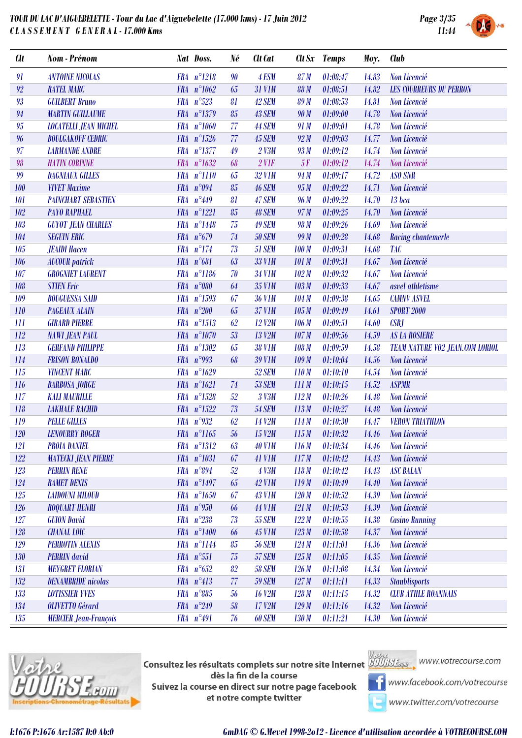

| h | <b>SYSTEM</b> |
|---|---------------|

| <b>Clt</b>    | Nom - Prénom                 |            | <b>Nat Doss.</b>    | Né | Clt Cat             |              | Clt Sx Temps | Moy.  | <b>Club</b>                            |
|---------------|------------------------------|------------|---------------------|----|---------------------|--------------|--------------|-------|----------------------------------------|
| 91            | <b>ANTOINE NICOLAS</b>       |            | FRA n°1218          | 90 | 4 ESM               | 87 M         | 01:08:47     | 14.83 | Non Licencié                           |
| 92            | <b>RATEL MARC</b>            |            | FRA n°1062          | 65 | <b>31 V1M</b>       | <b>88 M</b>  | 01:08:51     | 14.82 | <b>LES COURREURS DU PERRON</b>         |
| 93            | <b>GUILBERT Bruno</b>        |            | $FRA n^{\circ}523$  | 81 | 42 SEM              | <b>89M</b>   | 01:08:53     | 14.81 | Non Licencié                           |
| $\mathbf{94}$ | <b>MARTIN GUILLAUME</b>      |            | FRA n°1379          | 85 | <b>43 SEM</b>       | 90 M         | 01:09:00     | 14.78 | Non Licencié                           |
| $95\,$        | <b>LOCATELLI JEAN MICHEL</b> |            | FRA n°1060          | 77 | <b>44 SEM</b>       | 91 M         | 01:09:01     | 14.78 | Non Licencié                           |
| 96            | <b>BOULGAKOFF CEDRIC</b>     |            | $FRA n^{\circ}1526$ | 77 | <b>45 SEM</b>       | 92M          | 01:09:03     | 14.77 | Non Licencié                           |
| 97            | <b>LARMANDE ANDRE</b>        |            | FRA n°1377          | 49 | $2$ V3M             | 93 M         | 01:09:12     | 14.74 | Non Licencié                           |
| 98            | <b>HATIN CORINNE</b>         |            | FRA n°1632          | 68 | $2$ V1F             | 5F           | 01:09:12     | 14.74 | Non Licencié                           |
| 99            | <b>DAGNIAUX GILLES</b>       |            | FRA n°1110          | 65 | <b>32 V1M</b>       | 94 M         | 01:09:17     | 14.72 | <b>ASO SNR</b>                         |
| 100           | <b>VIVET Maxime</b>          |            | FRA n°094           | 85 | <b>46 SEM</b>       | 95M          | 01:09:22     | 14.71 | Non Licencié                           |
| 101           | <b>PAINCHART SEBASTIEN</b>   |            | FRA $n^{\circ}449$  | 81 | 47 SEM              | 96 M         | 01:09:22     | 14.70 | $13$ bca                               |
| 102           | <b>PAYO RAPHAEL</b>          |            | FRA n°1221          | 85 | <b>48 SEM</b>       | 97 M         | 01:09:25     | 14.70 | Non Licencié                           |
| 103           | <b>GUYOT JEAN CHARLES</b>    |            | FRA n°1448          | 75 | <b>49 SEM</b>       | 98 M         | 01:09:26     | 14.69 | <b>Non Licencié</b>                    |
| 104           | <b>SEGUIN ERIC</b>           |            | FRA $n^{\circ}679$  | 74 | <b>50 SEM</b>       | 99 M         | 01:09:28     | 14.68 | Racing chantemerle                     |
| 105           | <b>JEAIDI Hacen</b>          |            | FRA n°174           | 73 | <b>51 SEM</b>       | 100 M        | 01:09:31     | 14.68 | <b>TAC</b>                             |
| 106           | <b>AUCOUR</b> patrick        |            | FRA $n^{\circ}681$  | 63 | <b>33 V1M</b>       | <b>101 M</b> | 01:09:31     | 14.67 | Non Licencié                           |
| 107           | <b>GROGNIET LAURENT</b>      |            | FRA n°1186          | 70 | <b>34 V1M</b>       | 102M         | 01:09:32     | 14.67 | Non Licencié                           |
| 108           | <b>STIEN Eric</b>            | <b>FRA</b> | $n^{\circ}080$      | 64 | <b>35 V1M</b>       | 103 M        | 01:09:33     | 14.67 | asvel athletisme                       |
| 109           | <b>BOUGUESSA SAID</b>        |            | FRA n°1593          | 67 | <b>36 V1M</b>       | 104M         | 01:09:38     | 14.65 | <b>CAMNV ASVEL</b>                     |
| 110           | <b>PAGEAUX ALAIN</b>         |            | $FRA n^{\circ}200$  | 65 | <b>37 V1M</b>       | 105 M        | 01:09:49     | 14.61 | <b>SPORT 2000</b>                      |
| 111           | <b>GIRARD PIERRE</b>         |            | FRA n°1513          | 62 | 12 V2M              | 106 M        | 01:09:51     | 14.60 | <b>CSBJ</b>                            |
| 112           | <b>NAWI JEAN PAUL</b>        |            | FRA n°1070          | 53 | 13 V <sub>2</sub> M | 107M         | 01:09:56     | 14.59 | <b>AS LA ROSIERE</b>                   |
| 113           | <b>GERFAND PHILIPPE</b>      |            | FRA n°1302          | 65 | <b>38 V1M</b>       | 108 M        | 01:09:59     | 14.58 | <b>TEAM NATURE VO2 JEAN.COM LORIOL</b> |
| 114           | <b>FRISON RONALDO</b>        |            | FRA $n°993$         | 68 | <b>39 V1M</b>       | 109M         | 01:10:04     | 14.56 | Non Licencié                           |
| 115           | <b>VINCENT MARC</b>          |            | FRA n°1629          |    | 52 SEM              | 110M         | 01:10:10     | 14.54 | Non Licencié                           |
| 116           | <b>BARBOSA JORGE</b>         |            | FRA n°1621          | 74 | <b>53 SEM</b>       | 111M         | 01:10:15     | 14.52 | <b>ASPMR</b>                           |
| 117           | <b>KALI MAURILLE</b>         | <b>FRA</b> | $n^{\circ}1528$     | 52 | 3 V3M               | 112M         | 01:10:26     | 14.48 | Non Licencié                           |
| 118           | <b>LAKHALE RACHID</b>        |            | FRA n°1522          | 73 | <b>54 SEM</b>       | 113M         | 01:10:27     | 14.48 | Non Licencié                           |
| 119           | <b>PELLE GILLES</b>          |            | FRA n°932           | 62 | 14 V2M              | 114M         | 01:10:30     | 14.47 | <b>VERON TRIATHLON</b>                 |
| 120           | <b>LENOURRY ROGER</b>        |            | FRA n°1165          | 56 | 15 V2M              | 115M         | 01:10:32     | 14.46 | Non Licencié                           |
| 121           | <b>PROIA DANIEL</b>          |            | FRA n°1312          | 63 | <b>40 V1M</b>       | 116M         | 01:10:34     | 14.46 | Non Licencié                           |
| 122           | <b>MATECKI JEAN PIERRE</b>   |            | FRA n°1031          | 67 | <b>41 V1M</b>       | 117M         | 01:10:42     | 14.43 | Non Licencié                           |
| 123           | <b>PERRIN RENE</b>           |            | FRA $n^{\circ}894$  | 52 | <b>4 V3M</b>        | 118M         | 01:10:42     | 14.43 | <b>ASC BALAN</b>                       |
| 124           | <b>RAMET DENIS</b>           |            | FRA n°1497          | 65 | <b>42 V1M</b>       | 119M         | 01:10:49     | 14.40 | Non Licencié                           |
| 125           | <b>LAIDOUNI MILOUD</b>       |            | FRA n°1650          | 67 | <b>43 V1M</b>       | 120M         | 01:10:52     | 14.39 | Non Licencié                           |
| 126           | <b>ROQUART HENRI</b>         |            | FRA n°950           | 66 | <b>44 V1M</b>       | 121M         | 01:10:53     | 14.39 | Non Licencié                           |
| 127           | <b>GUION David</b>           |            | $FRA n^{\circ}238$  | 73 | <b>55 SEM</b>       | 122M         | 01:10:55     | 14.38 | <b>Casino Running</b>                  |
| 128           | <b>CHANAL LOIC</b>           |            | FRA n°1400          | 66 | <b>45 V1M</b>       | 123M         | 01:10:58     | 14.37 | Non Licencié                           |
| 129           | <b>PERROTIN ALEXIS</b>       |            | FRA n°1144          | 85 | <b>56 SEM</b>       | 124M         | 01:11:01     | 14.36 | Non Licencié                           |
| 130           | <b>PERRIN</b> david          |            | FRA n°551           | 75 | <b>57 SEM</b>       | 125M         | 01:11:05     | 14.35 | Non Licencié                           |
| 131           | <b>MEYGRET FLORIAN</b>       |            | FRA $n^{\circ}652$  | 82 | <b>58 SEM</b>       | 126M         | 01:11:08     | 14.34 | Non Licencié                           |
| 132           | <b>DENAMBRIDE</b> nicolas    |            | $FRA n^{\circ}413$  | 77 | <b>59 SEM</b>       | 127M         | 01:11:11     | 14.33 | <b>Staublisports</b>                   |
| 133           | <b>LOTISSIER YVES</b>        |            | FRA n°885           | 56 | <b>16 V2M</b>       | 128M         | 01:11:15     | 14.32 | <b>CLUB ATHLE ROANNAIS</b>             |
| 134           | <b>OLIVETTO</b> Gérard       |            | FRA $n^{\circ}249$  | 58 | 17 V2M              | 129M         | 01:11:16     | 14.32 | Non Licencié                           |
| 135           | <b>MERCIER Jean-François</b> |            | FRA n°491           | 76 | <b>60 SEM</b>       | 130 M        | 01:11:21     | 14.30 | Non Licencié                           |



**Consultez les résultats complets sur notre site Internet** Willis Esquise WWW.votrecourse.com dès la fin de la course Suivez la course en direct sur notre page facebook et notre compte twitter





**T** www.facebook.com/votrecourse

www.twitter.com/votrecourse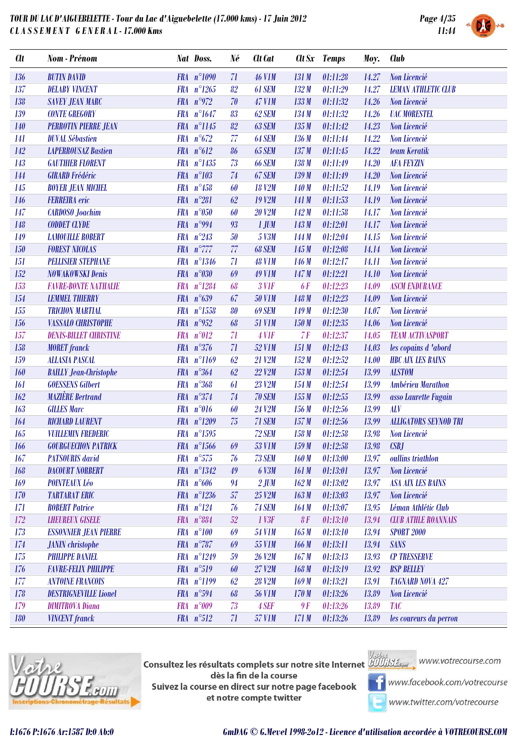

| <b>Clt</b> | <b>Nom</b> - Prénom           | Nat Doss.                     | Né | Clt Cat       |           | Clt Sx Temps | Moy.  | <b>Club</b>                  |
|------------|-------------------------------|-------------------------------|----|---------------|-----------|--------------|-------|------------------------------|
| 136        | <b>BUTIN DAVID</b>            | FRA n°1090                    | 71 | <b>46 V1M</b> | 131M      | 01:11:28     | 14.27 | Non Licencié                 |
| 137        | <b>DELABY VINCENT</b>         | $FRA n^{\circ}1265$           | 82 | 61 SEM        | 132M      | 01:11:29     | 14.27 | <b>LEMAN ATHLETIC CLUB</b>   |
| 138        | <b>SAVEY JEAN MARC</b>        | FRA $n^{\circ}972$            | 70 | <b>47 V1M</b> | 133M      | 01:11:32     | 14.26 | Non Licencié                 |
| 139        | <b>CONTE GREGORY</b>          | FRA $n^{\circ}1647$           | 83 | 62 SEM        | 134M      | 01:11:32     | 14.26 | <b>UAC MORESTEL</b>          |
| <b>140</b> | <b>PERROTIN PIERRE JEAN</b>   | FRA n°1145                    | 82 | 63 SEM        | 135M      | 01:11:42     | 14.23 | Non Licencié                 |
| 141        | <b>DUVAL Sébastien</b>        | FRA $n^{\circ}672$            | 77 | 64 SEM        | 136M      | 01:11:44     | 14.22 | Non Licencié                 |
| 142        | <b>LAPERROUSAZ Bastien</b>    | FRA $n^{\circ}612$            | 86 | <b>65 SEM</b> | 137M      | 01:11:45     | 14.22 | team Keratik                 |
| 143        | <b>GAUTHIER FLORENT</b>       | FRA n°1435                    | 73 | <b>66 SEM</b> | 138M      | 01:11:49     | 14.20 | <b>AFA FEYZIN</b>            |
| 144        | <b>GIRARD Frédéric</b>        | FRA n°103                     | 74 | 67 SEM        | 139M      | 01:11:49     | 14.20 | Non Licencié                 |
| 145        | <b>BOYER JEAN MICHEL</b>      | FRA $n^{\circ}458$            | 60 | <b>18 V2M</b> | 140M      | 01:11:52     | 14.19 | Non Licencié                 |
| 146        | <b>FERREIRA</b> eric          | FRA $n^{\circ}281$            | 62 | <b>19 V2M</b> | 141 M     | 01:11:53     | 14.19 | Non Licencié                 |
| 147        | <b>CARDOSO</b> Joachim        | $n^{\circ}050$<br><b>FRA</b>  | 60 | <b>20 V2M</b> | 142M      | 01:11:58     | 14.17 | Non Licencié                 |
| 148        | <b>CODDET CLYDE</b>           | FRA $n°994$                   | 93 | $1$ JUM       | 143M      | 01:12:01     | 14.17 | Non Licencié                 |
| 149        | <b>LAMOUILLE ROBERT</b>       | FRA $n^{\circ}243$            | 50 | 5 V3M         | 144M      | 01:12:04     | 14.15 | Non Licencié                 |
| 150        | <b>FOREST NICOLAS</b>         | FRA $n^{\circ}$ 777           | 77 | 68 SEM        | 145M      | 01:12:08     | 14.14 | Non Licencié                 |
| 151        | <b>PELLISIER STEPHANE</b>     | FRA n°1346                    | 71 | <b>48 V1M</b> | 146M      | 01:12:17     | 14.11 | Non Licencié                 |
| 152        | <b>NOWAKOWSKI Denis</b>       | FRA n°030                     | 69 | <b>49 V1M</b> | 147M      | 01:12:21     | 14.10 | Non Licencié                 |
| 153        | <b>FAVRE-BONTE NATHALIE</b>   | $n^{\circ}1284$<br><b>FRA</b> | 68 | $3$ V1F       | <b>6F</b> | 01:12:23     | 14.09 | <b>ASCM ENDURANCE</b>        |
| 154        | <b>LEMMEL THIERRY</b>         | FRA $n^{\circ}639$            | 67 | <b>50 V1M</b> | 148M      | 01:12:23     | 14.09 | Non Licencié                 |
| 155        | <b>TRICHON MARTIAL</b>        | FRA n°1558                    | 80 | 69 SEM        | 149M      | 01:12:30     | 14.07 | Non Licencié                 |
| 156        | <b>VASSALO CHRISTOPHE</b>     | FRA $n°952$                   | 68 | <b>51 V1M</b> | 150M      | 01:12:35     | 14.06 | Non Licencié                 |
| 157        | <b>DENIS-BILLET CHRISTINE</b> | $n^{\circ}012$<br><b>FRA</b>  | 71 | 4 VIF         | 7F        | 01:12:37     | 14.05 | <b>TEAM ACTIVASPORT</b>      |
| 158        | <b>MORET</b> franck           | FRA $n^{\circ}376$            | 71 | <b>52 V1M</b> | 151M      | 01:12:43     | 14.03 | les copains d'abord          |
| 159        | <b>ALLASIA PASCAL</b>         | FRA n°1169                    | 62 | 21 V2M        | 152M      | 01:12:52     | 14.00 | <b>HBC AIX LES BAINS</b>     |
| 160        | <b>BAILLY Jean-Christophe</b> | FRA $n^{\circ}364$            | 62 | <b>22 V2M</b> | 153M      | 01:12:54     | 13.99 | <b>ALSTOM</b>                |
| 161        | <b>GOESSENS Gilbert</b>       | FRA $n^{\circ}368$            | 61 | 23 V2M        | 154M      | 01:12:54     | 13.99 | <b>Ambérieu Marathon</b>     |
| 162        | <b>MAZIÈRE Bertrand</b>       | FRA $n^{\circ}374$            | 74 | <b>70 SEM</b> | 155M      | 01:12:55     | 13.99 | asso Laurette Fugain         |
| 163        | <b>GILLES Marc</b>            | FRA n°016                     | 60 | 24 V2M        | 156M      | 01:12:56     | 13.99 | <b>ALV</b>                   |
| 164        | <b>RICHARD LAURENT</b>        | FRA n°1209                    | 75 | 71 SEM        | 157M      | 01:12:56     | 13.99 | <b>ALLIGATORS SEYNOD TRI</b> |
| 165        | <b>VUILLEMIN FREDERIC</b>     | FRA n°1595                    |    | 72 SEM        | 158M      | 01:12:58     | 13.98 | Non Licencié                 |
| 166        | <b>GOURGUECHON PATRICK</b>    | $FRA n^{\circ}1566$           | 69 | <b>53 V1M</b> | 159M      | 01:12:58     | 13.98 | <b>CSBJ</b>                  |
| 167        | <b>PATSOURIS</b> david        | $FRA n^{\circ}575$            | 76 | <b>73 SEM</b> | 160M      | 01:13:00     | 13.97 | oullins triathlon            |
| 168        | <b>DACOURT NORBERT</b>        | FRA n°1342                    | 49 | <b>6 V3M</b>  | 161M      | 01:13:01     | 13.97 | Non Licencié                 |
| 169        | <b>POINTEAUX Léo</b>          | $FRA n^{\circ}606$            | 94 | $2$ JUM       | 162M      | 01:13:02     | 13.97 | <b>ASA AIX LES BAINS</b>     |
| 170        | <b>TARTARAT ERIC</b>          | FRA n°1236                    | 57 | 25 V2M        | 163M      | 01:13:03     | 13.97 | Non Licencié                 |
| 171        | <b>ROBERT Patrice</b>         | FRA n°124                     | 76 | <b>74 SEM</b> | 164M      | 01:13:07     | 13.95 | Léman Athlétic Club          |
| 172        | <b>LHEUREUX GISELE</b>        | FRA n°884                     | 52 | 1 V3F         | 8F        | 01:13:10     | 13.94 | <b>CLUB ATHLE ROANNAIS</b>   |
| 173        | <b>ESSONNIER JEAN PIERRE</b>  | $FRA n^{\circ}100$            | 69 | <b>54 V1M</b> | 165M      | 01:13:10     | 13.94 | <b>SPORT 2000</b>            |
| 174        | <b>JANIN</b> christophe       | FRA $n^{\circ}787$            | 69 | <b>55 V1M</b> | 166M      | 01:13:11     | 13.94 | <b>SANS</b>                  |
| 175        | <b>PHILIPPE DANIEL</b>        | FRA n°1249                    | 59 | 26 V2M        | 167M      | 01:13:13     | 13.93 | <b>CP TRESSERVE</b>          |
| 176        | <b>FAVRE-FELIX PHILIPPE</b>   | FRA n°519                     | 60 | 27 V2M        | 168M      | 01:13:19     | 13.92 | <b>BSP BELLEY</b>            |
| 177        | <b>ANTOINE FRANCOIS</b>       | FRA n°1199                    | 62 | <b>28 V2M</b> | 169M      | 01:13:21     | 13.91 | <b>TAGNARD NOVA 427</b>      |
| 178        | <b>DESTRIGNEVILLE Lionel</b>  | FRA n°594                     | 68 | <b>56 V1M</b> | 170M      | 01:13:26     | 13.89 | Non Licencié                 |
| 179        | <b>DIMITROVA Diana</b>        | FRA n°009                     | 73 | 4 SEF         | 9F        | 01:13:26     | 13.89 | <b>TAC</b>                   |
| 180        | <b>VINCENT</b> franck         | $FRA n^{\circ}512$            | 71 | <b>57 V1M</b> | 171M      | 01:13:26     | 13.89 | les coureurs du perron       |



**Consultez les résultats complets sur notre site Internet** Willis Esquise WWW.votrecourse.com dès la fin de la course Suivez la course en direct sur notre page facebook et notre compte twitter



**T** www.facebook.com/votrecourse

www.twitter.com/votrecourse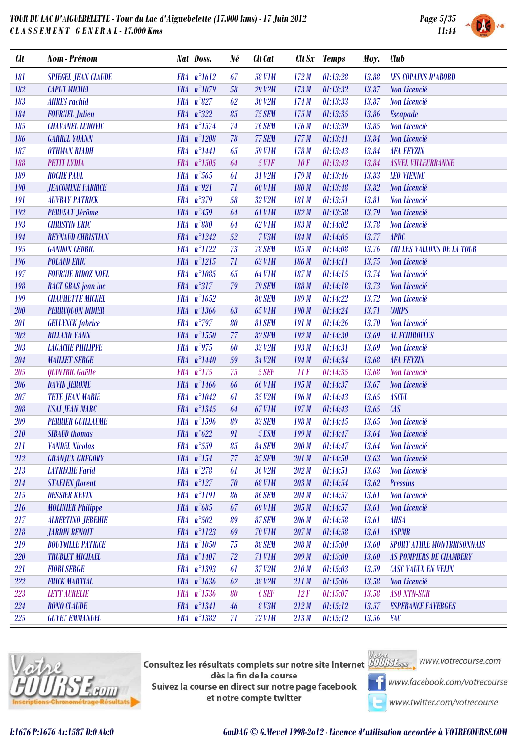

| <b>SYSTEM</b> |  |
|---------------|--|
|               |  |

| <b>Clt</b> | Nom - Prénom                   |            | Nat Doss.            | Né         | Clt Cat       | $\mathbf{C}$ tt Sx | <b>Temps</b> | Moy.  | <b>Club</b>                       |
|------------|--------------------------------|------------|----------------------|------------|---------------|--------------------|--------------|-------|-----------------------------------|
| 181        | <b>SPIEGEL JEAN CLAUDE</b>     |            | $FRA n^{\circ}1612$  | 67         | <b>58 V1M</b> | 172M               | 01:13:28     | 13.88 | <b>LES COPAINS D'ABORD</b>        |
| 182        | <b>CAPUT MICHEL</b>            |            | FRA n°1079           | 58         | <b>29 V2M</b> | 173M               | 01:13:32     | 13.87 | Non Licencié                      |
| 183        | <b>AHRES</b> rachid            |            | FRA n°827            | 62         | <b>30 V2M</b> | 174M               | 01:13:33     | 13.87 | Non Licencié                      |
| 184        | <b>FOURNEL Julien</b>          |            | FRA $n^{\circ}322$   | 85         | 75 SEM        | 175M               | 01:13:35     | 13.86 | <b>Escapade</b>                   |
| 185        | <b>CHAVANEL LUDOVIC</b>        |            | FRA n°1574           | 74         | <b>76 SEM</b> | 176M               | 01:13:39     | 13.85 | Non Licencié                      |
| 186        | <b>GARREL YOANN</b>            |            | FRA n°1208           | 78         | 77 SEM        | 177M               | 01:13:41     | 13.84 | Non Licencié                      |
| 187        | <b>OTHMAN RIADH</b>            |            | FRA n°1441           | 65         | <b>59 V1M</b> | 178M               | 01:13:43     | 13.84 | <b>AFA FEYZIN</b>                 |
| 188        | <b>PETIT LYDIA</b>             |            | FRA n°1505           | 64         | <b>5 V1F</b>  | 10F                | 01:13:43     | 13.84 | <b>ASVEL VILLEURBANNE</b>         |
| 189        | <b>ROCHE PAUL</b>              |            | $FRA n^{\circ}565$   | 61         | 31 V2M        | 179M               | 01:13:46     | 13.83 | <b>LEO VIENNE</b>                 |
| 190        | <b>JEACOMINE FABRICE</b>       |            | FRA $n°921$          | 71         | <b>60 V1M</b> | 180M               | 01:13:48     | 13.82 | Non Licencié                      |
| 191        | <b>AUVRAY PATRICK</b>          |            | FRA n°379            | 58         | 32 V2M        | 181 M              | 01:13:51     | 13.81 | Non Licencié                      |
| 192        | <b>PERUSAT Jérôme</b>          |            | FRA $n^{\circ}459$   | 64         | <b>61 V1M</b> | 182M               | 01:13:58     | 13.79 | Non Licencié                      |
| 193        | <b>CHRISTIN ERIC</b>           |            | FRA n°880            | 64         | <b>62 V1M</b> | 183M               | 01:14:02     | 13.78 | Non Licencié                      |
| 194        | <b>REYNAUD CHRISTIAN</b>       |            | FRA n°1242           | 52         | $7$ $V3M$     | 184M               | 01:14:05     | 13.77 | <b>APDC</b>                       |
| 195        | <b>GANDON CEDRIC</b>           |            | FRA n°1122           | 73         | <b>78 SEM</b> | 185M               | 01:14:08     | 13.76 | TRI LES VALLONS DE LA TOUR        |
| 196        | <b>POLAUD ERIC</b>             |            | $FRA n^{\circ}1215$  | 71         | <b>63 V1M</b> | 186M               | 01:14:11     | 13.75 | Non Licencié                      |
| 197        | <b>FOURNIE BIDOZ NOEL</b>      |            | FRA n°1085           | 65         | <b>64 V1M</b> | 187 <sub>M</sub>   | 01:14:15     | 13.74 | Non Licencié                      |
| 198        | <b>RACT GRAS jean luc</b>      |            | FRA n°317            | 79         | <b>79 SEM</b> | 188 M              | 01:14:18     | 13.73 | Non Licencié                      |
| 199        | <b>CHAUMETTE MICHEL</b>        |            | $FRA n^{\circ}1652$  |            | <b>80 SEM</b> | 189 M              | 01:14:22     | 13.72 | Non Licencié                      |
| 200        | <b>PERRUQUON DIDIER</b>        |            | FRA n°1366           | 63         | <b>65 V1M</b> | 190M               | 01:14:24     | 13.71 | <b>CORPS</b>                      |
| 201        | <b>GELLYNCK</b> fabrice        |            | FRA n°797            | 80         | <b>81 SEM</b> | 191 M              | 01:14:26     | 13.70 | Non Licencié                      |
| $202\,$    | <b>BILLARD YANN</b>            |            | FRA n°1550           | 77         | 82 SEM        | 192M               | 01:14:30     | 13.69 | <b>AL ECHIROLLES</b>              |
| 203        | <b><i>LAGACHE PHILIPPE</i></b> |            | FRA $n^{\circ}$ 975  | 60         | 33 V2M        | 193M               | 01:14:31     | 13.69 | Non Licencié                      |
| $204\,$    | <b>MAILLET SERGE</b>           |            | FRA n°1440           | 59         | 34 V2M        | 194M               | 01:14:34     | 13.68 | <b>AFA FEYZIN</b>                 |
| 205        | QUINTRIC Gaëlle                | <b>FRA</b> | $n^{\circ}175$       | 75         | 5 SEF         | 11F                | 01:14:35     | 13.68 | Non Licencié                      |
| 206        | <b>DAVID JEROME</b>            |            | FRA n°1466           | 66         | <b>66 V1M</b> | 195M               | 01:14:37     | 13.67 | Non Licencié                      |
| 207        | <b>TETE JEAN MARIE</b>         |            | FRA n°1042           | 61         | 35 V2M        | 196M               | 01:14:43     | 13.65 | <b>ASCUL</b>                      |
| $208\,$    | <b>USAI JEAN MARC</b>          |            | FRA n°1345           | 64         | <b>67 V1M</b> | 197M               | 01:14:43     | 13.65 | $\mathcal{L}AS$                   |
| 209        | <b>PERRIER GUILLAUME</b>       |            | FRA n°1596           | 89         | 83 SEM        | 198 M              | 01:14:45     | 13.65 | Non Licencié                      |
| 210        | <b>SIBAUD</b> thomas           |            | FRA $n^{\circ}622$   | 91         | 5 ESM         | 199M               | 01:14:47     | 13.64 | Non Licencié                      |
| 211        | <b>VANDEL Nicolas</b>          |            | FRA n°559            | $\pmb{85}$ | <b>84 SEM</b> | 200 M              | 01:14:47     | 13.64 | Non Licencié                      |
| 212        | <b>GRANJUX GREGORY</b>         |            | $FRA n^{\circ}154$   | 77         | <b>85 SEM</b> | 201 M              | 01:14:50     | 13.63 | <b>Non Licencié</b>               |
| 213        | <b>LATRECHE Farid</b>          |            | FRA $n^{\circ}278$   | 61         | 36 V2M        | 202M               | 01:14:51     | 13.63 | Non Licencié                      |
| 214        | <b>STAELEN</b> florent         |            | $FRA$ $n^{\circ}127$ | 70         | <b>68 V1M</b> | 203 M              | 01:14:54     | 13.62 | <b>Pressins</b>                   |
| 215        | <b>DESSIER KEVIN</b>           |            | FRA n°1191           | 86         | <b>86 SEM</b> | 204M               | 01:14:57     | 13.61 | Non Licencié                      |
| 216        | <b>MOLINIER Philippe</b>       |            | $FRA n^{\circ}685$   | 67         | <b>69 V1M</b> | 205M               | 01:14:57     | 13.61 | Non Licencié                      |
| <b>217</b> | <b>ALBERTINO JEREMIE</b>       |            | FRA n°502            | 89         | 87 SEM        | 206M               | 01:14:58     | 13.61 | <b>AHSA</b>                       |
| 218        | <b>JARDIN BENOIT</b>           |            | FRA n°1123           | 69         | <b>70 V1M</b> | 207 <sub>M</sub>   | 01:14:58     | 13.61 | <b>ASPMR</b>                      |
| 219        | <b>BOUTOILLE PATRICE</b>       |            | FRA n°1050           | 75         | <b>88 SEM</b> | 208 M              | 01:15:00     | 13.60 | <b>SPORT ATHLE MONTBRISONNAIS</b> |
| 220        | <b>TRUBLET MICHAEL</b>         |            | FRA n°1407           | 72         | <b>71 V1M</b> | 209M               | 01:15:00     | 13.60 | <b>AS POMPIERS DE CHAMBERY</b>    |
| 221        | <b>FIORI SERGE</b>             |            | FRA n°1393           | 61         | 37 V2M        | 210M               | 01:15:03     | 13.59 | <b>CASC VAULX EN VELIN</b>        |
| 222        | <b>FRICK MARTIAL</b>           |            | FRA n°1636           | 62         | 38 V2M        | 211M               | 01:15:06     | 13.58 | Non Licencié                      |
| 223        | <b>LETT AURELIE</b>            |            | FRA n°1536           | 80         | 6 SEF         | 12F                | 01:15:07     | 13.58 | <b>ASO NTN-SNR</b>                |
| 224        | <b>BONO CLAUDE</b>             |            | FRA n°1341           | 46         | <b>8 V3M</b>  | 212M               | 01:15:12     | 13.57 | <b>ESPERANCE FAVERGES</b>         |
| 225        | <b>GUYET EMMANUEL</b>          |            | FRA n°1382           | 71         | <b>72 V1M</b> | 213M               | 01:15:12     | 13.56 | EAC                               |



**Consultez les résultats complets sur notre site Internet** Willis Esquise WWW.votrecourse.com dès la fin de la course Suivez la course en direct sur notre page facebook et notre compte twitter



**T** www.facebook.com/votrecourse

www.twitter.com/votrecourse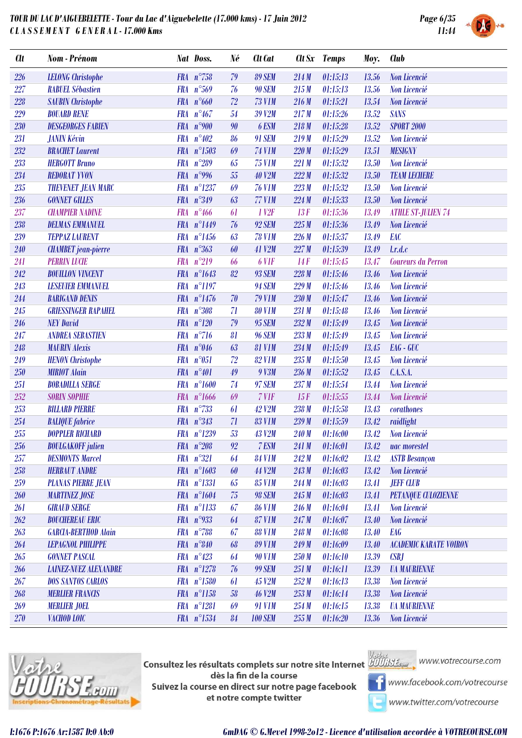

| <b>Clt</b> | Nom - Prénom                 |            | Nat Doss.             | Né               | Clt Cat          |       | Clt Sx Temps | Moy.  | <b>Club</b>                   |
|------------|------------------------------|------------|-----------------------|------------------|------------------|-------|--------------|-------|-------------------------------|
| 226        | <b>LELONG</b> Christophe     |            | FRA $n^{\circ}758$    | 79               | <b>89 SEM</b>    | 214M  | 01:15:13     | 13.56 | Non Licencié                  |
| 227        | <b>RABUEL Sébastien</b>      |            | FRA $n^{\circ}569$    | 76               | <b>90 SEM</b>    | 215M  | 01:15:13     | 13.56 | Non Licencié                  |
| 228        | <b>SAUBIN</b> Christophe     |            | FRA $n^{\circ}660$    | 72               | <b>73 V1M</b>    | 216M  | 01:15:21     | 13.54 | Non Licencié                  |
| 229        | <b>BOUARD RENE</b>           |            | FRA $n^{\circ}467$    | 54               | 39 V2M           | 217M  | 01:15:26     | 13.52 | <b>SANS</b>                   |
| 230        | <b>DESGEORGES FABIEN</b>     |            | FRA $n°900$           | 90               | 6 ESM            | 218M  | 01:15:28     | 13.52 | <b>SPORT 2000</b>             |
| 231        | <b>JANIN Kévin</b>           |            | FRA $n^{\circ}402$    | 86               | <b>91 SEM</b>    | 219M  | 01:15:29     | 13.52 | <b>Non Licencié</b>           |
| 232        | <b>BRACHET</b> Laurent       |            | FRA n°1503            | 69               | <b>74 V1M</b>    | 220M  | 01:15:29     | 13.51 | <b>MESIGNY</b>                |
| 233        | <b>HERGOTT Bruno</b>         |            | FRA $n^{\circ}289$    | 65               | <b>75 V1M</b>    | 221M  | 01:15:32     | 13.50 | Non Licencié                  |
| 234        | <b>REDORAT YVON</b>          |            | FRA $n°996$           | 55               | <b>40 V2M</b>    | 222M  | 01:15:32     | 13.50 | <b>TEAM LECHERE</b>           |
| 235        | <b>THEVENET JEAN MARC</b>    |            | FRA n°1237            | 69               | <b>76 V1M</b>    | 223M  | 01:15:32     | 13.50 | Non Licencié                  |
| 236        | <b>GONNET GILLES</b>         |            | FRA n°349             | 63               | <b>77 V1M</b>    | 224M  | 01:15:33     | 13.50 | Non Licencié                  |
| 237        | <b>CHAMPIER NADINE</b>       |            | FRA $n^{\circ}466$    | 61               | 1 <sub>V2F</sub> | 13F   | 01:15:36     | 13.49 | <b>ATHLE ST-JULIEN 74</b>     |
| 238        | <b>DELMAS EMMANUEL</b>       |            | FRA n°1449            | 76               | <b>92 SEM</b>    | 225M  | 01:15:36     | 13.49 | Non Licencié                  |
| 239        | <b>TEPPAZ LAURENT</b>        |            | FRA $n^{\circ}1456$   | 63               | <b>78 V1M</b>    | 226M  | 01:15:37     | 13.49 | EAC                           |
| 240        | <b>CHAMBET</b> jean-pierre   |            | FRA $n^{\circ}363$    | 60               | <b>41 V2M</b>    | 227M  | 01:15:39     | 13.49 | l.r.d.c                       |
| 241        | <b>PERRIN LUCIE</b>          |            | $FRA n^{\circ}219$    | 66               | 6 VIF            | 14F   | 01:15:45     | 13.47 | <b>Coureurs du Perron</b>     |
| 242        | <b>BOUILLON VINCENT</b>      |            | FRA n°1643            | 82               | <b>93 SEM</b>    | 228M  | 01:15:46     | 13.46 | Non Licencié                  |
| 243        | <b>LESEUIER EMMANUEL</b>     |            | FRA n°1197            |                  | <b>94 SEM</b>    | 229M  | 01:15:46     | 13.46 | Non Licencié                  |
| 244        | <b>BARIGAND DENIS</b>        |            | FRA $n^{\circ}1476$   | 70               | <b>79 V1M</b>    | 230M  | 01:15:47     | 13.46 | Non Licencié                  |
| 245        | <b>GRIESSINGER RAPAHEL</b>   | <b>FRA</b> | $n^{\circ}308$        | 71               | <b>80 V1M</b>    | 231 M | 01:15:48     | 13.46 | Non Licencié                  |
| 246        | <b>NEY David</b>             |            | $FRA$ $n^{\circ}120$  | 79               | <b>95 SEM</b>    | 232M  | 01:15:49     | 13.45 | Non Licencié                  |
| 247        | <b>ANDREA SEBASTIEN</b>      |            | $FRA n^{\circ}716$    | 81               | <b>96 SEM</b>    | 233M  | 01:15:49     | 13.45 | Non Licencié                  |
| 248        | <b>MAURIN Alexis</b>         |            | FRA $n^{\circ}046$    | 63               | <b>81 V1M</b>    | 234M  | 01:15:49     | 13.45 | EAG - GUC                     |
| 249        | <b>HENON</b> Christophe      | <b>FRA</b> | $n^{\circ}051$        | 72               | <b>82 V1M</b>    | 235M  | 01:15:50     | 13.45 | Non Licencié                  |
| 250        | <b>MIRIOT Alain</b>          |            | $FRA n^{\circ}401$    | 49               | 9 V3M            | 236M  | 01:15:52     | 13.45 | C.A.S.A.                      |
| 251        | <b>BOBADILLA SERGE</b>       | <b>FRA</b> | $n^{\circ}1600$       | 74               | <b>97 SEM</b>    | 237M  | 01:15:54     | 13.44 | Non Licencié                  |
| 252        | <b>SORIN SOPHIE</b>          |            | $FRA$ $n^{\circ}1666$ | 69               | 7 VIF            | 15F   | 01:15:55     | 13.44 | Non Licencié                  |
| 253        | <b>BILLARD PIERRE</b>        |            | FRA $n^{\circ}733$    | 61               | <b>42 V2M</b>    | 238M  | 01:15:58     | 13.43 | $corathones$                  |
| 254        | <b>BALIQUE</b> fabrice       |            | FRA n°343             | 71               | <b>83 V1M</b>    | 239 M | 01:15:59     | 13.42 | raidlight                     |
| 255        | <b>DOPPLER RICHARD</b>       |            | FRA n°1239            | 53               | <b>43 V2M</b>    | 240 M | 01:16:00     | 13.42 | Non Licencié                  |
| 256        | <b>BOULGAKOFF</b> julien     |            | FRA $n^{\circ}208$    | $\mathfrak{g}_2$ | 7 ESM            | 241 M | 01:16:01     | 13.42 | uac morestel                  |
| 257        | <b>DESMONTS Marcel</b>       |            | FRA n°321             | 64               | <b>84 V1M</b>    | 242M  | 01:16:02     | 13.42 | <b>ASTB</b> Besançon          |
| 258        | <b>HERBAUT ANDRE</b>         |            | FRA $n^{\circ}1603$   | 60               | 44 V2M           | 243M  | 01:16:03     | 13.42 | Non Licencié                  |
| 259        | <b>PLANAS PIERRE JEAN</b>    |            | FRA n°1331            | 65               | <b>85 V1M</b>    | 244M  | 01:16:03     | 13.41 | <b>JEFF CLUB</b>              |
| 260        | <b>MARTINEZ JOSE</b>         |            | FRA $n^{\circ}1604$   | 75               | <b>98 SEM</b>    | 245M  | 01:16:03     | 13.41 | <b>PETANQUE CULOZIENNE</b>    |
| <b>261</b> | <b>GIRAUD SERGE</b>          |            | FRA n°1133            | 67               | <b>86 V1M</b>    | 246 M | 01:16:04     | 13.41 | Non Licencié                  |
| 262        | <b>BOUCHEREAU ERIC</b>       |            | FRA $n^{\circ}933$    | 64               | <b>87 V1M</b>    | 247M  | 01:16:07     | 13.40 | Non Licencié                  |
| 263        | <b>GARCIA-BERTHOD Alain</b>  |            | $FRA n^{\circ}788$    | 67               | <b>88 V1M</b>    | 248 M | 01:16:08     | 13.40 | <b>EAG</b>                    |
| 264        | <b>LEPAGNOL PHILIPPE</b>     |            | FRA n°840             | 68               | <b>89 V1M</b>    | 249 M | 01:16:09     | 13.40 | <b>ACADEMIC KARATE VOIRON</b> |
| 265        | <b>GONNET PASCAL</b>         |            | FRA $n^{\circ}423$    | 64               | <b>90 V1M</b>    | 250M  | 01:16:10     | 13.39 | CSBJ                          |
| 266        | <b>LAINEZ-NUEZ ALEXANDRE</b> |            | $FRA$ $n^{\circ}1278$ | 76               | <b>99 SEM</b>    | 251M  | 01:16:11     | 13.39 | <b><i>UA MAURIENNE</i></b>    |
| 267        | <b>DOS SANTOS CARLOS</b>     |            | FRA n°1580            | 61               | <b>45 V2M</b>    | 252M  | 01:16:13     | 13.38 | Non Licencié                  |
| 268        | <b>MERLIER FRANCIS</b>       |            | FRA n°1158            | 58               | <b>46 V2M</b>    | 253M  | 01:16:14     | 13.38 | Non Licencié                  |
| 269        | <b>MERLIER JOEL</b>          |            | FRA n°1281            | 69               | <b>91 V1M</b>    | 254M  | 01:16:15     | 13.38 | <b><i>UA MAURIENNE</i></b>    |
| 270        | VACHOD LOIC                  |            | FRA n°1534            | 84               | <b>100 SEM</b>   | 255M  | 01:16:20     | 13.36 | Non Licencié                  |



**Consultez les résultats complets sur notre site Internet** Willis Esquise WWW.votrecourse.com dès la fin de la course Suivez la course en direct sur notre page facebook et notre compte twitter



**T** www.facebook.com/votrecourse

www.twitter.com/votrecourse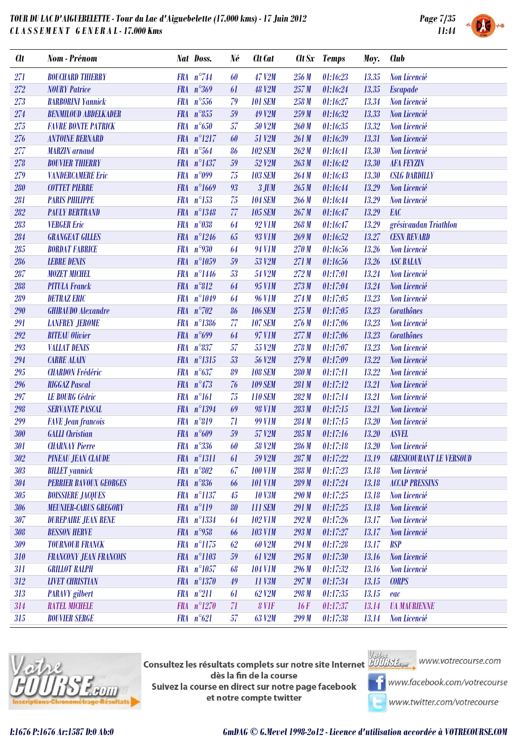

| <b>Clt</b> | Nom - Prénom                  | Nat Doss.             | Né               | Clt Cat        |       | Clt Sx Temps | Moy.  | <b>Club</b>                    |
|------------|-------------------------------|-----------------------|------------------|----------------|-------|--------------|-------|--------------------------------|
| 271        | <b>BOUCHARD THIERRY</b>       | FRA $n^{\circ}$ 744   | 60               | <b>47 V2M</b>  | 256 M | 01:16:23     | 13.35 | Non Licencié                   |
| 272        | <b>NOURY Patrice</b>          | FRA $n^{\circ}369$    | 61               | <b>48 V2M</b>  | 257M  | 01:16:24     | 13.35 | <b>Escapade</b>                |
| 273        | <b>BARBORINI Yannick</b>      | $FRA n^{\circ}556$    | 79               | <b>101 SEM</b> | 258 M | 01:16:27     | 13.34 | Non Licencié                   |
| 274        | <b>BENMILOUD ABDELKADER</b>   | $FRA n^{\circ}855$    | 59               | 49 V2M         | 259M  | 01:16:32     | 13.33 | Non Licencié                   |
| 275        | <b>FAVRE BONTE PATRICK</b>    | FRA $n^{\circ}650$    | 57               | <b>50 V2M</b>  | 260M  | 01:16:35     | 13.32 | Non Licencié                   |
| 276        | <b>ANTOINE BERNARD</b>        | $FRA$ $n^{\circ}1217$ | 60               | 51 V2M         | 261 M | 01:16:39     | 13.31 | Non Licencié                   |
| 277        | <b>MARZIN</b> arnaud          | FRA $n^{\circ}564$    | 86               | <b>102 SEM</b> | 262M  | 01:16:41     | 13.30 | Non Licencié                   |
| 278        | <b>BOUVIER THIERRY</b>        | FRA n°1437            | 59               | 52 V2M         | 263M  | 01:16:42     | 13.30 | <b>AFA FEYZIN</b>              |
| 279        | <b>VANDERCAMERE Eric</b>      | FRA $n^{\circ}099$    | 75               | <b>103 SEM</b> | 264M  | 01:16:43     | 13.30 | <b>CSLG DARDILLY</b>           |
| 280        | <b>COTTET PIERRE</b>          | FRA n°1669            | $\mathfrak{g}_3$ | $3$ JUM        | 265M  | 01:16:44     | 13.29 | Non Licencié                   |
| 281        | <b>PARIS PHILIPPE</b>         | $FRA n^{\circ}153$    | 75               | <b>104 SEM</b> | 266 M | 01:16:44     | 13.29 | Non Licencié                   |
| 282        | <b>PAULY BERTRAND</b>         | FRA n°1348            | 77               | <b>105 SEM</b> | 267M  | 01:16:47     | 13.29 | EAC                            |
| 283        | <b>VERGER Eric</b>            | FRA n°038             | 64               | <b>92 V1M</b>  | 268M  | 01:16:47     | 13.29 | grésivaudan Triathlon          |
| 284        | <b>GRANGEAT GILLES</b>        | $FRA n^{\circ}1246$   | 65               | <b>93 V1M</b>  | 269M  | 01:16:52     | 13.27 | <b>CESN REVARD</b>             |
| 285        | <b>BORDAT FABRICE</b>         | FRA $n^{\circ}930$    | 64               | 94 V1M         | 270 M | 01:16:56     | 13.26 | Non Licencié                   |
| 286        | <b>LEBRE DENIS</b>            | FRA n°1059            | 59               | 53 V2M         | 271 M | 01:16:56     | 13.26 | <b>ASC BALAN</b>               |
| 287        | <b>MOZET MICHEL</b>           | FRA n°1446            | 53               | 54 V2M         | 272M  | 01:17:01     | 13.24 | Non Licencié                   |
| 288        | <b>PITULA Franck</b>          | $FRA n^{\circ}812$    | 64               | 95 V1M         | 273M  | 01:17:04     | 13.24 | Non Licencié                   |
| 289        | <b>DETRAZ ERIC</b>            | FRA n°1049            | 64               | <b>96 V1M</b>  | 274M  | 01:17:05     | 13.23 | Non Licencié                   |
| 290        | <b>GHIBAUDO</b> Alexandre     | FRA $n^{\circ}702$    | 86               | <b>106 SEM</b> | 275M  | 01:17:05     | 13.23 | <b>Corathônes</b>              |
| 291        | <b>LANFREY JEROME</b>         | FRA n°1386            | 77               | <b>107 SEM</b> | 276 M | 01:17:06     | 13.23 | Non Licencié                   |
| 292        | <b>BITEAU</b> Olivier         | FRA $n^{\circ}699$    | 64               | 97 V1M         | 277M  | 01:17:06     | 13.23 | <b>Corathônes</b>              |
| 293        | <b>VALLAT DENIS</b>           | FRA n°837             | 57               | 55 V2M         | 278M  | 01:17:07     | 13.23 | Non Licencié                   |
| 294        | <b>CARRE ALAIN</b>            | FRA n°1315            | 53               | 56 V2M         | 279 M | 01:17:09     | 13.22 | Non Licencié                   |
| 295        | <b>CHARDON</b> Frédéric       | FRA $n^{\circ}637$    | 89               | <b>108 SEM</b> | 280 M | 01:17:11     | 13.22 | Non Licencié                   |
| 296        | <b>RIGGAZ Pascal</b>          | FRA $n^{\circ}473$    | 76               | <b>109 SEM</b> | 281 M | 01:17:12     | 13.21 | Non Licencié                   |
| 297        | <b>LE BOURG Cédric</b>        | $FRA$ $n^{\circ}161$  | 75               | <b>110 SEM</b> | 282M  | 01:17:14     | 13.21 | Non Licencié                   |
| 298        | <b>SERVANTE PASCAL</b>        | FRA n°1394            | 69               | <b>98 V1M</b>  | 283M  | 01:17:15     | 13.21 | Non Licencié                   |
| 299        | <b>FAVE Jean francois</b>     | FRA n°819             | 71               | <b>99 V1M</b>  | 284M  | 01:17:15     | 13.20 | Non Licencié                   |
| 300        | <b>GALLI</b> Christian        | FRA $n^{\circ}609$    | 59               | 57 V2M         | 285M  | 01:17:16     | 13.20 | <b>ASVEL</b>                   |
| 301        | <b>CHARNAY Pierre</b>         | $FRA \t n^{\circ}336$ | 60               | 58 V2M         | 286 M | 01:17:18     | 13.20 | <b>Non Licencié</b>            |
| 302        | <b>PINEAU JEAN CLAUDE</b>     | FRA n°1311            | 61               | 59 V2M         | 287 M | 01:17:22     | 13.19 | <b>GRESICOURANT LE VERSOUD</b> |
| 303        | <b>BILLET</b> yannick         | FRA n°802             | 67               | <b>100 V1M</b> | 288 M | 01:17:23     | 13.18 | Non Licencié                   |
| 304        | <b>PERRIER BAVOUX GEORGES</b> | $FRA n^{\circ}836$    | 66               | <b>101 V1M</b> | 289 M | 01:17:24     | 13.18 | <b>ACCAP PRESSINS</b>          |
| $305\,$    | <b>BOISSIERE JACQUES</b>      | FRA n°1137            | 45               | <b>10 V3M</b>  | 290M  | 01:17:25     | 13.18 | Non Licencié                   |
| 306        | <b>MEUNIER-CARUS GREGORY</b>  | $FRA$ $n^{\circ}119$  | 80               | <b>111 SEM</b> | 291 M | 01:17:25     | 13.18 | Non Licencié                   |
| 307        | <b>DUREPAIRE JEAN RENE</b>    | FRA n°1334            | 64               | <b>102 V1M</b> | 292M  | 01:17:26     | 13.17 | Non Licencié                   |
| 308        | <b>BESSON HERVE</b>           | FRA $n^{\circ}$ 958   | 66               | <b>103 V1M</b> | 293M  | 01:17:27     | 13.17 | Non Licencié                   |
| 309        | <b>TOURNOUR FRANCK</b>        | FRA n°1175            | 62               | <b>60 V2M</b>  | 294M  | 01:17:28     | 13.17 | <b>BSP</b>                     |
| 310        | <b>FRANCONY JEAN FRANCOIS</b> | FRA n°1103            | 59               | 61 V2M         | 295M  | 01:17:30     | 13.16 | Non Licencié                   |
| 311        | <b>GRILLOT RALPH</b>          | FRA $n^{\circ}1057$   | 68               | <b>104 V1M</b> | 296M  | 01:17:32     | 13.16 | Non Licencié                   |
| 312        | <b>LIVET CHRISTIAN</b>        | FRA n°1370            | 49               | 11 V3M         | 297M  | 01:17:34     | 13.15 | <b>CORPS</b>                   |
| 313        | <b>PARAVY</b> gilbert         | $FRA n^{\circ}211$    | 61               | 62 V2M         | 298 M | 01:17:35     | 13.15 | eac                            |
| 314        | <b>RATEL MICHELE</b>          | $FRA n^{\circ}1270$   | 71               | 8 VIF          | 16F   | 01:17:37     | 13.14 | <b><i>UA MAURIENNE</i></b>     |
| 315        | <b>BOUVIER SERGE</b>          | $FRA n^{\circ}621$    | 57               | 63 V2M         | 299M  | 01:17:38     | 13.14 | Non Licencié                   |
|            |                               |                       |                  |                |       |              |       |                                |



Consultez les résultats complets sur notre site Internet **AUGES** dès la fin de la course Suivez la course en direct sur notre page facebook et notre compte twitter



www.facebook.com/votrecourse

www.twitter.com/votrecourse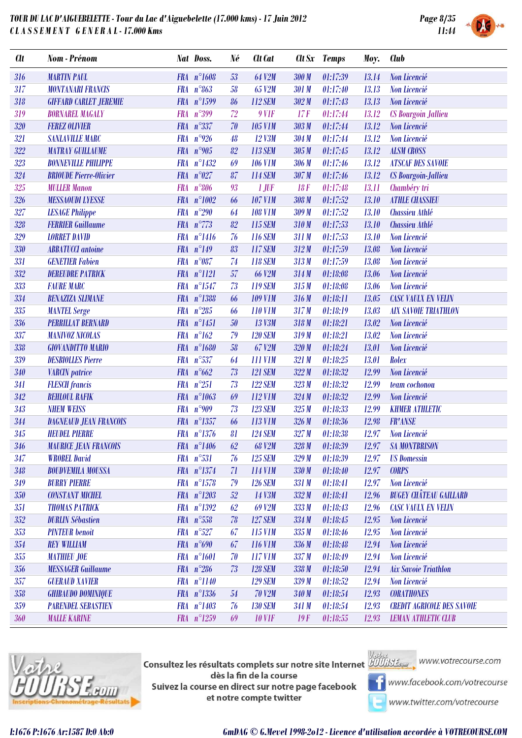

| <b>Clt</b>              | Nom - Prénom                  |            | <b>Nat Doss.</b>      | Né | Clt Cat         |       | Clt Sx Temps | Moy.  | <b>Club</b>                        |
|-------------------------|-------------------------------|------------|-----------------------|----|-----------------|-------|--------------|-------|------------------------------------|
| 316                     | <b>MARTIN PAUL</b>            |            | FRA n°1608            | 53 | <b>64 V2M</b>   | 300 M | 01:17:39     | 13.14 | Non Licencié                       |
| 317                     | <b>MONTANARI FRANCIS</b>      |            | FRA $n^{\circ}863$    | 58 | 65 V2M          | 301 M | 01:17:40     | 13.13 | Non Licencié                       |
| 318                     | <b>GIFFARD CARLET JEREMIE</b> |            | FRA n°1599            | 86 | <b>112 SEM</b>  | 302M  | 01:17:43     | 13.13 | Non Licencié                       |
| 319                     | <b>BORNAREL MAGALY</b>        | <b>FRA</b> | $n^{\circ}399$        | 72 | $9$ V1F         | 17F   | 01:17:44     | 13.12 | <b>CS Bourgoin Jallieu</b>         |
| 320                     | <b>FEREZ OLIVIER</b>          |            | FRA n°337             | 70 | <b>105 V1M</b>  | 303 M | 01:17:44     | 13.12 | Non Licencié                       |
| 321                     | <b>SANLAVILLE MARC</b>        | <b>FRA</b> | $n^{\circ}926$        | 48 | 12 V3M          | 304M  | 01:17:44     | 13.12 | Non Licencié                       |
| 322                     | <b>MATRAY GUILLAUME</b>       |            | FRA $n^{\circ}905$    | 82 | 113 SEM         | 305M  | 01:17:45     | 13.12 | <b>ALSM CROSS</b>                  |
| 323                     | <b>BONNEVILLE PHILIPPE</b>    |            | FRA n°1432            | 69 | <b>106 V1M</b>  | 306 M | 01:17:46     | 13.12 | <b>ATSCAF DES SAVOIE</b>           |
| 324                     | <b>BRIOUDE Pierre-Olivier</b> |            | FRA $n^{\circ}027$    | 87 | <b>114 SEM</b>  | 307M  | 01:17:46     | 13.12 | <b>CS Bourgoin-Jallieu</b>         |
| 325                     | <b>MULLER Manon</b>           | <b>FRA</b> | $n^{\circ}806$        | 93 | $1$ JUF         | 18F   | 01:17:48     | 13.11 | Chambéry tri                       |
| 326                     | <b>MESSAOUDI LYESSE</b>       |            | FRA n°1002            | 66 | <b>107 V1M</b>  | 308M  | 01:17:52     | 13.10 | <b>ATHLE CHASSIEU</b>              |
| 327                     | <b>LESAGE Philippe</b>        | <b>FRA</b> | $n^{\circ}290$        | 64 | <b>108 V1M</b>  | 309 M | 01:17:52     | 13.10 | <b>Chassieu Athlé</b>              |
| 328                     | <b>FERRIER Guillaume</b>      | <b>FRA</b> | $n^{\circ}773$        | 82 | 115 SEM         | 310 M | 01:17:53     | 13.10 | <b>Chassieu Athlé</b>              |
| 329                     | <b>LORRET DAVID</b>           |            | $FRA n^{\circ}1416$   | 76 | <b>116 SEM</b>  | 311M  | 01:17:53     | 13.10 | Non Licencié                       |
| 330                     | <b>ABBATUCCI</b> antoine      |            | FRA $n^{\circ}149$    | 83 | <b>117 SEM</b>  | 312M  | 01:17:59     | 13.08 | Non Licencié                       |
| 331                     | <b>GENETIER Fabien</b>        |            | FRA n°087             | 74 | <b>118 SEM</b>  | 313M  | 01:17:59     | 13.08 | Non Licencié                       |
| 332                     | <b>DEREUDRE PATRICK</b>       |            | FRA n°1121            | 57 | <b>66 V2M</b>   | 314M  | 01:18:08     | 13.06 | Non Licencié                       |
| 333                     | <b>FAURE MARC</b>             | <b>FRA</b> | $n^{\circ}1547$       | 73 | 119 SEM         | 315M  | 01:18:08     | 13.06 | Non Licencié                       |
| 334                     | <b>BENAZIZA SLIMANE</b>       |            | FRA n°1388            | 66 | <b>109 V1M</b>  | 316M  | 01:18:11     | 13.05 | <b>CASC VAULX EN VELIN</b>         |
| 335                     | <b>MANTEL Serge</b>           |            | FRA $n^{\circ}285$    | 66 | <b>110 V1M</b>  | 317M  | 01:18:19     | 13.03 | <b>AIX SAVOIE TRIATHLON</b>        |
| 336                     | <b>PERRILLAT BERNARD</b>      |            | $FRA$ $n^{\circ}1451$ | 50 | 13 V3M          | 318M  | 01:18:21     | 13.02 | Non Licencié                       |
| 337                     | <b>MANIVOZ NICOLAS</b>        |            | $FRA n^{\circ}162$    | 79 | <b>120 SEM</b>  | 319M  | 01:18:21     | 13.02 | Non Licencié                       |
| $33\mathrm{\textit{8}}$ | <b>GIOVANDITTO MARIO</b>      |            | FRA n°1680            | 58 | 67 V2M          | 320M  | 01:18:24     | 13.01 | <b>Non Licencié</b>                |
| 339                     | <b>DESBIOLLES Pierre</b>      | <b>FRA</b> | $n^{\circ}537$        | 64 | <b>111 V1M</b>  | 321 M | 01:18:25     | 13.01 | Rolex                              |
| 340                     | <b>VARCIN</b> patrice         |            | FRA $n^{\circ}662$    | 73 | <b>121 SEM</b>  | 322M  | 01:18:32     | 12.99 | Non Licencié                       |
| 341                     | <b>FLESCH</b> francis         | <b>FRA</b> | $n^{\circ}251$        | 73 | <b>122 SEM</b>  | 323M  | 01:18:32     | 12.99 | team cochonou                      |
| 342                     | <b>BEHLOUL RAFIK</b>          |            | FRA n°1063            | 69 | 112 V1M         | 324M  | 01:18:32     | 12.99 | Non Licencié                       |
| 343                     | <b>NHEM WEISS</b>             |            | FRA $n°909$           | 73 | <b>123 SEM</b>  | 325M  | 01:18:33     | 12.99 | <b>KHMER ATHLETIC</b>              |
| 344                     | <b>DAGNEAUD JEAN FRANCOIS</b> |            | FRA n°1357            | 66 | 113 V1M         | 326M  | 01:18:36     | 12.98 | <b>FR'ANSE</b>                     |
| 345                     | <b>HEUDEL PIERRE</b>          |            | FRA n°1376            | 81 | <b>124 SEM</b>  | 327M  | 01:18:38     | 12.97 | Non Licencié                       |
| 346                     | <b>MAURICE JEAN FRANCOIS</b>  |            | $FRA$ $n^{\circ}1406$ |    | $62$ $68$ $V2M$ |       |              |       | 328 M 01:18:39 12.97 SA MONTBRISON |
| 347                     | <b>WROBEL David</b>           |            | FRA n°531             | 76 | <b>125 SEM</b>  | 329M  | 01:18:39     | 12.97 | <b>US Domessin</b>                 |
| $348\,$                 | <b>BOUDVEMILA MOUSSA</b>      |            | FRA n°1374            | 71 | 114 V1M         | 330 M | 01:18:40     | 12.97 | <b>CORPS</b>                       |
| 349                     | <b>BURRY PIERRE</b>           |            | FRA n°1578            | 79 | <b>126 SEM</b>  | 331M  | 01:18:41     | 12.97 | Non Licencié                       |
| 350                     | <b>CONSTANT MICHEL</b>        |            | FRA n°1203            | 52 | 14 V3M          | 332M  | 01:18:41     | 12.96 | <b>BUGEY CHÂTEAU GAILLARD</b>      |
| 351                     | <b>THOMAS PATRICK</b>         |            | $FRA$ $n^{\circ}1392$ | 62 | 69 V2M          | 333M  | 01:18:43     | 12.96 | <b>CASC VAULX EN VELIN</b>         |
| 352                     | <b>DURLIN Sébastien</b>       |            | FRA n°558             | 78 | <b>127 SEM</b>  | 334M  | 01:18:45     | 12.95 | Non Licencié                       |
| 353                     | <b>PINTEUR</b> benoit         |            | $FRA n^{\circ}527$    | 67 | 115 V1M         | 335M  | 01:18:46     | 12.95 | Non Licencié                       |
| 354                     | <b>REY WILLIAM</b>            |            | FRA $n^{\circ}690$    | 67 | 116 V1M         | 336 M | 01:18:48     | 12.94 | Non Licencié                       |
| 355                     | <b>MATHIEU JOE</b>            |            | FRA n°1601            | 70 | 117 V1M         | 337 M | 01:18:49     | 12.94 | Non Licencié                       |
| 356                     | <b>MESSAGER</b> Guillaume     |            | FRA $n^{\circ}286$    | 73 | <b>128 SEM</b>  | 338 M | 01:18:50     | 12.94 | <b>Aix Savoie Triathlon</b>        |
| 357                     | <b>GUERAUD XAVIER</b>         |            | $FRA$ $n^{\circ}1140$ |    | <b>129 SEM</b>  | 339 M | 01:18:52     | 12.94 | Non Licencié                       |
| 358                     | <b>GHIBAUDO DOMINIQUE</b>     |            | FRA n°1336            | 54 | <b>70 V2M</b>   | 340 M | 01:18:54     | 12.93 | <b>CORATHONES</b>                  |
| 359                     | <b>PARENDEL SEBASTIEN</b>     |            | FRA n°1403            | 76 | <b>130 SEM</b>  | 341 M | 01:18:54     | 12.93 | <b>CREDIT AGRICOLE DES SAVOIE</b>  |
| 360                     | <b>MALLE KARINE</b>           |            | FRA n°1259            | 69 | <b>10 V1F</b>   | 19F   | 01:18:55     | 12.93 | <b>LEMAN ATHLETIC CLUB</b>         |



**Consultez les résultats complets sur notre site Internet** Willis Esquise WWW.votrecourse.com dès la fin de la course Suivez la course en direct sur notre page facebook et notre compte twitter



**T** www.facebook.com/votrecourse

www.twitter.com/votrecourse

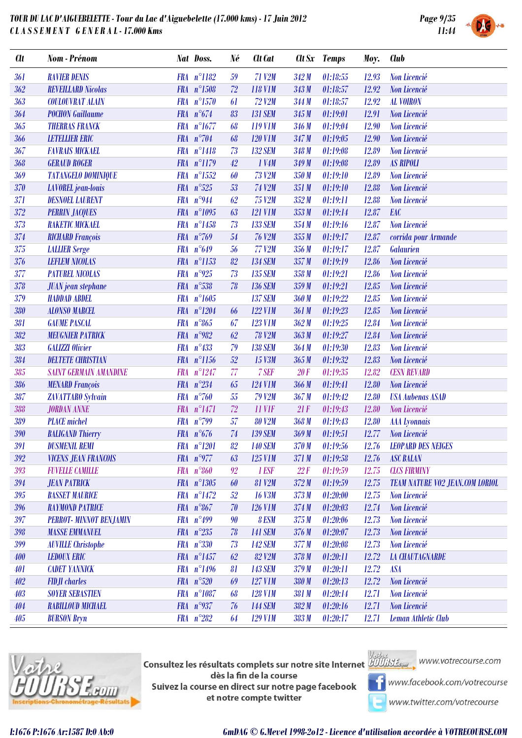

| <b>SYSTEM</b> |  |
|---------------|--|

| <b>Clt</b> | Nom - Prénom                  |            | Nat Doss.           | Né     | Clt Cat              | $\mathbf{C}$ tt Sx | <b>Temps</b> | Moy.  | <b>Club</b>                            |
|------------|-------------------------------|------------|---------------------|--------|----------------------|--------------------|--------------|-------|----------------------------------------|
| 361        | <b>RAVIER DENIS</b>           |            | FRA n°1182          | 59     | <b>71 V2M</b>        | 342M               | 01:18:55     | 12.93 | <b>Non Licencié</b>                    |
| 362        | <b>REVEILLARD Nicolas</b>     |            | FRA n°1508          | 72     | 118 V1M              | 343M               | 01:18:57     | 12.92 | Non Licencié                           |
| 363        | <b>COULOUVRAT ALAIN</b>       | <b>FRA</b> | $n^{\circ}1570$     | 61     | <b>72 V2M</b>        | 344 M              | 01:18:57     | 12.92 | <b>AL VOIRON</b>                       |
| 364        | <b>POCHON Guillaume</b>       |            | FRA $n^{\circ}674$  | 83     | <b>131 SEM</b>       | 345 M              | 01:19:01     | 12.91 | Non Licencié                           |
| 365        | <b>THERRAS FRANCK</b>         |            | FRA n°1677          | 68     | 119 V <sub>1</sub> M | 346 M              | 01:19:04     | 12.90 | Non Licencié                           |
| 366        | <b>LETELLIER ERIC</b>         |            | FRA $n^{\circ}704$  | 68     | <b>120 V1M</b>       | 347M               | 01:19:05     | 12.90 | Non Licencié                           |
| 367        | <b>FAVRAIS MICKAEL</b>        |            | FRA n°1418          | 73     | <b>132 SEM</b>       | 348 M              | 01:19:08     | 12.89 | Non Licencié                           |
| 368        | <b>GERAUD ROGER</b>           |            | FRA n°1179          | 42     | 1 V4M                | 349 M              | 01:19:08     | 12.89 | <b>AS RIPOLI</b>                       |
| 369        | <b>TATANGELO DOMINIQUE</b>    | <b>FRA</b> | $n^{\circ}1552$     | 60     | <b>73 V2M</b>        | 350 M              | 01:19:10     | 12.89 | Non Licencié                           |
| 370        | <b>LAVOREL</b> jean-louis     |            | FRA $n^{\circ}525$  | 53     | <b>74 V2M</b>        | 351M               | 01:19:10     | 12.88 | Non Licencié                           |
| 371        | <b>DESNOEL LAURENT</b>        |            | FRA n°944           | 62     | <b>75 V2M</b>        | 352M               | 01:19:11     | 12.88 | Non Licencié                           |
| 372        | <b>PERRIN JACQUES</b>         |            | FRA n°1095          | 63     | <b>121 V1M</b>       | 353M               | 01:19:14     | 12.87 | EAC                                    |
| 373        | <b>RAKETIC MICKAEL</b>        | <b>FRA</b> | $n^{\circ}1458$     | 73     | <b>133 SEM</b>       | 354M               | 01:19:16     | 12.87 | Non Licencié                           |
| 374        | <b>RICHARD François</b>       |            | FRA $n^{\circ}769$  | $54\,$ | <b>76 V2M</b>        | 355M               | 01:19:17     | 12.87 | corrida pour Armande                   |
| 375        | <b>LALLIER</b> Serge          |            | FRA $n^{\circ}649$  | 56     | <b>77 V2M</b>        | 356M               | 01:19:17     | 12.87 | <b>Galaurien</b>                       |
| 376        | <b>LEFLEM NICOLAS</b>         | <b>FRA</b> | $n^{\circ}1153$     | 82     | <b>134 SEM</b>       | 357M               | 01:19:19     | 12.86 | Non Licencié                           |
| 377        | <b>PATUREL NICOLAS</b>        | <b>FRA</b> | $n^{\circ}925$      | 73     | <b>135 SEM</b>       | 358M               | 01:19:21     | 12.86 | Non Licencié                           |
| 378        | <b>JUAN</b> jean stephane     |            | FRA n°538           | 78     | <b>136 SEM</b>       | 359M               | 01:19:21     | 12.85 | Non Licencié                           |
| 379        | <b>HADDAD ABDEL</b>           |            | FRA n°1605          |        | <b>137 SEM</b>       | 360 M              | 01:19:22     | 12.85 | Non Licencié                           |
| 380        | <b>ALONSO MARCEL</b>          |            | FRA n°1204          | 66     | <b>122 V1M</b>       | 361M               | 01:19:23     | 12.85 | Non Licencié                           |
| 381        | <b>GAUME PASCAL</b>           |            | FRA $n^{\circ}865$  | 67     | <b>123 V1M</b>       | 362M               | 01:19:25     | 12.84 | Non Licencié                           |
| 382        | <b>MEUGNIER PATRICK</b>       |            | FRA $n°982$         | 62     | <b>78 V2M</b>        | 363M               | 01:19:27     | 12.84 | Non Licencié                           |
| 383        | <b>GALIZZI Olivier</b>        |            | FRA n°433           | 79     | <b>138 SEM</b>       | 364M               | 01:19:30     | 12.83 | Non Licencié                           |
| 384        | <b>DELTETE CHRISTIAN</b>      |            | FRA n°1156          | 52     | 15 V3M               | 365M               | 01:19:32     | 12.83 | Non Licencié                           |
| 385        | <b>SAINT GERMAIN AMANDINE</b> |            | FRA n°1247          | 77     | 7 SEF                | 20F                | 01:19:35     | 12.82 | <b>CESN REVARD</b>                     |
| 386        | <b>MENARD François</b>        | <b>FRA</b> | $n^{\circ}234$      | 65     | <b>124 V1M</b>       | 366M               | 01:19:41     | 12.80 | Non Licencié                           |
| 387        | ZAVATTARO Sylvain             |            | FRA $n^{\circ}760$  | 55     | <b>79 V2M</b>        | 367M               | 01:19:42     | 12.80 | <b>USA Aubenas ASAD</b>                |
| 388        | <b>JORDAN ANNE</b>            |            | FRA n°1471          | 72     | <b>11 VIF</b>        | 21F                | 01:19:43     | 12.80 | Non Licencié                           |
| 389        | <b>PLACE</b> michel           | <b>FRA</b> | $n^{\circ}799$      | 57     | <b>80 V2M</b>        | 368M               | 01:19:43     | 12.80 | <b>AAA Lyonnais</b>                    |
| 390        | <b>BALIGAND Thierry</b>       |            | FRA $n^{\circ}676$  | $74\,$ | <b>139 SEM</b>       | 369M               | 01:19:51     | 12.77 | Non Licencié                           |
| 391        | <b>DUSMENIL REMI</b>          |            | $FRA n^{\circ}1201$ | 82     | <b>140 SEM</b>       | 370 M              | 01:19:56     | 12.76 | <b>LEOPARD DES NEIGES</b>              |
| 392        | <b>VICENS JEAN FRANCOIS</b>   |            | FRA $n^{\circ}977$  | 63     | 125 V1M              | 371M               | 01:19:58     | 12.76 | <b>ASC BALAN</b>                       |
| 393        | <b>FUVELLE CAMILLE</b>        |            | FRA n°860           | 92     | 1 ESF                | 22F                | 01:19:59     | 12.75 | <b>CLCS FIRMINY</b>                    |
| 394        | <b>JEAN PATRICK</b>           |            | FRA n°1305          | 60     | <b>81 V2M</b>        | 372M               | 01:19:59     | 12.75 | <b>TEAM NATURE VO2 JEAN.COM LORIOL</b> |
| 395        | <b>BASSET MAURICE</b>         |            | FRA n°1472          | 52     | <b>16 V3M</b>        | 373M               | 01:20:00     | 12.75 | Non Licencié                           |
| 396        | <b>RAYMOND PATRICE</b>        |            | FRA $n^{\circ}867$  | 70     | <b>126 V1M</b>       | 374M               | 01:20:03     | 12.74 | <b>Non Licencié</b>                    |
| 397        | PERROT-MINNOT BENJAMIN        |            | FRA $n^{\circ}499$  | 90     | 8 ESM                | 375M               | 01:20:06     | 12.73 | Non Licencié                           |
| 398        | <b>MASSE EMMANUEL</b>         |            | FRA $n^{\circ}235$  | 78     | <b>141 SEM</b>       | 376 M              | 01:20:07     | 12.73 | Non Licencié                           |
| 399        | <b>AUVILLE</b> Christophe     |            | FRA n°330           | 73     | <b>142 SEM</b>       | 377 <sub>M</sub>   | 01:20:08     | 12.73 | Non Licencié                           |
| 400        | <b>LEDOUX ERIC</b>            |            | FRA n°1457          | 62     | <b>82 V2M</b>        | 378 M              | 01:20:11     | 12.72 | <b>LA CHAUTAGNARDE</b>                 |
| 401        | <b>CADET YANNICK</b>          |            | FRA n°1496          | 81     | <b>143 SEM</b>       | 379 M              | 01:20:11     | 12.72 | <b>ASA</b>                             |
| 402        | <b>FIDJI</b> charles          |            | FRA n°520           | 69     | <b>127 V1M</b>       | 380 M              | 01:20:13     | 12.72 | Non Licencié                           |
| 403        | <b>SOYER SEBASTIEN</b>        |            | FRA n°1087          | 68     | <b>128 V1M</b>       | 381 M              | 01:20:14     | 12.71 | Non Licencié                           |
| 404        | <b>RABILLOUD MICHAEL</b>      |            | FRA $n^{\circ}937$  | 76     | <b>144 SEM</b>       | 382M               | 01:20:16     | 12.71 | Non Licencié                           |
| 405        | <b>BURSON Bryn</b>            |            | FRA $n^{\circ}282$  | 64     | <b>129 V1M</b>       | 383M               | 01:20:17     | 12.71 | Leman Athletic Club                    |



**Consultez les résultats complets sur notre site Internet** Willis Esquise WWW.votrecourse.com dès la fin de la course Suivez la course en direct sur notre page facebook et notre compte twitter



**T** www.facebook.com/votrecourse

www.twitter.com/votrecourse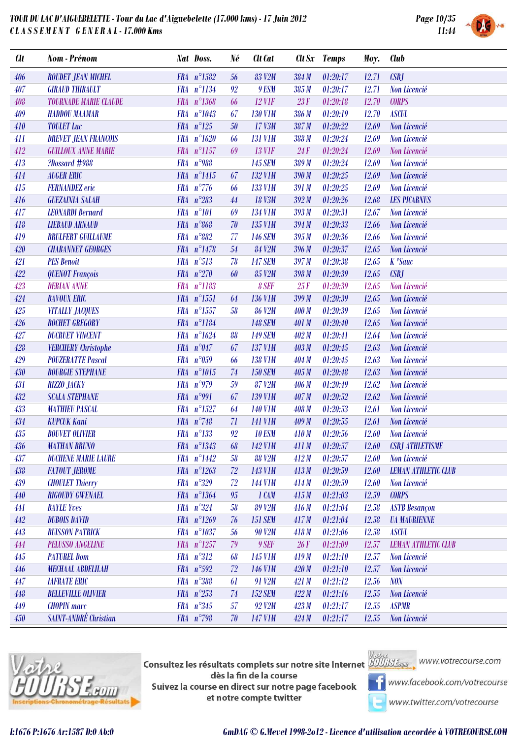

| <b>Clt</b> | Nom - Prénom                 |            | Nat Doss.           | Né     | <b>Clt</b> Cat |              | Clt Sx Temps | Moy.  | <b>Club</b>                |
|------------|------------------------------|------------|---------------------|--------|----------------|--------------|--------------|-------|----------------------------|
| 406        | <b>ROUDET JEAN MICHEL</b>    |            | $FRA n^{\circ}1582$ | 56     | <b>83 V2M</b>  | 384 M        | 01:20:17     | 12.71 | CSBJ                       |
| 407        | <b>GIRAUD THIBAULT</b>       |            | FRA n°1134          | 92     | 9 ESM          | 385M         | 01:20:17     | 12.71 | Non Licencié               |
| $408\,$    | <b>TOURNADE MARIE CLAUDE</b> |            | FRA n°1368          | 66     | $12$ V1F       | 23F          | 01:20:18     | 12.70 | <b>CORPS</b>               |
| 409        | <b>HADDOU MAAMAR</b>         |            | FRA n°1043          | 67     | <b>130 V1M</b> | 386 M        | 01:20:19     | 12.70 | <b>ASCUL</b>               |
| 410        | <b>TOULET Luc</b>            |            | $FRA n^{\circ}125$  | 50     | 17 V3M         | 387M         | 01:20:22     | 12.69 | Non Licencié               |
| 411        | <b>DREVET JEAN FRANCOIS</b>  |            | $FRA n^{\circ}1620$ | 66     | <b>131 V1M</b> | 388 M        | 01:20:24     | 12.69 | Non Licencié               |
| 412        | <b>GUILLOUX ANNE MARIE</b>   |            | FRA n°1157          | 69     | <b>13 VIF</b>  | 24F          | 01:20:24     | 12.69 | Non Licencié               |
| 413        | ?Dossard #988                |            | FRA $n^{\circ}$ 988 |        | <b>145 SEM</b> | 389 M        | 01:20:24     | 12.69 | Non Licencié               |
| 414        | <b>AUGER ERIC</b>            |            | FRA n°1415          | 67     | <b>132 V1M</b> | 390M         | 01:20:25     | 12.69 | Non Licencié               |
| 415        | <b>FERNANDEZ</b> eric        |            | FRA $n^{\circ}776$  | 66     | <b>133 V1M</b> | 391 M        | 01:20:25     | 12.69 | Non Licencié               |
| 416        | <b>GUEZAINIA SALAH</b>       | <b>FRA</b> | $n^{\circ}283$      | 44     | <b>18 V3M</b>  | 392M         | 01:20:26     | 12.68 | <b>LES PICARNUS</b>        |
| 417        | <b>LEONARDI Bernard</b>      |            | FRA n°101           | 69     | <b>134 V1M</b> | 393M         | 01:20:31     | 12.67 | Non Licencié               |
| 418        | <b>LIEBAUD ARNAUD</b>        |            | FRA n°868           | 70     | 135 V1M        | 394M         | 01:20:33     | 12.66 | Non Licencié               |
| 419        | <b>BRULFERT GUILLAUME</b>    |            | $FRA n^{\circ}882$  | 77     | <b>146 SEM</b> | 395 M        | 01:20:36     | 12.66 | Non Licencié               |
| 420        | <b>CHABANNET GEORGES</b>     |            | $FRA n^{\circ}1478$ | $54\,$ | <b>84 V2M</b>  | 396M         | 01:20:37     | 12.65 | Non Licencié               |
| 421        | <b>PES Benoit</b>            |            | FRA n°513           | 78     | <b>147 SEM</b> | 397M         | 01:20:38     | 12.65 | K 'Sauc                    |
| 422        | <b>QUENOT François</b>       |            | FRA $n^{\circ}270$  | 60     | 85 V2M         | 398 M        | 01:20:39     | 12.65 | CSBJ                       |
| 423        | <b>DERIAN ANNE</b>           |            | FRA n°1183          |        | 8 SEF          | 25F          | 01:20:39     | 12.65 | Non Licencié               |
| 424        | <b>BAVOUX ERIC</b>           |            | FRA n°1551          | 64     | <b>136 V1M</b> | 399 M        | 01:20:39     | 12.65 | Non Licencié               |
| 425        | <b>VITALLY JACQUES</b>       |            | FRA n°1557          | 58     | <b>86 V2M</b>  | 400 M        | 01:20:39     | 12.65 | Non Licencié               |
| 426        | <b>BOCHET GREGORY</b>        |            | FRA n°1184          |        | <b>148 SEM</b> | <b>401 M</b> | 01:20:40     | 12.65 | Non Licencié               |
| 427        | <b>DUCRUET VINCENT</b>       |            | FRA n°1624          | 88     | <b>149 SEM</b> | 402M         | 01:20:41     | 12.64 | Non Licencié               |
| 428        | <b>VERCHERY</b> Christophe   |            | FRA $n^{\circ}047$  | 67     | <b>137 V1M</b> | 403 M        | 01:20:45     | 12.63 | Non Licencié               |
| 429        | <b>POUZERATTE Pascal</b>     |            | $FRA n^{\circ}059$  | 66     | <b>138 V1M</b> | 404 M        | 01:20:45     | 12.63 | Non Licencié               |
| 430        | <b>BOURGIE STEPHANE</b>      |            | FRA n°1015          | $74\,$ | <b>150 SEM</b> | 405 M        | 01:20:48     | 12.63 | Non Licencié               |
| 431        | <b>RIZZO JACKY</b>           |            | FRA $n^{\circ}979$  | 59     | 87 V2M         | 406 M        | 01:20:49     | 12.62 | Non Licencié               |
| 432        | <b>SCALA STEPHANE</b>        |            | FRA $n°991$         | 67     | <b>139 V1M</b> | 407M         | 01:20:52     | 12.62 | Non Licencié               |
| 433        | <b>MATHIEU PASCAL</b>        |            | $FRA n^{\circ}1527$ | 64     | <b>140 V1M</b> | <b>408 M</b> | 01:20:53     | 12.61 | Non Licencié               |
| 434        | <b>KUPCUK Kani</b>           |            | FRA $n^{\circ}748$  | 71     | <b>141 VIM</b> | 409M         | 01:20:55     | 12.61 | Non Licencié               |
| 435        | <b>BOUVET OLIVIER</b>        |            | $FRA n^{\circ}133$  | 92     | <b>10 ESM</b>  | 410M         | 01:20:56     | 12.60 | Non Licencié               |
| 436        | <b>MATHAN BRUNO</b>          |            | FRA n°1343          | 68     | 142 V1M        | 411M         | 01:20:57     | 12.60 | <b>CSBJ ATHLETISME</b>     |
| 437        | <b>DUCHENE MARIE LAURE</b>   |            | FRA n°1442          | 58     | <b>88 V2M</b>  | 412M         | 01:20:57     | 12.60 | Non Licencié               |
| 438        | <b>FATOUT JEROME</b>         |            | FRA $n^{\circ}1263$ | 72     | 143 V1M        | 413M         | 01:20:59     | 12.60 | <b>LEMAN ATHLETIC CLUB</b> |
| 439        | <b>CHOULET Thierry</b>       |            | $FRA n^{\circ}329$  | 72     | <b>144 VIM</b> | 414M         | 01:20:59     | 12.60 | Non Licencié               |
| 440        | <b>RIGOUDY GWENAEL</b>       |            | $FRA n^{\circ}1364$ | $95\,$ | 1 CAM          | 415M         | 01:21:03     | 12.59 | <b>CORPS</b>               |
| 441        | <b>BAYLE Yves</b>            |            | $FRA n^{\circ}324$  | 58     | <b>89 V2M</b>  | 416M         | 01:21:04     | 12.58 | <b>ASTB</b> Besançon       |
| 442        | <b>DUBOIS DAVID</b>          |            | FRA $n^{\circ}1269$ | 76     | <b>151 SEM</b> | 417M         | 01:21:04     | 12.58 | <b><i>UA MAURIENNE</i></b> |
| 443        | <b>BUISSON PATRICK</b>       |            | FRA n°1037          | 56     | <b>90 V2M</b>  | 418M         | 01:21:06     | 12.58 | <b>ASCUL</b>               |
| 444        | <b>PELUSSO ANGELINE</b>      |            | FRA n°1257          | 79     | 9 SEF          | 26F          | 01:21:09     | 12.57 | <b>LEMAN ATHLETIC CLUB</b> |
| 445        | <b>PATUREL Dom</b>           |            | $FRA n^{\circ}312$  | 68     | <b>145 V1M</b> | 419M         | 01:21:10     | 12.57 | Non Licencié               |
| 446        | <b>MECHAAL ABDELILAH</b>     |            | FRA $n^{\circ}592$  | 72     | <b>146 V1M</b> | 420M         | 01:21:10     | 12.57 | Non Licencié               |
| 447        | <b>IAFRATE ERIC</b>          |            | FRA n°388           | 61     | 91 V2M         | 421M         | 01:21:12     | 12.56 | <b>NON</b>                 |
| 448        | <b>BELLEVILLE OLIVIER</b>    |            | FRA $n^{\circ}253$  | 74     | <b>152 SEM</b> | 422M         | 01:21:16     | 12.55 | Non Licencié               |
| 449        | <b>CHOPIN</b> marc           |            | $FRA n^{\circ}345$  | 57     | 92 V2M         | 423M         | 01:21:17     | 12.55 | <b>ASPMR</b>               |
| 450        | <b>SAINT-ANDRÉ Christian</b> |            | FRA $n^{\circ}$ 798 | 70     | <b>147 V1M</b> | 424M         | 01:21:17     | 12.55 | Non Licencié               |



**Consultez les résultats complets sur notre site Internet** Willis Esquise WWW.votrecourse.com dès la fin de la course Suivez la course en direct sur notre page facebook et notre compte twitter



**T** www.facebook.com/votrecourse

www.twitter.com/votrecourse

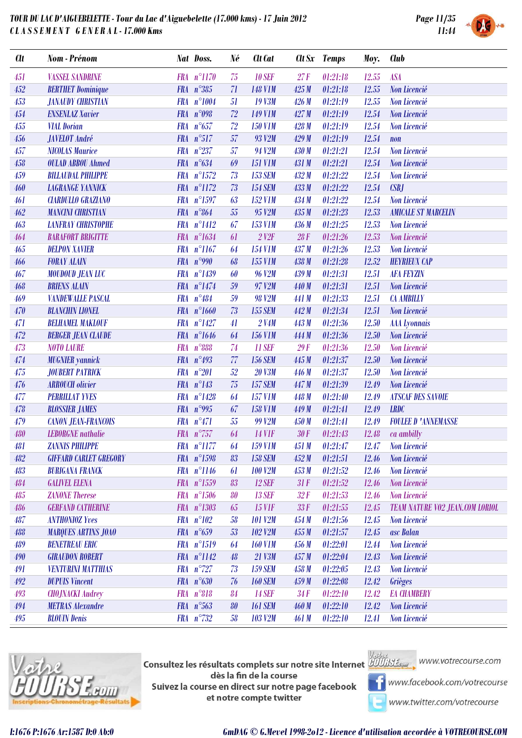



| <b>Clt</b> | Nom - Prénom                  |            | Nat Doss.             | Né | <b>Clt</b> Cat         | Clt Sx | Temps    | Moy.  | <b>Club</b>                            |
|------------|-------------------------------|------------|-----------------------|----|------------------------|--------|----------|-------|----------------------------------------|
| 451        | VASSEL SANDRINE               |            | FRA n°1170            | 75 | <b>10 SEF</b>          | 27F    | 01:21:18 | 12.55 | <b>ASA</b>                             |
| 452        | <b>BERTHET Dominique</b>      |            | FRA $n^{\circ}385$    | 71 | <b>148 V1M</b>         | 425M   | 01:21:18 | 12.55 | Non Licencié                           |
| 453        | <b>JANAUDY CHRISTIAN</b>      |            | FRA n°1004            | 51 | <b>19 V3M</b>          | 426M   | 01:21:19 | 12.55 | Non Licencié                           |
| 454        | <b>ENSENLAZ Xavier</b>        |            | FRA n°098             | 72 | <b>149 V1M</b>         | 427M   | 01:21:19 | 12.54 | Non Licencié                           |
| 455        | <b>VIAL Dorian</b>            |            | FRA $n^{\circ}657$    | 72 | <b>150 V1M</b>         | 428 M  | 01:21:19 | 12.54 | Non Licencié                           |
| 456        | <b>JAVELOT</b> André          |            | FRA n°517             | 57 | 93 V2M                 | 429M   | 01:21:19 | 12.54 | $\mathbf{n}$ on                        |
| 457        | <b>NICOLAS Maurice</b>        |            | FRA n°237             | 57 | 94 V2M                 | 430 M  | 01:21:21 | 12.54 | Non Licencié                           |
| 458        | <b>OULAD ABBOU Ahmed</b>      |            | FRA n°634             | 69 | <b>151 V1M</b>         | 431 M  | 01:21:21 | 12.54 | Non Licencié                           |
| 459        | <b>BILLAUDAL PHILIPPE</b>     |            | FRA n°1572            | 73 | <b>153 SEM</b>         | 432M   | 01:21:22 | 12.54 | Non Licencié                           |
| 460        | <b>LAGRANGE YANNICK</b>       |            | FRA n°1172            | 73 | <b>154 SEM</b>         | 433M   | 01:21:22 | 12.54 | CSBJ                                   |
| 461        | <b>CIARDULLO GRAZIANO</b>     | <b>FRA</b> | $n^{\circ}1597$       | 63 | <b>152 V1M</b>         | 434 M  | 01:21:22 | 12.54 | Non Licencié                           |
| 462        | <b>MANCINI CHRISTIAN</b>      |            | FRA $n^{\circ}864$    | 55 | 95 V2M                 | 435 M  | 01:21:23 | 12.53 | <b>AMICALE ST MARCELIN</b>             |
| 463        | <b>LANFRAY CHRISTOPHE</b>     |            | FRA n°1412            | 67 | <b>153 V1M</b>         | 436 M  | 01:21:25 | 12.53 | Non Licencié                           |
| 464        | <b>BARAFORT BRIGITTE</b>      |            | FRA n°1634            | 61 | $2$ V <sub>2</sub> $F$ | 28F    | 01:21:26 | 12.53 | Non Licencié                           |
| 465        | <b>DELPON XAVIER</b>          |            | FRA n°1167            | 64 | <b>154 V1M</b>         | 437 M  | 01:21:26 | 12.53 | Non Licencié                           |
| 466        | <b>FORAY ALAIN</b>            |            | FRA $n°990$           | 68 | 155 V1M                | 438 M  | 01:21:28 | 12.52 | <b>HEYRIEUX CAP</b>                    |
| 467        | <b>MOUDOUD JEAN LUC</b>       |            | FRA n°1439            | 60 | <b>96 V2M</b>          | 439 M  | 01:21:31 | 12.51 | <b>AFA FEYZIN</b>                      |
| 468        | <b>BRIENS ALAIN</b>           |            | FRA n°1474            | 59 | 97 V2M                 | 440 M  | 01:21:31 | 12.51 | Non Licencié                           |
| 469        | <b>VANDEWALLE PASCAL</b>      |            | FRA $n^{\circ}484$    | 59 | <b>98 V2M</b>          | 441 M  | 01:21:33 | 12.51 | <b>CA AMBILLY</b>                      |
| 470        | <b>BLANCHIN LIONEL</b>        |            | FRA n°1660            | 73 | <b>155 SEM</b>         | 442M   | 01:21:34 | 12.51 | Non Licencié                           |
| 471        | <b>BELHAMEL MAKLOUF</b>       |            | FRA n°1427            | 41 | 2 V4M                  | 443 M  | 01:21:36 | 12.50 | <b>AAA</b> Lyonnais                    |
| 472        | <b>BERGER JEAN CLAUDE</b>     |            | FRA n°1646            | 64 | <b>156 V1M</b>         | 444 M  | 01:21:36 | 12.50 | Non Licencié                           |
| 473        | <b>NOTO LAURE</b>             | <b>FRA</b> | $n^{\circ}888$        | 74 | <b>11 SEF</b>          | 29F    | 01:21:36 | 12.50 | Non Licencié                           |
| 474        | <b>MUGNIER</b> yannick        |            | FRA n°493             | 77 | <b>156 SEM</b>         | 445 M  | 01:21:37 | 12.50 | Non Licencié                           |
| 475        | <b>JOUBERT PATRICK</b>        |            | $FRA n^{\circ}201$    | 52 | <b>20 V3M</b>          | 446 M  | 01:21:37 | 12.50 | Non Licencié                           |
| 476        | <b>ARROUCH</b> olivier        |            | $FRA n^{\circ}143$    | 75 | <b>157 SEM</b>         | 447 M  | 01:21:39 | 12.49 | Non Licencié                           |
| 477        | <b>PERRILLAT YVES</b>         |            | FRA n°1428            | 64 | <b>157 V1M</b>         | 448 M  | 01:21:40 | 12.49 | <b>ATSCAF DES SAVOIE</b>               |
| 478        | <b>BLOSSIER JAMES</b>         |            | FRA $n°995$           | 67 | <b>158 V1M</b>         | 449 M  | 01:21:41 | 12.49 | <b>LRDC</b>                            |
| 479        | <b>CANON JEAN-FRANCOIS</b>    |            | FRA n°471             | 55 | <b>99 V2M</b>          | 450 M  | 01:21:41 | 12.49 | <b>FOULEE D 'ANNEMASSE</b>             |
| 480        | <b>LEBORGNE</b> nathalie      |            | FRA $n^{\circ}$ 757   | 64 | <b>14 V1F</b>          | 30F    | 01:21:43 | 12.48 | ca ambilly                             |
| 481        | <b>ZANNIS PHILIPPE</b>        |            | $FRA$ $n^{\circ}1177$ | 64 | <b>159 VIM</b>         | 451 M  | 01:21:47 | 12.47 | Non Licencié                           |
| 482        | <b>GIFFARD CARLET GREGORY</b> |            | FRA n°1598            | 83 | <b>158 SEM</b>         | 452M   | 01:21:51 | 12.46 | Non Licencié                           |
| 483        | <b>BURIGANA FRANCK</b>        |            | FRA n°1146            | 61 | <b>100 V2M</b>         | 453M   | 01:21:52 | 12.46 | Non Licencié                           |
| 484        | <b>GALIVEL ELENA</b>          |            | FRA n°1559            | 83 | <b>12 SEF</b>          | 31F    | 01:21:52 | 12.46 | Non Licencié                           |
| 485        | <b>ZANONE</b> Therese         |            | FRA n°1506            | 80 | <b>13 SEF</b>          | 32F    | 01:21:53 | 12.46 | Non Licencié                           |
| 486        | <b>GERFAND CATHERINE</b>      |            | FRA n°1303            | 65 | <b>15 VIF</b>          | 33F    | 01:21:55 | 12.45 | <b>TEAM NATURE VO2 JEAN.COM LORIOL</b> |
| 487        | <b>ANTHONIOZ Yves</b>         |            | $FRA n^{\circ}102$    | 58 | <b>101 V2M</b>         | 454M   | 01:21:56 | 12.45 | Non Licencié                           |
| 488        | <b>MARQUES ARTINS JOAO</b>    |            | $FRA n^{\circ}659$    | 53 | <b>102 V2M</b>         | 455 M  | 01:21:57 | 12.45 | asc Balan                              |
| 489        | <b>BENETREAU ERIC</b>         |            | FRA n°1519            | 64 | <b>160 V1M</b>         | 456 M  | 01:22:01 | 12.44 | Non Licencié                           |
| 490        | <b>GIRAUDON ROBERT</b>        |            | FRA n°1142            | 48 | 21 V3M                 | 457M   | 01:22:04 | 12.43 | Non Licencié                           |
| 491        | <b>VENTURINI MATTHIAS</b>     |            | $FRA n^{\circ}727$    | 73 | <b>159 SEM</b>         | 458 M  | 01:22:05 | 12.43 | Non Licencié                           |
| 492        | <b>DUPUIS Vincent</b>         |            | $FRA n^{\circ}630$    | 76 | <b>160 SEM</b>         | 459M   | 01:22:08 | 12.42 | Grièges                                |
| 493        | <b>CHOJNACKI Audrey</b>       |            | FRA n°818             | 84 | <b>14 SEF</b>          | 34F    | 01:22:10 | 12.42 | <b>EA CHAMBERY</b>                     |
| 494        | <b>METRAS Alexandre</b>       |            | FRA n°563             | 80 | <b>161 SEM</b>         | 460M   | 01:22:10 | 12.42 | Non Licencié                           |
| 495        | <b>BLOUIN</b> Denis           |            | FRA n°732             | 58 | <b>103 V2M</b>         | 461 M  | 01:22:10 | 12.41 | Non Licencié                           |



**Consultez les résultats complets sur notre site Internet** Willis Esquise WWW.votrecourse.com dès la fin de la course Suivez la course en direct sur notre page facebook et notre compte twitter



www.facebook.com/votrecourse

www.twitter.com/votrecourse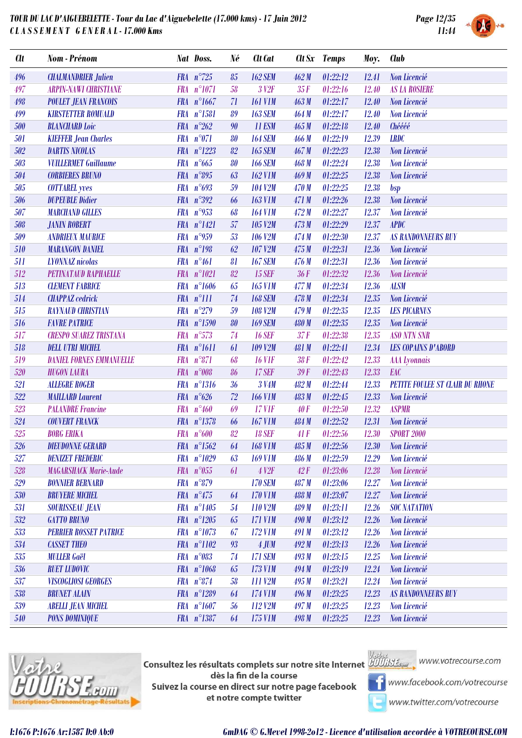

|  | SYSTEM |  |
|--|--------|--|

| <b>Clt</b> | Nom - Prénom                    | Nat Doss.                 | Né | Clt Cat           |       | Clt Sx Temps | Moy.  | <b>Club</b>                       |
|------------|---------------------------------|---------------------------|----|-------------------|-------|--------------|-------|-----------------------------------|
| 496        | <b>CHALMANDRIER Julien</b>      | FRA $n^{\circ}$ 725       | 85 | <b>162 SEM</b>    | 462M  | 01:22:12     | 12.41 | Non Licencié                      |
| 497        | <b>ARPIN-NAWI CHRISTIANE</b>    | FRA n°1071                | 58 | 3 V <sub>2F</sub> | 35F   | 01:22:16     | 12.40 | <b>AS LA ROSIERE</b>              |
| 498        | <b>POULET JEAN FRANCOIS</b>     | FRA n°1667                | 71 | <b>161 V1M</b>    | 463M  | 01:22:17     | 12.40 | Non Licencié                      |
| 499        | <b>KIRSTETTER ROMUALD</b>       | FRA n°1581                | 89 | <b>163 SEM</b>    | 464M  | 01:22:17     | 12.40 | Non Licencié                      |
| 500        | <b>BLANCHARD</b> Loic           | FRA $n^{\circ}262$        | 90 | <b>11 ESM</b>     | 465M  | 01:22:18     | 12.40 | Chéééé                            |
| 501        | <b>KIEFFER Jean Charles</b>     | FRA n°071                 | 80 | <b>164 SEM</b>    | 466 M | 01:22:19     | 12.39 | <b>LRDC</b>                       |
| 502        | <b>DARTIS NICOLAS</b>           | FRA n°1223                | 82 | <b>165 SEM</b>    | 467M  | 01:22:23     | 12.38 | Non Licencié                      |
| 503        | <b>VUILLERMET Guillaume</b>     | FRA $n^{\circ}665$        | 80 | <b>166 SEM</b>    | 468 M | 01:22:24     | 12.38 | Non Licencié                      |
| 504        | <b>CORBIERES BRUNO</b>          | FRA $n^{\circ}895$        | 63 | <b>162 V1M</b>    | 469M  | 01:22:25     | 12.38 | Non Licencié                      |
| 505        | <b>COTTAREL</b> yves            | FRA $n^{\circ}693$        | 59 | <b>104 V2M</b>    | 470 M | 01:22:25     | 12.38 | bsp                               |
| 506        | <b>DUPEUBLE Didier</b>          | FRA n°392                 | 66 | <b>163 V1M</b>    | 471M  | 01:22:26     | 12.38 | Non Licencié                      |
| 507        | <b>MARCHAND GILLES</b>          | FRA $n^{\circ}$ 953       | 68 | <b>164 V1M</b>    | 472M  | 01:22:27     | 12.37 | Non Licencié                      |
| 508        | <b>JANIN ROBERT</b>             | FRA n°1421                | 57 | 105 V2M           | 473M  | 01:22:29     | 12.37 | <b>APDC</b>                       |
| 509        | <b>ANDRIEUX MAURICE</b>         | FRA $n^{\circ}959$        | 53 | <b>106 V2M</b>    | 474M  | 01:22:30     | 12.37 | <b>AS RANDONNEURS RUY</b>         |
| 510        | <b>MARANGON DANIEL</b>          | FRA $n^{\circ}198$        | 62 | 107 V2M           | 475M  | 01:22:31     | 12.36 | Non Licencié                      |
| 511        | <b>LYONNAZ</b> nicolas          | FRA n°461                 | 81 | <b>167 SEM</b>    | 476 M | 01:22:31     | 12.36 | Non Licencié                      |
| 512        | <b>PETINATAUD RAPHAELLE</b>     | FRA n°1021                | 82 | <b>15 SEF</b>     | 36F   | 01:22:32     | 12.36 | Non Licencié                      |
| 513        | <b>CLEMENT FABRICE</b>          | FRA n°1606                | 65 | <b>165 V1M</b>    | 477 M | 01:22:34     | 12.36 | <b>ALSM</b>                       |
| 514        | <b>CHAPPAZ</b> cedrick          | $FRA n^{\circ}111$        | 74 | <b>168 SEM</b>    | 478 M | 01:22:34     | 12.35 | Non Licencié                      |
| 515        | <b>RAYNAUD CHRISTIAN</b>        | FRA n°279                 | 59 | <b>108 V2M</b>    | 479M  | 01:22:35     | 12.35 | <b>LES PICARNUS</b>               |
| 516        | <b>FAVRE PATRICE</b>            | FRA n°1590                | 80 | <b>169 SEM</b>    | 480 M | 01:22:35     | 12.35 | Non Licencié                      |
| 517        | <b>CRESPO SUAREZ TRISTANA</b>   | $FRA n^{\circ}573$        | 74 | <b>16 SEF</b>     | 37F   | 01:22:38     | 12.35 | <b>ASO NTN SNR</b>                |
| 518        | <b>DELL UTRI MICHEL</b>         | FRA n°1611                | 61 | 109 V2M           | 481 M | 01:22:41     | 12.34 | <b>LES COPAINS D'ABORD</b>        |
| 519        | <b>DANIEL FORNES EMMANUELLE</b> | FRA $n^{\circ}871$        | 68 | <b>16 VIF</b>     | 38F   | 01:22:42     | 12.33 | <b>AAA</b> Lyonnais               |
| 520        | <b>HUGON LAURA</b>              | FRA n°008                 | 86 | <b>17 SEF</b>     | 39F   | 01:22:43     | 12.33 | EAC                               |
| 521        | <b>ALLEGRE ROGER</b>            | FRA n°1316                | 36 | 3 V4M             | 482M  | 01:22:44     | 12.33 | PETITE FOULEE ST CLAIR DU RHONE   |
| 522        | <b>MAILLARD Laurent</b>         | FRA $n^{\circ}626$        | 72 | <b>166 V1M</b>    | 483M  | 01:22:45     | 12.33 | Non Licencié                      |
| 523        | <b>PALANDRE Francine</b>        | FRA $n^{\circ}460$        | 69 | <b>17 VIF</b>     | 40F   | 01:22:50     | 12.32 | <b>ASPMR</b>                      |
| 524        | <b>COUVERT FRANCK</b>           | FRA n°1378                | 66 | <b>167 V1M</b>    | 484 M | 01:22:52     | 12.31 | Non Licencié                      |
| 525        | <b>BORG ERIKA</b>               | $FRA n^{\circ}600$        | 82 | <b>18 SEF</b>     | 41F   | 01:22:56     | 12.30 | <b>SPORT 2000</b>                 |
| $526\,$    | <b>DIEUDONNE GERARD</b>         | $FRA \quad n^{\circ}1562$ |    | $64$ $168$ V1M    |       |              |       | 485 M 01:22:56 12.30 Non Licencié |
| 527        | <b>DENIZET FREDERIC</b>         | FRA n°1029                | 63 | <b>169 V1M</b>    | 486 M | 01:22:59     | 12.29 | Non Licencié                      |
| 528        | <b>MAGARSHACK Marie-Aude</b>    | $FRA n^{\circ}055$        | 61 | 4 <sub>12F</sub>  | 42F   | 01:23:06     | 12.28 | Non Licencié                      |
| 529        | <b>BONNIER BERNARD</b>          | FRA n°879                 |    | <b>170 SEM</b>    | 487 M | 01:23:06     | 12.27 | Non Licencié                      |
| 530        | <b>BRUYERE MICHEL</b>           | FRA $n^{\circ}475$        | 64 | 170 V1M           | 488 M | 01:23:07     | 12.27 | Non Licencié                      |
| 531        | <b>SOURISSEAU JEAN</b>          | FRA n°1405                | 54 | 110 V2M           | 489 M | 01:23:11     | 12.26 | <b>SOC NATATION</b>               |
| 532        | <b>GATTO BRUNO</b>              | $FRA n^{\circ}1205$       | 65 | <b>171 VIM</b>    | 490M  | 01:23:12     | 12.26 | Non Licencié                      |
| 533        | <b>PERRIER ROSSET PATRICE</b>   | FRA n°1073                | 67 | 172 V1M           | 491 M | 01:23:12     | 12.26 | Non Licencié                      |
| 534        | <b>CASSET THEO</b>              | FRA n°1102                | 93 | $4$ JUM           | 492M  | 01:23:13     | 12.26 | Non Licencié                      |
| 535        | <b>MULLER Gaël</b>              | FRA n°083                 | 74 | <b>171 SEM</b>    | 493M  | 01:23:15     | 12.25 | Non Licencié                      |
| 536        | <b>RUET LUDOVIC</b>             | FRA n°1068                | 65 | 173 V1M           | 494M  | 01:23:19     | 12.24 | Non Licencié                      |
| 537        | VISCOGLIOSI GEORGES             | $FRA n^{\circ}874$        | 58 | 111 V2M           | 495M  | 01:23:21     | 12.24 | Non Licencié                      |
| 538        | <b>BRUNET ALAIN</b>             | FRA n°1289                | 64 | 174 V1M           | 496M  | 01:23:25     | 12.23 | <b>AS RANDONNEURS RUY</b>         |
| 539        | <b>ABELLI JEAN MICHEL</b>       | FRA n°1607                | 56 | 112 V2M           | 497M  | 01:23:25     | 12.23 | Non Licencié                      |
| 540        | <b>PONS DOMINIQUE</b>           | FRA n°1387                | 64 | 175 V1M           | 498M  | 01:23:25     | 12.23 | Non Licencié                      |



**Consultez les résultats complets sur notre site Internet** Willis Esquise WWW.votrecourse.com dès la fin de la course Suivez la course en direct sur notre page facebook et notre compte twitter





**T** www.facebook.com/votrecourse

www.twitter.com/votrecourse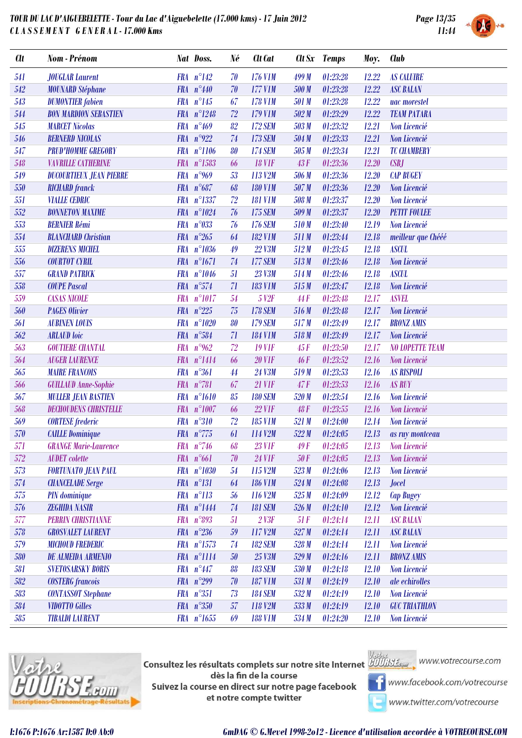

|  | SYSTEM |  |
|--|--------|--|

| <b>Clt</b> | Nom - Prénom                   |            | Nat Doss.             | Né | Clt Cat           |       | Clt Sx Temps | Moy.  | <b>Club</b>            |
|------------|--------------------------------|------------|-----------------------|----|-------------------|-------|--------------|-------|------------------------|
| 541        | <b>JOUGLAR Laurent</b>         |            | $FRA n^{\circ}142$    | 70 | 176 V1M           | 499 M | 01:23:28     | 12.22 | <b>AS CALUIRE</b>      |
| 542        | <b>MOUNARD Stéphane</b>        |            | FRA $n^{\circ}440$    | 70 | 177 V1M           | 500 M | 01:23:28     | 12.22 | <b>ASC BALAN</b>       |
| 543        | <b>DUMONTIER</b> fabien        |            | $FRA n^{\circ}145$    | 67 | <b>178 V1M</b>    | 501 M | 01:23:28     | 12.22 | uac morestel           |
| 544        | <b>BON MARDION SEBASTIEN</b>   |            | FRA n°1248            | 72 | 179 V1M           | 502M  | 01:23:29     | 12.22 | <b>TEAM PATARA</b>     |
| 545        | <b>MARCET Nicolas</b>          |            | FRA $n^{\circ}469$    | 82 | <b>172 SEM</b>    | 503 M | 01:23:32     | 12.21 | Non Licencié           |
| 546        | <b>BERNERD NICOLAS</b>         | <b>FRA</b> | $n^{\circ}922$        | 74 | <b>173 SEM</b>    | 504 M | 01:23:33     | 12.21 | Non Licencié           |
| 547        | <b>PRUD'HOMME GREGORY</b>      |            | FRA n°1106            | 80 | <b>174 SEM</b>    | 505 M | 01:23:34     | 12.21 | <b>TC CHAMBERY</b>     |
| 548        | <b>VAVRILLE CATHERINE</b>      |            | FRA n°1583            | 66 | <b>18 VIF</b>     | 43F   | 01:23:36     | 12.20 | CSBJ                   |
| 549        | <b>DUCOURTIEUX JEAN PIERRE</b> | <b>FRA</b> | $n^{\circ}969$        | 53 | 113 V2M           | 506 M | 01:23:36     | 12.20 | <b>CAP BUGEY</b>       |
| 550        | <b>RICHARD</b> franck          |            | FRA $n^{\circ}687$    | 68 | <b>180 V1M</b>    | 507 M | 01:23:36     | 12.20 | Non Licencié           |
| 551        | <b>VIALLE CEDRIC</b>           |            | FRA n°1337            | 72 | <b>181 V1M</b>    | 508 M | 01:23:37     | 12.20 | Non Licencié           |
| 552        | <b>BONNETON MAXIME</b>         | <b>FRA</b> | $n^{\circ}1024$       | 76 | <b>175 SEM</b>    | 509 M | 01:23:37     | 12.20 | <b>PETIT FOULEE</b>    |
| 553        | <b>BERNIER Rémi</b>            | <b>FRA</b> | $n^{\circ}033$        | 76 | <b>176 SEM</b>    | 510M  | 01:23:40     | 12.19 | Non Licencié           |
| 554        | <b>BLANCHARD</b> Christian     |            | FRA $n^{\circ}265$    | 64 | <b>182 V1M</b>    | 511 M | 01:23:44     | 12.18 | meilleur que Chééé     |
| 555        | <b>DIZERENS MICHEL</b>         | <b>FRA</b> | $n^{\circ}1036$       | 49 | 22 V3M            | 512M  | 01:23:45     | 12.18 | <b>ASCUL</b>           |
| 556        | <b>COURTOT CYRIL</b>           |            | $FRA$ $n^{\circ}1671$ | 74 | <b>177 SEM</b>    | 513M  | 01:23:46     | 12.18 | Non Licencié           |
| 557        | <b>GRAND PATRICK</b>           |            | FRA $n^{\circ}1046$   | 51 | 23 V3M            | 514M  | 01:23:46     | 12.18 | <b>ASCUL</b>           |
| 558        | <b>COUPE Pascal</b>            |            | FRA n°574             | 71 | <b>183 V1M</b>    | 515M  | 01:23:47     | 12.18 | Non Licencié           |
| 559        | <b>CASAS NICOLE</b>            | <b>FRA</b> | $n^{\circ}1017$       | 54 | 5 V <sub>2F</sub> | 44F   | 01:23:48     | 12.17 | <b>ASVEL</b>           |
| 560        | <b>PAGES Olivier</b>           |            | FRA $n^{\circ}225$    | 75 | <b>178 SEM</b>    | 516 M | 01:23:48     | 12.17 | Non Licencié           |
| 561        | <b>AUBINEN LOUIS</b>           | <b>FRA</b> | $n^{\circ}1020$       | 80 | <b>179 SEM</b>    | 517M  | 01:23:49     | 12.17 | <b>BRONZ AMIS</b>      |
| 562        | <b>ARLAUD</b> loic             |            | FRA $n^{\circ}584$    | 71 | <b>184 V1M</b>    | 518M  | 01:23:49     | 12.17 | Non Licencié           |
| 563        | <b>GOUTIERE CHANTAL</b>        |            | FRA $n^{\circ}$ 962   | 72 | <b>19 VIF</b>     | 45F   | 01:23:50     | 12.17 | <b>NO LOPETTE TEAM</b> |
| 564        | <b>AUGER LAURENCE</b>          |            | $FRA$ $n^{\circ}1414$ | 66 | <b>20 VIF</b>     | 46F   | 01:23:52     | 12.16 | Non Licencié           |
| 565        | <b>MAIRE FRANCOIS</b>          |            | FRA n°361             | 44 | 24 V3M            | 519M  | 01:23:53     | 12.16 | <b>AS RISPOLI</b>      |
| 566        | <b>GUILLAUD Anne-Sophie</b>    |            | FRA $n^{\circ}781$    | 67 | <b>21 VIF</b>     | 47F   | 01:23:53     | 12.16 | <b>AS RUY</b>          |
| 567        | <b>MULLER JEAN BASTIEN</b>     | <b>FRA</b> | $n^{\circ}1610$       | 85 | <b>180 SEM</b>    | 520 M | 01:23:54     | 12.16 | Non Licencié           |
| 568        | <b>DECHOUDENS CHRISTELLE</b>   | <b>FRA</b> | $n^{\circ}1007$       | 66 | <b>22 VIF</b>     | 48F   | 01:23:55     | 12.16 | Non Licencié           |
| 569        | <b>CORTESE</b> frederic        |            | FRA n°310             | 72 | <b>185 V1M</b>    | 521 M | 01:24:00     | 12.14 | Non Licencié           |
| 570        | <b>CAILLE Dominique</b>        |            | FRA $n^{\circ}775$    | 61 | 114 V2M           | 522M  | 01:24:05     | 12.13 | as ruy montceau        |
| 571        | <b>GRANGE Marie-Laurence</b>   |            | FRA $n^{\circ}$ 746   | 68 | <b>23 VIF</b>     | 49F   | 01:24:05     |       | 12.13 Non Licencié     |
| 572        | <b>AUDET</b> colette           |            | FRA n°661             | 70 | <b>24 VIF</b>     | 50 F  | 01:24:05     | 12.13 | Non Licencié           |
| 573        | <b>FORTUNATO JEAN PAUL</b>     |            | FRA n°1030            | 54 | 115 V2M           | 523M  | 01:24:06     | 12.13 | Non Licencié           |
| 574        | <b>CHANCELADE</b> Serge        |            | $FRA n^{\circ}131$    | 64 | <b>186 VIM</b>    | 524M  | 01:24:08     | 12.13 | <b>Jocel</b>           |
| 575        | PIN dominique                  |            | $FRA n^{\circ}113$    | 56 | 116 V2M           | 525M  | 01:24:09     | 12.12 | <b>Cap Bugey</b>       |
| 576        | ZEGHIDA NASIR                  |            | $FRA$ $n^{\circ}1444$ | 74 | <b>181 SEM</b>    | 526 M | 01:24:10     | 12.12 | Non Licencié           |
| 577        | <b>PERRIN CHRISTIANNE</b>      |            | FRA n°893             | 51 | 2 <sup>13F</sup>  | 51F   | 01:24:14     | 12.11 | <b>ASC BALAN</b>       |
| 578        | <b>GROSVALET LAURENT</b>       |            | FRA $n^{\circ}236$    | 59 | 117 V2M           | 527 M | 01:24:14     | 12.11 | <b>ASC BALAN</b>       |
| 579        | <b>MICHOUD FREDERIC</b>        |            | $FRA n^{\circ}1573$   | 74 | <b>182 SEM</b>    | 528 M | 01:24:14     | 12.11 | Non Licencié           |
| 580        | <b>DE ALMEIDA ARMENIO</b>      |            | FRA n°1114            | 50 | 25 V3M            | 529 M | 01:24:16     | 12.11 | <b>BRONZ AMIS</b>      |
| 581        | <b>SVETOSARSKY BORIS</b>       |            | $FRA n^9447$          | 88 | <b>183 SEM</b>    | 530 M | 01:24:18     | 12.10 | Non Licencié           |
| 582        | <b>COSTERG</b> francois        |            | FRA $n^{\circ}299$    | 70 | <b>187 V1M</b>    | 531 M | 01:24:19     | 12.10 | ale echirolles         |
| 583        | <b>CONTASSOT Stephane</b>      |            | $FRA n^{\circ}351$    | 73 | <b>184 SEM</b>    | 532M  | 01:24:19     | 12.10 | Non Licencié           |
| 584        | <b>VIDOTTO Gilles</b>          |            | $FRA n^{\circ}350$    | 57 | 118 V2M           | 533 M | 01:24:19     | 12.10 | <b>GUC TRIATHLON</b>   |
| 585        | <b>TIBALDI LAURENT</b>         |            | FRA n°1655            | 69 | <b>188 V1M</b>    | 534 M | 01:24:20     | 12.10 | Non Licencié           |



**Consultez les résultats complets sur notre site Internet** Willis Esquise WWW.votrecourse.com dès la fin de la course Suivez la course en direct sur notre page facebook et notre compte twitter





**T** www.facebook.com/votrecourse

www.twitter.com/votrecourse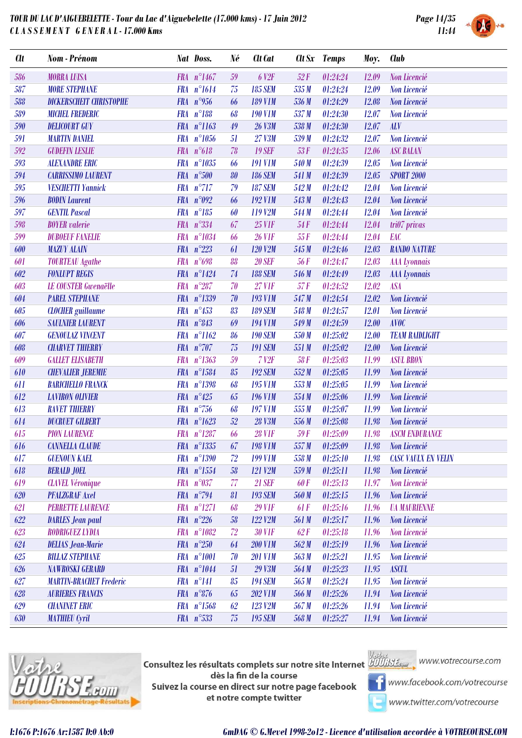

| <b>Clt</b> | Nom - Prénom                   |            | Nat Doss.            | Né | Clt Cat           |       | Clt Sx Temps | Moy.  | <b>Club</b>                       |
|------------|--------------------------------|------------|----------------------|----|-------------------|-------|--------------|-------|-----------------------------------|
| 586        | <b>MORRA LUISA</b>             |            | FRA n°1467           | 59 | 6 V <sub>2F</sub> | 52F   | 01:24:24     | 12.09 | Non Licencié                      |
| 587        | <b>MORE STEPHANE</b>           |            | FRA n°1614           | 75 | <b>185 SEM</b>    | 535M  | 01:24:24     | 12.09 | Non Licencié                      |
| 588        | <b>DICKERSCHEIT CHRISTOPHE</b> |            | FRA $n^{\circ}$ 956  | 66 | <b>189 V1M</b>    | 536 M | 01:24:29     | 12.08 | Non Licencié                      |
| 589        | <b>MICHEL FREDERIC</b>         |            | $FRA n^{\circ}188$   | 68 | <b>190 V1M</b>    | 537 M | 01:24:30     | 12.07 | Non Licencié                      |
| 590        | <b>DELICOURT GUY</b>           |            | FRA n°1163           | 49 | 26 V3M            | 538 M | 01:24:30     | 12.07 | <b>ALV</b>                        |
| 591        | <b>MARTIN DANIEL</b>           | <b>FRA</b> | $n^{\circ}1056$      | 51 | 27 V3M            | 539M  | 01:24:32     | 12.07 | Non Licencié                      |
| 592        | <b>GUDEFIN LESLIE</b>          |            | $FRA n^{\circ}618$   | 78 | <b>19 SEF</b>     | 53F   | 01:24:35     | 12.06 | <b>ASC BALAN</b>                  |
| 593        | <b>ALEXANDRE ERIC</b>          |            | FRA n°1035           | 66 | <b>191 V1M</b>    | 540 M | 01:24:39     | 12.05 | Non Licencié                      |
| 594        | <b>CARRISSIMO LAURENT</b>      |            | FRA n°500            | 80 | <b>186 SEM</b>    | 541 M | 01:24:39     | 12.05 | <b>SPORT 2000</b>                 |
| 595        | <b>VESCHETTI Yannick</b>       |            | $FRA$ $n^{\circ}717$ | 79 | <b>187 SEM</b>    | 542 M | 01:24:42     | 12.04 | Non Licencié                      |
| 596        | <b>BODIN</b> Laurent           |            | FRA $n°092$          | 66 | <b>192 V1M</b>    | 543 M | 01:24:43     | 12.04 | Non Licencié                      |
| 597        | <b>GENTIL Pascal</b>           | <b>FRA</b> | $n^{\circ}185$       | 60 | 119 V2M           | 544 M | 01:24:44     | 12.04 | Non Licencié                      |
| 598        | <b>BOYER</b> valerie           |            | FRA n°334            | 67 | <b>25 VIF</b>     | 54F   | 01:24:44     | 12.04 | $tri07$ privas                    |
| 599        | <b>DUBOEUF FANELIE</b>         |            | FRA n°1034           | 66 | <b>26 VIF</b>     | 55F   | 01:24:44     | 12.04 | EAC                               |
| 600        | <b>MAZUY ALAIN</b>             | <b>FRA</b> | $n^{\circ}223$       | 61 | 120 V2M           | 545 M | 01:24:46     | 12.03 | <b>RANDO NATURE</b>               |
| 601        | <b>TOURTEAU Agathe</b>         |            | FRA $n^{\circ}698$   | 88 | <b>20 SEF</b>     | 56 F  | 01:24:47     | 12.03 | <b>AAA</b> Lyonnais               |
| 602        | <b>FONLUPT REGIS</b>           |            | FRA n°1424           | 74 | <b>188 SEM</b>    | 546 M | 01:24:49     | 12.03 | <b>AAA</b> Lyonnais               |
| 603        | <b>LE COUSTER Gwenaëlle</b>    | <b>FRA</b> | $n^{\circ}287$       | 70 | <b>27 VIF</b>     | 57F   | 01:24:52     | 12.02 | <b>ASA</b>                        |
| 604        | <b>PAREL STEPHANE</b>          |            | FRA n°1339           | 70 | <b>193 V1M</b>    | 547 M | 01:24:54     | 12.02 | Non Licencié                      |
| 605        | <b>CLOCHER</b> guillaume       |            | FRA $n^{\circ}453$   | 83 | <b>189 SEM</b>    | 548 M | 01:24:57     | 12.01 | Non Licencié                      |
| 606        | <b>SAULNIER LAURENT</b>        |            | FRA n°843            | 69 | <b>194 V1M</b>    | 549 M | 01:24:59     | 12.00 | <b>AVOC</b>                       |
| 607        | <b>GENOULAZ VINCENT</b>        |            | FRA n°1162           | 86 | <b>190 SEM</b>    | 550 M | 01:25:02     | 12.00 | <b>TEAM RAIDLIGHT</b>             |
| 608        | <b>CHARVET THIERRY</b>         |            | FRA n°707            | 75 | <b>191 SEM</b>    | 551 M | 01:25:02     | 12.00 | Non Licencié                      |
| 609        | <b>GALLET ELISABETH</b>        | <b>FRA</b> | $n^{\circ}1363$      | 59 | $7$ $V2F$         | 58F   | 01:25:03     | 11.99 | <b>ASUL BRON</b>                  |
| 610        | <b>CHEVALIER JEREMIE</b>       |            | FRA n°1584           | 85 | <b>192 SEM</b>    | 552M  | 01:25:05     | 11.99 | Non Licencié                      |
| 611        | <b>BARICHELLO FRANCK</b>       | <b>FRA</b> | $n^{\circ}1398$      | 68 | <b>195 V1M</b>    | 553M  | 01:25:05     | 11.99 | Non Licencié                      |
| 612        | <b>LAVIRON OLIVIER</b>         |            | FRA $n^{\circ}425$   | 65 | <b>196 VIM</b>    | 554 M | 01:25:06     | 11.99 | Non Licencié                      |
| 613        | <b>RAVET THIERRY</b>           |            | FRA $n^{\circ}$ 756  | 68 | <b>197 V1M</b>    | 555 M | 01:25:07     | 11.99 | Non Licencié                      |
| 614        | <b>DUCRUET GILBERT</b>         |            | FRA n°1623           | 52 | 28 V3M            | 556 M | 01:25:08     | 11.98 | Non Licencié                      |
| 615        | <b>PION LAURENCE</b>           |            | FRA n°1287           | 66 | <b>28 VIF</b>     | 59F   | 01:25:09     | 11.98 | <b>ASCM ENDURANCE</b>             |
| 616        | <b>CANNELLA CLAUDE</b>         |            | FRA n°1335           |    | $67$ 198 V1M      |       |              |       | 557 M 01:25:09 11.98 Non Licencié |
| 617        | <b>GUENOUN KAEL</b>            |            | FRA n°1390           | 72 | <b>199 V1M</b>    | 558 M | 01:25:10     | 11.98 | <b>CASC VAULX EN VELIN</b>        |
| 618        | <b>BERALD JOEL</b>             |            | FRA n°1554           | 58 | 121 V2M           | 559 M | 01:25:11     | 11.98 | Non Licencié                      |
| 619        | <b>CLAVEL Véronique</b>        |            | FRA n°037            | 77 | <b>21 SEF</b>     | 60 F  | 01:25:13     | 11.97 | Non Licencié                      |
| 620        | <b>PFALZGRAF Axel</b>          |            | FRA $n^{\circ}$ 794  | 81 | <b>193 SEM</b>    | 560 M | 01:25:15     | 11.96 | Non Licencié                      |
| 621        | <b>PERRETTE LAURENCE</b>       |            | FRA n°1271           | 68 | <b>29 VIF</b>     | 61F   | 01:25:16     | 11.96 | <b><i>UA MAURIENNE</i></b>        |
| 622        | <b>DARLES</b> Jean paul        |            | FRA $n^{\circ}226$   | 58 | 122 V2M           | 561 M | 01:25:17     | 11.96 | Non Licencié                      |
| 623        | RODRIGUEZ LYDIA                |            | FRA n°1082           | 72 | <b>30 V1F</b>     | 62F   | 01:25:18     | 11.96 | Non Licencié                      |
| 624        | <b>DELIAS Jean-Marie</b>       |            | FRA $n^{\circ}250$   | 64 | <b>200 V1M</b>    | 562M  | 01:25:19     | 11.96 | Non Licencié                      |
| 625        | <b>BILLAZ STEPHANE</b>         |            | FRA n°1001           | 70 | <b>201 V1M</b>    | 563 M | 01:25:21     | 11.95 | Non Licencié                      |
| 626        | <b>NAWROSKI GERARD</b>         |            | FRA n°1044           | 51 | 29 V3M            | 564 M | 01:25:23     | 11.95 | <b>ASCUL</b>                      |
| 627        | <b>MARTIN-BRACHET Frederic</b> |            | $FRA n^{\circ}141$   | 85 | <b>194 SEM</b>    | 565 M | 01:25:24     | 11.95 | Non Licencié                      |
| 628        | <b>AURIERES FRANCIS</b>        |            | $FRA n^{\circ}876$   | 65 | <b>202 V1M</b>    | 566 M | 01:25:26     | 11.94 | Non Licencié                      |
| 629        | <b>CHANINET ERIC</b>           |            | FRA n°1568           | 62 | 123 V2M           | 567 M | 01:25:26     | 11.94 | Non Licencié                      |
| 630        | <b>MATHIEU Cyril</b>           |            | FRA n°533            | 75 | <b>195 SEM</b>    | 568 M | 01:25:27     | 11.94 | Non Licencié                      |



**Consultez les résultats complets sur notre site Internet** Willis Esquise WWW.votrecourse.com dès la fin de la course Suivez la course en direct sur notre page facebook et notre compte twitter



**T** www.facebook.com/votrecourse

www.twitter.com/votrecourse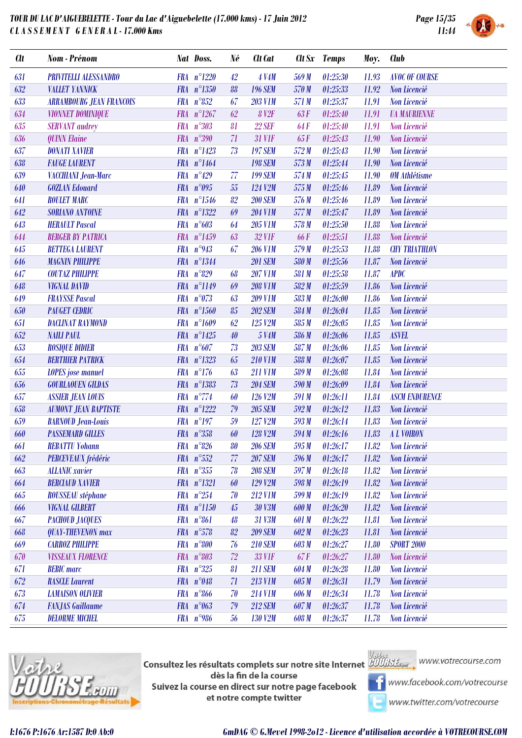

|  | SYSTEM |
|--|--------|

| <b>Clt</b> | Nom - Prénom                    |            | Nat Doss.            | Né              | Clt Cat        |            | <b>Clt Sx</b> Temps | Moy.  | Club                       |
|------------|---------------------------------|------------|----------------------|-----------------|----------------|------------|---------------------|-------|----------------------------|
| 631        | <b>PRIVITELLI ALESSANDRO</b>    |            | FRA n°1220           | 42              | <b>4 V4M</b>   | 569 M      | 01:25:30            | 11.93 | <b>AVOC OF COURSE</b>      |
| 632        | <b>VALLET YANNICK</b>           |            | FRA n°1350           | 88              | <b>196 SEM</b> | 570 M      | 01:25:33            | 11.92 | Non Licencié               |
| 633        | <b>ARRAMBOURG JEAN FRANCOIS</b> | <b>FRA</b> | $n^{\circ}852$       | 67              | <b>203 V1M</b> | 571 M      | 01:25:37            | 11.91 | Non Licencié               |
| 634        | <b>VIONNET DOMINIQUE</b>        |            | FRA $n^{\circ}1267$  | 62              | <b>8 V2F</b>   | 63F        | 01:25:40            | 11.91 | <b><i>UA MAURIENNE</i></b> |
| 635        | <b>SERVANT</b> audrey           |            | $FRA n^{\circ}303$   | 81              | <b>22 SEF</b>  | <b>64F</b> | 01:25:40            | 11.91 | Non Licencié               |
| 636        | <b>QUINN Elaine</b>             |            | FRA n°390            | 71              | <b>31 VIF</b>  | 65F        | 01:25:43            | 11.90 | Non Licencié               |
| 637        | <b>DONATI XAVIER</b>            |            | FRA n°1423           | 73              | <b>197 SEM</b> | 572M       | 01:25:43            | 11.90 | Non Licencié               |
| 638        | <b>FAUGE LAURENT</b>            |            | FRA n°1464           |                 | <b>198 SEM</b> | 573M       | 01:25:44            | 11.90 | Non Licencié               |
| 639        | VACCHIANI Jean-Marc             | <b>FRA</b> | $n^{\circ}429$       | 77              | <b>199 SEM</b> | 574 M      | 01:25:45            | 11.90 | <b>OM</b> Athlétisme       |
| 640        | <b>GOZLAN Edouard</b>           |            | FRA $n°095$          | 55              | 124 V2M        | 575M       | 01:25:46            | 11.89 | Non Licencié               |
| 641        | <b>ROULET MARC</b>              |            | FRA n°1546           | 82              | <b>200 SEM</b> | 576 M      | 01:25:46            | 11.89 | Non Licencié               |
| 642        | <b>SORIANO ANTOINE</b>          |            | FRA n°1322           | 69              | <b>204 V1M</b> | 577M       | 01:25:47            | 11.89 | Non Licencié               |
| 643        | <b>HERAULT Pascal</b>           | <b>FRA</b> | $n^{\circ}603$       | 64              | <b>205 V1M</b> | 578 M      | 01:25:50            | 11.88 | Non Licencié               |
| 644        | <b>BERGER BY PATRICA</b>        |            | FRA n°1459           | 63              | <b>32 VIF</b>  | <b>66F</b> | 01:25:51            | 11.88 | Non Licencié               |
| 645        | <b>BETTEGA LAURENT</b>          | <b>FRA</b> | $n^{\circ}943$       | 67              | <b>206 V1M</b> | 579 M      | 01:25:53            | 11.88 | <b>CHY TRIATHLON</b>       |
| 646        | <b>MAGNIN PHILIPPE</b>          |            | FRA n°1344           |                 | <b>201 SEM</b> | 580 M      | 01:25:56            | 11.87 | Non Licencié               |
| 647        | <b>COUTAZ PHILIPPE</b>          |            | FRA $n^{\circ}829$   | 68              | <b>207 V1M</b> | 581 M      | 01:25:58            | 11.87 | <b>APDC</b>                |
| 648        | <b>VIGNAL DAVID</b>             |            | FRA n°1149           | 69              | <b>208 V1M</b> | 582M       | 01:25:59            | 11.86 | Non Licencié               |
| 649        | <b>FRAYSSE Pascal</b>           | <b>FRA</b> | $n^{\circ}073$       | 63              | <b>209 V1M</b> | 583M       | 01:26:00            | 11.86 | Non Licencié               |
| 650        | <b>PAUGET CEDRIC</b>            |            | FRA n°1560           | 85              | <b>202 SEM</b> | 584 M      | 01:26:04            | 11.85 | Non Licencié               |
| 651        | <b>DACLINAT RAYMOND</b>         |            | FRA n°1609           | 62              | 125 V2M        | 585 M      | 01:26:05            | 11.85 | Non Licencié               |
| 652        | <b>NAILI PAUL</b>               | <b>FRA</b> | $n^{\circ}1425$      | 40              | 5 V4M          | 586 M      | 01:26:06            | 11.85 | <b>ASVEL</b>               |
| 653        | <b>ROSIQUE DIDIER</b>           |            | $FRA n^{\circ}607$   | 73              | <b>203 SEM</b> | 587M       | 01:26:06            | 11.85 | Non Licencié               |
| 654        | <b>BERTHIER PATRICK</b>         |            | FRA n°1323           | 65              | <b>210 V1M</b> | 588 M      | 01:26:07            | 11.85 | Non Licencié               |
| 655        | <b>LOPES</b> jose manuel        | <b>FRA</b> | $n^{\circ}176$       | 63              | <b>211 VIM</b> | 589 M      | 01:26:08            | 11.84 | Non Licencié               |
| 656        | <b>GOURLAOUEN GILDAS</b>        |            | FRA n°1383           | 73              | <b>204 SEM</b> | 590 M      | 01:26:09            | 11.84 | Non Licencié               |
| 657        | <b>ASSIER JEAN LOUIS</b>        |            | FRA $n^{\circ}$ 774  | 60              | 126 V2M        | 591 M      | 01:26:11            | 11.84 | <b>ASCM ENDURENCE</b>      |
| 658        | <b>AUMONT JEAN BAPTISTE</b>     |            | FRA n°1222           | 79              | <b>205 SEM</b> | 592M       | 01:26:12            | 11.83 | Non Licencié               |
| 659        | <b>BARNOUD</b> Jean-Louis       |            | $FRA$ $n^{\circ}197$ | 59              | 127 V2M        | 593M       | 01:26:14            | 11.83 | Non Licencié               |
| 660        | <b>PASSEMARD GILLES</b>         |            | $FRA n^{\circ}358$   | 60              | 128 V2M        | 594M       | 01:26:16            | 11.83 | A L VOIRON                 |
| 661        | <b>REBATTU Yohann</b>           |            | $FRA n^{\circ}826$   | 80 <sup>°</sup> | <b>206 SEM</b> |            | 595 M 01:26:17      |       | 11.82 Non Licencié         |
| 662        | PERCEVEAUX frédéric             |            | FRA n°552            | 77              | <b>207 SEM</b> | 596 M      | 01:26:17            | 11.82 | Non Licencié               |
| 663        | <b>ALLANIC</b> xavier           |            | FRA n°355            | 78              | <b>208 SEM</b> | 597 M      | 01:26:18            | 11.82 | Non Licencié               |
| 664        | <b>BERCIAUD XAVIER</b>          |            | FRA n°1321           | 60              | 129 V2M        | 598 M      | 01:26:19            | 11.82 | Non Licencié               |
| 665        | <b>ROUSSEAU</b> stéphane        |            | FRA $n^{\circ}254$   | 70              | <b>212 V1M</b> | 599 M      | 01:26:19            | 11.82 | Non Licencié               |
| 666        | <b>VIGNAL GILBERT</b>           |            | FRA n°1150           | 45              | 30 V3M         | 600 M      | 01:26:20            | 11.82 | Non Licencié               |
| 667        | <b>PACHOUD JACQUES</b>          |            | FRA $n^{\circ}861$   | 48              | 31 V3M         | 601 M      | 01:26:22            | 11.81 | Non Licencié               |
| 668        | <b>QUAY-THEVENON</b> max        |            | $FRA n^{\circ}578$   | 82              | <b>209 SEM</b> | 602M       | 01:26:23            | 11.81 | Non Licencié               |
| 669        | <b>CARROZ PHILIPPE</b>          |            | FRA n°800            | 76              | <b>210 SEM</b> | 603M       | 01:26:27            | 11.80 | <b>SPORT 2000</b>          |
| 670        | <b>VISSEAUX FLORENCE</b>        |            | FRA n°803            | 72              | <b>33 VIF</b>  | 67 F       | 01:26:27            | 11.80 | Non Licencié               |
| 671        | <b>BEBIC</b> marc               |            | FRA n°325            | 81              | <b>211 SEM</b> | 604 M      | 01:26:28            | 11.80 | Non Licencié               |
| 672        | <b>RASCLE</b> Laurent           |            | FRA $n^{\circ}048$   | 71              | 213 V1M        | 605 M      | 01:26:31            | 11.79 | Non Licencié               |
| 673        | <b>LAMAISON OLIVIER</b>         |            | $FRA n^{\circ}866$   | 70              | <b>214 V1M</b> | 606 M      | 01:26:34            | 11.78 | Non Licencié               |
| 674        | <b>FANJAS</b> Guillaume         | <b>FRA</b> | $n^{\circ}063$       | 79              | <b>212 SEM</b> | 607 M      | 01:26:37            | 11.78 | Non Licencié               |
| 675        | <b>DELORME MICHEL</b>           |            | FRA $n^{\circ}986$   | 56              | 130 V2M        | 608 M      | 01:26:37            | 11.78 | <b>Non Licencié</b>        |



**Consultez les résultats complets sur notre site Internet** Willis Esquise WWW.votrecourse.com dès la fin de la course Suivez la course en direct sur notre page facebook et notre compte twitter



**T** www.facebook.com/votrecourse

www.twitter.com/votrecourse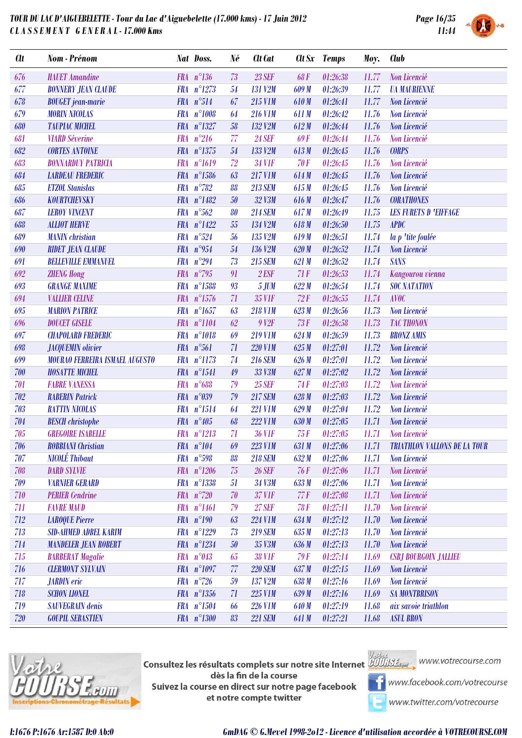

| <b>Clt</b> | Nom - Prénom                          |            | <b>Nat Doss.</b>      | Né     | Clt Cat          |             | Clt Sx Temps | Moy.  | <b>Club</b>                                       |
|------------|---------------------------------------|------------|-----------------------|--------|------------------|-------------|--------------|-------|---------------------------------------------------|
| 676        | <b>HAUET</b> Amandine                 |            | $FRA n^{\circ}136$    | 73     | <b>23 SEF</b>    | <b>68F</b>  | 01:26:38     | 11.77 | Non Licencié                                      |
| 677        | <b>BONNERY JEAN CLAUDE</b>            |            | FRA n°1273            | 54     | <b>131 V2M</b>   | 609 M       | 01:26:39     | 11.77 | <b><i>UA MAURIENNE</i></b>                        |
| 678        | <b>BOUGET</b> jean-marie              |            | FRA n°514             | 67     | 215 V1M          | 610M        | 01:26:41     | 11.77 | Non Licencié                                      |
| 679        | <b>MORIN NICOLAS</b>                  |            | FRA n°1008            | 64     | <b>216 V1M</b>   | 611M        | 01:26:42     | 11.76 | Non Licencié                                      |
| 680        | <b>TAUPIAC MICHEL</b>                 |            | FRA n°1327            | 58     | 132 V2M          | 612M        | 01:26:44     | 11.76 | Non Licencié                                      |
| 681        | <b>VIARD Séverine</b>                 | <b>FRA</b> | $n^{\circ}216$        | 77     | <b>24 SEF</b>    | <b>69F</b>  | 01:26:44     | 11.76 | Non Licencié                                      |
| 682        | <b>CORTES ANTOINE</b>                 |            | FRA n°1375            | 54     | 133 V2M          | 613M        | 01:26:45     | 11.76 | <b>CORPS</b>                                      |
| 683        | <b>BONNARDUY PATRICIA</b>             |            | FRA n°1619            | 72     | <b>34 VIF</b>    | <b>70F</b>  | 01:26:45     | 11.76 | Non Licencié                                      |
| 684        | <b>LARDEAU FREDERIC</b>               |            | $FRA n^{\circ}1586$   | 63     | <b>217 V1M</b>   | 614M        | 01:26:45     | 11.76 | Non Licencié                                      |
| 685        | <b>ETZOL Stanislas</b>                |            | $FRA n^{\circ}782$    | 88     | <b>213 SEM</b>   | 615M        | 01:26:45     | 11.76 | Non Licencié                                      |
| 686        | KOURTCHEVSKY                          |            | FRA n°1482            | 50     | 32 V3M           | 616M        | 01:26:47     | 11.76 | <b>CORATHONES</b>                                 |
| 687        | <b>LEROY VINCENT</b>                  | <b>FRA</b> | $n^{\circ}562$        | 80     | <b>214 SEM</b>   | 617M        | 01:26:49     | 11.75 | <b>LES FURETS D'EIFFAGE</b>                       |
| 688        | <b>ALLIOT HERVE</b>                   |            | FRA $n^{\circ}1422$   | 55     | 134 V2M          | 618M        | 01:26:50     | 11.75 | <b>APDC</b>                                       |
| 689        | <b>MANIN</b> christian                |            | FRA $n^{\circ}524$    | 56     | 135 V2M          | 619M        | 01:26:51     | 11.74 | la p 'tite foulée                                 |
| 690        | <b>RIDET JEAN CLAUDE</b>              |            | FRA $n°954$           | 54     | 136 V2M          | 620M        | 01:26:52     | 11.74 | Non Licencié                                      |
| 691        | <b>BELLEVILLE EMMANUEL</b>            |            | FRA $n^{\circ}294$    | 73     | <b>215 SEM</b>   | 621M        | 01:26:52     | 11.74 | <b>SANS</b>                                       |
| 692        | <b>ZHENG Hong</b>                     |            | FRA $n^{\circ}$ 795   | 91     | $2$ <i>ESF</i>   | 71F         | 01:26:53     | 11.74 | Kangourou vienna                                  |
| 693        | <b>GRANGE MAXIME</b>                  | <b>FRA</b> | $n^{\circ}1588$       | 93     | <b>5 JUM</b>     | 622M        | 01:26:54     | 11.74 | <b>SOC NATATION</b>                               |
| 694        | <b>VALLIER CELINE</b>                 |            | FRA n°1576            | 71     | <b>35 VIF</b>    | 72F         | 01:26:55     | 11.74 | <b>AVOC</b>                                       |
| 695        | <b>MARION PATRICE</b>                 |            | FRA $n^{\circ}1657$   | 63     | <b>218 VIM</b>   | 623M        | 01:26:56     | 11.73 | Non Licencié                                      |
| 696        | <b>DOUCET GISELE</b>                  |            | FRA n°1104            | 62     | 9 <sub>Y2F</sub> | 73F         | 01:26:58     | 11.73 | <b>TAC THONON</b>                                 |
| 697        | <b>CHAPOLARD FREDERIC</b>             |            | FRA n°1018            | 69     | <b>219 V1M</b>   | 624M        | 01:26:59     | 11.73 | <b>BRONZ AMIS</b>                                 |
| 698        | <b>JACQUEMIN</b> olivier              |            | FRA $n^{\circ}561$    | 71     | <b>220 V1M</b>   | 625M        | 01:27:01     | 11.72 | Non Licencié                                      |
| 699        | <b>MOURAO FERREIRA ISMAEL AUGUSTO</b> |            | FRA n°1173            | 74     | <b>216 SEM</b>   | 626M        | 01:27:01     | 11.72 | Non Licencié                                      |
| 700        | <b>HOSATTE MICHEL</b>                 |            | FRA n°1541            | 49     | 33 V3M           | 627M        | 01:27:02     | 11.72 | Non Licencié                                      |
| 701        | <b>FABRE VANESSA</b>                  | <b>FRA</b> | $n^{\circ}688$        | 79     | <b>25 SEF</b>    | 74F         | 01:27:03     | 11.72 | Non Licencié                                      |
| 702        | <b>RABERIN Patrick</b>                |            | FRA $n^{\circ}039$    | 79     | <b>217 SEM</b>   | 628M        | 01:27:03     | 11.72 | Non Licencié                                      |
| 703        | <b>RATTIN NICOLAS</b>                 |            | FRA n°1514            | 64     | <b>221 V1M</b>   | 629M        | 01:27:04     | 11.72 | Non Licencié                                      |
| 704        | <b>BESCH</b> christophe               |            | FRA $n^{\circ}405$    | 68     | <b>222 V1M</b>   | 630 M       | 01:27:05     | 11.71 | Non Licencié                                      |
| 705        | <b>GREGOIRE ISABELLE</b>              |            | $FRA$ $n^{\circ}1213$ | 71     | <b>36 VIF</b>    | 75F         | 01:27:05     | 11.71 | Non Licencié                                      |
| 706        | <b>ROBBIANI</b> Christian             |            | $FRA$ $n^{\circ}104$  |        | 69 223 V1M       |             |              |       | 631 M 01:27:06 11.71 TRIATHLON VALLONS DE LA TOUR |
| 707        | <b>NICOLÉ Thibaut</b>                 |            | FRA n°598             | 88     | <b>218 SEM</b>   | 632M        | 01:27:06     | 11.71 | Non Licencié                                      |
| 708        | <b>DARD SYLVIE</b>                    |            | $FRA n^{\circ}1206$   | $75\,$ | <b>26 SEF</b>    | <b>76 F</b> | 01:27:06     | 11.71 | Non Licencié                                      |
| 709        | <b>VARNIER GERARD</b>                 |            | FRA n°1338            | 51     | 34 V3M           | 633 M       | 01:27:06     | 11.71 | Non Licencié                                      |
| 710        | <b>PERIER</b> Cendrine                |            | FRA $n^{\circ}$ 720   | 70     | <b>37 VIF</b>    | 77F         | 01:27:08     | 11.71 | Non Licencié                                      |
| 711        | <b>FAVRE MAUD</b>                     |            | FRA n°1461            | 79     | <b>27 SEF</b>    | <b>78F</b>  | 01:27:11     | 11.70 | Non Licencié                                      |
| 712        | <b>LAROQUE Pierre</b>                 |            | FRA n°190             | 63     | <b>224 V1M</b>   | 634 M       | 01:27:12     | 11.70 | Non Licencié                                      |
| 713        | <b>SID-AHMED ADBEL KARIM</b>          |            | FRA n°1229            | 73     | <b>219 SEM</b>   | 635M        | 01:27:13     | 11.70 | Non Licencié                                      |
| 714        | <b>MANDELER JEAN ROBERT</b>           |            | FRA n°1234            | $50\,$ | 35 V3M           | 636 M       | 01:27:13     | 11.70 | Non Licencié                                      |
| 715        | <b>BARBERAT Magalie</b>               |            | FRA $n^{\circ}043$    | 65     | <b>38 VIF</b>    | 79F         | 01:27:14     | 11.69 | <b>CSBJ BOURGOIN JALLIEU</b>                      |
| 716        | <b>CLERMONT SYLVAIN</b>               |            | FRA n°1097            | 77     | <b>220 SEM</b>   | 637 M       | 01:27:15     | 11.69 | Non Licencié                                      |
| 717        | <b>JARDIN</b> eric                    |            | FRA $n^{\circ}$ 726   | 59     | 137 V2M          | 638 M       | 01:27:16     | 11.69 | <b>Non Licencié</b>                               |
| 718        | <b>SCHON LIONEL</b>                   |            | FRA n°1356            | 71     | 225 V1M          | 639 M       | 01:27:16     | 11.69 | <b>SA MONTBRISON</b>                              |
| 719        | <b>SAUVEGRAIN</b> denis               |            | FRA n°1504            | 66     | <b>226 V1M</b>   | 640 M       | 01:27:19     | 11.68 | aix savoie triathlon                              |
| 720        | <b>GOUPIL SEBASTIEN</b>               |            | FRA n°1300            | 83     | <b>221 SEM</b>   | 641 M       | 01:27:21     | 11.68 | <b>ASUL BRON</b>                                  |
|            |                                       |            |                       |        |                  |             |              |       |                                                   |



**Consultez les résultats complets sur notre site Internet** Willis Esquise WWW.votrecourse.com dès la fin de la course Suivez la course en direct sur notre page facebook et notre compte twitter



**T** www.facebook.com/votrecourse

www.twitter.com/votrecourse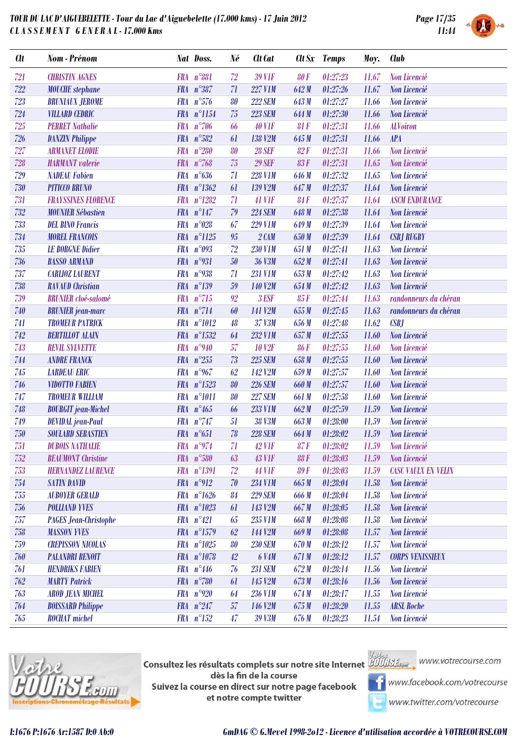



| <b>Clt</b> | Nom - Prénom                 |            | Nat Doss.           | Né          | Clt Cat             |            | Clt Sx Temps | Moy.  | <b>Club</b>                |
|------------|------------------------------|------------|---------------------|-------------|---------------------|------------|--------------|-------|----------------------------|
| 721        | <b>CHRISTIN AGNES</b>        |            | FRA n°881           | 72          | <b>39 VIF</b>       | <b>80F</b> | 01:27:23     | 11.67 | Non Licencié               |
| 722        | <b>MOUCHE</b> stephane       |            | FRA n°387           | 71          | <b>227 V1M</b>      | 642 M      | 01:27:26     | 11.67 | Non Licencié               |
| 723        | <b>BRUNIAUX JEROME</b>       |            | FRA $n^{\circ}576$  | 80          | <b>222 SEM</b>      | 643 M      | 01:27:27     | 11.66 | Non Licencié               |
| 724        | <b>VILLARD CEDRIC</b>        |            | FRA n°1154          | 75          | <b>223 SEM</b>      | 644 M      | 01:27:30     | 11.66 | Non Licencié               |
| 725        | <b>PERRET Nathalie</b>       |            | FRA $n^{\circ}706$  | 66          | <b>40 V1F</b>       | 81F        | 01:27:31     | 11.66 | <b>ALVoiron</b>            |
| 726        | <b>DANZIN Philippe</b>       |            | $FRA n^{\circ}582$  | 61          | 138 V <sub>2M</sub> | 645 M      | 01:27:31     | 11.66 | <b>APA</b>                 |
| 727        | <b>ARMANET ELODIE</b>        | <b>FRA</b> | $n^{\circ}280$      | 80          | <b>28 SEF</b>       | 82F        | 01:27:31     | 11.66 | Non Licencié               |
| 728        | <b>HARMANT</b> valerie       |            | FRA $n^{\circ}768$  | 75          | <b>29 SEF</b>       | <b>83F</b> | 01:27:31     | 11.65 | Non Licencié               |
| 729        | <b>NADEAU</b> Fabien         |            | FRA $n^{\circ}636$  | 71          | <b>228 V1M</b>      | 646 M      | 01:27:32     | 11.65 | Non Licencié               |
| 730        | <b>PITICCO BRUNO</b>         |            | FRA n°1362          | 61          | 139 V2M             | 647 M      | 01:27:37     | 11.64 | Non Licencié               |
| 731        | <b>FRAYSSINES FLORENCE</b>   |            | FRA n°1282          | 71          | <b>41 V1F</b>       | <b>84F</b> | 01:27:37     | 11.64 | <b>ASCM ENDURANCE</b>      |
| 732        | <b>MOUNIER Sébastien</b>     |            | $FRA n^{\circ}147$  | 79          | <b>224 SEM</b>      | 648 M      | 01:27:38     | 11.64 | Non Licencié               |
| 733        | <b>DEL BINO Francis</b>      | <b>FRA</b> | $n^{\circ}028$      | 67          | <b>229 V1M</b>      | 649 M      | 01:27:39     | 11.64 | Non Licencié               |
| 734        | <b>MOREL FRANCOIS</b>        |            | FRA n°1125          | 95          | $2$ $CAM$           | 650 M      | 01:27:39     | 11.64 | <b>CSBJ RUGBY</b>          |
| 735        | <b>LE BORGNE Didier</b>      |            | FRA $n^{\circ}093$  | 72          | <b>230 V1M</b>      | 651 M      | 01:27:41     | 11.63 | Non Licencié               |
| 736        | <b>BASSO ARMAND</b>          |            | FRA $n°931$         | $50\,$      | 36 V3M              | 652M       | 01:27:41     | 11.63 | Non Licencié               |
| 737        | <b>CARLIOZ LAURENT</b>       |            | FRA n°938           | 71          | <b>231 V1M</b>      | 653M       | 01:27:42     | 11.63 | Non Licencié               |
| 738        | <b>RAVAUD</b> Christian      |            | $FRA n^{\circ}139$  | 59          | 140 V2M             | 654 M      | 01:27:42     | 11.63 | Non Licencié               |
| 739        | <b>BRUNIER</b> cloé-salomé   |            | FRA $n^{\circ}715$  | 92          | 3 ESF               | 85F        | 01:27:44     | 11.63 | randonneurs du chéran      |
| 740        | <b>BRUNIER</b> jean-marc     |            | FRA $n^{\circ}$ 714 | 60          | 141 V2M             | 655 M      | 01:27:45     | 11.63 | randonneurs du chéran      |
| 741        | <b>TROMEUR PATRICK</b>       |            | FRA n°1012          | 48          | 37 V3M              | 656 M      | 01:27:48     | 11.62 | <b>CSBJ</b>                |
| 742        | <b>BERTILLOT ALAIN</b>       |            | FRA n°1532          | 64          | 232 V1M             | 657M       | 01:27:55     | 11.60 | Non Licencié               |
| 743        | <b>REVIL SYLVETTE</b>        |            | FRA n°940           | 57          | <b>10 V2F</b>       | <b>86F</b> | 01:27:55     | 11.60 | Non Licencié               |
| 744        | <b>ANDRE FRANCK</b>          |            | FRA $n^{\circ}255$  | 73          | <b>225 SEM</b>      | 658 M      | 01:27:55     | 11.60 | Non Licencié               |
| 745        | <b>LARDEAU ERIC</b>          |            | FRA $n^{\circ}$ 967 | 62          | 142 V2M             | 659 M      | 01:27:57     | 11.60 | Non Licencié               |
| 746        | <b>VIDOTTO FABIEN</b>        |            | FRA n°1523          | 80          | <b>226 SEM</b>      | 660 M      | 01:27:57     | 11.60 | Non Licencié               |
| 747        | <b>TROMEUR WILLIAM</b>       |            | FRA n°1011          | 80          | <b>227 SEM</b>      | 661M       | 01:27:58     | 11.60 | Non Licencié               |
| 748        | <b>BOURGIT</b> jean-Michel   |            | FRA $n^{\circ}465$  | 66          | 233 V1M             | 662M       | 01:27:59     | 11.59 | Non Licencié               |
| 749        | <b>DEVIDAL</b> jean-Paul     |            | FRA $n^{\circ}$ 747 | 51          | 38 V3M              | 663M       | 01:28:00     | 11.59 | Non Licencié               |
| 750        | <b>SOULARD SEBASTIEN</b>     |            | FRA $n^{\circ}651$  | 78          | <b>228 SEM</b>      | 664M       | 01:28:02     | 11.59 | Non Licencié               |
| 751        | <b>DUBOIS NATHALIE</b>       |            | FRA $n^{\circ}974$  | 71          | <b>42 VIF</b>       | 87F        | 01:28:02     | 11.59 | Non Licencié               |
| 752        | <b>BEAUMONT</b> Christine    |            | FRA n°580           | 63          | <b>43 VIF</b>       | <b>88F</b> | 01:28:03     | 11.59 | Non Licencié               |
| 753        | <b>HERNANDEZ LAURENCE</b>    |            | FRA n°1391          | $\sqrt{72}$ | <b>44 V1F</b>       | <b>89F</b> | 01:28:03     | 11.59 | <b>CASC VAULX EN VELIN</b> |
| 754        | <b>SATIN DAVID</b>           |            | FRA n°912           | 70          | <b>234 V1M</b>      | 665 M      | 01:28:04     | 11.58 | Non Licencié               |
| 755        | <b>AUBOYER GERALD</b>        |            | FRA $n^{\circ}1626$ | 84          | <b>229 SEM</b>      | 666 M      | 01:28:04     | 11.58 | Non Licencié               |
| 756        | <b>POLLIAND YVES</b>         |            | FRA n°1023          | 61          | 143 V2M             | 667 M      | 01:28:05     | 11.58 | Non Licencié               |
| 757        | <b>PAGES Jean-Christophe</b> |            | $FRA n^2421$        | 65          | 235 V1M             | 668 M      | 01:28:08     | 11.58 | Non Licencié               |
| 758        | <b>MASSON YVES</b>           |            | FRA n°1579          | 62          | 144 V2M             | 669 M      | 01:28:08     | 11.57 | Non Licencié               |
| 759        | <b>CREPISSON NICOLAS</b>     |            | FRA n°1025          | 80          | <b>230 SEM</b>      | 670 M      | 01:28:12     | 11.57 | Non Licencié               |
| 760        | <b>PALANDRI BENOIT</b>       |            | FRA n°1078          | 42          | <b>6 V4M</b>        | 671 M      | 01:28:12     | 11.57 | <b>CORPS VENISSIEUX</b>    |
| 761        | <b>HENDRIKS FABIEN</b>       |            | $FRA n^{\circ}446$  | 76          | <b>231 SEM</b>      | 672 M      | 01:28:14     | 11.56 | Non Licencié               |
| 762        | <b>MARTY Patrick</b>         |            | FRA $n^{\circ}780$  | 61          | 145 V <sub>2M</sub> | 673 M      | 01:28:16     | 11.56 | Non Licencié               |
| 763        | <b>AROD JEAN MICHEL</b>      |            | FRA $n°920$         | 64          | <b>236 V1M</b>      | 674 M      | 01:28:17     | 11.55 | Non Licencié               |
| 764        | <b>BOISSARD Philippe</b>     |            | FRA $n^{\circ}247$  | $57\,$      | 146 V2M             | 675 M      | 01:28:20     | 11.55 | <b>ARSL Roche</b>          |
| 765        | <b>ROCHAT</b> michel         |            | $FRA n^{\circ}152$  | 47          | 39 V3M              | 676 M      | 01:28:23     | 11.54 | Non Licencié               |



**Consultez les résultats complets sur notre site Internet** Willis Esquise WWW.votrecourse.com dès la fin de la course Suivez la course en direct sur notre page facebook et notre compte twitter





**T** www.facebook.com/votrecourse

www.twitter.com/votrecourse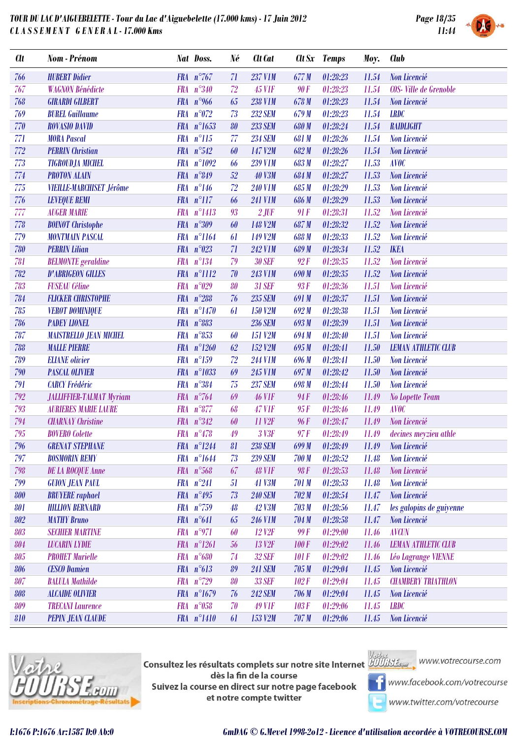

| <b>CU</b> | Nom - Prénom                    | Nat Doss.           |                        | Né     | Clt Cat              |              | Clt Sx Temps   | Moy.  | <b>Club</b>                |
|-----------|---------------------------------|---------------------|------------------------|--------|----------------------|--------------|----------------|-------|----------------------------|
| 766       | <b>HUBERT Didier</b>            |                     | FRA $n^{\circ}767$     | 71     | <b>237 V1M</b>       | 677M         | 01:28:23       | 11.54 | Non Licencié               |
| 767       | <b>WAGNON Bénédicte</b>         | FRA n°340           |                        | 72     | <b>45 V1F</b>        | 90 F         | 01:28:23       | 11.54 | COS-Ville de Grenoble      |
| 768       | <b>GIRARDI GILBERT</b>          |                     | FRA $n^{\circ}$ 966    | 65     | <b>238 V1M</b>       | 678 M        | 01:28:23       | 11.54 | Non Licencié               |
| 769       | <b>BUREL Guillaume</b>          |                     | FRA $n^{\circ}072$     | 73     | <b>232 SEM</b>       | 679 M        | 01:28:23       | 11.54 | <b>LRDC</b>                |
| 770       | <b>ROVASIO DAVID</b>            |                     | FRA n°1653             | 80     | <b>233 SEM</b>       | 680 M        | 01:28:24       | 11.54 | RAIDLIGHT                  |
| 771       | <b>MORA Pascal</b>              |                     | $FRA n^{\circ}115$     | 77     | <b>234 SEM</b>       | 681 M        | 01:28:26       | 11.54 | Non Licencié               |
| 772       | <b>PERRIN</b> Christian         |                     | FRA $n^{\circ}542$     | 60     | 147 V2M              | 682M         | 01:28:26       | 11.54 | Non Licencié               |
| 773       | <b>TIGROUDJA MICHEL</b>         |                     | FRA n°1092             | 66     | <b>239 V1M</b>       | 683M         | 01:28:27       | 11.53 | <b>AVOC</b>                |
| 774       | <b>PROTON ALAIN</b>             |                     | FRA n°849              | 52     | <b>40 V3M</b>        | 684 M        | 01:28:27       | 11.53 | Non Licencié               |
| 775       | <b>VIEILLE-MARCHISET Jérôme</b> |                     | $FRA n^{\circ}146$     | 72     | <b>240 V1M</b>       | 685M         | 01:28:29       | 11.53 | Non Licencié               |
| 776       | <b>LEVEQUE REMI</b>             |                     | FRA n°117              | 66     | <b>241 V1M</b>       | 686 M        | 01:28:29       | 11.53 | Non Licencié               |
| 777       | <b>AUGER MARIE</b>              | <b>FRA</b>          | $n^{\circ}1413$        | 93     | $2$ JUF              | 91F          | 01:28:31       | 11.52 | Non Licencié               |
| 778       | <b>BOINOT</b> Christophe        |                     | FRA n°309              | 60     | 148 V <sub>2M</sub>  | 687M         | 01:28:32       | 11.52 | Non Licencié               |
| 779       | <b>MONTMAIN PASCAL</b>          |                     | FRA n°1164             | 61     | 149 V2M              | 688 M        | 01:28:33       | 11.52 | Non Licencié               |
| 780       | <b>PERRIN Lilian</b>            | <b>FRA</b>          | $n^{\circ}023$         | 71     | <b>242 V1M</b>       | 689M         | 01:28:34       | 11.52 | <b>IKEA</b>                |
| 781       | <b>BELMONTE</b> geraldine       |                     | FRA n°134              | 79     | <b>30 SEF</b>        | 92F          | 01:28:35       | 11.52 | Non Licencié               |
| 782       | <b>D'ABRIGEON GILLES</b>        |                     | FRA n°1112             | 70     | <b>243 V1M</b>       | 690 M        | 01:28:35       | 11.52 | Non Licencié               |
| 783       | <b>FUSEAU</b> Céline            | <b>FRA</b>          | $n^{\circ}029$         | 80     | <b>31 SEF</b>        | 93F          | 01:28:36       | 11.51 | Non Licencié               |
| 784       | <b>FLICKER CHRISTOPHE</b>       |                     | FRA $n^{\circ}288$     | 76     | <b>235 SEM</b>       | 691M         | 01:28:37       | 11.51 | Non Licencié               |
| 785       | <b>VEROT DOMINIQUE</b>          |                     | FRA n°1470             | 61     | 150 V2M              | 692M         | 01:28:38       | 11.51 | Non Licencié               |
| 786       | <b>PADEY LIONEL</b>             | <b>FRA</b>          | $n^{\circ}883$         |        | <b>236 SEM</b>       | 693M         | 01:28:39       | 11.51 | Non Licencié               |
| 787       | <b>MAISTRELLO JEAN MICHEL</b>   | $FRA n^{\circ}853$  |                        | 60     | 151 V2M              | 694 M        | 01:28:40       | 11.51 | Non Licencié               |
| 788       | <b>MALLE PIERRE</b>             |                     | FRA n°1260             | 62     | 152 V <sub>2</sub> M | 695M         | 01:28:41       | 11.50 | <b>LEMAN ATHLETIC CLUB</b> |
| 789       | <b>ELIANE</b> olivier           | <b>FRA</b>          | $n^{\circ}159$         | 72     | <b>244 V1M</b>       | 696 M        | 01:28:41       | 11.50 | Non Licencié               |
| 790       | <b>PASCAL OLIVIER</b>           |                     | FRA n°1033             | 69     | <b>245 V1M</b>       | 697 M        | 01:28:42       | 11.50 | Non Licencié               |
| 791       | <b>CARCY Frédéric</b>           |                     | FRA n°384              | 75     | <b>237 SEM</b>       | 698 M        | 01:28:44       | 11.50 | Non Licencié               |
| 792       | <b>JALLIFFIER-TALMAT Myriam</b> | FRA $n^{\circ}$ 764 |                        | 69     | <b>46 VIF</b>        | 94F          | 01:28:46       | 11.49 | <b>No Lopette Team</b>     |
| 793       | <b>AURIERES MARIE LAURE</b>     | <b>FRA</b>          | $n^{\circ}877$         | 68     | <b>47 V1F</b>        | 95F          | 01:28:46       | 11.49 | <b>AVOC</b>                |
| 794       | <b>CHARNAY</b> Christine        |                     | FRA n°342              | 60     | 11 V <sub>2F</sub>   | 96F          | 01:28:47       | 11.49 | Non Licencié               |
| 795       | <b>BOVERO</b> Colette           |                     | FRA $n^{\circ}478$     | 49     | 3 V3F                | 97F          | 01:28:49       | 11.49 | decines meyzieu athle      |
| 796       | <b>GRENAT STEPHANE</b>          |                     | $FRA \t n^{\circ}1244$ | 81     | <b>238 SEM</b>       |              | 699 M 01:28:49 |       | 11.49 Non Licencié         |
| 797       | <b>BOSMORIN REMY</b>            |                     | FRA n°1644             | 73     | <b>239 SEM</b>       | 700 M        | 01:28:52       | 11.48 | Non Licencié               |
| 798       | <b>DE LA ROCQUE Anne</b>        |                     | $FRA n^{\circ}568$     | 67     | <b>48 VIF</b>        | 98 F         | 01:28:53       | 11.48 | Non Licencié               |
| 799       | <b>GUION JEAN PAUL</b>          | $FRA n^{\circ}241$  |                        | 51     | <b>41 V3M</b>        | 701 M        | 01:28:53       | 11.48 | Non Licencié               |
| 800       | <b>BRUYERE</b> raphael          |                     | FRA $n^{\circ}495$     | $73\,$ | <b>240 SEM</b>       | 702M         | 01:28:54       | 11.47 | Non Licencié               |
| 801       | <b>HILLION BERNARD</b>          |                     | FRA n°759              | 48     | <b>42 V3M</b>        | 703 M        | 01:28:56       | 11.47 | les galopins de guiyenne   |
| 802       | <b>MATHY Bruno</b>              | FRA n°641           |                        | 65     | <b>246 V1M</b>       | 704M         | 01:28:58       | 11.47 | Non Licencié               |
| 803       | <b>SECHIER MARTINE</b>          | FRA n°971           |                        | 60     | 12 V <sub>2F</sub>   | 99 F         | 01:29:00       | 11.46 | <b>AVCUN</b>               |
| 804       | <b>LUCARIN LYDIE</b>            |                     | FRA n°1261             | 56     | 13 V <sub>2F</sub>   | <b>100 F</b> | 01:29:02       | 11.46 | <b>LEMAN ATHLETIC CLUB</b> |
| 805       | <b>PROHET Murielle</b>          |                     | FRA n°680              | 74     | <b>32 SEF</b>        | 101 F        | 01:29:02       | 11.46 | Léo Lagrange VIENNE        |
| 806       | <b>CESCO Damien</b>             |                     | $FRA n^{\circ}613$     | 89     | <b>241 SEM</b>       | 705 M        | 01:29:04       | 11.45 | Non Licencié               |
| 807       | <b>BALULA Mathilde</b>          |                     | FRA $n^{\circ}$ 729    | 80     | <b>33 SEF</b>        | 102F         | 01:29:04       | 11.45 | <b>CHAMBERY TRIATHLON</b>  |
| 808       | <b>ALCAIDE OLIVIER</b>          |                     | FRA n°1679             | 76     | <b>242 SEM</b>       | 706 M        | 01:29:04       | 11.45 | Non Licencié               |
| 809       | <b>TRECANI Laurence</b>         |                     | $FRA n^{\circ}058$     | 70     | <b>49 VIF</b>        | 103F         | 01:29:06       | 11.45 | <b>LRDC</b>                |
| 810       | <b>PEPIN JEAN CLAUDE</b>        |                     | FRA n°1410             | 61     | 153 V <sub>2M</sub>  | 707M         | 01:29:06       | 11.45 | Non Licencié               |



**Consultez les résultats complets sur notre site Internet** Willis Esquise WWW.votrecourse.com dès la fin de la course Suivez la course en direct sur notre page facebook et notre compte twitter

**T** www.facebook.com/votrecourse

www.twitter.com/votrecourse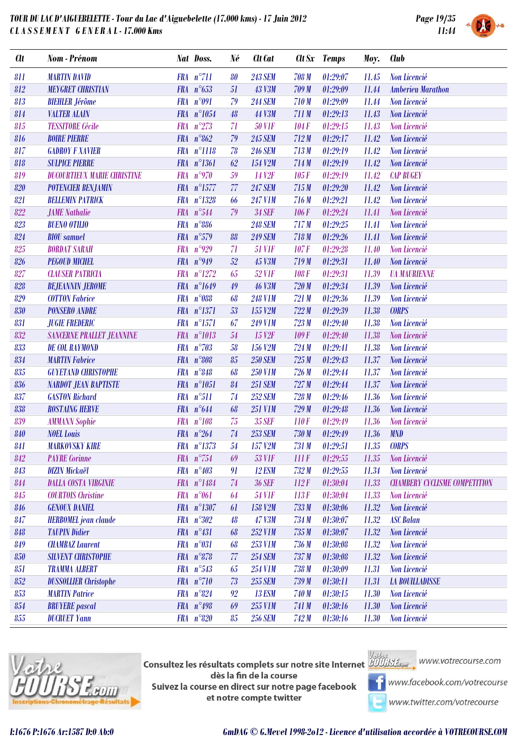

| <b>Clt</b> | Nom - Prénom                       |            | Nat Doss.             | Né     | <b>Clt</b> Cat     |       | Clt Sx Temps | Moy.  | <b>Club</b>                          |
|------------|------------------------------------|------------|-----------------------|--------|--------------------|-------|--------------|-------|--------------------------------------|
| 811        | <b>MARTIN DAVID</b>                |            | $FRA n^{\circ}711$    | 80     | <b>243 SEM</b>     | 708 M | 01:29:07     | 11.45 | <b>Non Licencié</b>                  |
| 812        | <b>MEYGRET CHRISTIAN</b>           |            | FRA $n^{\circ}653$    | 51     | <b>43 V3M</b>      | 709 M | 01:29:09     | 11.44 | <b>Amberieu Marathon</b>             |
| 813        | <b>BIEHLER</b> Jérôme              |            | FRA n°091             | 79     | <b>244 SEM</b>     | 710M  | 01:29:09     | 11.44 | Non Licencié                         |
| 814        | <b>VALTER ALAIN</b>                |            | FRA n°1054            | 48     | 44 V3M             | 711M  | 01:29:13     | 11.43 | Non Licencié                         |
| 815        | <b>TESSITORE</b> Cécile            | <b>FRA</b> | $n^{\circ}273$        | 71     | <b>50 VIF</b>      | 104F  | 01:29:15     | 11.43 | Non Licencié                         |
| 816        | <b>BOIRE PIERRE</b>                |            | FRA $n^{\circ}862$    | 79     | <b>245 SEM</b>     | 712M  | 01:29:17     | 11.42 | Non Licencié                         |
| 817        | <b>GADROY F XAVIER</b>             |            | FRA n°1118            | 78     | <b>246 SEM</b>     | 713M  | 01:29:19     | 11.42 | Non Licencié                         |
| 818        | <b>SULPICE PIERRE</b>              | <b>FRA</b> | $n^{\circ}1361$       | 62     | 154 V2M            | 714M  | 01:29:19     | 11.42 | Non Licencié                         |
| 819        | <b>DUCOURTIEUX MARIE CHRISTINE</b> |            | FRA n°970             | 59     | 14 V <sub>2F</sub> | 105F  | 01:29:19     | 11.42 | <b>CAP BUGEY</b>                     |
| 820        | <b>POTENCIER BENJAMIN</b>          |            | FRA n°1577            | 77     | <b>247 SEM</b>     | 715M  | 01:29:20     | 11.42 | Non Licencié                         |
| 821        | <b>BELLEMIN PATRICK</b>            | <b>FRA</b> | $n^{\circ}1328$       | 66     | <b>247 V1M</b>     | 716M  | 01:29:21     | 11.42 | Non Licencié                         |
| 822        | <b>JAME</b> Nathalie               |            | FRA n°544             | 79     | <b>34 SEF</b>      | 106F  | 01:29:24     | 11.41 | Non Licencié                         |
| 823        | <b>BUENO OTILIO</b>                |            | FRA n°886             |        | <b>248 SEM</b>     | 717M  | 01:29:25     | 11.41 | Non Licencié                         |
| 824        | <b>BIOU</b> samuel                 | <b>FRA</b> | $n^{\circ}579$        | 88     | <b>249 SEM</b>     | 718M  | 01:29:26     | 11.41 | Non Licencié                         |
| 825        | <b>BORDAT SARAH</b>                |            | FRA $n^{\circ}929$    | 71     | <b>51 VIF</b>      | 107F  | 01:29:28     | 11.40 | Non Licencié                         |
| 826        | <b>PEGOUD MICHEL</b>               |            | FRA $n^{\circ}949$    | 52     | <b>45 V3M</b>      | 719M  | 01:29:31     | 11.40 | Non Licencié                         |
| 827        | <b>CLAUSER PATRICIA</b>            | <b>FRA</b> | $n^{\circ}1272$       | 65     | <b>52 VIF</b>      | 108F  | 01:29:31     | 11.39 | <b><i>UA MAURIENNE</i></b>           |
| 828        | <b>BEJEANNIN JEROME</b>            |            | FRA n°1649            | 49     | <b>46 V3M</b>      | 720M  | 01:29:34     | 11.39 | Non Licencié                         |
| 829        | <b>COTTON Fabrice</b>              |            | FRA n°088             | 68     | <b>248 V1M</b>     | 721 M | 01:29:36     | 11.39 | Non Licencié                         |
| 830        | <b>PONSERO ANDRE</b>               | <b>FRA</b> | $n^{\circ}1371$       | 53     | 155 V2M            | 722M  | 01:29:39     | 11.38 | <b>CORPS</b>                         |
| 831        | <b>JUGIE FREDERIC</b>              |            | FRA n°1571            | 67     | <b>249 V1M</b>     | 723M  | 01:29:40     | 11.38 | Non Licencié                         |
| 832        | <b>SANCERNE PRALLET JEANNINE</b>   |            | FRA n°1013            | $54\,$ | 15 V <sub>2F</sub> | 109F  | 01:29:40     | 11.38 | Non Licencié                         |
| 833        | <b>DE COL RAYMOND</b>              | <b>FRA</b> | $n^{\circ}703$        | 58     | 156 V2M            | 724M  | 01:29:41     | 11.38 | Non Licencié                         |
| 834        | <b>MARTIN</b> Fabrice              | <b>FRA</b> | $n^{\circ}808$        | 85     | <b>250 SEM</b>     | 725M  | 01:29:43     | 11.37 | Non Licencié                         |
| 835        | <b>GUYETAND CHRISTOPHE</b>         |            | FRA $n^{\circ}848$    | 68     | <b>250 V1M</b>     | 726M  | 01:29:44     | 11.37 | Non Licencié                         |
| 836        | <b>NARDOT JEAN BAPTISTE</b>        | <b>FRA</b> | $n^{\circ}1051$       | 84     | <b>251 SEM</b>     | 727M  | 01:29:44     | 11.37 | Non Licencié                         |
| 837        | <b>GASTON Richard</b>              |            | FRA n°511             | 74     | <b>252 SEM</b>     | 728M  | 01:29:46     | 11.36 | Non Licencié                         |
| 838        | <b>ROSTAING HERVE</b>              |            | FRA n°644             | 68     | <b>251 V1M</b>     | 729M  | 01:29:48     | 11.36 | Non Licencié                         |
| 839        | <b>AMMANN Sophie</b>               | <b>FRA</b> | $n^{\circ}108$        | 75     | <b>35 SEF</b>      | 110F  | 01:29:49     | 11.36 | Non Licencié                         |
| 840        | <b>NOEL</b> Louis                  |            | FRA $n^{\circ}264$    | 74     | <b>253 SEM</b>     | 730 M | 01:29:49     | 11.36 | <b>MND</b>                           |
| 841        | <b>MARKOVSKY KIRE</b>              |            | $FRA$ $n^{\circ}1373$ | 54     | 157 V2M            | 731 M | 01:29:51     | 11.35 | <b>CORPS</b>                         |
| 842        | <b>PAYRE</b> Corinne               |            | FRA n°754             | 69     | <b>53 VIF</b>      | IIIF  | 01:29:55     | 11.35 | Non Licencié                         |
| 843        | <b>DIZIN Mickaël</b>               |            | $FRA n^{\circ}403$    | 91     | <b>12 ESM</b>      | 732M  | 01:29:55     | 11.34 | Non Licencié                         |
| 844        | <b>DALLA COSTA VIRGINIE</b>        |            | FRA n°1484            | $74\,$ | <b>36 SEF</b>      | 112F  | 01:30:04     | 11.33 | <b>CHAMBERY CYCLISME COMPETITION</b> |
| 845        | <b>COURTOIS</b> Christine          | <b>FRA</b> | $n^{\circ}061$        | 64     | <b>54 VIF</b>      | 113F  | 01:30:04     | 11.33 | Non Licencié                         |
| 846        | <b>GENOUX DANIEL</b>               |            | FRA n°1307            | 61     | 158 V2M            | 733M  | 01:30:06     | 11.32 | Non Licencié                         |
| 847        | <b>HERBOMEL</b> jean claude        |            | $FRA n^{\circ}302$    | 48     | <b>47 V3M</b>      | 734M  | 01:30:07     | 11.32 | <b>ASC Balan</b>                     |
| 848        | <b>TAUPIN Didier</b>               |            | FRA $n^{\circ}431$    | 68     | 252 V1M            | 735M  | 01:30:07     | 11.32 | Non Licencié                         |
| 849        | <b>CHAMBAZ</b> Laurent             |            | FRA n°031             | 68     | 253 V1M            | 736M  | 01:30:08     | 11.32 | Non Licencié                         |
| 850        | <b>SILVENT CHRISTOPHE</b>          |            | $FRA n^{\circ}878$    | 77     | <b>254 SEM</b>     | 737M  | 01:30:08     | 11.32 | Non Licencié                         |
| 851        | <b>TRAMMA ALBERT</b>               |            | $FRA n^{\circ}543$    | 65     | <b>254 V1M</b>     | 738 M | 01:30:09     | 11.31 | Non Licencié                         |
| 852        | <b>DUSSOLLIER</b> Christophe       |            | FRA n°710             | 73     | <b>255 SEM</b>     | 739 M | 01:30:11     | 11.31 | <b>LA BOUILLADISSE</b>               |
| 853        | <b>MARTIN Patrice</b>              |            | FRA $n^{\circ}824$    | 92     | <b>13 ESM</b>      | 740 M | 01:30:15     | 11.30 | Non Licencié                         |
| 854        | <b>BRUYERE</b> pascal              |            | FRA $n^{\circ}498$    | 69     | 255 V1M            | 741 M | 01:30:16     | 11.30 | Non Licencié                         |
| 855        | <b>DUCRUET Yann</b>                |            | FRA n°820             | 85     | <b>256 SEM</b>     | 742M  | 01:30:16     | 11.30 | Non Licencié                         |
|            |                                    |            |                       |        |                    |       |              |       |                                      |



Consultez les résultats complets sur notre site Internet **AUU is Legan provention du la complete** dès la fin de la course Suivez la course en direct sur notre page facebook et notre compte twitter



www.facebook.com/votrecourse

www.twitter.com/votrecourse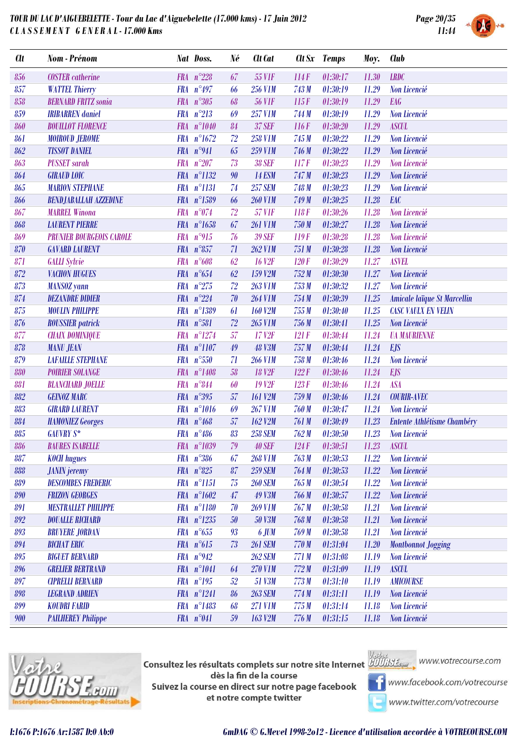

| <b>Clt</b> | Nom - Prénom                    | Nat Doss.                     | Né | Clt Cat            |       | Clt Sx Temps | Moy.  | <b>Club</b>                 |
|------------|---------------------------------|-------------------------------|----|--------------------|-------|--------------|-------|-----------------------------|
| 856        | <b>COSTER</b> catherine         | FRA $n^{\circ}228$            | 67 | <b>55 VIF</b>      | 114F  | 01:30:17     | 11.30 | <b>LRDC</b>                 |
| 857        | <b>WATTEL Thierry</b>           | FRA $n^{\circ}497$            | 66 | <b>256 V1M</b>     | 743 M | 01:30:19     | 11.29 | Non Licencié                |
| 858        | <b>BERNARD FRITZ sonia</b>      | FRA $n^{\circ}305$            | 68 | <b>56 V1F</b>      | 115F  | 01:30:19     | 11.29 | <b>EAG</b>                  |
| 859        | <b>IRIBARREN</b> daniel         | FRA n°213                     | 69 | <b>257 V1M</b>     | 744 M | 01:30:19     | 11.29 | Non Licencié                |
| 860        | <b>BOUILLOT FLORENCE</b>        | FRA n°1040                    | 84 | <b>37 SEF</b>      | 116F  | 01:30:20     | 11.29 | <b>ASCUL</b>                |
| 861        | <b>MOIROUD JEROME</b>           | FRA n°1672                    | 72 | <b>258 V1M</b>     | 745 M | 01:30:22     | 11.29 | Non Licencié                |
| 862        | <b>TISSOT DANIEL</b>            | FRA $n°941$                   | 65 | <b>259 V1M</b>     | 746 M | 01:30:22     | 11.29 | Non Licencié                |
| 863        | <b>PUSSET</b> sarah             | $n^{\circ}207$<br><b>FRA</b>  | 73 | <b>38 SEF</b>      | 117F  | 01:30:23     | 11.29 | Non Licencié                |
| 864        | <b>GIRAUD LOIC</b>              | FRA n°1132                    | 90 | <b>14 ESM</b>      | 747 M | 01:30:23     | 11.29 | Non Licencié                |
| 865        | <b>MARION STEPHANE</b>          | FRA n°1131                    | 74 | <b>257 SEM</b>     | 748 M | 01:30:23     | 11.29 | Non Licencié                |
| 866        | <b>BENDJABALLAH AZZEDINE</b>    | FRA n°1589                    | 66 | <b>260 V1M</b>     | 749 M | 01:30:25     | 11.28 | EAC                         |
| 867        | <b>MARREL Winona</b>            | FRA $n^{\circ}074$            | 72 | <b>57 VIF</b>      | 118F  | 01:30:26     | 11.28 | Non Licencié                |
| 868        | <b>LAURENT PIERRE</b>           | FRA n°1658                    | 67 | <b>261 V1M</b>     | 750 M | 01:30:27     | 11.28 | Non Licencié                |
| 869        | <b>PRUNIER BOURGEOIS CAROLE</b> | $n^{\circ}915$<br><b>FRA</b>  | 76 | <b>39 SEF</b>      | 119F  | 01:30:28     | 11.28 | Non Licencié                |
| 870        | <b>GAVARD LAURENT</b>           | FRA $n^{\circ}857$            | 71 | <b>262 V1M</b>     | 751 M | 01:30:28     | 11.28 | Non Licencié                |
| 871        | <b>GALLI</b> Sylvie             | FRA n°608                     | 62 | <b>16 V2F</b>      | 120F  | 01:30:29     | 11.27 | <b>ASVEL</b>                |
| 872        | <b>VACHON HUGUES</b>            | FRA $n^{\circ}654$            | 62 | 159 V2M            | 752M  | 01:30:30     | 11.27 | Non Licencié                |
| 873        | <b>MANSOZ</b> yann              | FRA $n^{\circ}275$            | 72 | <b>263 V1M</b>     | 753M  | 01:30:32     | 11.27 | Non Licencié                |
| 874        | <b>DEZANDRE DIDIER</b>          | FRA $n^{\circ}224$            | 70 | <b>264 V1M</b>     | 754M  | 01:30:39     | 11.25 | Amicale laïque St Marcellin |
| 875        | <b>MOULIN PHILIPPE</b>          | $n^{\circ}1389$<br><b>FRA</b> | 61 | <b>160 V2M</b>     | 755M  | 01:30:40     | 11.25 | <b>CASC VAULX EN VELIN</b>  |
| 876        | <b>ROUSSIER</b> patrick         | FRA n°581                     | 72 | 265 V1M            | 756 M | 01:30:41     | 11.25 | Non Licencié                |
| 877        | <b>CHAIX DOMINIQUE</b>          | FRA n°1274                    | 57 | 17 V <sub>2F</sub> | 121F  | 01:30:44     | 11.24 | <b><i>UA MAURIENNE</i></b>  |
| 878        | <b>MANU JEAN</b>                | FRA n°1107                    | 49 | <b>48 V3M</b>      | 757M  | 01:30:44     | 11.24 | <b>EJS</b>                  |
| 879        | <b>LAFAILLE STEPHANE</b>        | FRA n°550                     | 71 | <b>266 V1M</b>     | 758 M | 01:30:46     | 11.24 | Non Licencié                |
| 880        | <b>POIRIER SOLANGE</b>          | FRA n°1408                    | 58 | <b>18 V2F</b>      | 122F  | 01:30:46     | 11.24 | <b>EJS</b>                  |
| 881        | <b>BLANCHARD JOELLE</b>         | $n^{\circ}844$<br><b>FRA</b>  | 60 | 19 V <sub>2F</sub> | 123F  | 01:30:46     | 11.24 | <b>ASA</b>                  |
| 882        | <b>GEINOZ MARC</b>              | FRA n°395                     | 57 | 161 V2M            | 759 M | 01:30:46     | 11.24 | <b>COURIR-AVEC</b>          |
| 883        | <b>GIRARD LAURENT</b>           | FRA n°1016                    | 69 | <b>267 V1M</b>     | 760 M | 01:30:47     | 11.24 | Non Licencié                |
| 884        | <b>HAMONIEZ Georges</b>         | FRA $n^{\circ}468$            | 57 | 162 V2M            | 761 M | 01:30:49     | 11.23 | Entente Athlétisme Chambéry |
| 885        | <b>GAUVRY S*</b>                | FRA $n^{\circ}486$            | 83 | <b>258 SEM</b>     | 762M  | 01:30:50     | 11.23 | Non Licencié                |
| 886        | <b>BAURES ISABELLE</b>          | FRA n°1039                    | 79 | <b>40 SEF</b>      | 124F  | 01:30:51     | 11.23 | <b>ASCUL</b>                |
| 887        | <b>KOCH</b> hugues              | $FRA n^{\circ}386$            | 67 | <b>268 V1M</b>     | 763 M | 01:30:53     | 11.22 | Non Licencié                |
| 888        | <b>JANIN</b> jeremy             | FRA $n^{\circ}825$            | 87 | <b>259 SEM</b>     | 764 M | 01:30:53     | 11.22 | Non Licencié                |
| 889        | <b>DESCOMBES FREDERIC</b>       | $FRA n^{\circ}1151$           | 75 | <b>260 SEM</b>     | 765M  | 01:30:54     | 11.22 | Non Licencié                |
| 890        | <b>FRIZON GEORGES</b>           | FRA n°1602                    | 47 | 49 V3M             | 766 M | 01:30:57     | 11.22 | Non Licencié                |
| 891        | <b>MESTRALLET PHILIPPE</b>      | FRA n°1180                    | 70 | <b>269 V1M</b>     | 767M  | 01:30:58     | 11.21 | Non Licencié                |
| 892        | <b>DOUALLE RICHARD</b>          | FRA n°1235                    | 50 | <b>50 V3M</b>      | 768 M | 01:30:58     | 11.21 | Non Licencié                |
| 893        | <b>BRUYERE JORDAN</b>           | FRA $n^{\circ}655$            | 93 | 6 JUM              | 769 M | 01:30:58     | 11.21 | Non Licencié                |
| 894        | <b>BICHAT ERIC</b>              | FRA $n^{\circ}615$            | 73 | <b>261 SEM</b>     | 770 M | 01:31:04     | 11.20 | <b>Montbonnot Jogging</b>   |
| 895        | <b>BIGUET BERNARD</b>           | FRA $n^{\circ}942$            |    | <b>262 SEM</b>     | 771 M | 01:31:08     | 11.19 | Non Licencié                |
| 896        | <b>GRELIER BERTRAND</b>         | FRA n°1041                    | 64 | 270 V1M            | 772M  | 01:31:09     | 11.19 | <b>ASCUL</b>                |
| 897        | <b>CIPRELLI BERNARD</b>         | FRA n°195                     | 52 | 51 V3M             | 773M  | 01:31:10     | 11.19 | <b>AMICOURSE</b>            |
| 898        | <b>LEGRAND ADRIEN</b>           | $FRA n^{\circ}1241$           | 86 | <b>263 SEM</b>     | 774M  | 01:31:11     | 11.19 | Non Licencié                |
| 899        | <b>KOUDRI FARID</b>             | FRA n°1483                    | 68 | <b>271 V1M</b>     | 775M  | 01:31:14     | 11.18 | Non Licencié                |
| 900        | <b>PAILHEREY Philippe</b>       | FRA $n^{\circ}041$            | 59 | 163 V2M            | 776M  | 01:31:15     | 11.18 | Non Licencié                |
|            |                                 |                               |    |                    |       |              |       |                             |



**Consultez les résultats complets sur notre site Internet** Willis Esquise WWW.votrecourse.com dès la fin de la course Suivez la course en direct sur notre page facebook et notre compte twitter



**T** www.facebook.com/votrecourse

www.twitter.com/votrecourse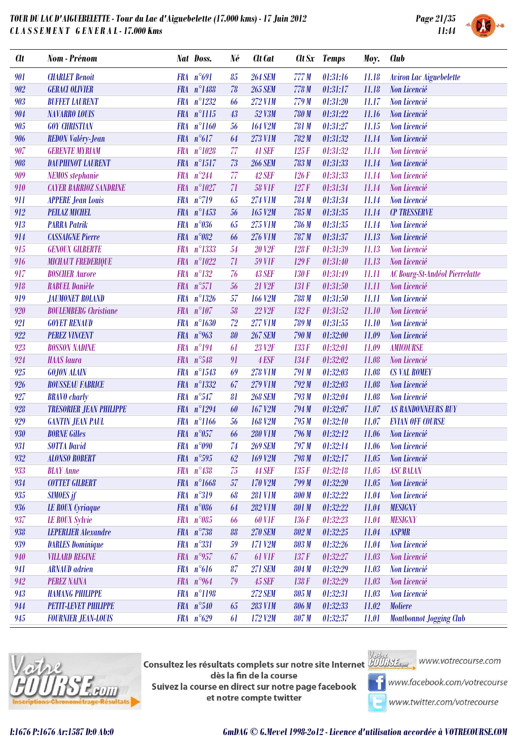

|  | <b>SYSTEM</b> |
|--|---------------|

| <b>Clt</b> | Nom - Prénom                   |            | Nat Doss.           | Né | Clt Cat            |       | Clt Sx Temps | Moy.  | <b>Club</b>                    |
|------------|--------------------------------|------------|---------------------|----|--------------------|-------|--------------|-------|--------------------------------|
| 901        | <b>CHARLET Benoit</b>          |            | FRA n°691           | 85 | <b>264 SEM</b>     | 777M  | 01:31:16     | 11.18 | <b>Aviron Lac Aiguebelette</b> |
| 902        | <b>GERACI OLIVIER</b>          |            | FRA n°1488          | 78 | <b>265 SEM</b>     | 778 M | 01:31:17     | 11.18 | Non Licencié                   |
| 903        | <b>BUFFET LAURENT</b>          |            | FRA n°1232          | 66 | 272 V1M            | 779 M | 01:31:20     | 11.17 | Non Licencié                   |
| 904        | <b>NAVARRO LOUIS</b>           |            | FRA n°1115          | 43 | 52 V3M             | 780 M | 01:31:22     | 11.16 | Non Licencié                   |
| 905        | <b>GOY CHRISTIAN</b>           |            | FRA n°1160          | 56 | 164 V2M            | 781 M | 01:31:27     | 11.15 | Non Licencié                   |
| 906        | <b>REDON Valéry-Jean</b>       |            | FRA $n^{\circ}617$  | 64 | 273 V1M            | 782M  | 01:31:32     | 11.14 | Non Licencié                   |
| 907        | <b>GERENTE MYRIAM</b>          | <b>FRA</b> | $n^{\circ}1028$     | 77 | 41 SEF             | 125F  | 01:31:32     | 11.14 | Non Licencié                   |
| 908        | <b>DAUPHINOT LAURENT</b>       |            | FRA n°1517          | 73 | <b>266 SEM</b>     | 783 M | 01:31:33     | 11.14 | Non Licencié                   |
| 909        | <b>NEMOS</b> stephanie         |            | FRA $n^{\circ}244$  | 77 | 42 SEF             | 126F  | 01:31:33     | 11.14 | Non Licencié                   |
| 910        | <b>CAYER BARRIOZ SANDRINE</b>  | <b>FRA</b> | $n^{\circ}1027$     | 71 | <b>58 V1F</b>      | 127F  | 01:31:34     | 11.14 | Non Licencié                   |
| 911        | <b>APPERE Jean Louis</b>       |            | FRA n°719           | 65 | 274 V1M            | 784 M | 01:31:34     | 11.14 | Non Licencié                   |
| 912        | <b>PEILAZ MICHEL</b>           |            | FRA n°1453          | 56 | 165 V2M            | 785 M | 01:31:35     | 11.14 | <b>CP TRESSERVE</b>            |
| 913        | <b>PARRA Patrik</b>            | <b>FRA</b> | $n^{\circ}036$      | 65 | 275 V1M            | 786 M | 01:31:35     | 11.14 | Non Licencié                   |
| 914        | <b>CASSAIGNE Pierre</b>        |            | FRA $n^{\circ}082$  | 66 | 276 V1M            | 787 M | 01:31:37     | 11.13 | Non Licencié                   |
| 915        | <b>GENOUX GILBERTE</b>         |            | FRA n°1333          | 54 | <b>20 V2F</b>      | 128F  | 01:31:39     | 11.13 | Non Licencié                   |
| 916        | <b>MICHAUT FREDERIQUE</b>      | <b>FRA</b> | $n^{\circ}1022$     | 71 | <b>59 V1F</b>      | 129F  | 01:31:40     | 11.13 | Non Licencié                   |
| 917        | <b>BOSCHER Aurore</b>          | <b>FRA</b> | $n^{\circ}132$      | 76 | <b>43 SEF</b>      | 130F  | 01:31:49     | 11.11 | AC Bourg-St-Andéol Pierrelatte |
| 918        | <b>RABUEL Danièle</b>          |            | FRA n°571           | 56 | 21 V2F             | 131F  | 01:31:50     | 11.11 | Non Licencié                   |
| 919        | <b>JAUMONET ROLAND</b>         | <b>FRA</b> | $n^{\circ}1326$     | 57 | <b>166 V2M</b>     | 788 M | 01:31:50     | 11.11 | Non Licencié                   |
| 920        | <b>BOULEMBERG</b> Christiane   | <b>FRA</b> | $n^{\circ}107$      | 58 | <b>22 V2F</b>      | 132F  | 01:31:52     | 11.10 | Non Licencié                   |
| 921        | <b>GOYET RENAUD</b>            |            | FRA n°1630          | 72 | 277 V1M            | 789 M | 01:31:55     | 11.10 | Non Licencié                   |
| 922        | <b>PEREZ VINCENT</b>           | <b>FRA</b> | $n^{\circ}963$      | 80 | <b>267 SEM</b>     | 790 M | 01:32:00     | 11.09 | Non Licencié                   |
| 923        | <b>BOSSON NADINE</b>           | <b>FRA</b> | $n^{\circ}194$      | 61 | 23 V <sub>2F</sub> | 133F  | 01:32:01     | 11.09 | <b>AMICOURSE</b>               |
| 924        | <b>HAAS</b> laura              |            | FRA n°548           | 91 | 4 ESF              | 134F  | 01:32:02     | 11.08 | Non Licencié                   |
| 925        | <b>GOJON ALAIN</b>             | <b>FRA</b> | $n^{\circ}1543$     | 69 | <b>278 V1M</b>     | 791 M | 01:32:03     | 11.08 | <b>CS VAL ROMEY</b>            |
| 926        | <b>ROUSSEAU FABRICE</b>        | <b>FRA</b> | $n^{\circ}1332$     | 67 | <b>279 V1M</b>     | 792M  | 01:32:03     | 11.08 | Non Licencié                   |
| 927        | <b>BRAVO</b> charly            |            | FRA n°547           | 81 | <b>268 SEM</b>     | 793 M | 01:32:04     | 11.08 | Non Licencié                   |
| 928        | <b>TRESORIER JEAN PHILIPPE</b> |            | FRA n°1294          | 60 | 167 V2M            | 794M  | 01:32:07     | 11.07 | <b>AS RANDONNEURS RUY</b>      |
| 929        | <b>GANTIN JEAN PAUL</b>        | <b>FRA</b> | $n^{\circ}1166$     | 56 | <b>168 V2M</b>     | 795M  | 01:32:10     | 11.07 | <b>EVIAN OFF COURSE</b>        |
| 930        | <b>BORNE Gilles</b>            |            | FRA $n^{\circ}057$  | 66 | <b>280 V1M</b>     | 796 M | 01:32:12     | 11.06 | Non Licencié                   |
| 931        | <b>SOTTA David</b>             |            | FRA $n°090$         | 74 | <b>269 SEM</b>     | 797M  | 01:32:14     | 11.06 | <b>Non Licencié</b>            |
| 932        | <b>ALONSO ROBERT</b>           |            | FRA $n^{\circ}595$  | 62 | 169 V2M            | 798 M | 01:32:17     | 11.05 | Non Licencié                   |
| 933        | <b>BLAY Anne</b>               |            | $FRA n^{\circ}438$  | 75 | <b>44 SEF</b>      | 135F  | 01:32:18     | 11.05 | <b>ASC BALAN</b>               |
| 934        | <b>COTTET GILBERT</b>          |            | FRA n°1668          | 57 | 170 V2M            | 799 M | 01:32:20     | 11.05 | Non Licencié                   |
| 935        | <b>SIMOES</b> jf               |            | FRA n°319           | 68 | <b>281 V1M</b>     | 800 M | 01:32:22     | 11.04 | Non Licencié                   |
| 936        | <b>LE ROUX</b> Cyriaque        |            | FRA n°086           | 64 | 282 V1M            | 801 M | 01:32:22     | 11.04 | <b>MESIGNY</b>                 |
| 937        | <b>LE ROUX Sylvie</b>          |            | FRA $n^{\circ}085$  | 66 | <b>60 V1F</b>      | 136F  | 01:32:23     | 11.04 | <b>MESIGNY</b>                 |
| 938        | <b>LEPERLIER Alexandre</b>     |            | FRA n°738           | 88 | <b>270 SEM</b>     | 802 M | 01:32:25     | 11.04 | <b>ASPMR</b>                   |
| 939        | <b>DARLES Dominique</b>        |            | FRA n°331           | 59 | 171 V2M            | 803 M | 01:32:26     | 11.04 | Non Licencié                   |
| 940        | <b>VILLARD REGINE</b>          |            | FRA $n^{\circ}$ 957 | 67 | 61 VIF             | 137F  | 01:32:27     | 11.03 | Non Licencié                   |
| 941        | <b>ARNAUD</b> adrien           |            | $FRA n^{\circ}616$  | 87 | <b>271 SEM</b>     | 804 M | 01:32:29     | 11.03 | Non Licencié                   |
| 942        | <b>PEREZ NAINA</b>             |            | FRA $n°964$         | 79 | <b>45 SEF</b>      | 138F  | 01:32:29     | 11.03 | Non Licencié                   |
| 943        | <b>HAMANG PHILIPPE</b>         |            | FRA n°1198          |    | <b>272 SEM</b>     | 805 M | 01:32:31     | 11.03 | Non Licencié                   |
| 944        | <b>PETIT-LEVET PHILIPPE</b>    |            | FRA n°540           | 65 | <b>283 V1M</b>     | 806 M | 01:32:33     | 11.02 | <b>Moliere</b>                 |
| 945        | <b>FOURNIER JEAN-LOUIS</b>     |            | FRA $n^{\circ}629$  | 61 | 172 V2M            | 807 M | 01:32:37     | 11.01 | <b>Montbonnot Jogging Club</b> |



**Consultez les résultats complets sur notre site Internet** Willis Esquise WWW.votrecourse.com dès la fin de la course Suivez la course en direct sur notre page facebook et notre compte twitter





**T** www.facebook.com/votrecourse

www.twitter.com/votrecourse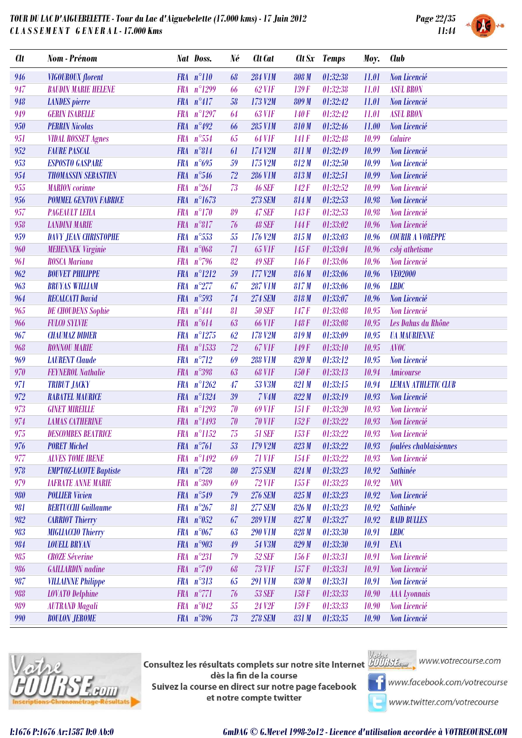

| <b>Clt</b> | Nom - Prénom                  | Nat Doss.                    | Né          | Clt Cat        |       | Clt Sx Temps       | Moy.  | <b>Club</b>                  |
|------------|-------------------------------|------------------------------|-------------|----------------|-------|--------------------|-------|------------------------------|
| 946        | <b>VIGOUROUX</b> florent      | FRA n°110                    | 68          | <b>284 V1M</b> | 808 M | 01:32:38           | 11.01 | Non Licencié                 |
| 947        | <b>BAUDIN MARIE HELENE</b>    | FRA n°1299                   | 66          | <b>62 VIF</b>  | 139F  | 01:32:38           | 11.01 | <b>ASUL BRON</b>             |
| 948        | <b>LANDES</b> pierre          | $FRA n^{\circ}417$           | 58          | 173 V2M        | 809 M | 01:32:42           | 11.01 | Non Licencié                 |
| 949        | <b>GERIN ISABELLE</b>         | FRA n°1297                   | 64          | <b>63 VIF</b>  | 140F  | 01:32:42           | 11.01 | <b>ASUL BRON</b>             |
| 950        | <b>PERRIN Nicolas</b>         | FRA n°492                    | 66          | 285 V1M        | 810M  | 01:32:46           | 11.00 | Non Licencié                 |
| 951        | <b>VIDAL ROSSET Agnes</b>     | FRA $n^{\circ}554$           | 65          | <b>64 VIF</b>  | 141 F | 01:32:48           | 10.99 | Caluire                      |
| 952        | <b>FAURE PASCAL</b>           | FRA n°814                    | 61          | 174 V2M        | 811M  | 01:32:49           | 10.99 | Non Licencié                 |
| 953        | <b>ESPOSTO GASPARE</b>        | FRA $n^{\circ}695$           | 59          | 175 V2M        | 812M  | 01:32:50           | 10.99 | Non Licencié                 |
| 954        | <b>THOMASSIN SEBASTIEN</b>    | FRA $n^{\circ}546$           | 72          | <b>286 V1M</b> | 813M  | 01:32:51           | 10.99 | Non Licencié                 |
| 955        | <b>MARION</b> corinne         | $n^{\circ}261$<br><b>FRA</b> | 73          | <b>46 SEF</b>  | 142F  | 01:32:52           | 10.99 | Non Licencié                 |
| 956        | <b>POMMEL GENTON FABRICE</b>  | FRA n°1673                   |             | <b>273 SEM</b> | 814M  | 01:32:53           | 10.98 | Non Licencié                 |
| 957        | <b>PAGEAULT LEILA</b>         | $n^{\circ}170$<br><b>FRA</b> | 89          | 47 SEF         | 143F  | 01:32:53           | 10.98 | Non Licencié                 |
| 958        | <b>LANDINI MARIE</b>          | $FRA n^{\circ}817$           | 76          | <b>48 SEF</b>  | 144F  | 01:33:02           | 10.96 | Non Licencié                 |
| 959        | <b>DAVY JEAN CHRISTOPHE</b>   | FRA $n^{\circ}553$           | $\sqrt{55}$ | 176 V2M        | 815M  | 01:33:03           | 10.96 | <b>COURIR A VOREPPE</b>      |
| 960        | <b>MEHENNEK Virginie</b>      | $n^{\circ}068$<br><b>FRA</b> | 71          | <b>65 VIF</b>  | 145F  | 01:33:04           | 10.96 | csbj athetisme               |
| 961        | <b>ROSCA Mariana</b>          | FRA $n°796$                  | 82          | <b>49 SEF</b>  | 146 F | 01:33:06           | 10.96 | Non Licencié                 |
| 962        | <b>BOUVET PHILIPPE</b>        | FRA n°1212                   | 59          | 177 V2M        | 816M  | 01:33:06           | 10.96 | VE02000                      |
| 963        | <b>BRUYAS WILLIAM</b>         | FRA $n^{\circ}277$           | 67          | <b>287 V1M</b> | 817M  | 01:33:06           | 10.96 | <b>LRDC</b>                  |
| 964        | <b>RECALCATI David</b>        | FRA $n^{\circ}593$           | 74          | <b>274 SEM</b> | 818 M | 01:33:07           | 10.96 | Non Licencié                 |
| 965        | <b>DE CHOUDENS Sophie</b>     | FRA $n^{\circ}444$           | 81          | <b>50 SEF</b>  | 147F  | 01:33:08           | 10.95 | Non Licencié                 |
| 966        | <b>FULCO SYLVIE</b>           | FRA n°614                    | 63          | <b>66 VIF</b>  | 148F  | 01:33:08           | 10.95 | Les Dahus du Rhône           |
| 967        | <b>CHAUMAZ DIDIER</b>         | FRA n°1275                   | 62          | 178 V2M        | 819M  | 01:33:09           | 10.95 | <b><i>UA MAURIENNE</i></b>   |
| 968        | <b>RONNOU MARIE</b>           | FRA n°1533                   | 72          | <b>67 V1F</b>  | 149F  | 01:33:10           | 10.95 | <b>AVOC</b>                  |
| 969        | <b>LAURENT</b> Claude         | $FRA n^{\circ}712$           | 69          | <b>288 V1M</b> | 820 M | 01:33:12           | 10.95 | Non Licencié                 |
| 970        | <b>FEYNEROL Nathalie</b>      | FRA n°398                    | 63          | <b>68 VIF</b>  | 150F  | 01:33:13           | 10.94 | <b>Amicourse</b>             |
| 971        | <b>TRIBUT JACKY</b>           | FRA $n^{\circ}1262$          | 47          | 53 V3M         | 821 M | 01:33:15           | 10.94 | <b>LEMAN ATHLETIC CLUB</b>   |
| 972        | <b>RABATEL MAURICE</b>        | FRA n°1324                   | 39          | <b>7 V4M</b>   | 822M  | 01:33:19           | 10.93 | Non Licencié                 |
| 973        | <b>GINET MIREILLE</b>         | FRA n°1293                   | 70          | <b>69 V1F</b>  | 151F  | 01:33:20           | 10.93 | Non Licencié                 |
| 974        | <b>LAMAS CATHERINE</b>        | FRA n°1493                   | 70          | <b>70 V1F</b>  | 152F  | 01:33:22           | 10.93 | Non Licencié                 |
| 975        | <b>DESCOMBES BEATRICE</b>     | FRA n°1152                   | 75          | <b>51 SEF</b>  | 153F  | 01:33:22           | 10.93 | Non Licencié                 |
| 976        | <b>PORET Michel</b>           | FRA $n^{\circ}$ 761          | 53          | $179$ V2M      |       | $823 M$ $01:33:22$ |       | 10.93 foulées chablaisiennes |
| 977        | <b>ALVES TOME IRENE</b>       | FRA n°1492                   | 69          | 71 VIF         | 154F  | 01:33:22           | 10.93 | Non Licencié                 |
| 978        | <b>EMPTOZ-LACOTE Baptiste</b> | FRA $n^{\circ}$ 728          | 80          | <b>275 SEM</b> | 824M  | 01:33:23           | 10.92 | <b>Sathinée</b>              |
| 979        | <b>IAFRATE ANNE MARIE</b>     | FRA n°389                    | 69          | <b>72 VIF</b>  | 155F  | 01:33:23           | 10.92 | <b>NON</b>                   |
| 980        | <b>POLLIER Vivien</b>         | FRA n°549                    | 79          | <b>276 SEM</b> | 825M  | 01:33:23           | 10.92 | Non Licencié                 |
| 981        | <b>BERTUCCHI Guillaume</b>    | FRA $n^{\circ}267$           | 81          | <b>277 SEM</b> | 826M  | 01:33:23           | 10.92 | <b>Sathinée</b>              |
| 982        | <b>CARRIOT Thierry</b>        | FRA $n^{\circ}052$           | 67          | <b>289 V1M</b> | 827M  | 01:33:27           | 10.92 | <b>RAID BULLES</b>           |
| 983        | <b>MIGLIACCIO Thierry</b>     | FRA n°067                    | 63          | <b>290 V1M</b> | 828 M | 01:33:30           | 10.91 | <b>LRDC</b>                  |
| 984        | <b>LOUELL BRYAN</b>           | FRA $n°903$                  | 49          | 54 V3M         | 829M  | 01:33:30           | 10.91 | <b>ENA</b>                   |
| 985        | <b>CROZE</b> Séverine         | FRA n°231                    | 79          | <b>52 SEF</b>  | 156F  | 01:33:31           | 10.91 | Non Licencié                 |
| 986        | <b>GAILLARDIN</b> nadine      | FRA n°749                    | 68          | <b>73 VIF</b>  | 157F  | 01:33:31           | 10.91 | Non Licencié                 |
| 987        | <b>VILLAINNE Philippe</b>     | FRA n°313                    | 65          | <b>291 V1M</b> | 830 M | 01:33:31           | 10.91 | Non Licencié                 |
| 988        | <b>LOVATO</b> Delphine        | FRA n°771                    | 76          | <b>53 SEF</b>  | 158F  | 01:33:33           | 10.90 | <b>AAA</b> Lyonnais          |
| 989        | <b>AUTRAND Magali</b>         | FRA n°042                    | 55          | <b>24 V2F</b>  | 159F  | 01:33:33           | 10.90 | Non Licencié                 |
| 990        | <b>BOULON JEROME</b>          | FRA n°896                    | $73\,$      | <b>278 SEM</b> | 831 M | 01:33:35           | 10.90 | Non Licencié                 |



**Consultez les résultats complets sur notre site Internet** Willis Esquise WWW.votrecourse.com dès la fin de la course Suivez la course en direct sur notre page facebook et notre compte twitter





**T** www.facebook.com/votrecourse

www.twitter.com/votrecourse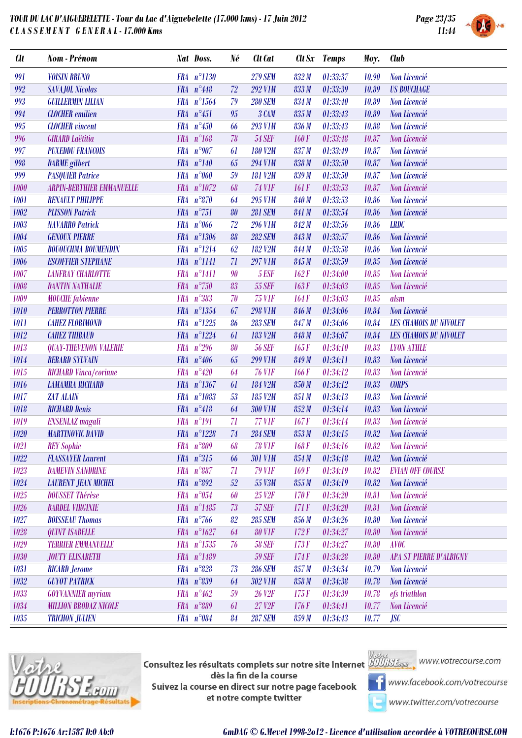

| <b>Clt</b> | Nom - Prénom                     |            | Nat Doss.           | Né     | Clt Cat              | <b>Clt</b> Sx | <b>Temps</b> | Moy.  | <b>Club</b>                    |
|------------|----------------------------------|------------|---------------------|--------|----------------------|---------------|--------------|-------|--------------------------------|
| 991        | <b>VOISIN BRUNO</b>              |            | FRA n°1130          |        | <b>279 SEM</b>       | 832M          | 01:33:37     | 10.90 | Non Licencié                   |
| 992        | <b>SAVAJOL Nicolas</b>           |            | FRA $n^{\circ}448$  | 72     | <b>292 V1M</b>       | 833M          | 01:33:39     | 10.89 | <b>US BOUCHAGE</b>             |
| 993        | <b>GUILLERMIN LILIAN</b>         |            | FRA n°1564          | 79     | <b>280 SEM</b>       | 834 M         | 01:33:40     | 10.89 | Non Licencié                   |
| 994        | <b>CLOCHER</b> emilien           |            | FRA n°451           | 95     | 3 CAM                | 835 M         | 01:33:43     | 10.89 | Non Licencié                   |
| 995        | <b>CLOCHER</b> vincent           |            | FRA $n^{\circ}450$  | 66     | <b>293 V1M</b>       | 836 M         | 01:33:43     | 10.88 | Non Licencié                   |
| 996        | <b>GIRARD Laëtitia</b>           | <b>FRA</b> | $n^{\circ}168$      | 78     | <b>54 SEF</b>        | 160F          | 01:33:48     | 10.87 | Non Licencié                   |
| 997        | <b>PUXEDDU FRANCOIS</b>          |            | FRA $n°907$         | 61     | <b>180 V2M</b>       | 837 M         | 01:33:49     | 10.87 | Non Licencié                   |
| 998        | <b>DARME</b> gilbert             |            | $FRA n^{\circ}140$  | 65     | <b>294 V1M</b>       | 838 M         | 01:33:50     | 10.87 | Non Licencié                   |
| 999        | <b>PASQUIER Patrice</b>          | <b>FRA</b> | $n^{\circ}060$      | 59     | <b>181 V2M</b>       | 839 M         | 01:33:50     | 10.87 | Non Licencié                   |
| 1000       | <b>ARPIN-BERTHIER EMMANUELLE</b> |            | FRA n°1072          | 68     | <b>74 V1F</b>        | 161 F         | 01:33:53     | 10.87 | Non Licencié                   |
| 1001       | <b>RENAULT PHILIPPE</b>          | <b>FRA</b> | $n^{\circ}870$      | 64     | 295 V1M              | 840 M         | 01:33:53     | 10.86 | Non Licencié                   |
| 1002       | <b>PLISSON Patrick</b>           |            | FRA n°751           | 80     | <b>281 SEM</b>       | 841 M         | 01:33:54     | 10.86 | Non Licencié                   |
| 1003       | <b>NAVARRO Patrick</b>           | <b>FRA</b> | $n^{\circ}066$      | 72     | <b>296 V1M</b>       | 842M          | 01:33:56     | 10.86 | <b>LRDC</b>                    |
| 1004       | <b>GENOUX PIERRE</b>             |            | FRA n°1306          | 88     | <b>282 SEM</b>       | 843 M         | 01:33:57     | 10.86 | Non Licencié                   |
| 1005       | <b>BOUOUCHMA BOUMENDIN</b>       |            | FRA n°1214          | 62     | 182 V <sub>2</sub> M | 844 M         | 01:33:58     | 10.86 | Non Licencié                   |
| 1006       | <b>ESCOFFIER STEPHANE</b>        |            | FRA n°1141          | 71     | <b>297 V1M</b>       | 845 M         | 01:33:59     | 10.85 | Non Licencié                   |
| 1007       | <b>LANFRAY CHARLOTTE</b>         | <b>FRA</b> | $n^{\circ}1411$     | 90     | 5 ESF                | 162F          | 01:34:00     | 10.85 | Non Licencié                   |
| 1008       | <b>DANTIN NATHALIE</b>           |            | FRA $n^{\circ}$ 750 | 83     | <b>55 SEF</b>        | 163F          | 01:34:03     | 10.85 | Non Licencié                   |
| 1009       | <b>MOUCHE</b> fabienne           | <b>FRA</b> | $n^{\circ}383$      | 70     | <b>75 VIF</b>        | 164F          | 01:34:03     | 10.85 | alsm                           |
| 1010       | <b>PERROTTON PIERRE</b>          |            | FRA n°1354          | 67     | <b>298 V1M</b>       | 846 M         | 01:34:06     | 10.84 | Non Licencié                   |
| 1011       | <b>CAHEZ FLORIMOND</b>           |            | FRA n°1225          | 86     | <b>283 SEM</b>       | 847 M         | 01:34:06     | 10.84 | <b>LES CHAMOIS DU NIVOLET</b>  |
| 1012       | <b>CAHEZ THIBAUD</b>             |            | FRA n°1224          | 61     | 183 V <sub>2</sub> M | 848 M         | 01:34:07     | 10.84 | <b>LES CHAMOIS DU NIVOLET</b>  |
| 1013       | <b>QUAY-THEVENON VALERIE</b>     | <b>FRA</b> | $n^{\circ}296$      | 80     | <b>56 SEF</b>        | 165F          | 01:34:10     | 10.83 | <b>LYON ATHLE</b>              |
| 1014       | <b>BERARD SYLVAIN</b>            |            | FRA $n^{\circ}406$  | 65     | <b>299 V1M</b>       | 849 M         | 01:34:11     | 10.83 | Non Licencié                   |
| 1015       | <b>RICHARD Vinca/corinne</b>     |            | FRA $n^{\circ}420$  | 64     | <b>76 VIF</b>        | 166F          | 01:34:12     | 10.83 | Non Licencié                   |
| 1016       | <b>LAMAMRA RICHARD</b>           | <b>FRA</b> | $n^{\circ}1367$     | 61     | 184 V2M              | 850 M         | 01:34:12     | 10.83 | <b>CORPS</b>                   |
| 1017       | <b>ZAT ALAIN</b>                 |            | FRA n°1083          | 53     | 185 V <sub>2</sub> M | 851 M         | 01:34:13     | 10.83 | Non Licencié                   |
| 1018       | <b>RICHARD Denis</b>             |            | $FRA n^{\circ}418$  | 64     | <b>300 V1M</b>       | 852M          | 01:34:14     | 10.83 | Non Licencié                   |
| 1019       | <b>ENSENLAZ</b> magali           | <b>FRA</b> | $n^{\circ}191$      | 71     | <b>77 VIF</b>        | 167F          | 01:34:14     | 10.83 | Non Licencié                   |
| 1020       | <b>MARTINOVIC DAVID</b>          |            | FRA n°1228          | 74     | <b>284 SEM</b>       | 853M          | 01:34:15     | 10.82 | Non Licencié                   |
| 1021       | <b>REY Sophie</b>                |            | FRA n°809           | 68     | <b>78 V1F</b>        | 168F          | 01:34:16     | 10.82 | Non Licencié                   |
| 1022       | <b>FLASSAYER Laurent</b>         |            | $FRA n^{\circ}315$  | 66     | <b>301 V1M</b>       | 854 M         | 01:34:18     | 10.82 | Non Licencié                   |
| 1023       | <b>DAMEVIN SANDRINE</b>          |            | $FRA n^{\circ}887$  | 71     | <b>79 V1F</b>        | 169F          | 01:34:19     | 10.82 | <b>EVIAN OFF COURSE</b>        |
| 1024       | <b>LAURENT JEAN MICHEL</b>       |            | FRA n°892           | $52\,$ | 55 V3M               | 855M          | 01:34:19     | 10.82 | Non Licencié                   |
| 1025       | <b>DOUSSET Thérèse</b>           |            | FRA n°054           | 60     | 25 V <sub>2F</sub>   | 170F          | 01:34:20     | 10.81 | Non Licencié                   |
| 1026       | <b>BARDEL VIRGINIE</b>           |            | FRA n°1485          | 73     | <b>57 SEF</b>        | 171 F         | 01:34:20     | 10.81 | Non Licencié                   |
| 1027       | <b>BOISSEAU Thomas</b>           |            | FRA $n^{\circ}766$  | 82     | <b>285 SEM</b>       | 856 M         | 01:34:26     | 10.80 | Non Licencié                   |
| 1028       | <b>QUINT ISABELLE</b>            |            | FRA n°1627          | 64     | <b>80 V1F</b>        | 172F          | 01:34:27     | 10.80 | Non Licencié                   |
| 1029       | <b>TERRIER EMMANUELLE</b>        |            | FRA n°1535          | 76     | <b>58 SEF</b>        | 173F          | 01:34:27     | 10.80 | <b>AVOC</b>                    |
| 1030       | <b>JOUTY ELISABETH</b>           |            | FRA n°1489          |        | <b>59 SEF</b>        | 174F          | 01:34:28     | 10.80 | <b>APA ST PIERRE D'ALBIGNY</b> |
| 1031       | <b>RICARD</b> Jerome             |            | $FRA n^{\circ}828$  | 73     | <b>286 SEM</b>       | 857M          | 01:34:34     | 10.79 | Non Licencié                   |
| 1032       | <b>GUYOT PATRICK</b>             |            | FRA n°839           | 64     | 302 V1M              | 858 M         | 01:34:38     | 10.78 | Non Licencié                   |
| 1033       | <b>GOYVANNIER</b> myriam         |            | $FRA n^9462$        | 59     | <b>26 V2F</b>        | 175F          | 01:34:39     | 10.78 | efs triathlon                  |
| 1034       | <b>MILLION BRODAZ NICOLE</b>     |            | FRA n°889           | 61     | 27 V2F               | 176F          | 01:34:41     | 10.77 | Non Licencié                   |
| 1035       | <b>TRICHON JULIEN</b>            |            | FRA n°084           | 84     | <b>287 SEM</b>       | 859 M         | 01:34:43     | 10.77 | <b>JSC</b>                     |



**Consultez les résultats complets sur notre site Internet** Willis Esquise WWW.votrecourse.com dès la fin de la course Suivez la course en direct sur notre page facebook

**T** www.facebook.com/votrecourse

www.twitter.com/votrecourse

et notre compte twitter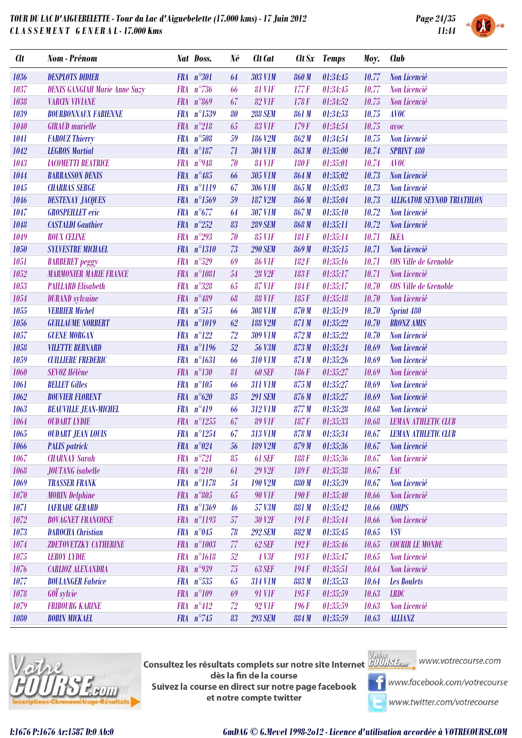

| <b>Clt</b> | Nom - Prénom                         |            | Nat Doss.             | Né | Clt Cat             |       | Clt Sx Temps | Moy.  | <b>Club</b>                       |
|------------|--------------------------------------|------------|-----------------------|----|---------------------|-------|--------------|-------|-----------------------------------|
| 1036       | <b>DESPLOTS DIDIER</b>               |            | FRA n°301             | 64 | <b>303 V1M</b>      | 860 M | 01:34:45     | 10.77 | Non Licencié                      |
| 1037       | <b>DENIS GANGIAH Marie Anne Suzy</b> | <b>FRA</b> | $n^{\circ}736$        | 66 | <b>81 VIF</b>       | 177F  | 01:34:45     | 10.77 | Non Licencié                      |
| 1038       | <b>VARCIN VIVIANE</b>                |            | FRA $n^{\circ}869$    | 67 | <b>82 V1F</b>       | 178F  | 01:34:52     | 10.75 | Non Licencié                      |
| 1039       | <b>BOURBONNAUX FABIENNE</b>          |            | FRA n°1539            | 80 | <b>288 SEM</b>      | 861 M | 01:34:53     | 10.75 | <b>AVOC</b>                       |
| 1040       | <b>GIRAUD</b> murielle               |            | FRA $n^{\circ}218$    | 65 | <b>83 V1F</b>       | 179F  | 01:34:54     | 10.75 | avoc                              |
| 1041       | <b>FAROUZ Thierry</b>                |            | FRA n°508             | 59 | 186 V <sub>2M</sub> | 862M  | 01:34:54     | 10.75 | Non Licencié                      |
| 1042       | <b>LEGROS Martial</b>                |            | FRA n°187             | 71 | <b>304 V1M</b>      | 863 M | 01:35:00     | 10.74 | <b>SPRINT 480</b>                 |
| 1043       | <b>IACOMETTI BEATRICE</b>            | <b>FRA</b> | $n^{\circ}948$        | 70 | <b>84 VIF</b>       | 180 F | 01:35:01     | 10.74 | <b>AVOC</b>                       |
| 1044       | <b>BARRASSON DENIS</b>               |            | FRA $n^{\circ}485$    | 66 | 305 V1M             | 864 M | 01:35:02     | 10.73 | Non Licencié                      |
| 1045       | <b>CHARRAS SERGE</b>                 |            | FRA n°1119            | 67 | <b>306 V1M</b>      | 865 M | 01:35:03     | 10.73 | Non Licencié                      |
| 1046       | <b>DESTENAY JACQUES</b>              |            | FRA n°1569            | 59 | 187 V2M             | 866 M | 01:35:04     | 10.73 | <b>ALLIGATOR SEYNOD TRIATHLON</b> |
| 1047       | <b>GROSPEILLET</b> eric              |            | FRA $n^{\circ}677$    | 64 | <b>307 V1M</b>      | 867 M | 01:35:10     | 10.72 | Non Licencié                      |
| 1048       | <b>CASTALDI</b> Gauthier             |            | FRA $n^{\circ}252$    | 83 | <b>289 SEM</b>      | 868 M | 01:35:11     | 10.72 | Non Licencié                      |
| 1049       | <b>ROUX CELINE</b>                   | <b>FRA</b> | $n^{\circ}293$        | 70 | <b>85 VIF</b>       | 181 F | 01:35:14     | 10.71 | <b>IKEA</b>                       |
| 1050       | <b>SYLVESTRE MICHAEL</b>             | <b>FRA</b> | $n^{\circ}1310$       | 73 | <b>290 SEM</b>      | 869 M | 01:35:15     | 10.71 | Non Licencié                      |
| 1051       | <b>BARBERET</b> peggy                |            | $FRA n^{\circ}529$    | 69 | <b>86 VIF</b>       | 182F  | 01:35:16     | 10.71 | COS Ville de Grenoble             |
| 1052       | <b>MARMONIER MARIE FRANCE</b>        |            | FRA n°1081            | 54 | <b>28 V2F</b>       | 183F  | 01:35:17     | 10.71 | Non Licencié                      |
| 1053       | <b>PAILLARD Elisabeth</b>            | <b>FRA</b> | $n^{\circ}328$        | 65 | <b>87 V1F</b>       | 184F  | 01:35:17     | 10.70 | COS Ville de Grenoble             |
| 1054       | <b>DURAND</b> sylvaine               |            | FRA n°489             | 68 | <b>88 VIF</b>       | 185F  | 01:35:18     | 10.70 | Non Licencié                      |
| 1055       | <b>VERRIER Michel</b>                |            | $FRA n^{\circ}515$    | 66 | <b>308 V1M</b>      | 870 M | 01:35:19     | 10.70 | Sprint 480                        |
| 1056       | <b>GUILLAUME NORBERT</b>             |            | FRA n°1019            | 62 | <b>188 V2M</b>      | 871 M | 01:35:22     | 10.70 | <b>BRONZ AMIS</b>                 |
| 1057       | <b>GUENE MORGAN</b>                  |            | $FRA n^{\circ}122$    | 72 | <b>309 V1M</b>      | 872M  | 01:35:22     | 10.70 | Non Licencié                      |
| 1058       | <b>VILETTE BERNARD</b>               |            | FRA n°1196            | 52 | <b>56 V3M</b>       | 873 M | 01:35:24     | 10.69 | Non Licencié                      |
| 1059       | <b>CUILLIERE FREDERIC</b>            | <b>FRA</b> | $n^{\circ}1631$       | 66 | <b>310 V1M</b>      | 874M  | 01:35:26     | 10.69 | Non Licencié                      |
| 1060       | <b>SEVOZ Hélène</b>                  |            | $FRA n^{\circ}130$    | 81 | <b>60 SEF</b>       | 186F  | 01:35:27     | 10.69 | Non Licencié                      |
| 1061       | <b>BELLET Gilles</b>                 | <b>FRA</b> | $n^{\circ}105$        | 66 | <b>311 V1M</b>      | 875 M | 01:35:27     | 10.69 | Non Licencié                      |
| 1062       | <b>BOUVIER FLORENT</b>               | <b>FRA</b> | $n^{\circ}620$        | 85 | <b>291 SEM</b>      | 876 M | 01:35:27     | 10.69 | Non Licencié                      |
| 1063       | <b>BEAUVILLE JEAN-MICHEL</b>         |            | FRA n°419             | 66 | 312 V1M             | 877 M | 01:35:28     | 10.68 | Non Licencié                      |
| 1064       | <b>OUDART LYDIE</b>                  |            | FRA n°1255            | 67 | <b>89 V1F</b>       | 187F  | 01:35:33     | 10.68 | <b>LEMAN ATHLETIC CLUB</b>        |
| 1065       | <b>OUDART JEAN LOUIS</b>             |            | FRA n°1254            | 67 | 313 V1M             | 878 M | 01:35:34     | 10.67 | <b>LEMAN ATHLETIC CLUB</b>        |
| 1066       | <b>PALIS</b> patrick                 |            | FRA $n^{\circ}024$    | 56 | 189 V2M             | 879 M | 01:35:36     | 10.67 | Non Licencié                      |
| 1067       | <b>CHARNAY Sarah</b>                 |            | FRA n°721             | 85 | 61 SEF              | 188 F | 01:35:36     | 10.67 | Non Licencié                      |
| 1068       | <b>JOUTANG</b> isabelle              |            | FRA $n^{\circ}210$    | 61 | 29 V <sub>2F</sub>  | 189 F | 01:35:38     | 10.67 | EAC                               |
| 1069       | <b>TRASSER FRANK</b>                 |            | $FRA$ $n^{\circ}1178$ | 54 | <b>190 V2M</b>      | 880 M | 01:35:39     | 10.67 | Non Licencié                      |
| 1070       | <b>MORIN</b> Delphine                |            | FRA $n^{\circ}805$    | 65 | <b>90 V1F</b>       | 190F  | 01:35:40     | 10.66 | Non Licencié                      |
| 1071       | <b>IAFRADE GERARD</b>                |            | FRA n°1369            | 46 | 57 V3M              | 881 M | 01:35:42     | 10.66 | <b>CORPS</b>                      |
| 1072       | <b>BOVAGNET FRANCOISE</b>            |            | FRA n°1193            | 57 | 30 V <sub>2F</sub>  | 191F  | 01:35:44     | 10.66 | Non Licencié                      |
| 1073       | <b>DAROCHA</b> Christian             |            | FRA $n^{\circ}045$    | 78 | <b>292 SEM</b>      | 882 M | 01:35:45     | 10.65 | <b>VSV</b>                        |
| 1074       | <b>ZDETOVETZKY CATHERINE</b>         |            | FRA n°1003            | 77 | 62 SEF              | 192F  | 01:35:46     | 10.65 | <b>COURIR LE MONDE</b>            |
| 1075       | <b>LEROY LYDIE</b>                   |            | FRA n°1618            | 52 | 4 V3F               | 193F  | 01:35:47     | 10.65 | Non Licencié                      |
| 1076       | <b>CARLIOZ ALEXANDRA</b>             |            | FRA $n°939$           | 75 | 63 SEF              | 194F  | 01:35:51     | 10.64 | Non Licencié                      |
| 1077       | <b>BOULANGER Fabrice</b>             |            | FRA n°535             | 65 | <b>314 V1M</b>      | 883 M | 01:35:53     | 10.64 | <b>Les Boulets</b>                |
| 1078       | G0I sylvie                           |            | $FRA n^{\circ}109$    | 69 | 91 VIF              | 195F  | 01:35:59     | 10.63 | <b>LRDC</b>                       |
| 1079       | <b>FRIBOURG KARINE</b>               |            | $FRA n^{\circ}412$    | 72 | 92 VIF              | 196F  | 01:35:59     | 10.63 | Non Licencié                      |



Consultez les résultats complets sur notre site Internet d'allis de Million Mundercourse.com dès la fin de la course Suivez la course en direct sur notre page facebook et notre compte twitter

*1080 BOBIN MICKAEL FRA n°745 83 293 SEM 884 M 01:35:59 10.63 ALLIANZ*



www.facebook.com/votrecourse

www.twitter.com/votrecourse

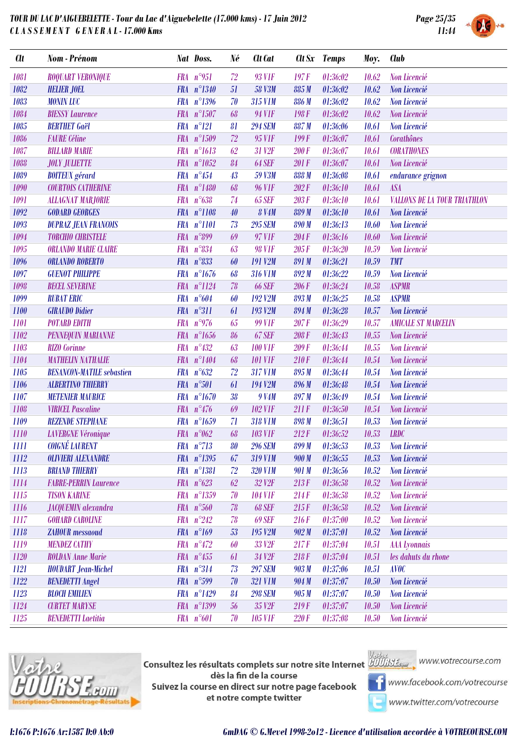

| <b>Clt</b> | Nom - Prénom                     |            | Nat Doss.            | Né | Clt Cat             |              | Clt Sx Temps | Moy.  | <b>Club</b>                         |
|------------|----------------------------------|------------|----------------------|----|---------------------|--------------|--------------|-------|-------------------------------------|
| 1081       | <b>ROQUART VERONIQUE</b>         |            | FRA n°951            | 72 | 93 V1F              | 197F         | 01:36:02     | 10.62 | Non Licencié                        |
| 1082       | <b>HELIER JOEL</b>               |            | FRA n°1340           | 51 | <b>58 V3M</b>       | 885 M        | 01:36:02     | 10.62 | Non Licencié                        |
| 1083       | <b>MONIN LUC</b>                 |            | FRA n°1396           | 70 | 315 V1M             | 886 M        | 01:36:02     | 10.62 | Non Licencié                        |
| 1084       | <b>BIESSY Laurence</b>           |            | FRA n°1507           | 68 | 94 V1F              | 198F         | 01:36:02     | 10.62 | Non Licencié                        |
| 1085       | <b>BERTHET</b> Gaël              |            | $FRA n^{\circ}121$   | 81 | <b>294 SEM</b>      | 887M         | 01:36:06     | 10.61 | Non Licencié                        |
| 1086       | <b>FAURE</b> Céline              |            | FRA n°1509           | 72 | 95 V1F              | 199F         | 01:36:07     | 10.61 | Corathônes                          |
| 1087       | <b>BILLARD MARIE</b>             |            | FRA n°1613           | 62 | 31 V <sub>2F</sub>  | <b>200 F</b> | 01:36:07     | 10.61 | <b>CORATHONES</b>                   |
| 1088       | <b>JOLY JULIETTE</b>             |            | FRA n°1052           | 84 | <b>64 SEF</b>       | 201 F        | 01:36:07     | 10.61 | Non Licencié                        |
| 1089       | <b>BOITEUX</b> gérard            |            | FRA $n^{\circ}454$   | 43 | 59 V3M              | 888 M        | 01:36:08     | 10.61 | endurance grignon                   |
| 1090       | <b>COURTOIS CATHERINE</b>        |            | FRA n°1480           | 68 | <b>96 VIF</b>       | 202F         | 01:36:10     | 10.61 | <b>ASA</b>                          |
| 1091       | <b>ALLAGNAT MARJORIE</b>         | <b>FRA</b> | $n^{\circ}638$       | 74 | <b>65 SEF</b>       | 203F         | 01:36:10     | 10.61 | <b>VALLONS DE LA TOUR TRIATHLON</b> |
| 1092       | <b>GODARD GEORGES</b>            |            | FRA n°1108           | 40 | <b>8 V4M</b>        | 889 M        | 01:36:10     | 10.61 | Non Licencié                        |
| 1093       | <b>DUPRAZ JEAN FRANCOIS</b>      |            | FRA n°1101           | 73 | <b>295 SEM</b>      | 890 M        | 01:36:13     | 10.60 | Non Licencié                        |
| 1094       | <b>TORCHIO CHRISTELE</b>         |            | FRA $n^{\circ}899$   | 69 | 97 V1F              | 204F         | 01:36:16     | 10.60 | Non Licencié                        |
| 1095       | <b>ORLANDO MARIE CLAIRE</b>      |            | FRA n°834            | 63 | <b>98 V1F</b>       | 205F         | 01:36:20     | 10.59 | Non Licencié                        |
| 1096       | <b>ORLANDO ROBERTO</b>           |            | FRA n°833            | 60 | <b>191 V2M</b>      | 891 M        | 01:36:21     | 10.59 | <b>TMT</b>                          |
| 1097       | <b>GUENOT PHILIPPE</b>           |            | FRA n°1676           | 68 | <b>316 V1M</b>      | 892M         | 01:36:22     | 10.59 | Non Licencié                        |
| 1098       | <b>BECEL SEVERINE</b>            |            | FRA n°1124           | 78 | <b>66 SEF</b>       | 206 F        | 01:36:24     | 10.58 | <b>ASPMR</b>                        |
| 1099       | <b>RUBAT ERIC</b>                |            | FRA $n^{\circ}604$   | 60 | 192 V <sub>2M</sub> | 893 M        | 01:36:25     | 10.58 | <b>ASPMR</b>                        |
| 1100       | <b>GIRAUDO Didier</b>            |            | FRA n°311            | 61 | 193 V2M             | 894 M        | 01:36:28     | 10.57 | Non Licencié                        |
| 1101       | <b>POTARD EDITH</b>              |            | FRA $n^{\circ}$ 976  | 65 | <b>99 V1F</b>       | 207F         | 01:36:29     | 10.57 | <b>AMICALE ST MARCELIN</b>          |
| 1102       | <b>PENNEQUIN MARIANNE</b>        |            | FRA n°1656           | 86 | <b>67 SEF</b>       | 208F         | 01:36:43     | 10.55 | Non Licencié                        |
| 1103       | <b>RIZO</b> Corinne              |            | $FRA n^{\circ}432$   | 63 | <b>100 V1F</b>      | 209F         | 01:36:44     | 10.55 | Non Licencié                        |
| 1104       | <b>MATHELIN NATHALIE</b>         |            | FRA n°1404           | 68 | <b>101 V1F</b>      | 210F         | 01:36:44     | 10.54 | Non Licencié                        |
| 1105       | <b>BESANCON-MATILE</b> sebastien |            | FRA $n^{\circ}632$   | 72 | 317 V1M             | 895 M        | 01:36:44     | 10.54 | Non Licencié                        |
| 1106       | <b>ALBERTINO THIERRY</b>         |            | FRA n°501            | 61 | 194 V2M             | 896 M        | 01:36:48     | 10.54 | Non Licencié                        |
| 1107       | <b>METENIER MAURICE</b>          |            | FRA n°1670           | 38 | 9 V <sub>4M</sub>   | 897 M        | 01:36:49     | 10.54 | Non Licencié                        |
| 1108       | <b>VIRICEL Pascaline</b>         |            | FRA $n^{\circ}476$   | 69 | <b>102 V1F</b>      | 211F         | 01:36:50     | 10.54 | Non Licencié                        |
| 1109       | <b>REZENDE STEPHANE</b>          |            | FRA n°1659           | 71 | <b>318 V1M</b>      | 898 M        | 01:36:51     | 10.53 | Non Licencié                        |
| 1110       | <b>LAVERGNE Véronique</b>        |            | FRA $n^{\circ}062$   | 68 | <b>103 V1F</b>      | 212F         | 01:36:52     | 10.53 | <b>LRDC</b>                         |
| Ш          | <b>COIGNÉ LAURENT</b>            |            | $FRA$ $n^{\circ}713$ | 80 | <b>296 SEM</b>      | 899 M        | 01:36:53     | 10.53 | Non Licencié                        |
| 1112       | <b>OLIVIERI ALEXANDRE</b>        |            | FRA n°1395           | 67 | <b>319 VIM</b>      | 900 M        | 01:36:55     | 10.53 | Non Licencié                        |
| 1113       | <b>BRIAND THIERRY</b>            |            | FRA n°1381           | 72 | <b>320 V1M</b>      | 901 M        | 01:36:56     | 10.52 | Non Licencié                        |
| 1114       | <b>FABRE-PERRIN Laurence</b>     |            | FRA $n^{\circ}623$   | 62 | 32 V <sub>2F</sub>  | 213F         | 01:36:58     | 10.52 | Non Licencié                        |
| 1115       | <b>TISON KARINE</b>              |            | FRA n°1359           | 70 | <b>104 V1F</b>      | 214F         | 01:36:58     | 10.52 | Non Licencié                        |
| 1116       | <b>JACQUEMIN</b> alexandra       |            | FRA n°560            | 78 | <b>68 SEF</b>       | 215F         | 01:36:58     | 10.52 | Non Licencié                        |
| 1117       | <b>GOHARD CAROLINE</b>           |            | $FRA n^{\circ}242$   | 78 | <b>69 SEF</b>       | 216F         | 01:37:00     | 10.52 | Non Licencié                        |
| 1118       | <b>ZAHOUR</b> messaoud           |            | FRA $n^{\circ}169$   | 53 | 195 V <sub>2M</sub> | 902M         | 01:37:01     | 10.52 | Non Licencié                        |
| 1119       | <b>MENDEZ CATHY</b>              |            | $FRA n^9472$         | 60 | 33 V <sub>2F</sub>  | 217F         | 01:37:04     | 10.51 | <b>AAA</b> Lyonnais                 |
| 1120       | <b>ROLDAN Anne Marie</b>         |            | FRA $n^{\circ}455$   | 61 | 34 V <sub>2F</sub>  | 218F         | 01:37:04     | 10.51 | les dahuts du rhone                 |
| 1121       | <b>HOUDART</b> Jean-Michel       |            | FRA n°314            | 73 | <b>297 SEM</b>      | 903 M        | 01:37:06     | 10.51 | <b>AVOC</b>                         |
| 1122       | <b>BENEDETTI Angel</b>           |            | FRA $n^{\circ}599$   | 70 | <b>321 V1M</b>      | 904 M        | 01:37:07     | 10.50 | Non Licencié                        |
| 1123       | <b>BLOCH EMILIEN</b>             |            | FRA $n^{\circ}1429$  | 84 | <b>298 SEM</b>      | 905 M        | 01:37:07     | 10.50 | Non Licencié                        |
| 1124       | <b>CURTET MARYSE</b>             |            | FRA n°1399           | 56 | 35 V <sub>2F</sub>  | 219F         | 01:37:07     | 10.50 | Non Licencié                        |
| 1125       | <b>BENEDETTI Laetitia</b>        |            | FRA n°601            | 70 | <b>105 V1F</b>      | 220F         | 01:37:08     | 10.50 | Non Licencié                        |
|            |                                  |            |                      |    |                     |              |              |       |                                     |



Consultez les résultats complets sur notre site Internet **AUU is Legan provention du la complete** dès la fin de la course Suivez la course en direct sur notre page facebook et notre compte twitter



www.facebook.com/votrecourse

www.twitter.com/votrecourse

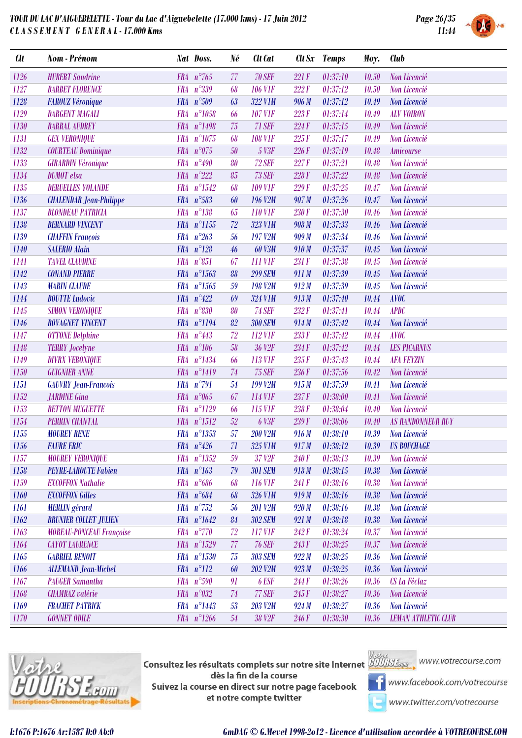

| <b>Clt</b> | Nom - Prénom                    |            | Nat Doss.           | Né | Clt Cat             | Clt Sx | <b>Temps</b> | Moy.  | <b>Club</b>                |
|------------|---------------------------------|------------|---------------------|----|---------------------|--------|--------------|-------|----------------------------|
| 1126       | <b>HUBERT</b> Sandrine          |            | FRA $n^{\circ}$ 765 | 77 | <b>70 SEF</b>       | 221F   | 01:37:10     | 10.50 | Non Licencié               |
| 1127       | <b>BARBET FLORENCE</b>          | <b>FRA</b> | $n^{\circ}339$      | 68 | <b>106 V1F</b>      | 222F   | 01:37:12     | 10.50 | Non Licencié               |
| 1128       | <b>FAROUZ Véronique</b>         |            | FRA n°509           | 63 | 322 V1M             | 906 M  | 01:37:12     | 10.49 | Non Licencié               |
| 1129       | <b>DARGENT MAGALI</b>           | <b>FRA</b> | $n^{\circ}1058$     | 66 | <b>107 V1F</b>      | 223F   | 01:37:14     | 10.49 | <b>ALV VOIRON</b>          |
| 1130       | <b>BARRAL AUDREY</b>            |            | FRA n°1498          | 75 | 71 SEF              | 224F   | 01:37:15     | 10.49 | Non Licencié               |
| 1131       | <b>GEX VERONIQUE</b>            |            | FRA n°1075          | 68 | <b>108 V1F</b>      | 225F   | 01:37:17     | 10.49 | Non Licencié               |
| 1132       | <b>COURTEAU Dominique</b>       |            | FRA $n^{\circ}075$  | 50 | 5 V3F               | 226F   | 01:37:19     | 10.48 | Amicourse                  |
| 1133       | <b>GIRARDIN Véronique</b>       | <b>FRA</b> | $n^{\circ}490$      | 80 | <b>72 SEF</b>       | 227F   | 01:37:21     | 10.48 | Non Licencié               |
| 1134       | <b>DUMOT</b> elsa               |            | FRA $n^{\circ}222$  | 85 | <b>73 SEF</b>       | 228F   | 01:37:22     | 10.48 | Non Licencié               |
| 1135       | <b>DERUELLES YOLANDE</b>        | <b>FRA</b> | $n^{\circ}1542$     | 68 | <b>109 V1F</b>      | 229F   | 01:37:25     | 10.47 | Non Licencié               |
| 1136       | <b>CHALENDAR Jean-Philippe</b>  | <b>FRA</b> | $n^{\circ}583$      | 60 | 196 V <sub>2M</sub> | 907 M  | 01:37:26     | 10.47 | Non Licencié               |
| 1137       | <b>BLONDEAU PATRICIA</b>        |            | $FRA n^{\circ}138$  | 65 | <b>110 V1F</b>      | 230 F  | 01:37:30     | 10.46 | Non Licencié               |
| 1138       | <b>BERNARD VINCENT</b>          |            | FRA n°1155          | 72 | <b>323 V1M</b>      | 908 M  | 01:37:33     | 10.46 | Non Licencié               |
| 1139       | <b>CHAFFIN François</b>         | <b>FRA</b> | $n^{\circ}263$      | 56 | 197 V2M             | 909 M  | 01:37:34     | 10.46 | Non Licencié               |
| 1140       | <b>SALERIO Alain</b>            |            | FRA $n^{\circ}128$  | 46 | <b>60 V3M</b>       | 910M   | 01:37:37     | 10.45 | Non Licencié               |
| 1141       | <b>TAVEL CLAUDINE</b>           | <b>FRA</b> | $n^{\circ}851$      | 67 | <b>111 VIF</b>      | 231 F  | 01:37:38     | 10.45 | Non Licencié               |
| 1142       | <b>CONAND PIERRE</b>            |            | FRA n°1563          | 88 | <b>299 SEM</b>      | 911 M  | 01:37:39     | 10.45 | Non Licencié               |
| 1143       | <b>MARIN CLAUDE</b>             |            | $FRA n^{\circ}1565$ | 59 | <b>198 V2M</b>      | 912M   | 01:37:39     | 10.45 | Non Licencié               |
| 1144       | <b>BOUTTE</b> Ludovic           |            | FRA $n^{\circ}422$  | 69 | <b>324 V1M</b>      | 913M   | 01:37:40     | 10.44 | <b>AVOC</b>                |
| 1145       | <b>SIMON VERONIQUE</b>          | <b>FRA</b> | $n^{\circ}830$      | 80 | <b>74 SEF</b>       | 232F   | 01:37:41     | 10.44 | <b>APDC</b>                |
| 1146       | <b>BOVAGNET VINCENT</b>         |            | FRA n°1194          | 82 | <b>300 SEM</b>      | 914M   | 01:37:42     | 10.44 | Non Licencié               |
| 1147       | <b>OTTONE Delphine</b>          | <b>FRA</b> | $n^{\circ}443$      | 72 | 112 V1F             | 233F   | 01:37:42     | 10.44 | <b>AVOC</b>                |
| 1148       | <b>TERRY Jocelyne</b>           |            | FRA $n^{\circ}106$  | 58 | 36 V <sub>2F</sub>  | 234F   | 01:37:42     | 10.44 | <b>LES PICARNUS</b>        |
| 1149       | <b>DIVRX VERONIQUE</b>          |            | FRA n°1434          | 66 | 113 VIF             | 235F   | 01:37:43     | 10.44 | <b>AFA FEYZIN</b>          |
| 1150       | <b>GUIGNIER ANNE</b>            |            | FRA n°1419          | 74 | <b>75 SEF</b>       | 236F   | 01:37:56     | 10.42 | Non Licencié               |
| 1151       | <b>GAUVRY Jean-Francois</b>     | <b>FRA</b> | $n^{\circ}791$      | 54 | 199 V <sub>2M</sub> | 915 M  | 01:37:59     | 10.41 | Non Licencié               |
| 1152       | <b>JARDINE Gina</b>             |            | FRA $n^{\circ}065$  | 67 | 114 V1F             | 237F   | 01:38:00     | 10.41 | Non Licencié               |
| 1153       | <b>BETTON MUGUETTE</b>          | <b>FRA</b> | $n^{\circ}1129$     | 66 | 115 V1F             | 238 F  | 01:38:04     | 10.40 | Non Licencié               |
| 1154       | <b>PERRIN CHANTAL</b>           |            | FRA n°1512          | 52 | 6 V3F               | 239F   | 01:38:06     | 10.40 | <b>AS RANDONNEUR RUY</b>   |
| 1155       | <b>MOUREY RENE</b>              | <b>FRA</b> | $n^{\circ}1353$     | 57 | <b>200 V2M</b>      | 916 M  | 01:38:10     | 10.39 | Non Licencié               |
| 1156       | <b>FAURE ERIC</b>               |            | FRA $n^{\circ}426$  | 71 | 325 V1M             | 917M   | 01:38:12     | 10.39 | <b>US BOUCHAGE</b>         |
| 1157       | <b>MOUREY VERONIQUE</b>         |            | FRA n°1352          | 59 | 37 V2F              | 240F   | 01:38:13     | 10.39 | Non Licencié               |
| 1158       | <b>PEYRE-LAROUTE Fabien</b>     |            | $FRA n^{\circ}163$  | 79 | <b>301 SEM</b>      | 918M   | 01:38:15     | 10.38 | Non Licencié               |
| 1159       | <b>EXCOFFON Nathalie</b>        |            | $FRA n^{\circ}686$  | 68 | <b>116 VIF</b>      | 241 F  | 01:38:16     | 10.38 | Non Licencié               |
| 1160       | <b>EXCOFFON Gilles</b>          |            | FRA $n^{\circ}684$  | 68 | 326 V1M             | 919 M  | 01:38:16     | 10.38 | Non Licencié               |
| 1161       | <b>MERLIN</b> gérard            |            | $FRA n^{\circ}752$  | 56 | <b>201 V2M</b>      | 920M   | 01:38:16     | 10.38 | Non Licencié               |
| 1162       | <b>BRUNIER COLLET JULIEN</b>    |            | FRA $n^{\circ}1642$ | 84 | <b>302 SEM</b>      | 921 M  | 01:38:18     | 10.38 | Non Licencié               |
| 1163       | <b>MOREAU-PONCEAU Françoise</b> |            | FRA $n^{\circ}770$  | 72 | 117 V1F             | 242F   | 01:38:24     | 10.37 | Non Licencié               |
| 1164       | <b>CAYOT LAURENCE</b>           |            | FRA n°1529          | 77 | <b>76 SEF</b>       | 243F   | 01:38:25     | 10.37 | Non Licencié               |
| 1165       | <b>GABRIEL BENOIT</b>           |            | FRA n°1530          | 75 | <b>303 SEM</b>      | 922M   | 01:38:25     | 10.36 | Non Licencié               |
| 1166       | <b>ALLEMAND Jean-Michel</b>     |            | $FRA n^{\circ}112$  | 60 | <b>202 V2M</b>      | 923M   | 01:38:25     | 10.36 | Non Licencié               |
| 1167       | <b>PAUGER Samantha</b>          |            | FRA n°590           | 91 | 6 ESF               | 244F   | 01:38:26     | 10.36 | CS La Féclaz               |
| 1168       | <b>CHAMBAZ</b> valérie          |            | FRA $n^{\circ}032$  | 74 | 77 SEF              | 245F   | 01:38:27     | 10.36 | Non Licencié               |
| 1169       | <b>FRACHET PATRICK</b>          |            | FRA n°1443          | 53 | <b>203 V2M</b>      | 924M   | 01:38:27     | 10.36 | Non Licencié               |
| 1170       | <b>GONNET ODILE</b>             |            | FRA $n^{\circ}1266$ | 54 | 38 V <sub>2F</sub>  | 246 F  | 01:38:30     | 10.36 | <b>LEMAN ATHLETIC CLUB</b> |
|            |                                 |            |                     |    |                     |        |              |       |                            |



**Consultez les résultats complets sur notre site Internet** Willis Esquise WWW.votrecourse.com dès la fin de la course Suivez la course en direct sur notre page facebook et notre compte twitter





**T** www.facebook.com/votrecourse

www.twitter.com/votrecourse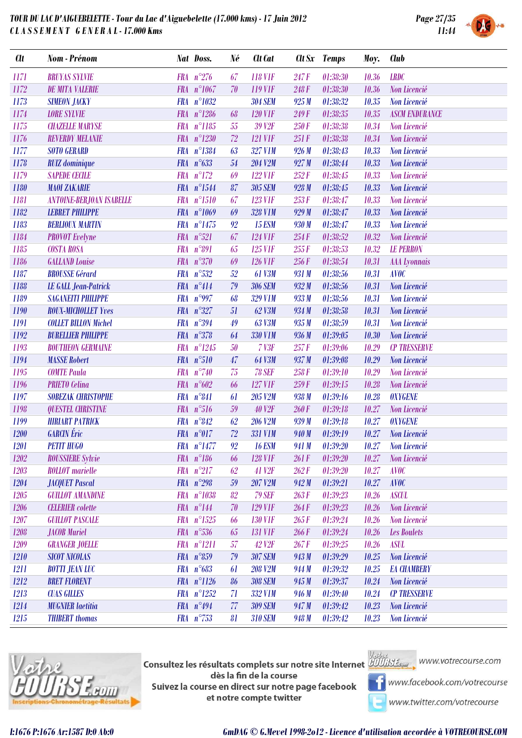

| <b>Clt</b> | Nom - Prénom                    | Nat Doss.  |                       | Né | Clt Cat            |       | Clt Sx Temps | Moy.  | <b>Club</b>           |
|------------|---------------------------------|------------|-----------------------|----|--------------------|-------|--------------|-------|-----------------------|
| 1171       | <b>BRUYAS SYLVIE</b>            |            | FRA $n^{\circ}276$    | 67 | <b>118 VIF</b>     | 247 F | 01:38:30     | 10.36 | <b>LRDC</b>           |
| 1172       | <b>DE MITA VALERIE</b>          |            | FRA $n^{\circ}1067$   | 70 | 119 VIF            | 248F  | 01:38:30     | 10.36 | Non Licencié          |
| 1173       | <b>SIMEON JACKY</b>             |            | FRA n°1032            |    | <b>304 SEM</b>     | 925 M | 01:38:32     | 10.35 | Non Licencié          |
| 1174       | <b>LORE SYLVIE</b>              |            | $FRA n^{\circ}1286$   | 68 | <b>120 V1F</b>     | 249F  | 01:38:35     | 10.35 | <b>ASCM ENDURANCE</b> |
| 1175       | <b>CHAZELLE MARYSE</b>          |            | FRA n°1185            | 55 | 39 V <sub>2F</sub> | 250F  | 01:38:38     | 10.34 | Non Licencié          |
| 1176       | <b>REVERDY MELANIE</b>          |            | FRA n°1230            | 72 | <b>121 VIF</b>     | 251F  | 01:38:38     | 10.34 | Non Licencié          |
| 1177       | <b>SOTO GERARD</b>              | <b>FRA</b> | $n^{\circ}1384$       | 63 | <b>327 V1M</b>     | 926 M | 01:38:43     | 10.33 | Non Licencié          |
| 1178       | <b>RUIZ</b> dominique           |            | FRA $n^{\circ}633$    | 54 | <b>204 V2M</b>     | 927 M | 01:38:44     | 10.33 | Non Licencié          |
| 1179       | <b>SAPEDE CECILE</b>            |            | $FRA n^{\circ}172$    | 69 | <b>122 VIF</b>     | 252F  | 01:38:45     | 10.33 | Non Licencié          |
| 1180       | <b>MAOI ZAKARIE</b>             |            | FRA n°1544            | 87 | <b>305 SEM</b>     | 928 M | 01:38:45     | 10.33 | Non Licencié          |
| 1181       | <b>ANTOINE-BERJOAN ISABELLE</b> |            | FRA n°1510            | 67 | <b>123 V1F</b>     | 253F  | 01:38:47     | 10.33 | Non Licencié          |
| 1182       | <b>LEBRET PHILIPPE</b>          |            | FRA n°1069            | 69 | <b>328 V1M</b>     | 929 M | 01:38:47     | 10.33 | Non Licencié          |
| 1183       | <b>BERLIOUX MARTIN</b>          | <b>FRA</b> | $n^{\circ}1475$       | 92 | <b>15 ESM</b>      | 930 M | 01:38:47     | 10.33 | Non Licencié          |
| 1184       | <b>PROVOT</b> Evelyne           |            | FRA n°521             | 67 | <b>124 V1F</b>     | 254F  | 01:38:52     | 10.32 | Non Licencié          |
| 1185       | <b>COSTA ROSA</b>               | <b>FRA</b> | $n^{\circ}891$        | 65 | <b>125 V1F</b>     | 255F  | 01:38:53     | 10.32 | <b>LE PERRON</b>      |
| 1186       | <b>GALLAND Louise</b>           |            | FRA $n^{\circ}370$    | 69 | <b>126 VIF</b>     | 256 F | 01:38:54     | 10.31 | <b>AAA</b> Lyonnais   |
| 1187       | <b>BROUSSE Gérard</b>           |            | FRA n°532             | 52 | <b>61 V3M</b>      | 931 M | 01:38:56     | 10.31 | <b>AVOC</b>           |
| 1188       | <b>LE GALL Jean-Patrick</b>     |            | FRA $n^{\circ}414$    | 79 | <b>306 SEM</b>     | 932M  | 01:38:56     | 10.31 | Non Licencié          |
| 1189       | <b>SAGANEITI PHILIPPE</b>       |            | FRA $n^{\circ}$ 997   | 68 | <b>329 V1M</b>     | 933 M | 01:38:56     | 10.31 | Non Licencié          |
| 1190       | <b>ROUX-MICHOLLET Yves</b>      |            | FRA $n^{\circ}327$    | 51 | 62 V3M             | 934 M | 01:38:58     | 10.31 | Non Licencié          |
| 1191       | <b>COLLET BILLON Michel</b>     | <b>FRA</b> | $n^{\circ}394$        | 49 | 63 V3M             | 935 M | 01:38:59     | 10.31 | Non Licencié          |
| 1192       | <b>BURELLIER PHILIPPE</b>       |            | FRA $n^{\circ}378$    | 64 | <b>330 V1M</b>     | 936 M | 01:39:05     | 10.30 | Non Licencié          |
| 1193       | <b>BOUTHEON GERMAINE</b>        |            | FRA n°1245            | 50 | <b>7 V3F</b>       | 257F  | 01:39:06     | 10.29 | <b>CP TRESSERVE</b>   |
| 1194       | <b>MASSE Robert</b>             |            | FRA n°510             | 47 | <b>64 V3M</b>      | 937 M | 01:39:08     | 10.29 | Non Licencié          |
| 1195       | <b>COMTE Paula</b>              |            | FRA $n^{\circ}740$    | 75 | <b>78 SEF</b>      | 258F  | 01:39:10     | 10.29 | Non Licencié          |
| 1196       | <b>PRIETO</b> Celina            |            | FRA $n^{\circ}602$    | 66 | <b>127 V1F</b>     | 259F  | 01:39:15     | 10.28 | Non Licencié          |
| 1197       | <b>SOBEZAK CHRISTOPHE</b>       | <b>FRA</b> | $n^{\circ}841$        | 61 | 205 V2M            | 938 M | 01:39:16     | 10.28 | <b>OXYGENE</b>        |
| 1198       | <b>QUESTEL CHRISTINE</b>        |            | FRA n°516             | 59 | <b>40 V2F</b>      | 260F  | 01:39:18     | 10.27 | Non Licencié          |
| 1199       | <b>HIRIART PATRICK</b>          |            | FRA $n^{\circ}842$    | 62 | <b>206 V2M</b>     | 939 M | 01:39:18     | 10.27 | <b>OXYGENE</b>        |
| 1200       | <b>GARCIN</b> Éric              |            | $FRA$ $n^{\circ}017$  | 72 | <b>331 V1M</b>     | 940 M | 01:39:19     | 10.27 | Non Licencié          |
| 1201       | <b>PETIT HUGO</b>               |            | $FRA$ $n^{\circ}1477$ | 92 | <b>16 ESM</b>      | 941 M | 01:39:20     | 10.27 | Non Licencié          |
| 1202       | <b>ROUSSIERE Sylvie</b>         |            | $FRA n^{\circ}186$    | 66 | <b>128 VIF</b>     | 261 F | 01:39:20     | 10.27 | Non Licencié          |
| 1203       | <b>ROLLOT</b> marielle          |            | $FRA n^{\circ}217$    | 62 | <b>41 V2F</b>      | 262F  | 01:39:20     | 10.27 | <b>AVOC</b>           |
| 1204       | <b>JACQUET Pascal</b>           |            | FRA $n^{\circ}298$    | 59 | 207 V2M            | 942 M | 01:39:21     | 10.27 | <b>AVOC</b>           |
| 1205       | <b>GUILLOT AMANDINE</b>         |            | FRA n°1038            | 82 | <b>79 SEF</b>      | 263F  | 01:39:23     | 10.26 | <b>ASCUL</b>          |
| 1206       | <b>CELERIER</b> colette         |            | $FRA n^{\circ}144$    | 70 | <b>129 VIF</b>     | 264F  | 01:39:23     | 10.26 | Non Licencié          |
| 1207       | <b>GUILLOT PASCALE</b>          |            | FRA n°1525            | 66 | <b>130 V1F</b>     | 265F  | 01:39:24     | 10.26 | Non Licencié          |
| 1208       | <b>JACOB</b> Muriel             |            | $FRA n^{\circ}536$    | 65 | <b>131 VIF</b>     | 266 F | 01:39:24     | 10.26 | <b>Les Boulets</b>    |
| 1209       | <b>GRANGER JOELLE</b>           |            | $FRA n^{\circ}1211$   | 57 | 42 V <sub>2F</sub> | 267F  | 01:39:25     | 10.26 | <b>ASUL</b>           |
| 1210       | <b>SICOT NICOLAS</b>            |            | $FRA n^{\circ}859$    | 79 | <b>307 SEM</b>     | 943 M | 01:39:29     | 10.25 | Non Licencié          |
| 1211       | <b>BOTTI JEAN LUC</b>           |            | $FRA n^{\circ}683$    | 61 | <b>208 V2M</b>     | 944 M | 01:39:32     | 10.25 | <b>EA CHAMBERY</b>    |
| 1212       | <b>BRET FLORENT</b>             |            | $FRA n^{\circ}1126$   | 86 | <b>308 SEM</b>     | 945 M | 01:39:37     | 10.24 | Non Licencié          |
| 1213       | <b>CUAS GILLES</b>              |            | $FRA n^{\circ}1252$   | 71 | 332 V1M            | 946 M | 01:39:40     | 10.24 | <b>CP TRESSERVE</b>   |
| 1214       | <b>MUGNIER</b> laetitia         |            | FRA $n^{\circ}494$    | 77 | <b>309 SEM</b>     | 947 M | 01:39:42     | 10.23 | Non Licencié          |
| 1215       | <b>THIBERT</b> thomas           |            | FRA $n^{\circ}753$    | 81 | <b>310 SEM</b>     | 948 M | 01:39:42     | 10.23 | Non Licencié          |



**Consultez les résultats complets sur notre site Internet** Willis Esquise WWW.votrecourse.com dès la fin de la course Suivez la course en direct sur notre page facebook et notre compte twitter



**T** www.facebook.com/votrecourse

www.twitter.com/votrecourse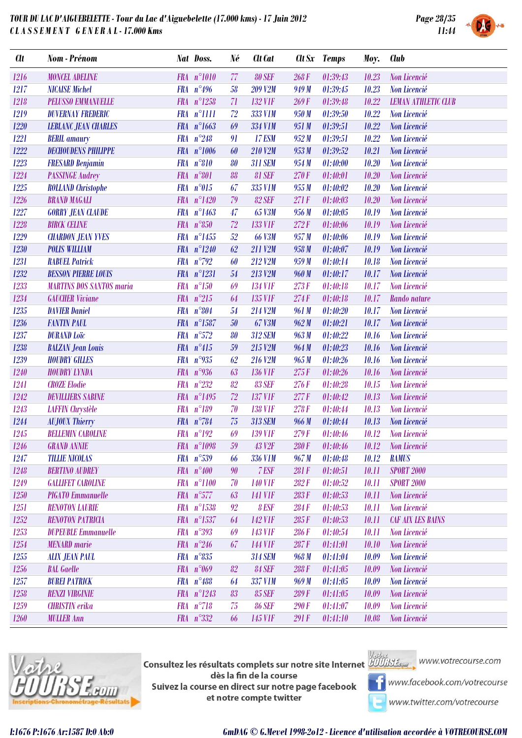

| <b>Clt</b> | <b>Nom - Prénom</b>             |            | Nat Doss.              | Né     | Clt Cat        |       | Clt Sx Temps | Moy.  | <b>Club</b>                       |
|------------|---------------------------------|------------|------------------------|--------|----------------|-------|--------------|-------|-----------------------------------|
| 1216       | <b>MONCEL ADELINE</b>           |            | FRA n°1010             | 77     | <b>80 SEF</b>  | 268F  | 01:39:43     | 10.23 | Non Licencié                      |
| 1217       | <b>NICAISE Michel</b>           |            | FRA $n^{\circ}496$     | 58     | <b>209 V2M</b> | 949 M | 01:39:45     | 10.23 | Non Licencié                      |
| 1218       | <b>PELUSSO EMMANUELLE</b>       |            | FRA n°1258             | 71     | <b>132 V1F</b> | 269F  | 01:39:48     | 10.22 | <b>LEMAN ATHLETIC CLUB</b>        |
| 1219       | <b>DUVERNAY FREDERIC</b>        |            | FRA n°1111             | 72     | 333 V1M        | 950 M | 01:39:50     | 10.22 | Non Licencié                      |
| 1220       | <b>LEBLANC JEAN CHARLES</b>     |            | FRA n°1663             | 69     | 334 V1M        | 951 M | 01:39:51     | 10.22 | Non Licencié                      |
| 1221       | <b>BERIL</b> amaury             | <b>FRA</b> | $n^{\circ}248$         | 91     | <b>17 ESM</b>  | 952M  | 01:39:51     | 10.22 | Non Licencié                      |
| 1222       | <b>DECHOUDENS PHILIPPE</b>      |            | FRA n°1006             | 60     | 210 V2M        | 953 M | 01:39:52     | 10.21 | Non Licencié                      |
| 1223       | <b>FRESARD Benjamin</b>         |            | FRA n°810              | 80     | <b>311 SEM</b> | 954 M | 01:40:00     | 10.20 | Non Licencié                      |
| 1224       | <b>PASSINGE Audrey</b>          |            | FRA $n°801$            | 88     | <b>81 SEF</b>  | 270F  | 01:40:01     | 10.20 | Non Licencié                      |
| 1225       | <b>ROLLAND</b> Christophe       |            | FRA n°015              | 67     | 335 V1M        | 955 M | 01:40:02     | 10.20 | Non Licencié                      |
| 1226       | <b>BRAND MAGALI</b>             |            | FRA n°1420             | 79     | <b>82 SEF</b>  | 271 F | 01:40:03     | 10.20 | Non Licencié                      |
| 1227       | <b>GORRY JEAN CLAUDE</b>        | <b>FRA</b> | $n^{\circ}1463$        | 47     | 65 V3M         | 956 M | 01:40:05     | 10.19 | Non Licencié                      |
| 1228       | <b>BIRCK CELINE</b>             |            | FRA $n^{\circ}850$     | 72     | <b>133 V1F</b> | 272F  | 01:40:06     | 10.19 | Non Licencié                      |
| 1229       | <b>CHARDON JEAN YVES</b>        |            | FRA n°1455             | 52     | <b>66 V3M</b>  | 957M  | 01:40:06     | 10.19 | Non Licencié                      |
| 1230       | <b>POLIS WILLIAM</b>            |            | FRA n°1240             | 62     | 211 V2M        | 958 M | 01:40:07     | 10.19 | Non Licencié                      |
| 1231       | <b>RABUEL Patrick</b>           |            | FRA $n^{\circ}792$     | 60     | 212 V2M        | 959 M | 01:40:14     | 10.18 | Non Licencié                      |
| 1232       | <b>BESSON PIERRE LOUIS</b>      |            | FRA n°1231             | 54     | 213 V2M        | 960 M | 01:40:17     | 10.17 | Non Licencié                      |
| 1233       | <b>MARTINS DOS SANTOS maria</b> | <b>FRA</b> | $n^{\circ}150$         | 69     | <b>134 V1F</b> | 273F  | 01:40:18     | 10.17 | Non Licencié                      |
| 1234       | <b>GAUCHER Viviane</b>          |            | FRA $n^{\circ}215$     | 64     | 135 V1F        | 274F  | 01:40:18     | 10.17 | Rando nature                      |
| 1235       | <b>DAVIER Daniel</b>            |            | FRA $n^{\circ}804$     | 54     | 214 V2M        | 961 M | 01:40:20     | 10.17 | Non Licencié                      |
| 1236       | <b>FANTIN PAUL</b>              |            | FRA n°1587             | $50\,$ | 67 V3M         | 962M  | 01:40:21     | 10.17 | Non Licencié                      |
| 1237       | <b>DURAND</b> Loïc              |            | FRA n°572              | 80     | <b>312 SEM</b> | 963 M | 01:40:22     | 10.16 | Non Licencié                      |
| 1238       | <b>BALZAN Jean Louis</b>        |            | FRA $n^{\circ}415$     | 59     | 215 V2M        | 964 M | 01:40:23     | 10.16 | <b>Non Licencié</b>               |
| 1239       | <b>HOUDRY GILLES</b>            | <b>FRA</b> | $n^{\circ}935$         | 62     | 216 V2M        | 965 M | 01:40:26     | 10.16 | Non Licencié                      |
| 1240       | <b>HOUDRY LYNDA</b>             |            | FRA $n°936$            | 63     | <b>136 V1F</b> | 275F  | 01:40:26     | 10.16 | Non Licencié                      |
| 1241       | <b>CROZE</b> Elodie             | <b>FRA</b> | $n^{\circ}232$         | 82     | <b>83 SEF</b>  | 276F  | 01:40:28     | 10.15 | Non Licencié                      |
| 1242       | <b>DEVILLIERS SABINE</b>        |            | FRA n°1495             | 72     | <b>137 V1F</b> | 277F  | 01:40:42     | 10.13 | Non Licencié                      |
| 1243       | <b>LAFFIN</b> Chrystèle         |            | FRA n°189              | 70     | <b>138 V1F</b> | 278F  | 01:40:44     | 10.13 | Non Licencié                      |
| 1244       | <b>AUJOUX Thierry</b>           |            | FRA n°784              | 75     | 313 SEM        | 966 M | 01:40:44     | 10.13 | Non Licencié                      |
| 1245       | <b>BELLEMIN CAROLINE</b>        |            | FRA $n^{\circ}192$     | 69     | <b>139 V1F</b> | 279F  | 01:40:46     | 10.12 | Non Licencié                      |
| 1246       | <b>GRAND ANNIE</b>              |            | $FRA \t n^{\circ}1098$ |        | 59 43 V2F      |       |              |       | 280 F 01:40:46 10.12 Non Licencié |
| 1247       | <b>TILLIE NICOLAS</b>           |            | $FRA n^{\circ}539$     | 66     | <b>336 V1M</b> | 967M  | 01:40:48     | 10.12 | <b>RAMUS</b>                      |
| 1248       | <b>BERTINO AUDREY</b>           |            | FRA $n^{\circ}400$     | 90     | 7 ESF          | 281F  | 01:40:51     | 10.11 | <b>SPORT 2000</b>                 |
| 1249       | <b>GALLIFET CAROLINE</b>        |            | FRA n°1100             | 70     | <b>140 V1F</b> | 282F  | 01:40:52     | 10.11 | <b>SPORT 2000</b>                 |
| 1250       | PIGATO Emmanuelle               |            | $FRA$ $n^{\circ}577$   | 63     | <b>141 V1F</b> | 283F  | 01:40:53     | 10.11 | Non Licencié                      |
| 1251       | <b>RENOTON LAURIE</b>           |            | FRA n°1538             | 92     | 8 ESF          | 284F  | 01:40:53     | 10.11 | Non Licencié                      |
| 1252       | <b>RENOTON PATRICIA</b>         |            | FRA n°1537             | 64     | <b>142 V1F</b> | 285F  | 01:40:53     | 10.11 | <b>CAF AIX LES BAINS</b>          |
| 1253       | <b>DUPEUBLE Emmanuelle</b>      |            | FRA n°393              | 69     | <b>143 V1F</b> | 286 F | 01:40:54     | 10.11 | Non Licencié                      |
| 1254       | <b>MENARD</b> marie             |            | FRA $n^{\circ}246$     | 67     | <b>144 V1F</b> | 287F  | 01:41:01     | 10.10 | Non Licencié                      |
| 1255       | <b>ALIX JEAN PAUL</b>           |            | $FRA n^{\circ}835$     |        | <b>314 SEM</b> | 968 M | 01:41:04     | 10.09 | Non Licencié                      |
| 1256       | <b>BAL</b> Gaelle               |            | FRA $n^{\circ}069$     | 82     | <b>84 SEF</b>  | 288F  | 01:41:05     | 10.09 | Non Licencié                      |
| 1257       | <b>BUREI PATRICK</b>            |            | $FRA n^{\circ}488$     | 64     | 337 V1M        | 969 M | 01:41:05     | 10.09 | Non Licencié                      |
| 1258       | <b>RENZI VIRGINIE</b>           |            | FRA n°1243             | 83     | <b>85 SEF</b>  | 289 F | 01:41:05     | 10.09 | Non Licencié                      |
| 1259       | <b>CHRISTIN</b> erika           |            | $FRA n^{\circ}718$     | 75     | <b>86 SEF</b>  | 290 F | 01:41:07     | 10.09 | Non Licencié                      |
| 1260       | <b>MULLER Ann</b>               |            | FRA n°332              | 66     | 145 V1F        | 291 F | 01:41:10     | 10.08 | Non Licencié                      |



**Consultez les résultats complets sur notre site Internet** Willis Esquise WWW.votrecourse.com dès la fin de la course Suivez la course en direct sur notre page facebook et notre compte twitter



**T** www.facebook.com/votrecourse

www.twitter.com/votrecourse

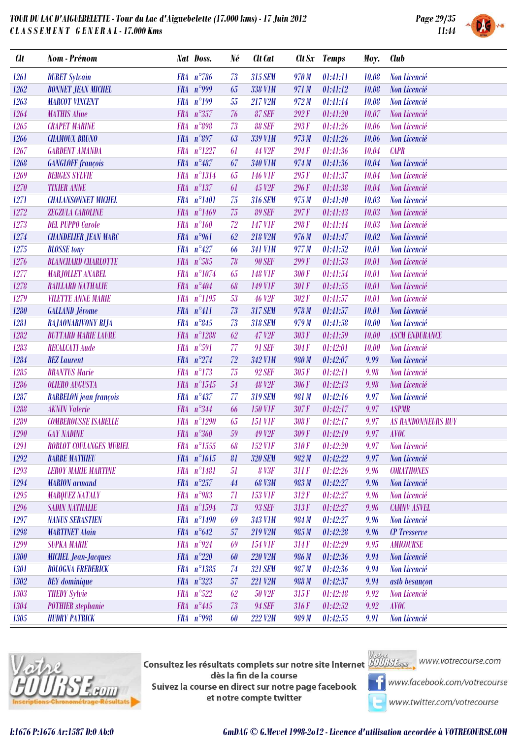

| <b>Clt</b> | Nom - Prénom                   | Nat Doss.            | Né     | Clt Cat            |       | Clt Sx Temps | Moy.  | <b>Club</b>               |
|------------|--------------------------------|----------------------|--------|--------------------|-------|--------------|-------|---------------------------|
| 1261       | <b>DURET Sylvain</b>           | $FRA n^{\circ}786$   | 73     | 315 SEM            | 970 M | 01:41:11     | 10.08 | Non Licencié              |
| 1262       | <b>BONNET JEAN MICHEL</b>      | FRA $n°999$          | 65     | <b>338 V1M</b>     | 971 M | 01:41:12     | 10.08 | Non Licencié              |
| 1263       | <b>MARCOT VINCENT</b>          | $FRA$ $n^{\circ}199$ | 55     | 217 V2M            | 972 M | 01:41:14     | 10.08 | Non Licencié              |
| 1264       | <b>MATHIS Aline</b>            | FRA n°357            | 76     | <b>87 SEF</b>      | 292F  | 01:41:20     | 10.07 | Non Licencié              |
| 1265       | <b>CRAPET MARINE</b>           | FRA n°898            | 73     | <b>88 SEF</b>      | 293F  | 01:41:26     | 10.06 | Non Licencié              |
| 1266       | <b>CHAMOUX BRUNO</b>           | FRA n°897            | 63     | 339 V1M            | 973 M | 01:41:26     | 10.06 | Non Licencié              |
| 1267       | <b>GARDENT AMANDA</b>          | FRA n°1227           | 61     | 44 V <sub>2F</sub> | 294F  | 01:41:36     | 10.04 | <b>CAPR</b>               |
| 1268       | <b>GANGLOFF</b> françois       | FRA $n^{\circ}487$   | 67     | <b>340 V1M</b>     | 974 M | 01:41:36     | 10.04 | Non Licencié              |
| 1269       | <b>BERGES SYLVIE</b>           | FRA n°1314           | 65     | <b>146 V1F</b>     | 295F  | 01:41:37     | 10.04 | Non Licencié              |
| 1270       | <b>TIXIER ANNE</b>             | FRA n°137            | 61     | 45 V <sub>2F</sub> | 296F  | 01:41:38     | 10.04 | Non Licencié              |
| 1271       | <b>CHALANSONNET MICHEL</b>     | FRA n°1401           | 75     | <b>316 SEM</b>     | 975 M | 01:41:40     | 10.03 | Non Licencié              |
| 1272       | ZEGZULA CAROLINE               | FRA n°1469           | 75     | <b>89 SEF</b>      | 297F  | 01:41:43     | 10.03 | Non Licencié              |
| 1273       | <b>DEL PUPPO Carole</b>        | $FRA$ $n^{\circ}160$ | 72     | <b>147 V1F</b>     | 298F  | 01:41:44     | 10.03 | Non Licencié              |
| 1274       | <b>CHANDELIER JEAN MARC</b>    | FRA $n°961$          | 62     | 218 V2M            | 976 M | 01:41:47     | 10.02 | Non Licencié              |
| 1275       | <b>BLOSSE</b> tony             | $FRA n^9427$         | 66     | <b>341 V1M</b>     | 977 M | 01:41:52     | 10.01 | Non Licencié              |
| $1276\,$   | <b>BLANCHARD CHARLOTTE</b>     | FRA n°585            | 78     | <b>90 SEF</b>      | 299F  | 01:41:53     | 10.01 | Non Licencié              |
| 1277       | <b>MARJOLLET ANABEL</b>        | FRA n°1074           | 65     | <b>148 V1F</b>     | 300 F | 01:41:54     | 10.01 | Non Licencié              |
| 1278       | <b>RAILLARD NATHALIE</b>       | FRA n°404            | 68     | <b>149 V1F</b>     | 301 F | 01:41:55     | 10.01 | Non Licencié              |
| 1279       | <b>VILETTE ANNE MARIE</b>      | FRA n°1195           | 53     | <b>46 V2F</b>      | 302F  | 01:41:57     | 10.01 | Non Licencié              |
| 1280       | <b>GALLAND Jérome</b>          | FRA n°411            | 73     | <b>317 SEM</b>     | 978 M | 01:41:57     | 10.01 | Non Licencié              |
| 1281       | RAJAONARIVONY RIJA             | FRA $n^{\circ}845$   | 73     | <b>318 SEM</b>     | 979 M | 01:41:58     | 10.00 | Non Licencié              |
| 1282       | <b>BUTTARD MARIE LAURE</b>     | FRA n°1288           | 62     | 47 V2F             | 303F  | 01:41:59     | 10.00 | <b>ASCM ENDURANCE</b>     |
| 1283       | <b>RECALCATI Aude</b>          | FRA n°591            | 77     | 91 SEF             | 304F  | 01:42:01     | 10.00 | Non Licencié              |
| 1284       | <b>BEZ</b> Laurent             | FRA $n^{\circ}274$   | 72     | 342 V1M            | 980 M | 01:42:07     | 9.99  | Non Licencié              |
| 1285       | <b>BRANTUS Marie</b>           | $FRA n^{\circ}173$   | 75     | 92 SEF             | 305F  | 01:42:11     | 9.98  | Non Licencié              |
| 1286       | <b>OLIERO AUGUSTA</b>          | FRA n°1545           | $54\,$ | <b>48 V2F</b>      | 306F  | 01:42:13     | 9.98  | Non Licencié              |
| 1287       | <b>BARBELON</b> jean françois  | $FRA n^{\circ}437$   | 77     | 319 SEM            | 981 M | 01:42:16     | 9.97  | Non Licencié              |
| 1288       | <b>AKNIN</b> Valerie           | FRA n°344            | 66     | <b>150 V1F</b>     | 307F  | 01:42:17     | 9.97  | <b>ASPMR</b>              |
| 1289       | <b>COMBEROUSSE ISABELLE</b>    | FRA n°1290           | 65     | <b>151 VIF</b>     | 308F  | 01:42:17     | 9.97  | <b>AS RANDONNEURS RUY</b> |
| 1290       | <b>GAY NADINE</b>              | $FRA n^{\circ}360$   | 59     | 49 V <sub>2F</sub> | 309F  | 01:42:19     | 9.97  | <b>AVOC</b>               |
| 1291       | <b>ROBLOT COULANGES MURIEL</b> | FRA n°1555           | 68     | 152 VIF            | 310F  | 01:42:20     | 9.97  | Non Licencié              |
| 1292       | <b>BARBE MATHIEU</b>           | FRA n°1615           | 81     | <b>320 SEM</b>     | 982 M | 01:42:22     | 9.97  | Non Licencié              |
| 1293       | <b>LEROY MARIE MARTINE</b>     | FRA n°1481           | 51     | <b>8 V3F</b>       | 311F  | 01:42:26     | 9.96  | <b>CORATHONES</b>         |
| 1294       | <b>MARION</b> armand           | FRA $n^{\circ}257$   | $44\,$ | <b>68 V3M</b>      | 983 M | 01:42:27     | 9.96  | Non Licencié              |
| 1295       | <b>MARQUEZ NATALY</b>          | FRA $n°983$          | 71     | <b>153 V1F</b>     | 312F  | 01:42:27     | 9.96  | Non Licencié              |
| 1296       | <b>SADIN NATHALIE</b>          | FRA n°1594           | 73     | 93 SEF             | 313F  | 01:42:27     | 9.96  | <b>CAMNV ASVEL</b>        |
| 1297       | <b>NANUS SEBASTIEN</b>         | FRA n°1490           | 69     | 343 V1M            | 984 M | 01:42:27     | 9.96  | Non Licencié              |
| 1298       | <b>MARTINET Alain</b>          | FRA $n^{\circ}642$   | 57     | 219 V2M            | 985 M | 01:42:28     | 9.96  | <b>CP</b> Tresserve       |
| 1299       | <b>SUPKA MARIE</b>             | FRA $n^{\circ}924$   | 69     | <b>154 V1F</b>     | 314F  | 01:42:29     | 9.95  | <b>AMICOURSE</b>          |
| 1300       | <b>MICHEL Jean-Jacques</b>     | FRA $n^{\circ}220$   | 60     | 220 V2M            | 986 M | 01:42:36     | 9.94  | Non Licencié              |
| 1301       | <b>BOLOGNA FREDERICK</b>       | FRA n°1385           | 74     | <b>321 SEM</b>     | 987 M | 01:42:36     | 9.94  | Non Licencié              |
| 1302       | <b>BEY</b> dominique           | $FRA n^{\circ}323$   | 57     | 221 V2M            | 988 M | 01:42:37     | 9.94  | astb besançon             |
| 1303       | <b>THEDY Sylvie</b>            | $FRA n^{\circ}522$   | 62     | 50 V <sub>2F</sub> | 315F  | 01:42:48     | 9.92  | Non Licencié              |
| 1304       | <b>POTHIER</b> stephanie       | FRA $n^{\circ}445$   | 73     | 94 SEF             | 316F  | 01:42:52     | 9.92  | <b>AVOC</b>               |
| 1305       | <b>HUDRY PATRICK</b>           | FRA $n°998$          | 60     | 222 V2M            | 989 M | 01:42:55     | 9.91  | Non Licencié              |
|            |                                |                      |        |                    |       |              |       |                           |



Consultez les résultats complets sur notre site Internet **AUU is Legan provention du la complete** dès la fin de la course Suivez la course en direct sur notre page facebook et notre compte twitter



www.facebook.com/votrecourse

www.twitter.com/votrecourse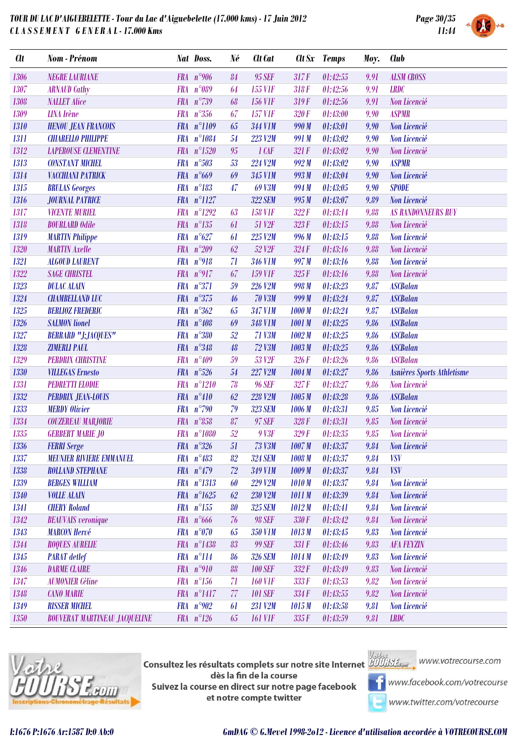

| <b>Clt</b> | Nom - Prénom                         |            | Nat Doss.            | Né          | <b>Clt</b> Cat     | Clt Sx            | Temps    | Moy. | <b>Club</b>                |
|------------|--------------------------------------|------------|----------------------|-------------|--------------------|-------------------|----------|------|----------------------------|
| 1306       | <b>NEGRE LAURIANE</b>                |            | FRA $n°906$          | 84          | 95 SEF             | 317F              | 01:42:55 | 9.91 | <b>ALSM CROSS</b>          |
| 1307       | <b>ARNAUD Cathy</b>                  | <b>FRA</b> | $n^{\circ}089$       | 64          | <b>155 VIF</b>     | 318F              | 01:42:56 | 9.91 | <b>LRDC</b>                |
| 1308       | <b>NALLET Alice</b>                  |            | FRA n°739            | 68          | <b>156 VIF</b>     | 319F              | 01:42:56 | 9.91 | Non Licencié               |
| 1309       | <b>LINA</b> Irène                    | <b>FRA</b> | $n^{\circ}356$       | 67          | <b>157 VIF</b>     | 320F              | 01:43:00 | 9.90 | <b>ASPMR</b>               |
| 1310       | <b>HENOU JEAN FRANCOIS</b>           |            | FRA n°1109           | 65          | <b>344 V1M</b>     | 990 M             | 01:43:01 | 9.90 | Non Licencié               |
| 1311       | <b>CHIARELLO PHILIPPE</b>            |            | FRA n°1084           | 54          | 223 V2M            | 991 M             | 01:43:02 | 9.90 | Non Licencié               |
| 1312       | <b>LAPEROUSE CLEMENTINE</b>          |            | FRA $n^{\circ}1520$  | 95          | $1$ $CAF$          | 321 F             | 01:43:02 | 9.90 | Non Licencié               |
| 1313       | <b>CONSTANT MICHEL</b>               |            | FRA n°503            | 53          | 224 V2M            | 992M              | 01:43:02 | 9.90 | <b>ASPMR</b>               |
| 1314       | VACCHIANI PATRICK                    |            | FRA $n^{\circ}669$   | 69          | 345 V1M            | 993 M             | 01:43:04 | 9.90 | Non Licencié               |
| 1315       | <b>BRULAS Georges</b>                |            | FRA n°183            | 47          | 69 V3M             | 994 M             | 01:43:05 | 9.90 | <b>SPODE</b>               |
| 1316       | <b>JOURNAL PATRICE</b>               |            | FRA n°1127           |             | <b>322 SEM</b>     | 995 M             | 01:43:07 | 9.89 | Non Licencié               |
| 1317       | <b>VICENTE MURIEL</b>                | <b>FRA</b> | $n^{\circ}1292$      | 63          | <b>158 V1F</b>     | 322F              | 01:43:14 | 9.88 | <b>AS RANDONNEURS RUY</b>  |
| 1318       | <b>BOURLARD Odile</b>                |            | $FRA n^{\circ}135$   | 61          | 51 V <sub>2F</sub> | 323F              | 01:43:15 | 9.88 | Non Licencié               |
| 1319       | <b>MARTIN Philippe</b>               |            | FRA $n^{\circ}627$   | 61          | 225 V2M            | 996 M             | 01:43:15 | 9.88 | Non Licencié               |
| 1320       | <b>MARTIN</b> Axelle                 | <b>FRA</b> | $n^{\circ}209$       | 62          | 52 V <sub>2F</sub> | 324F              | 01:43:16 | 9.88 | Non Licencié               |
| 1321       | <b>ALGOUD LAURENT</b>                |            | FRA n°918            | 71          | <b>346 V1M</b>     | 997 M             | 01:43:16 | 9.88 | <b>Non Licencié</b>        |
| 1322       | <b>SAGE CHRISTEL</b>                 |            | FRA $n^{\circ}917$   | 67          | <b>159 VIF</b>     | 325F              | 01:43:16 | 9.88 | Non Licencié               |
| 1323       | <b>DULAC ALAIN</b>                   |            | FRA n°371            | 59          | 226 V2M            | 998 M             | 01:43:23 | 9.87 | <b>ASCBalan</b>            |
| 1324       | <b>CHAMBELLAND LUC</b>               |            | FRA $n^{\circ}375$   | 46          | <b>70 V3M</b>      | 999 M             | 01:43:24 | 9.87 | <b>ASCBalan</b>            |
| 1325       | <b>BERLIOZ FREDERIC</b>              |            | FRA $n^{\circ}362$   | 65          | 347 V1M            | 1000 M            | 01:43:24 | 9.87 | <b>ASCBalan</b>            |
| 1326       | <b>SALMON</b> lionel                 |            | FRA n°408            | 69          | <b>348 V1M</b>     | 1001 M            | 01:43:25 | 9.86 | <b>ASCBalan</b>            |
| 1327       | <b>BERRARD "J;JACQUES"</b>           |            | FRA n°380            | 52          | <b>71 V3M</b>      | 1002M             | 01:43:25 | 9.86 | <b>ASCBalan</b>            |
| 1328       | <b>ZIMERLI PAUL</b>                  |            | FRA n°348            | 48          | <b>72 V3M</b>      | 1003M             | 01:43:25 | 9.86 | <b>ASCBalan</b>            |
| 1329       | <b>PERDRIX CHRISTINE</b>             | <b>FRA</b> | $n^{\circ}409$       | 59          | 53 V <sub>2F</sub> | 326F              | 01:43:26 | 9.86 | <b>ASCBalan</b>            |
| 1330       | <b>VILLEGAS Ernesto</b>              |            | FRA $n^{\circ}526$   | 54          | 227 V2M            | 1004 M            | 01:43:27 | 9.86 | Asnières Sports Athletisme |
| 1331       | <b>PEDRETTI ELODIE</b>               |            | $FRA n^{\circ}1210$  | 78          | <b>96 SEF</b>      | 327F              | 01:43:27 | 9.86 | Non Licencié               |
| 1332       | <b>PERDRIX JEAN-LOUIS</b>            |            | FRA n°410            | 62          | 228 V2M            | 1005M             | 01:43:28 | 9.86 | <b>ASCBalan</b>            |
| 1333       | <b>MERDY Olivier</b>                 |            | FRA $n^{\circ}$ 790  | 79          | <b>323 SEM</b>     | 1006 M            | 01:43:31 | 9.85 | Non Licencié               |
| 1334       | <b>COUZEREAU MARJORIE</b>            |            | FRA $n^{\circ}858$   | 87          | 97 SEF             | 328F              | 01:43:31 | 9.85 | Non Licencié               |
| 1335       | <b>GERBERT MARIE JO</b>              |            | FRA n°1080           | 52          | 9 V3F              | 329F              | 01:43:35 | 9.85 | Non Licencié               |
| 1336       | <b>FERRI Serge</b>                   |            | FRA $n^{\circ}326$   | 51          | 73 V3M             | $1007 M$ 01:43:37 |          |      | 9.84 Non Licencié          |
| 1337       | <b>MEUNIER RIVIERE EMMANUEL</b>      |            | $FRA n^{\circ}483$   | 82          | <b>324 SEM</b>     | 1008 M            | 01:43:37 | 9.84 | <b>VSV</b>                 |
| 1338       | <b>ROLLAND STEPHANE</b>              |            | FRA n°479            | $\sqrt{72}$ | 349 V1M            | 1009M             | 01:43:37 | 9.84 | <b>VSV</b>                 |
| 1339       | <b>BERGES WILLIAM</b>                |            | FRA n°1313           | 60          | 229 V2M            | 1010M             | 01:43:37 | 9.84 | Non Licencié               |
| 1340       | <b>VOLLE ALAIN</b>                   |            | FRA n°1625           | 62          | 230 V2M            | 1011 M            | 01:43:39 | 9.84 | Non Licencié               |
| 1341       | <b>CHERY Roland</b>                  |            | $FRA n^{\circ}155$   | 80          | <b>325 SEM</b>     | 1012M             | 01:43:41 | 9.84 | Non Licencié               |
| 1342       | <b>BEAUVAIS</b> veronique            |            | $FRA n^{\circ}666$   | 76          | <b>98 SEF</b>      | 330F              | 01:43:42 | 9.84 | Non Licencié               |
| 1343       | <b>MARCON Hervé</b>                  |            | FRA n°070            | 65          | <b>350 V1M</b>     | 1013 M            | 01:43:45 | 9.83 | Non Licencié               |
| 1344       | <b>ROQUES AURELIE</b>                |            | FRA n°1438           | 83          | <b>99 SEF</b>      | 331F              | 01:43:46 | 9.83 | <b>AFA FEYZIN</b>          |
| 1345       | <b>PARAT</b> detlef                  |            | $FRA n^{\circ}114$   | 86          | <b>326 SEM</b>     | 1014 M            | 01:43:49 | 9.83 | Non Licencié               |
| 1346       | <b>DARME CLAIRE</b>                  |            | FRA $n^{\circ}910$   | 88          | <b>100 SEF</b>     | 332F              | 01:43:49 | 9.83 | Non Licencié               |
| 1347       | <b>AUMONIER Céline</b>               |            | $FRA n^{\circ}156$   | 71          | <b>160 V1F</b>     | 333F              | 01:43:53 | 9.82 | Non Licencié               |
| 1348       | <b>CANO MARIE</b>                    |            | FRA n°1417           | 77          | <b>101 SEF</b>     | 334F              | 01:43:55 | 9.82 | Non Licencié               |
| 1349       | <b>RISSER MICHEL</b>                 |            | FRA n°902            | 61          | 231 V2M            | 1015M             | 01:43:58 | 9.81 | Non Licencié               |
| 1350       | <b>BOUVERAT MARTINEAU JACQUELINE</b> |            | $FRA$ $n^{\circ}126$ | 65          | <b>161 VIF</b>     | 335F              | 01:43:59 | 9.81 | <b>LRDC</b>                |



**Consultez les résultats complets sur notre site Internet** Willis Esquise WWW.votrecourse.com dès la fin de la course Suivez la course en direct sur notre page facebook et notre compte twitter



**T** www.facebook.com/votrecourse

www.twitter.com/votrecourse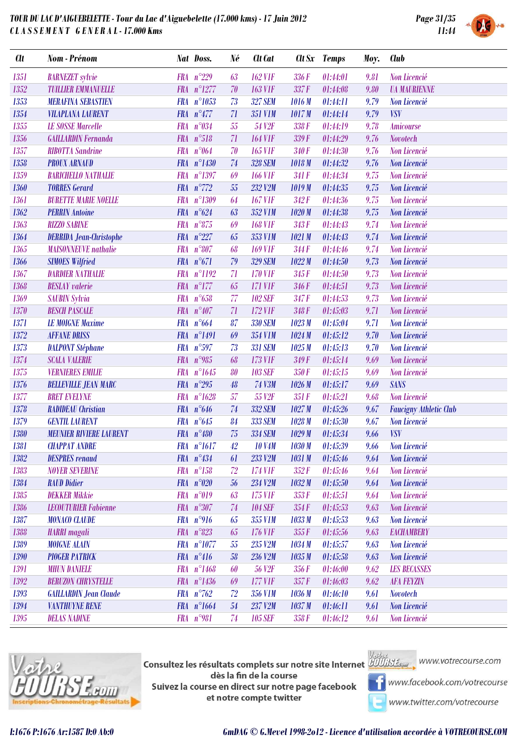

| <b>Clt</b> | Nom - Prénom                   |            | Nat Doss.            | Né          | <b>Clt</b> Cat     |        | Clt Sx Temps | Moy. | <b>Club</b>                   |
|------------|--------------------------------|------------|----------------------|-------------|--------------------|--------|--------------|------|-------------------------------|
| 1351       | <b>BARNEZET</b> sylvie         | <b>FRA</b> | $n^{\circ}229$       | 63          | <b>162 V1F</b>     | 336F   | 01:44:01     | 9.81 | Non Licencié                  |
| 1352       | <b>TUILLIER EMMANUELLE</b>     | <b>FRA</b> | $n^{\circ}1277$      | 70          | <b>163 V1F</b>     | 337F   | 01:44:08     | 9.80 | <b><i>UA MAURIENNE</i></b>    |
| 1353       | <b>MERAFINA SEBASTIEN</b>      |            | FRA n°1053           | 73          | <b>327 SEM</b>     | 1016M  | 01:44:11     | 9.79 | Non Licencié                  |
| 1354       | <b>VILAPLANA LAURENT</b>       |            | FRA $n^{\circ}477$   | 71          | <b>351 V1M</b>     | 1017M  | 01:44:14     | 9.79 | <b>VSV</b>                    |
| 1355       | <b>LE SOSSE Marcelle</b>       |            | FRA $n^{\circ}034$   | 55          | 54 V <sub>2F</sub> | 338 F  | 01:44:19     | 9.78 | <b>Amicourse</b>              |
| 1356       | <b>GAILLARDIN Fernanda</b>     |            | FRA n°518            | 71          | <b>164 V1F</b>     | 339F   | 01:44:29     | 9.76 | <b>Novotech</b>               |
| 1357       | <b>RIBOTTA Sandrine</b>        | <b>FRA</b> | $n^{\circ}064$       | 70          | <b>165 VIF</b>     | 340F   | 01:44:30     | 9.76 | Non Licencié                  |
| 1358       | <b>PROUX ARNAUD</b>            | <b>FRA</b> | $n^{\circ}1430$      | 74          | <b>328 SEM</b>     | 1018 M | 01:44:32     | 9.76 | Non Licencié                  |
| 1359       | <b>BARICHELLO NATHALIE</b>     |            | FRA n°1397           | 69          | <b>166 VIF</b>     | 341 F  | 01:44:34     | 9.75 | Non Licencié                  |
| 1360       | <b>TORRES Gerard</b>           |            | FRA n°772            | 55          | 232 V2M            | 1019M  | 01:44:35     | 9.75 | Non Licencié                  |
| 1361       | <b>BURETTE MARIE NOELLE</b>    | <b>FRA</b> | $n^{\circ}1309$      | 64          | <b>167 VIF</b>     | 342F   | 01:44:36     | 9.75 | Non Licencié                  |
| 1362       | <b>PERRIN Antoine</b>          |            | FRA $n^{\circ}624$   | 63          | 352 V1M            | 1020M  | 01:44:38     | 9.75 | Non Licencié                  |
| 1363       | <b>RIZZO SABINE</b>            | <b>FRA</b> | $n^{\circ}875$       | 69          | <b>168 VIF</b>     | 343F   | 01:44:43     | 9.74 | Non Licencié                  |
| 1364       | <b>DERRIDA Jean-Christophe</b> | <b>FRA</b> | $n^{\circ}227$       | 65          | 353 V1M            | 1021M  | 01:44:43     | 9.74 | Non Licencié                  |
| 1365       | <b>MAISONNEUVE</b> nathalie    | <b>FRA</b> | $n^{\circ}807$       | 68          | <b>169 V1F</b>     | 344F   | 01:44:46     | 9.74 | Non Licencié                  |
| 1366       | <b>SIMOES Wilfried</b>         |            | FRA $n^{\circ}671$   | 79          | <b>329 SEM</b>     | 1022M  | 01:44:50     | 9.73 | Non Licencié                  |
| 1367       | <b>DARDIER NATHALIE</b>        | <b>FRA</b> | $n^{\circ}1192$      | 71          | <b>170 V1F</b>     | 345F   | 01:44:50     | 9.73 | Non Licencié                  |
| 1368       | <b>BESLAY</b> valerie          | <b>FRA</b> | $n^{\circ}177$       | 65          | <b>171 VIF</b>     | 346 F  | 01:44:51     | 9.73 | Non Licencié                  |
| 1369       | <b>SAUBIN Sylvia</b>           | <b>FRA</b> | $n^{\circ}658$       | 77          | <b>102 SEF</b>     | 347 F  | 01:44:53     | 9.73 | Non Licencié                  |
| 1370       | <b>BESCH PASCALE</b>           | <b>FRA</b> | $n^{\circ}407$       | 71          | <b>172 VIF</b>     | 348F   | 01:45:03     | 9.71 | Non Licencié                  |
| 1371       | <b>LE MOIGNE Maxime</b>        | <b>FRA</b> | $n^{\circ}664$       | 87          | <b>330 SEM</b>     | 1023M  | 01:45:04     | 9.71 | Non Licencié                  |
| 1372       | <b>AFFANE DRISS</b>            |            | FRA n°1491           | 69          | 354 V1M            | 1024M  | 01:45:12     | 9.70 | Non Licencié                  |
| 1373       | <b>DALPONT Stéphane</b>        |            | FRA n°597            | 73          | <b>331 SEM</b>     | 1025M  | 01:45:13     | 9.70 | Non Licencié                  |
| 1374       | <b>SCALA VALERIE</b>           | <b>FRA</b> | $n^{\circ}985$       | 68          | 173 V1F            | 349F   | 01:45:14     | 9.69 | Non Licencié                  |
| 1375       | <b>VERNIERES EMILIE</b>        | <b>FRA</b> | $n^{\circ}1645$      | 80          | <b>103 SEF</b>     | 350 F  | 01:45:15     | 9.69 | Non Licencié                  |
| 1376       | <b>BELLEVILLE JEAN MARC</b>    |            | FRA $n^{\circ}295$   | 48          | <b>74 V3M</b>      | 1026M  | 01:45:17     | 9.69 | <b>SANS</b>                   |
| 1377       | <b>BRET EVELYNE</b>            | <b>FRA</b> | $n^{\circ}1628$      | 57          | 55 V <sub>2F</sub> | 351F   | 01:45:21     | 9.68 | Non Licencié                  |
| 1378       | <b>RADIDEAU</b> Christian      |            | FRA $n^{\circ}646$   | $74\,$      | 332 SEM            | 1027M  | 01:45:26     | 9.67 | <b>Faucigny Athletic Club</b> |
| 1379       | <b>GENTIL LAURENT</b>          |            | FRA $n^{\circ}645$   | 84          | 333 SEM            | 1028M  | 01:45:30     | 9.67 | Non Licencié                  |
| 1380       | <b>MEUNIER RIVIERE LAURENT</b> |            | FRA n°480            | 75          | <b>334 SEM</b>     | 1029M  | 01:45:34     | 9.66 | <b>VSV</b>                    |
| 1381       | <b>CHAPPAT ANDRE</b>           |            | FRA n°1617           | 42          | <b>10 V4M</b>      | 1030 M | 01:45:39     | 9.66 | Non Licencié                  |
| 1382       | <b>DESPRES</b> renaud          |            | $FRA n^{\circ}434$   | 61          | 233 V2M            | 1031M  | 01:45:46     | 9.64 | Non Licencié                  |
| 1383       | <b>NOYER SEVERINE</b>          |            | $FRA n^{\circ}158$   | $\sqrt{72}$ | 174 V1F            | 352F   | 01:45:46     | 9.64 | Non Licencié                  |
| 1384       | <b>RAUD Didier</b>             |            | FRA $n^{\circ}020$   | 56          | 234 V2M            | 1032M  | 01:45:50     | 9.64 | Non Licencié                  |
| 1385       | <b>DEKKER Mikkie</b>           |            | FRA n°019            | 63          | 175 V1F            | 353F   | 01:45:51     | 9.64 | Non Licencié                  |
| 1386       | <b>LECOUTURIER Fabienne</b>    |            | FRA n°307            | 74          | <b>104 SEF</b>     | 354F   | 01:45:53     | 9.63 | Non Licencié                  |
| 1387       | <b>MONACO CLAUDE</b>           |            | FRA n°916            | 65          | 355 V1M            | 1033 M | 01:45:53     | 9.63 | Non Licencié                  |
| 1388       | <b>HARRI</b> magali            |            | $FRA n^{\circ}823$   | 65          | <b>176 VIF</b>     | 355F   | 01:45:56     | 9.63 | <b>EACHAMBERY</b>             |
| 1389       | <b>MOIGNE ALAIN</b>            |            | FRA n°1077           | $\sqrt{55}$ | 235 V2M            | 1034M  | 01:45:57     | 9.63 | Non Licencié                  |
| 1390       | <b>PIOGER PATRICK</b>          |            | $FRA n^{\circ}416$   | 58          | 236 V2M            | 1035 M | 01:45:58     | 9.63 | Non Licencié                  |
| 1391       | <b>MHUN DANIELE</b>            |            | FRA n°1468           | 60          | 56 V <sub>2F</sub> | 356F   | 01:46:00     | 9.62 | <b>LES BECASSES</b>           |
| 1392       | <b>BERUZON CHRYSTELLE</b>      |            | FRA n°1436           | 69          | 177 V1F            | 357F   | 01:46:03     | 9.62 | <b>AFA FEYZIN</b>             |
| 1393       | <b>GAILLARDIN Jean Claude</b>  |            | $FRA$ $n^{\circ}762$ | 72          | <b>356 V1M</b>     | 1036M  | 01:46:10     | 9.61 | <b>Novotech</b>               |
| 1394       | <b>VANTHUYNE RENE</b>          |            | FRA n°1664           | $54\,$      | 237 V2M            | 1037 M | 01:46:11     | 9.61 | Non Licencié                  |
| 1395       | <b>DELAS NADINE</b>            |            | FRA n°981            | 74          | <b>105 SEF</b>     | 358F   | 01:46:12     | 9.61 | Non Licencié                  |
|            |                                |            |                      |             |                    |        |              |      |                               |



**Consultez les résultats complets sur notre site Internet** Willis Esquise WWW.votrecourse.com dès la fin de la course Suivez la course en direct sur notre page facebook et notre compte twitter



**T** www.facebook.com/votrecourse

www.twitter.com/votrecourse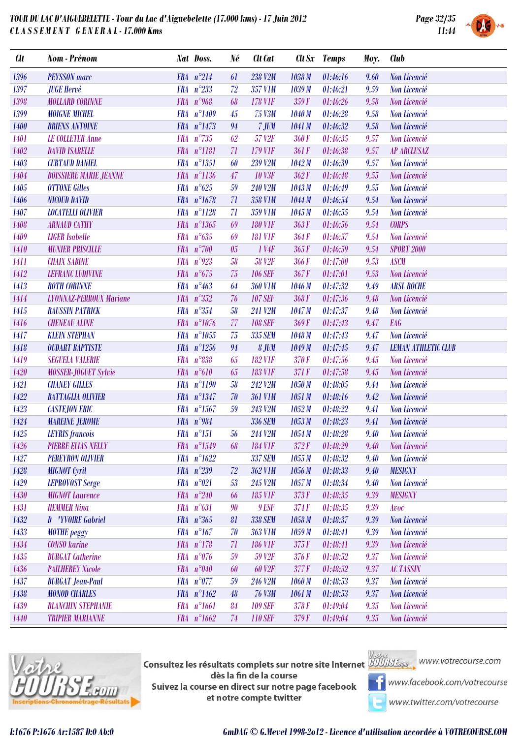

| FRA $n^{\circ}214$<br>1396<br>238 V2M<br><b>PEYSSON</b> marc<br>61<br>1038 M<br>01:46:16<br>Non Licencié<br>9.60<br>FRA n°233<br>1397<br>72<br>357 V1M<br>01:46:21<br>Non Licencié<br><b>JUGE Hervé</b><br>1039 M<br>9.59<br>FRA $n^{\circ}$ 968<br><b>178 VIF</b><br>1398<br><b>MOLLARD CORINNE</b><br>68<br>359F<br>01:46:26<br>9.58<br>Non Licencié<br>FRA n°1409<br>45<br>9.58<br>1399<br><b>MOIGNE MICHEL</b><br><b>75 V3M</b><br>1040M<br>01:46:28<br>Non Licencié<br>FRA n°1473<br>94<br>1400<br><b>BRIENS ANTOINE</b><br>7 JUM<br>1041 M<br>01:46:32<br>Non Licencié<br>9.58<br>$n^{\circ}735$<br>1401<br><b>FRA</b><br>62<br>57 V <sub>2F</sub><br>360F<br>9.57<br><b>LE COLLETER Anne</b><br>01:46:35<br>Non Licencié<br>FRA n°1181<br>1402<br>71<br>179 VIF<br>361F<br>01:46:38<br>9.57<br><b>DAVID ISABELLE</b><br><b>AP ARCLUSAZ</b><br>FRA n°1351<br>1403<br><b>CURTAUD DANIEL</b><br>01:46:39<br>Non Licencié<br>60<br>239 V2M<br>1042M<br>9.57<br>FRA n°1136<br>47<br><b>10 V3F</b><br>1404<br><b>BOISSIERE MARIE JEANNE</b><br>362F<br>01:46:48<br>9.55<br>Non Licencié<br>FRA $n^{\circ}625$<br>1405<br><b>OTTONE Gilles</b><br>59<br>240 V2M<br>1043M<br>01:46:49<br>9.55<br>Non Licencié<br>FRA n°1678<br>71<br>1406<br><b>NICOUD DAVID</b><br>358 V1M<br>1044 M<br>01:46:54<br>9.54<br>Non Licencié<br>$n^{\circ}1128$<br>1407<br><b>FRA</b><br>71<br>359 V1M<br>1045 M<br>9.54<br><b>LOCATELLI OLIVIER</b><br>01:46:55<br>Non Licencié<br>FRA n°1365<br><b>180 V1F</b><br>363F<br>01:46:56<br><b>CORPS</b><br>1408<br><b>ARNAUD CATHY</b><br>69<br>9.54<br>FRA $n^{\circ}635$<br>1409<br>Non Licencié<br><b>LIGER</b> Isabelle<br>69<br><b>181 V1F</b><br>364F<br>01:46:57<br>9.54<br>$n^{\circ}700$<br>1410<br><b>FRA</b><br>$1$ V <sub>4</sub> $F$<br>365F<br><b>SPORT 2000</b><br><b>MUNIER PRISCILLE</b><br>05<br>01:46:59<br>9.54<br>$n^{\circ}923$<br>1411<br><b>CHAIX SABINE</b><br><b>FRA</b><br>58<br>58 V <sub>2F</sub><br>366F<br>01:47:00<br>9.53<br><b>ASCM</b><br>FRA $n^{\circ}675$<br>75<br>1412<br>01:47:01<br><b>LEFRANC LUDIVINE</b><br><b>106 SEF</b><br>367F<br>9.53<br>Non Licencié<br>$n^{\circ}463$<br>1413<br><b>ROTH CORINNE</b><br><b>FRA</b><br><b>360 V1M</b><br>01:47:32<br><b>ARSL ROCHE</b><br>64<br>1046 M<br>9.49<br>$n^{\circ}352$<br>01:47:36<br>1414<br><b>FRA</b><br><b>107 SEF</b><br><b>LYONNAZ-PERROUX Mariane</b><br>76<br>368F<br>9.48<br>Non Licencié<br>FRA n°354<br>1415<br>58<br><b>RAUSSIN PATRICK</b><br>241 V2M<br>1047 M<br>01:47:37<br>9.48<br>Non Licencié<br>FRA n°1076<br>77<br>1416<br><b>108 SEF</b><br>01:47:43<br>9.47<br><b>EAG</b><br><b>CHENEAU ALINE</b><br>369F<br>FRA n°1055<br>Non Licencié<br>1417<br><b>KLEIN STEPHAN</b><br>75<br>335 SEM<br>1048 M<br>01:47:43<br>9.47<br>FRA n°1256<br>1418<br><b>OUDART BAPTISTE</b><br>94<br>8 JUM<br>1049 M<br>01:47:45<br>9.47<br><b>LEMAN ATHLETIC CLUB</b><br>$n^{\circ}838$<br>Non Licencié<br>1419<br><b>SEGUELA VALERIE</b><br><b>FRA</b><br><b>182 V1F</b><br>370F<br>01:47:56<br>65<br>9.45<br>$n^{\circ}610$<br><b>183 V1F</b><br>01:47:58<br>1420<br><b>MOSSER-JOGUET Sylvie</b><br><b>FRA</b><br>371F<br>9.45<br>Non Licencié<br>65<br>FRA n°1190<br>1421<br>58<br><b>CHANEY GILLES</b><br>242 V2M<br>1050M<br>01:48:05<br>9.44<br>Non Licencié<br>FRA n°1347<br>1422<br>9.42<br><b>BATTAGLIA OLIVIER</b><br>70<br><b>361 V1M</b><br>1051M<br>01:48:16<br>Non Licencié<br>$n^{\circ}1567$<br>1423<br><b>CASTEJON ERIC</b><br><b>FRA</b><br>59<br>243 V2M<br>1052M<br>01:48:22<br>9.41<br>Non Licencié<br>FRA n°984<br>1424<br><b>MAREINE JEROME</b><br><b>336 SEM</b><br>1053M<br>01:48:23<br>9.41<br><b>Non Licencié</b><br>$FRA n^{\circ}151$<br>1425<br><b>LEYRIS</b> francois<br>56<br>244 V2M<br>1054M<br>01:48:28<br>9.40<br>Non Licencié<br>PIERRE ELIAS NELLY<br>1426<br>FRA n°1549 68 184 V1F<br>372 F 01:48:29 9.40 Non Licencié<br>FRA n°1622<br>1427<br><b>PEREYRON OLIVIER</b><br><b>337 SEM</b><br>Non Licencié<br>1055M<br>01:48:32<br>9.40<br>$FRA n^{\circ}239$<br>$\sqrt{72}$<br>1428<br><b>MIGNOT</b> Cyril<br><b>362 V1M</b><br>1056M<br>01:48:33<br>9.40<br><b>MESIGNY</b><br>FRA n°021<br>1429<br><b>LEPROVOST Serge</b><br>245 V2M<br>1057M<br>01:48:34<br>Non Licencié<br>53<br>9.40<br>FRA $n^{\circ}240$<br>1430<br><b>MIGNOT</b> Laurence<br><b>185 VIF</b><br>373F<br>01:48:35<br>9.39<br><b>MESIGNY</b><br>66<br>FRA $n^{\circ}631$<br>1431<br><b>HEMMER Nina</b><br>90<br>9 ESF<br>374F<br>01:48:35<br>9.39<br>Avoc<br>FRA $n^{\circ}365$<br>1432<br>D 'YVOIRE Gabriel<br><b>338 SEM</b><br>01:48:37<br>Non Licencié<br>81<br>1058 M<br>9.39<br>$FRA n^{\circ}167$<br>70<br><b>363 V1M</b><br>Non Licencié<br>1433<br><b>MOTHE</b> peggy<br>1059M<br>01:48:41<br>9.39<br>$FRA$ $n^{\circ}178$<br>1434<br><b>CONSO</b> karine<br>71<br><b>186 VIF</b><br>375F<br>01:48:41<br>9.39<br>Non Licencié<br>$FRA n^{\circ}076$<br>1435<br><b>BURGAT</b> Catherine<br>59 V <sub>2F</sub><br>01:48:52<br>9.37<br>Non Licencié<br>59<br>376F<br>FRA $n^{\circ}040$<br><b>60 V2F</b><br>1436<br><b>PAILHEREY Nicole</b><br>377F<br>01:48:52<br>9.37<br><b>AC TASSIN</b><br>60<br>FRA n°077<br>1437<br><b>BURGAT Jean-Paul</b><br>59<br>246 V2M<br>01:48:53<br>9.37<br>Non Licencié<br>1060M<br>FRA n°1462<br>1438<br>48<br><b>76 V3M</b><br>01:48:53<br>Non Licencié<br><b>MONOD CHARLES</b><br>1061M<br>9.37<br>FRA n°1661<br>1439<br><b>BLANCHIN STEPHANIE</b><br><b>109 SEF</b><br>378F<br>9.35<br>Non Licencié<br>84<br>01:49:04<br>FRA $n^{\circ}1662$ | <b>Clt</b> | Nom - Prénom            | Nat Doss. | Né     | Clt Cat        |      | Clt Sx Temps | Moy. | <b>Club</b>  |
|--------------------------------------------------------------------------------------------------------------------------------------------------------------------------------------------------------------------------------------------------------------------------------------------------------------------------------------------------------------------------------------------------------------------------------------------------------------------------------------------------------------------------------------------------------------------------------------------------------------------------------------------------------------------------------------------------------------------------------------------------------------------------------------------------------------------------------------------------------------------------------------------------------------------------------------------------------------------------------------------------------------------------------------------------------------------------------------------------------------------------------------------------------------------------------------------------------------------------------------------------------------------------------------------------------------------------------------------------------------------------------------------------------------------------------------------------------------------------------------------------------------------------------------------------------------------------------------------------------------------------------------------------------------------------------------------------------------------------------------------------------------------------------------------------------------------------------------------------------------------------------------------------------------------------------------------------------------------------------------------------------------------------------------------------------------------------------------------------------------------------------------------------------------------------------------------------------------------------------------------------------------------------------------------------------------------------------------------------------------------------------------------------------------------------------------------------------------------------------------------------------------------------------------------------------------------------------------------------------------------------------------------------------------------------------------------------------------------------------------------------------------------------------------------------------------------------------------------------------------------------------------------------------------------------------------------------------------------------------------------------------------------------------------------------------------------------------------------------------------------------------------------------------------------------------------------------------------------------------------------------------------------------------------------------------------------------------------------------------------------------------------------------------------------------------------------------------------------------------------------------------------------------------------------------------------------------------------------------------------------------------------------------------------------------------------------------------------------------------------------------------------------------------------------------------------------------------------------------------------------------------------------------------------------------------------------------------------------------------------------------------------------------------------------------------------------------------------------------------------------------------------------------------------------------------------------------------------------------------------------------------------------------------------------------------------------------------------------------------------------------------------------------------------------------------------------------------------------------------------------------------------------------------------------------------------------------------------------------------------------------------------------------------------------------------------------------------------------------------------------------------------------------------------------------------------------------------------------------------------------------------------------------------------------------------------------------------------------------------------------------------------------------------------------------------------------------------------------------------------------------------------------------------------------------------------------------------------------------------------------------------------------------------------------------------------------------------------------------------------------------------------------------------------------------------------------------------------------------------------------------------------------------|------------|-------------------------|-----------|--------|----------------|------|--------------|------|--------------|
|                                                                                                                                                                                                                                                                                                                                                                                                                                                                                                                                                                                                                                                                                                                                                                                                                                                                                                                                                                                                                                                                                                                                                                                                                                                                                                                                                                                                                                                                                                                                                                                                                                                                                                                                                                                                                                                                                                                                                                                                                                                                                                                                                                                                                                                                                                                                                                                                                                                                                                                                                                                                                                                                                                                                                                                                                                                                                                                                                                                                                                                                                                                                                                                                                                                                                                                                                                                                                                                                                                                                                                                                                                                                                                                                                                                                                                                                                                                                                                                                                                                                                                                                                                                                                                                                                                                                                                                                                                                                                                                                                                                                                                                                                                                                                                                                                                                                                                                                                                                                                                                                                                                                                                                                                                                                                                                                                                                                                                                                                                                          |            |                         |           |        |                |      |              |      |              |
|                                                                                                                                                                                                                                                                                                                                                                                                                                                                                                                                                                                                                                                                                                                                                                                                                                                                                                                                                                                                                                                                                                                                                                                                                                                                                                                                                                                                                                                                                                                                                                                                                                                                                                                                                                                                                                                                                                                                                                                                                                                                                                                                                                                                                                                                                                                                                                                                                                                                                                                                                                                                                                                                                                                                                                                                                                                                                                                                                                                                                                                                                                                                                                                                                                                                                                                                                                                                                                                                                                                                                                                                                                                                                                                                                                                                                                                                                                                                                                                                                                                                                                                                                                                                                                                                                                                                                                                                                                                                                                                                                                                                                                                                                                                                                                                                                                                                                                                                                                                                                                                                                                                                                                                                                                                                                                                                                                                                                                                                                                                          |            |                         |           |        |                |      |              |      |              |
|                                                                                                                                                                                                                                                                                                                                                                                                                                                                                                                                                                                                                                                                                                                                                                                                                                                                                                                                                                                                                                                                                                                                                                                                                                                                                                                                                                                                                                                                                                                                                                                                                                                                                                                                                                                                                                                                                                                                                                                                                                                                                                                                                                                                                                                                                                                                                                                                                                                                                                                                                                                                                                                                                                                                                                                                                                                                                                                                                                                                                                                                                                                                                                                                                                                                                                                                                                                                                                                                                                                                                                                                                                                                                                                                                                                                                                                                                                                                                                                                                                                                                                                                                                                                                                                                                                                                                                                                                                                                                                                                                                                                                                                                                                                                                                                                                                                                                                                                                                                                                                                                                                                                                                                                                                                                                                                                                                                                                                                                                                                          |            |                         |           |        |                |      |              |      |              |
|                                                                                                                                                                                                                                                                                                                                                                                                                                                                                                                                                                                                                                                                                                                                                                                                                                                                                                                                                                                                                                                                                                                                                                                                                                                                                                                                                                                                                                                                                                                                                                                                                                                                                                                                                                                                                                                                                                                                                                                                                                                                                                                                                                                                                                                                                                                                                                                                                                                                                                                                                                                                                                                                                                                                                                                                                                                                                                                                                                                                                                                                                                                                                                                                                                                                                                                                                                                                                                                                                                                                                                                                                                                                                                                                                                                                                                                                                                                                                                                                                                                                                                                                                                                                                                                                                                                                                                                                                                                                                                                                                                                                                                                                                                                                                                                                                                                                                                                                                                                                                                                                                                                                                                                                                                                                                                                                                                                                                                                                                                                          |            |                         |           |        |                |      |              |      |              |
|                                                                                                                                                                                                                                                                                                                                                                                                                                                                                                                                                                                                                                                                                                                                                                                                                                                                                                                                                                                                                                                                                                                                                                                                                                                                                                                                                                                                                                                                                                                                                                                                                                                                                                                                                                                                                                                                                                                                                                                                                                                                                                                                                                                                                                                                                                                                                                                                                                                                                                                                                                                                                                                                                                                                                                                                                                                                                                                                                                                                                                                                                                                                                                                                                                                                                                                                                                                                                                                                                                                                                                                                                                                                                                                                                                                                                                                                                                                                                                                                                                                                                                                                                                                                                                                                                                                                                                                                                                                                                                                                                                                                                                                                                                                                                                                                                                                                                                                                                                                                                                                                                                                                                                                                                                                                                                                                                                                                                                                                                                                          |            |                         |           |        |                |      |              |      |              |
|                                                                                                                                                                                                                                                                                                                                                                                                                                                                                                                                                                                                                                                                                                                                                                                                                                                                                                                                                                                                                                                                                                                                                                                                                                                                                                                                                                                                                                                                                                                                                                                                                                                                                                                                                                                                                                                                                                                                                                                                                                                                                                                                                                                                                                                                                                                                                                                                                                                                                                                                                                                                                                                                                                                                                                                                                                                                                                                                                                                                                                                                                                                                                                                                                                                                                                                                                                                                                                                                                                                                                                                                                                                                                                                                                                                                                                                                                                                                                                                                                                                                                                                                                                                                                                                                                                                                                                                                                                                                                                                                                                                                                                                                                                                                                                                                                                                                                                                                                                                                                                                                                                                                                                                                                                                                                                                                                                                                                                                                                                                          |            |                         |           |        |                |      |              |      |              |
|                                                                                                                                                                                                                                                                                                                                                                                                                                                                                                                                                                                                                                                                                                                                                                                                                                                                                                                                                                                                                                                                                                                                                                                                                                                                                                                                                                                                                                                                                                                                                                                                                                                                                                                                                                                                                                                                                                                                                                                                                                                                                                                                                                                                                                                                                                                                                                                                                                                                                                                                                                                                                                                                                                                                                                                                                                                                                                                                                                                                                                                                                                                                                                                                                                                                                                                                                                                                                                                                                                                                                                                                                                                                                                                                                                                                                                                                                                                                                                                                                                                                                                                                                                                                                                                                                                                                                                                                                                                                                                                                                                                                                                                                                                                                                                                                                                                                                                                                                                                                                                                                                                                                                                                                                                                                                                                                                                                                                                                                                                                          |            |                         |           |        |                |      |              |      |              |
|                                                                                                                                                                                                                                                                                                                                                                                                                                                                                                                                                                                                                                                                                                                                                                                                                                                                                                                                                                                                                                                                                                                                                                                                                                                                                                                                                                                                                                                                                                                                                                                                                                                                                                                                                                                                                                                                                                                                                                                                                                                                                                                                                                                                                                                                                                                                                                                                                                                                                                                                                                                                                                                                                                                                                                                                                                                                                                                                                                                                                                                                                                                                                                                                                                                                                                                                                                                                                                                                                                                                                                                                                                                                                                                                                                                                                                                                                                                                                                                                                                                                                                                                                                                                                                                                                                                                                                                                                                                                                                                                                                                                                                                                                                                                                                                                                                                                                                                                                                                                                                                                                                                                                                                                                                                                                                                                                                                                                                                                                                                          |            |                         |           |        |                |      |              |      |              |
|                                                                                                                                                                                                                                                                                                                                                                                                                                                                                                                                                                                                                                                                                                                                                                                                                                                                                                                                                                                                                                                                                                                                                                                                                                                                                                                                                                                                                                                                                                                                                                                                                                                                                                                                                                                                                                                                                                                                                                                                                                                                                                                                                                                                                                                                                                                                                                                                                                                                                                                                                                                                                                                                                                                                                                                                                                                                                                                                                                                                                                                                                                                                                                                                                                                                                                                                                                                                                                                                                                                                                                                                                                                                                                                                                                                                                                                                                                                                                                                                                                                                                                                                                                                                                                                                                                                                                                                                                                                                                                                                                                                                                                                                                                                                                                                                                                                                                                                                                                                                                                                                                                                                                                                                                                                                                                                                                                                                                                                                                                                          |            |                         |           |        |                |      |              |      |              |
|                                                                                                                                                                                                                                                                                                                                                                                                                                                                                                                                                                                                                                                                                                                                                                                                                                                                                                                                                                                                                                                                                                                                                                                                                                                                                                                                                                                                                                                                                                                                                                                                                                                                                                                                                                                                                                                                                                                                                                                                                                                                                                                                                                                                                                                                                                                                                                                                                                                                                                                                                                                                                                                                                                                                                                                                                                                                                                                                                                                                                                                                                                                                                                                                                                                                                                                                                                                                                                                                                                                                                                                                                                                                                                                                                                                                                                                                                                                                                                                                                                                                                                                                                                                                                                                                                                                                                                                                                                                                                                                                                                                                                                                                                                                                                                                                                                                                                                                                                                                                                                                                                                                                                                                                                                                                                                                                                                                                                                                                                                                          |            |                         |           |        |                |      |              |      |              |
|                                                                                                                                                                                                                                                                                                                                                                                                                                                                                                                                                                                                                                                                                                                                                                                                                                                                                                                                                                                                                                                                                                                                                                                                                                                                                                                                                                                                                                                                                                                                                                                                                                                                                                                                                                                                                                                                                                                                                                                                                                                                                                                                                                                                                                                                                                                                                                                                                                                                                                                                                                                                                                                                                                                                                                                                                                                                                                                                                                                                                                                                                                                                                                                                                                                                                                                                                                                                                                                                                                                                                                                                                                                                                                                                                                                                                                                                                                                                                                                                                                                                                                                                                                                                                                                                                                                                                                                                                                                                                                                                                                                                                                                                                                                                                                                                                                                                                                                                                                                                                                                                                                                                                                                                                                                                                                                                                                                                                                                                                                                          |            |                         |           |        |                |      |              |      |              |
|                                                                                                                                                                                                                                                                                                                                                                                                                                                                                                                                                                                                                                                                                                                                                                                                                                                                                                                                                                                                                                                                                                                                                                                                                                                                                                                                                                                                                                                                                                                                                                                                                                                                                                                                                                                                                                                                                                                                                                                                                                                                                                                                                                                                                                                                                                                                                                                                                                                                                                                                                                                                                                                                                                                                                                                                                                                                                                                                                                                                                                                                                                                                                                                                                                                                                                                                                                                                                                                                                                                                                                                                                                                                                                                                                                                                                                                                                                                                                                                                                                                                                                                                                                                                                                                                                                                                                                                                                                                                                                                                                                                                                                                                                                                                                                                                                                                                                                                                                                                                                                                                                                                                                                                                                                                                                                                                                                                                                                                                                                                          |            |                         |           |        |                |      |              |      |              |
|                                                                                                                                                                                                                                                                                                                                                                                                                                                                                                                                                                                                                                                                                                                                                                                                                                                                                                                                                                                                                                                                                                                                                                                                                                                                                                                                                                                                                                                                                                                                                                                                                                                                                                                                                                                                                                                                                                                                                                                                                                                                                                                                                                                                                                                                                                                                                                                                                                                                                                                                                                                                                                                                                                                                                                                                                                                                                                                                                                                                                                                                                                                                                                                                                                                                                                                                                                                                                                                                                                                                                                                                                                                                                                                                                                                                                                                                                                                                                                                                                                                                                                                                                                                                                                                                                                                                                                                                                                                                                                                                                                                                                                                                                                                                                                                                                                                                                                                                                                                                                                                                                                                                                                                                                                                                                                                                                                                                                                                                                                                          |            |                         |           |        |                |      |              |      |              |
|                                                                                                                                                                                                                                                                                                                                                                                                                                                                                                                                                                                                                                                                                                                                                                                                                                                                                                                                                                                                                                                                                                                                                                                                                                                                                                                                                                                                                                                                                                                                                                                                                                                                                                                                                                                                                                                                                                                                                                                                                                                                                                                                                                                                                                                                                                                                                                                                                                                                                                                                                                                                                                                                                                                                                                                                                                                                                                                                                                                                                                                                                                                                                                                                                                                                                                                                                                                                                                                                                                                                                                                                                                                                                                                                                                                                                                                                                                                                                                                                                                                                                                                                                                                                                                                                                                                                                                                                                                                                                                                                                                                                                                                                                                                                                                                                                                                                                                                                                                                                                                                                                                                                                                                                                                                                                                                                                                                                                                                                                                                          |            |                         |           |        |                |      |              |      |              |
|                                                                                                                                                                                                                                                                                                                                                                                                                                                                                                                                                                                                                                                                                                                                                                                                                                                                                                                                                                                                                                                                                                                                                                                                                                                                                                                                                                                                                                                                                                                                                                                                                                                                                                                                                                                                                                                                                                                                                                                                                                                                                                                                                                                                                                                                                                                                                                                                                                                                                                                                                                                                                                                                                                                                                                                                                                                                                                                                                                                                                                                                                                                                                                                                                                                                                                                                                                                                                                                                                                                                                                                                                                                                                                                                                                                                                                                                                                                                                                                                                                                                                                                                                                                                                                                                                                                                                                                                                                                                                                                                                                                                                                                                                                                                                                                                                                                                                                                                                                                                                                                                                                                                                                                                                                                                                                                                                                                                                                                                                                                          |            |                         |           |        |                |      |              |      |              |
|                                                                                                                                                                                                                                                                                                                                                                                                                                                                                                                                                                                                                                                                                                                                                                                                                                                                                                                                                                                                                                                                                                                                                                                                                                                                                                                                                                                                                                                                                                                                                                                                                                                                                                                                                                                                                                                                                                                                                                                                                                                                                                                                                                                                                                                                                                                                                                                                                                                                                                                                                                                                                                                                                                                                                                                                                                                                                                                                                                                                                                                                                                                                                                                                                                                                                                                                                                                                                                                                                                                                                                                                                                                                                                                                                                                                                                                                                                                                                                                                                                                                                                                                                                                                                                                                                                                                                                                                                                                                                                                                                                                                                                                                                                                                                                                                                                                                                                                                                                                                                                                                                                                                                                                                                                                                                                                                                                                                                                                                                                                          |            |                         |           |        |                |      |              |      |              |
|                                                                                                                                                                                                                                                                                                                                                                                                                                                                                                                                                                                                                                                                                                                                                                                                                                                                                                                                                                                                                                                                                                                                                                                                                                                                                                                                                                                                                                                                                                                                                                                                                                                                                                                                                                                                                                                                                                                                                                                                                                                                                                                                                                                                                                                                                                                                                                                                                                                                                                                                                                                                                                                                                                                                                                                                                                                                                                                                                                                                                                                                                                                                                                                                                                                                                                                                                                                                                                                                                                                                                                                                                                                                                                                                                                                                                                                                                                                                                                                                                                                                                                                                                                                                                                                                                                                                                                                                                                                                                                                                                                                                                                                                                                                                                                                                                                                                                                                                                                                                                                                                                                                                                                                                                                                                                                                                                                                                                                                                                                                          |            |                         |           |        |                |      |              |      |              |
|                                                                                                                                                                                                                                                                                                                                                                                                                                                                                                                                                                                                                                                                                                                                                                                                                                                                                                                                                                                                                                                                                                                                                                                                                                                                                                                                                                                                                                                                                                                                                                                                                                                                                                                                                                                                                                                                                                                                                                                                                                                                                                                                                                                                                                                                                                                                                                                                                                                                                                                                                                                                                                                                                                                                                                                                                                                                                                                                                                                                                                                                                                                                                                                                                                                                                                                                                                                                                                                                                                                                                                                                                                                                                                                                                                                                                                                                                                                                                                                                                                                                                                                                                                                                                                                                                                                                                                                                                                                                                                                                                                                                                                                                                                                                                                                                                                                                                                                                                                                                                                                                                                                                                                                                                                                                                                                                                                                                                                                                                                                          |            |                         |           |        |                |      |              |      |              |
|                                                                                                                                                                                                                                                                                                                                                                                                                                                                                                                                                                                                                                                                                                                                                                                                                                                                                                                                                                                                                                                                                                                                                                                                                                                                                                                                                                                                                                                                                                                                                                                                                                                                                                                                                                                                                                                                                                                                                                                                                                                                                                                                                                                                                                                                                                                                                                                                                                                                                                                                                                                                                                                                                                                                                                                                                                                                                                                                                                                                                                                                                                                                                                                                                                                                                                                                                                                                                                                                                                                                                                                                                                                                                                                                                                                                                                                                                                                                                                                                                                                                                                                                                                                                                                                                                                                                                                                                                                                                                                                                                                                                                                                                                                                                                                                                                                                                                                                                                                                                                                                                                                                                                                                                                                                                                                                                                                                                                                                                                                                          |            |                         |           |        |                |      |              |      |              |
|                                                                                                                                                                                                                                                                                                                                                                                                                                                                                                                                                                                                                                                                                                                                                                                                                                                                                                                                                                                                                                                                                                                                                                                                                                                                                                                                                                                                                                                                                                                                                                                                                                                                                                                                                                                                                                                                                                                                                                                                                                                                                                                                                                                                                                                                                                                                                                                                                                                                                                                                                                                                                                                                                                                                                                                                                                                                                                                                                                                                                                                                                                                                                                                                                                                                                                                                                                                                                                                                                                                                                                                                                                                                                                                                                                                                                                                                                                                                                                                                                                                                                                                                                                                                                                                                                                                                                                                                                                                                                                                                                                                                                                                                                                                                                                                                                                                                                                                                                                                                                                                                                                                                                                                                                                                                                                                                                                                                                                                                                                                          |            |                         |           |        |                |      |              |      |              |
|                                                                                                                                                                                                                                                                                                                                                                                                                                                                                                                                                                                                                                                                                                                                                                                                                                                                                                                                                                                                                                                                                                                                                                                                                                                                                                                                                                                                                                                                                                                                                                                                                                                                                                                                                                                                                                                                                                                                                                                                                                                                                                                                                                                                                                                                                                                                                                                                                                                                                                                                                                                                                                                                                                                                                                                                                                                                                                                                                                                                                                                                                                                                                                                                                                                                                                                                                                                                                                                                                                                                                                                                                                                                                                                                                                                                                                                                                                                                                                                                                                                                                                                                                                                                                                                                                                                                                                                                                                                                                                                                                                                                                                                                                                                                                                                                                                                                                                                                                                                                                                                                                                                                                                                                                                                                                                                                                                                                                                                                                                                          |            |                         |           |        |                |      |              |      |              |
|                                                                                                                                                                                                                                                                                                                                                                                                                                                                                                                                                                                                                                                                                                                                                                                                                                                                                                                                                                                                                                                                                                                                                                                                                                                                                                                                                                                                                                                                                                                                                                                                                                                                                                                                                                                                                                                                                                                                                                                                                                                                                                                                                                                                                                                                                                                                                                                                                                                                                                                                                                                                                                                                                                                                                                                                                                                                                                                                                                                                                                                                                                                                                                                                                                                                                                                                                                                                                                                                                                                                                                                                                                                                                                                                                                                                                                                                                                                                                                                                                                                                                                                                                                                                                                                                                                                                                                                                                                                                                                                                                                                                                                                                                                                                                                                                                                                                                                                                                                                                                                                                                                                                                                                                                                                                                                                                                                                                                                                                                                                          |            |                         |           |        |                |      |              |      |              |
|                                                                                                                                                                                                                                                                                                                                                                                                                                                                                                                                                                                                                                                                                                                                                                                                                                                                                                                                                                                                                                                                                                                                                                                                                                                                                                                                                                                                                                                                                                                                                                                                                                                                                                                                                                                                                                                                                                                                                                                                                                                                                                                                                                                                                                                                                                                                                                                                                                                                                                                                                                                                                                                                                                                                                                                                                                                                                                                                                                                                                                                                                                                                                                                                                                                                                                                                                                                                                                                                                                                                                                                                                                                                                                                                                                                                                                                                                                                                                                                                                                                                                                                                                                                                                                                                                                                                                                                                                                                                                                                                                                                                                                                                                                                                                                                                                                                                                                                                                                                                                                                                                                                                                                                                                                                                                                                                                                                                                                                                                                                          |            |                         |           |        |                |      |              |      |              |
|                                                                                                                                                                                                                                                                                                                                                                                                                                                                                                                                                                                                                                                                                                                                                                                                                                                                                                                                                                                                                                                                                                                                                                                                                                                                                                                                                                                                                                                                                                                                                                                                                                                                                                                                                                                                                                                                                                                                                                                                                                                                                                                                                                                                                                                                                                                                                                                                                                                                                                                                                                                                                                                                                                                                                                                                                                                                                                                                                                                                                                                                                                                                                                                                                                                                                                                                                                                                                                                                                                                                                                                                                                                                                                                                                                                                                                                                                                                                                                                                                                                                                                                                                                                                                                                                                                                                                                                                                                                                                                                                                                                                                                                                                                                                                                                                                                                                                                                                                                                                                                                                                                                                                                                                                                                                                                                                                                                                                                                                                                                          |            |                         |           |        |                |      |              |      |              |
|                                                                                                                                                                                                                                                                                                                                                                                                                                                                                                                                                                                                                                                                                                                                                                                                                                                                                                                                                                                                                                                                                                                                                                                                                                                                                                                                                                                                                                                                                                                                                                                                                                                                                                                                                                                                                                                                                                                                                                                                                                                                                                                                                                                                                                                                                                                                                                                                                                                                                                                                                                                                                                                                                                                                                                                                                                                                                                                                                                                                                                                                                                                                                                                                                                                                                                                                                                                                                                                                                                                                                                                                                                                                                                                                                                                                                                                                                                                                                                                                                                                                                                                                                                                                                                                                                                                                                                                                                                                                                                                                                                                                                                                                                                                                                                                                                                                                                                                                                                                                                                                                                                                                                                                                                                                                                                                                                                                                                                                                                                                          |            |                         |           |        |                |      |              |      |              |
|                                                                                                                                                                                                                                                                                                                                                                                                                                                                                                                                                                                                                                                                                                                                                                                                                                                                                                                                                                                                                                                                                                                                                                                                                                                                                                                                                                                                                                                                                                                                                                                                                                                                                                                                                                                                                                                                                                                                                                                                                                                                                                                                                                                                                                                                                                                                                                                                                                                                                                                                                                                                                                                                                                                                                                                                                                                                                                                                                                                                                                                                                                                                                                                                                                                                                                                                                                                                                                                                                                                                                                                                                                                                                                                                                                                                                                                                                                                                                                                                                                                                                                                                                                                                                                                                                                                                                                                                                                                                                                                                                                                                                                                                                                                                                                                                                                                                                                                                                                                                                                                                                                                                                                                                                                                                                                                                                                                                                                                                                                                          |            |                         |           |        |                |      |              |      |              |
|                                                                                                                                                                                                                                                                                                                                                                                                                                                                                                                                                                                                                                                                                                                                                                                                                                                                                                                                                                                                                                                                                                                                                                                                                                                                                                                                                                                                                                                                                                                                                                                                                                                                                                                                                                                                                                                                                                                                                                                                                                                                                                                                                                                                                                                                                                                                                                                                                                                                                                                                                                                                                                                                                                                                                                                                                                                                                                                                                                                                                                                                                                                                                                                                                                                                                                                                                                                                                                                                                                                                                                                                                                                                                                                                                                                                                                                                                                                                                                                                                                                                                                                                                                                                                                                                                                                                                                                                                                                                                                                                                                                                                                                                                                                                                                                                                                                                                                                                                                                                                                                                                                                                                                                                                                                                                                                                                                                                                                                                                                                          |            |                         |           |        |                |      |              |      |              |
|                                                                                                                                                                                                                                                                                                                                                                                                                                                                                                                                                                                                                                                                                                                                                                                                                                                                                                                                                                                                                                                                                                                                                                                                                                                                                                                                                                                                                                                                                                                                                                                                                                                                                                                                                                                                                                                                                                                                                                                                                                                                                                                                                                                                                                                                                                                                                                                                                                                                                                                                                                                                                                                                                                                                                                                                                                                                                                                                                                                                                                                                                                                                                                                                                                                                                                                                                                                                                                                                                                                                                                                                                                                                                                                                                                                                                                                                                                                                                                                                                                                                                                                                                                                                                                                                                                                                                                                                                                                                                                                                                                                                                                                                                                                                                                                                                                                                                                                                                                                                                                                                                                                                                                                                                                                                                                                                                                                                                                                                                                                          |            |                         |           |        |                |      |              |      |              |
|                                                                                                                                                                                                                                                                                                                                                                                                                                                                                                                                                                                                                                                                                                                                                                                                                                                                                                                                                                                                                                                                                                                                                                                                                                                                                                                                                                                                                                                                                                                                                                                                                                                                                                                                                                                                                                                                                                                                                                                                                                                                                                                                                                                                                                                                                                                                                                                                                                                                                                                                                                                                                                                                                                                                                                                                                                                                                                                                                                                                                                                                                                                                                                                                                                                                                                                                                                                                                                                                                                                                                                                                                                                                                                                                                                                                                                                                                                                                                                                                                                                                                                                                                                                                                                                                                                                                                                                                                                                                                                                                                                                                                                                                                                                                                                                                                                                                                                                                                                                                                                                                                                                                                                                                                                                                                                                                                                                                                                                                                                                          |            |                         |           |        |                |      |              |      |              |
|                                                                                                                                                                                                                                                                                                                                                                                                                                                                                                                                                                                                                                                                                                                                                                                                                                                                                                                                                                                                                                                                                                                                                                                                                                                                                                                                                                                                                                                                                                                                                                                                                                                                                                                                                                                                                                                                                                                                                                                                                                                                                                                                                                                                                                                                                                                                                                                                                                                                                                                                                                                                                                                                                                                                                                                                                                                                                                                                                                                                                                                                                                                                                                                                                                                                                                                                                                                                                                                                                                                                                                                                                                                                                                                                                                                                                                                                                                                                                                                                                                                                                                                                                                                                                                                                                                                                                                                                                                                                                                                                                                                                                                                                                                                                                                                                                                                                                                                                                                                                                                                                                                                                                                                                                                                                                                                                                                                                                                                                                                                          |            |                         |           |        |                |      |              |      |              |
|                                                                                                                                                                                                                                                                                                                                                                                                                                                                                                                                                                                                                                                                                                                                                                                                                                                                                                                                                                                                                                                                                                                                                                                                                                                                                                                                                                                                                                                                                                                                                                                                                                                                                                                                                                                                                                                                                                                                                                                                                                                                                                                                                                                                                                                                                                                                                                                                                                                                                                                                                                                                                                                                                                                                                                                                                                                                                                                                                                                                                                                                                                                                                                                                                                                                                                                                                                                                                                                                                                                                                                                                                                                                                                                                                                                                                                                                                                                                                                                                                                                                                                                                                                                                                                                                                                                                                                                                                                                                                                                                                                                                                                                                                                                                                                                                                                                                                                                                                                                                                                                                                                                                                                                                                                                                                                                                                                                                                                                                                                                          |            |                         |           |        |                |      |              |      |              |
|                                                                                                                                                                                                                                                                                                                                                                                                                                                                                                                                                                                                                                                                                                                                                                                                                                                                                                                                                                                                                                                                                                                                                                                                                                                                                                                                                                                                                                                                                                                                                                                                                                                                                                                                                                                                                                                                                                                                                                                                                                                                                                                                                                                                                                                                                                                                                                                                                                                                                                                                                                                                                                                                                                                                                                                                                                                                                                                                                                                                                                                                                                                                                                                                                                                                                                                                                                                                                                                                                                                                                                                                                                                                                                                                                                                                                                                                                                                                                                                                                                                                                                                                                                                                                                                                                                                                                                                                                                                                                                                                                                                                                                                                                                                                                                                                                                                                                                                                                                                                                                                                                                                                                                                                                                                                                                                                                                                                                                                                                                                          |            |                         |           |        |                |      |              |      |              |
|                                                                                                                                                                                                                                                                                                                                                                                                                                                                                                                                                                                                                                                                                                                                                                                                                                                                                                                                                                                                                                                                                                                                                                                                                                                                                                                                                                                                                                                                                                                                                                                                                                                                                                                                                                                                                                                                                                                                                                                                                                                                                                                                                                                                                                                                                                                                                                                                                                                                                                                                                                                                                                                                                                                                                                                                                                                                                                                                                                                                                                                                                                                                                                                                                                                                                                                                                                                                                                                                                                                                                                                                                                                                                                                                                                                                                                                                                                                                                                                                                                                                                                                                                                                                                                                                                                                                                                                                                                                                                                                                                                                                                                                                                                                                                                                                                                                                                                                                                                                                                                                                                                                                                                                                                                                                                                                                                                                                                                                                                                                          |            |                         |           |        |                |      |              |      |              |
|                                                                                                                                                                                                                                                                                                                                                                                                                                                                                                                                                                                                                                                                                                                                                                                                                                                                                                                                                                                                                                                                                                                                                                                                                                                                                                                                                                                                                                                                                                                                                                                                                                                                                                                                                                                                                                                                                                                                                                                                                                                                                                                                                                                                                                                                                                                                                                                                                                                                                                                                                                                                                                                                                                                                                                                                                                                                                                                                                                                                                                                                                                                                                                                                                                                                                                                                                                                                                                                                                                                                                                                                                                                                                                                                                                                                                                                                                                                                                                                                                                                                                                                                                                                                                                                                                                                                                                                                                                                                                                                                                                                                                                                                                                                                                                                                                                                                                                                                                                                                                                                                                                                                                                                                                                                                                                                                                                                                                                                                                                                          |            |                         |           |        |                |      |              |      |              |
|                                                                                                                                                                                                                                                                                                                                                                                                                                                                                                                                                                                                                                                                                                                                                                                                                                                                                                                                                                                                                                                                                                                                                                                                                                                                                                                                                                                                                                                                                                                                                                                                                                                                                                                                                                                                                                                                                                                                                                                                                                                                                                                                                                                                                                                                                                                                                                                                                                                                                                                                                                                                                                                                                                                                                                                                                                                                                                                                                                                                                                                                                                                                                                                                                                                                                                                                                                                                                                                                                                                                                                                                                                                                                                                                                                                                                                                                                                                                                                                                                                                                                                                                                                                                                                                                                                                                                                                                                                                                                                                                                                                                                                                                                                                                                                                                                                                                                                                                                                                                                                                                                                                                                                                                                                                                                                                                                                                                                                                                                                                          |            |                         |           |        |                |      |              |      |              |
|                                                                                                                                                                                                                                                                                                                                                                                                                                                                                                                                                                                                                                                                                                                                                                                                                                                                                                                                                                                                                                                                                                                                                                                                                                                                                                                                                                                                                                                                                                                                                                                                                                                                                                                                                                                                                                                                                                                                                                                                                                                                                                                                                                                                                                                                                                                                                                                                                                                                                                                                                                                                                                                                                                                                                                                                                                                                                                                                                                                                                                                                                                                                                                                                                                                                                                                                                                                                                                                                                                                                                                                                                                                                                                                                                                                                                                                                                                                                                                                                                                                                                                                                                                                                                                                                                                                                                                                                                                                                                                                                                                                                                                                                                                                                                                                                                                                                                                                                                                                                                                                                                                                                                                                                                                                                                                                                                                                                                                                                                                                          |            |                         |           |        |                |      |              |      |              |
|                                                                                                                                                                                                                                                                                                                                                                                                                                                                                                                                                                                                                                                                                                                                                                                                                                                                                                                                                                                                                                                                                                                                                                                                                                                                                                                                                                                                                                                                                                                                                                                                                                                                                                                                                                                                                                                                                                                                                                                                                                                                                                                                                                                                                                                                                                                                                                                                                                                                                                                                                                                                                                                                                                                                                                                                                                                                                                                                                                                                                                                                                                                                                                                                                                                                                                                                                                                                                                                                                                                                                                                                                                                                                                                                                                                                                                                                                                                                                                                                                                                                                                                                                                                                                                                                                                                                                                                                                                                                                                                                                                                                                                                                                                                                                                                                                                                                                                                                                                                                                                                                                                                                                                                                                                                                                                                                                                                                                                                                                                                          |            |                         |           |        |                |      |              |      |              |
|                                                                                                                                                                                                                                                                                                                                                                                                                                                                                                                                                                                                                                                                                                                                                                                                                                                                                                                                                                                                                                                                                                                                                                                                                                                                                                                                                                                                                                                                                                                                                                                                                                                                                                                                                                                                                                                                                                                                                                                                                                                                                                                                                                                                                                                                                                                                                                                                                                                                                                                                                                                                                                                                                                                                                                                                                                                                                                                                                                                                                                                                                                                                                                                                                                                                                                                                                                                                                                                                                                                                                                                                                                                                                                                                                                                                                                                                                                                                                                                                                                                                                                                                                                                                                                                                                                                                                                                                                                                                                                                                                                                                                                                                                                                                                                                                                                                                                                                                                                                                                                                                                                                                                                                                                                                                                                                                                                                                                                                                                                                          |            |                         |           |        |                |      |              |      |              |
|                                                                                                                                                                                                                                                                                                                                                                                                                                                                                                                                                                                                                                                                                                                                                                                                                                                                                                                                                                                                                                                                                                                                                                                                                                                                                                                                                                                                                                                                                                                                                                                                                                                                                                                                                                                                                                                                                                                                                                                                                                                                                                                                                                                                                                                                                                                                                                                                                                                                                                                                                                                                                                                                                                                                                                                                                                                                                                                                                                                                                                                                                                                                                                                                                                                                                                                                                                                                                                                                                                                                                                                                                                                                                                                                                                                                                                                                                                                                                                                                                                                                                                                                                                                                                                                                                                                                                                                                                                                                                                                                                                                                                                                                                                                                                                                                                                                                                                                                                                                                                                                                                                                                                                                                                                                                                                                                                                                                                                                                                                                          |            |                         |           |        |                |      |              |      |              |
|                                                                                                                                                                                                                                                                                                                                                                                                                                                                                                                                                                                                                                                                                                                                                                                                                                                                                                                                                                                                                                                                                                                                                                                                                                                                                                                                                                                                                                                                                                                                                                                                                                                                                                                                                                                                                                                                                                                                                                                                                                                                                                                                                                                                                                                                                                                                                                                                                                                                                                                                                                                                                                                                                                                                                                                                                                                                                                                                                                                                                                                                                                                                                                                                                                                                                                                                                                                                                                                                                                                                                                                                                                                                                                                                                                                                                                                                                                                                                                                                                                                                                                                                                                                                                                                                                                                                                                                                                                                                                                                                                                                                                                                                                                                                                                                                                                                                                                                                                                                                                                                                                                                                                                                                                                                                                                                                                                                                                                                                                                                          |            |                         |           |        |                |      |              |      |              |
|                                                                                                                                                                                                                                                                                                                                                                                                                                                                                                                                                                                                                                                                                                                                                                                                                                                                                                                                                                                                                                                                                                                                                                                                                                                                                                                                                                                                                                                                                                                                                                                                                                                                                                                                                                                                                                                                                                                                                                                                                                                                                                                                                                                                                                                                                                                                                                                                                                                                                                                                                                                                                                                                                                                                                                                                                                                                                                                                                                                                                                                                                                                                                                                                                                                                                                                                                                                                                                                                                                                                                                                                                                                                                                                                                                                                                                                                                                                                                                                                                                                                                                                                                                                                                                                                                                                                                                                                                                                                                                                                                                                                                                                                                                                                                                                                                                                                                                                                                                                                                                                                                                                                                                                                                                                                                                                                                                                                                                                                                                                          |            |                         |           |        |                |      |              |      |              |
|                                                                                                                                                                                                                                                                                                                                                                                                                                                                                                                                                                                                                                                                                                                                                                                                                                                                                                                                                                                                                                                                                                                                                                                                                                                                                                                                                                                                                                                                                                                                                                                                                                                                                                                                                                                                                                                                                                                                                                                                                                                                                                                                                                                                                                                                                                                                                                                                                                                                                                                                                                                                                                                                                                                                                                                                                                                                                                                                                                                                                                                                                                                                                                                                                                                                                                                                                                                                                                                                                                                                                                                                                                                                                                                                                                                                                                                                                                                                                                                                                                                                                                                                                                                                                                                                                                                                                                                                                                                                                                                                                                                                                                                                                                                                                                                                                                                                                                                                                                                                                                                                                                                                                                                                                                                                                                                                                                                                                                                                                                                          |            |                         |           |        |                |      |              |      |              |
|                                                                                                                                                                                                                                                                                                                                                                                                                                                                                                                                                                                                                                                                                                                                                                                                                                                                                                                                                                                                                                                                                                                                                                                                                                                                                                                                                                                                                                                                                                                                                                                                                                                                                                                                                                                                                                                                                                                                                                                                                                                                                                                                                                                                                                                                                                                                                                                                                                                                                                                                                                                                                                                                                                                                                                                                                                                                                                                                                                                                                                                                                                                                                                                                                                                                                                                                                                                                                                                                                                                                                                                                                                                                                                                                                                                                                                                                                                                                                                                                                                                                                                                                                                                                                                                                                                                                                                                                                                                                                                                                                                                                                                                                                                                                                                                                                                                                                                                                                                                                                                                                                                                                                                                                                                                                                                                                                                                                                                                                                                                          |            |                         |           |        |                |      |              |      |              |
|                                                                                                                                                                                                                                                                                                                                                                                                                                                                                                                                                                                                                                                                                                                                                                                                                                                                                                                                                                                                                                                                                                                                                                                                                                                                                                                                                                                                                                                                                                                                                                                                                                                                                                                                                                                                                                                                                                                                                                                                                                                                                                                                                                                                                                                                                                                                                                                                                                                                                                                                                                                                                                                                                                                                                                                                                                                                                                                                                                                                                                                                                                                                                                                                                                                                                                                                                                                                                                                                                                                                                                                                                                                                                                                                                                                                                                                                                                                                                                                                                                                                                                                                                                                                                                                                                                                                                                                                                                                                                                                                                                                                                                                                                                                                                                                                                                                                                                                                                                                                                                                                                                                                                                                                                                                                                                                                                                                                                                                                                                                          |            |                         |           |        |                |      |              |      |              |
|                                                                                                                                                                                                                                                                                                                                                                                                                                                                                                                                                                                                                                                                                                                                                                                                                                                                                                                                                                                                                                                                                                                                                                                                                                                                                                                                                                                                                                                                                                                                                                                                                                                                                                                                                                                                                                                                                                                                                                                                                                                                                                                                                                                                                                                                                                                                                                                                                                                                                                                                                                                                                                                                                                                                                                                                                                                                                                                                                                                                                                                                                                                                                                                                                                                                                                                                                                                                                                                                                                                                                                                                                                                                                                                                                                                                                                                                                                                                                                                                                                                                                                                                                                                                                                                                                                                                                                                                                                                                                                                                                                                                                                                                                                                                                                                                                                                                                                                                                                                                                                                                                                                                                                                                                                                                                                                                                                                                                                                                                                                          | 1440       | <b>TRIPIER MARIANNE</b> |           | $74\,$ | <b>110 SEF</b> | 379F | 01:49:04     | 9.35 | Non Licencié |



**Consultez les résultats complets sur notre site Internet** Willis Esquise WWW.votrecourse.com dès la fin de la course Suivez la course en direct sur notre page facebook et notre compte twitter



**T** www.facebook.com/votrecourse

www.twitter.com/votrecourse

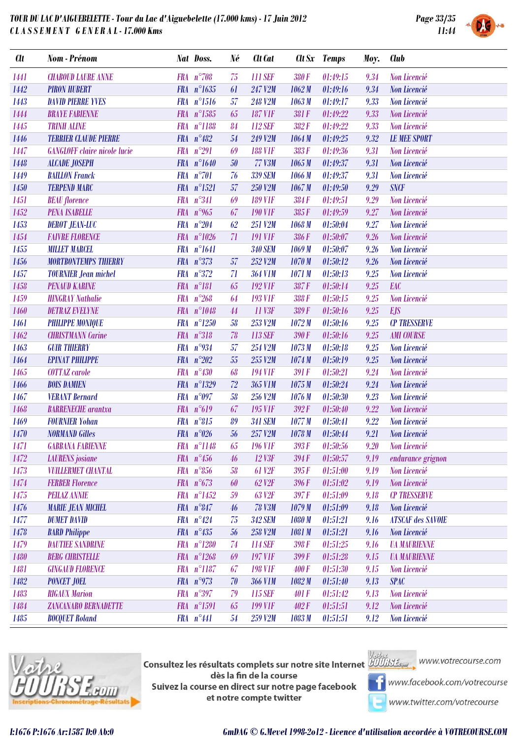

| <b>CU</b> | Nom - Prénom                        |            | Nat Doss.           | Né     | Clt Cat            |        | Clt Sx Temps | Moy. | <b>Club</b>                |
|-----------|-------------------------------------|------------|---------------------|--------|--------------------|--------|--------------|------|----------------------------|
| 1441      | <b>CHABOUD LAURE ANNE</b>           |            | $FRA n^{\circ}708$  | 75     | 111 SEF            | 380F   | 01:49:15     | 9.34 | Non Licencié               |
| 1442      | <b>PIRON HUBERT</b>                 |            | FRA n°1635          | 61     | 247 V2M            | 1062M  | 01:49:16     | 9.34 | Non Licencié               |
| 1443      | <b>DAVID PIERRE YVES</b>            |            | FRA n°1516          | 57     | 248 V2M            | 1063M  | 01:49:17     | 9.33 | Non Licencié               |
| 1444      | <b>BRAYE FABIENNE</b>               |            | FRA n°1585          | 65     | <b>187 V1F</b>     | 381F   | 01:49:22     | 9.33 | Non Licencié               |
| 1445      | <b>TRINH ALINE</b>                  |            | FRA n°1188          | 84     | 112 SEF            | 382F   | 01:49:22     | 9.33 | Non Licencié               |
| 1446      | <b>TERRIER CLAUDE PIERRE</b>        |            | FRA $n^{\circ}482$  | $54\,$ | 249 V2M            | 1064M  | 01:49:25     | 9.32 | <b>LE MEE SPORT</b>        |
| 1447      | <b>GANGLOFF</b> claire nicole lucie | <b>FRA</b> | $n^{\circ}291$      | 69     | <b>188 V1F</b>     | 383F   | 01:49:36     | 9.31 | Non Licencié               |
| 1448      | <b>ALCADE JOSEPH</b>                |            | FRA n°1640          | $50\,$ | <b>77 V3M</b>      | 1065M  | 01:49:37     | 9.31 | Non Licencié               |
| 1449      | <b>BAILLON Franck</b>               |            | FRA n°701           | 76     | 339 SEM            | 1066M  | 01:49:37     | 9.31 | Non Licencié               |
| 1450      | <b>TERPEND MARC</b>                 |            | FRA n°1521          | 57     | 250 V2M            | 1067M  | 01:49:50     | 9.29 | <b>SNCF</b>                |
| 1451      | <b>BEAU</b> florence                |            | FRA n°341           | 69     | <b>189 V1F</b>     | 384F   | 01:49:51     | 9.29 | Non Licencié               |
| 1452      | <b>PENA ISABELLE</b>                |            | FRA $n^{\circ}$ 965 | 67     | <b>190 V1F</b>     | 385F   | 01:49:59     | 9.27 | Non Licencié               |
| 1453      | <b>DEROT JEAN-LUC</b>               | <b>FRA</b> | $n^{\circ}204$      | 62     | 251 V2M            | 1068 M | 01:50:04     | 9.27 | Non Licencié               |
| 1454      | <b>FAIVRE FLORENCE</b>              |            | FRA n°1026          | 71     | <b>191 VIF</b>     | 386F   | 01:50:07     | 9.26 | Non Licencié               |
| 1455      | <b>MILLET MARCEL</b>                |            | FRA n°1641          |        | <b>340 SEM</b>     | 1069M  | 01:50:07     | 9.26 | Non Licencié               |
| 1456      | <b>MORTBONTEMPS THIERRY</b>         |            | FRA $n^{\circ}373$  | 57     | 252 V2M            | 1070M  | 01:50:12     | 9.26 | Non Licencié               |
| 1457      | <b>TOURNIER Jean michel</b>         |            | $FRA n^{\circ}372$  | 71     | <b>364 V1M</b>     | 1071 M | 01:50:13     | 9.25 | Non Licencié               |
| 1458      | <b>PENAUD KARINE</b>                |            | $FRA n^{\circ}181$  | 65     | <b>192 V1F</b>     | 387F   | 01:50:14     | 9.25 | EAC                        |
| 1459      | <b>HINGRAY Nathalie</b>             | <b>FRA</b> | $n^{\circ}268$      | 64     | <b>193 VIF</b>     | 388F   | 01:50:15     | 9.25 | Non Licencié               |
| 1460      | <b>DETRAZ EVELYNE</b>               |            | FRA n°1048          | 44     | 11 V3F             | 389F   | 01:50:16     | 9.25 | <b>EJS</b>                 |
| 1461      | <b>PHILIPPE MONIQUE</b>             |            | FRA n°1250          | 58     | 253 V2M            | 1072M  | 01:50:16     | 9.25 | <b>CP TRESSERVE</b>        |
| 1462      | <b>CHRISTMANN Carine</b>            |            | $FRA n^{\circ}318$  | 78     | 113 SEF            | 390 F  | 01:50:16     | 9.25 | <b>AMI COURSE</b>          |
| 1463      | <b>GUIR THIERRY</b>                 |            | FRA $n^{\circ}934$  | 57     | 254 V2M            | 1073M  | 01:50:18     | 9.25 | Non Licencié               |
| 1464      | <b>EPINAT PHILIPPE</b>              |            | FRA $n^{\circ}202$  | 55     | 255 V2M            | 1074M  | 01:50:19     | 9.25 | Non Licencié               |
| 1465      | COTTAZ carole                       |            | $FRA n^{\circ}430$  | 68     | <b>194 VIF</b>     | 391 F  | 01:50:21     | 9.24 | Non Licencié               |
| 1466      | <b>BOIS DAMIEN</b>                  |            | FRA n°1329          | 72     | 365 V1M            | 1075M  | 01:50:24     | 9.24 | Non Licencié               |
| 1467      | <b>VERANT Bernard</b>               |            | FRA $n^{\circ}097$  | 58     | 256 V2M            | 1076M  | 01:50:30     | 9.23 | Non Licencié               |
| 1468      | <b>BARRENECHE</b> arantxa           |            | FRA n°619           | 67     | <b>195 V1F</b>     | 392F   | 01:50:40     | 9.22 | Non Licencié               |
| 1469      | <b>FOURNIER Yohan</b>               |            | $FRA n^{\circ}815$  | 89     | <b>341 SEM</b>     | 1077M  | 01:50:41     | 9.22 | Non Licencié               |
| 1470      | <b>NORMAND Gilles</b>               |            | FRA $n^{\circ}026$  | 56     | 257 V2M            | 1078 M | 01:50:44     | 9.21 | Non Licencié               |
| 1471      | <b>GABBANA FABIENNE</b>             |            | FRA n°1148          | 65     | <b>196 VIF</b>     | 393F   | 01:50:56     | 9.20 | Non Licencié               |
| 1472      | <b>LAURENS</b> josiane              |            | FRA $n^{\circ}456$  | 46     | 12 V3F             | 394F   | 01:50:57     | 9.19 | endurance grignon          |
| 1473      | <b>VUILLERMET CHANTAL</b>           |            | $FRA n^{\circ}856$  | 58     | 61 V <sub>2F</sub> | 395F   | 01:51:00     | 9.19 | <b>Non Licencié</b>        |
| 1474      | <b>FERBER Florence</b>              |            | FRA $n^{\circ}673$  | 60     | 62 V <sub>2F</sub> | 396F   | 01:51:02     | 9.19 | Non Licencié               |
| 1475      | <b>PEILAZ ANNIE</b>                 |            | FRA n°1452          | 59     | 63 V <sub>2F</sub> | 397F   | 01:51:09     | 9.18 | <b>CP TRESSERVE</b>        |
| 1476      | <b>MARIE JEAN MICHEL</b>            |            | $FRA n^{\circ}847$  | 46     | <b>78 V3M</b>      | 1079M  | 01:51:09     | 9.18 | Non Licencié               |
| 1477      | <b>DUMET DAVID</b>                  |            | $FRA n^{\circ}424$  | 75     | <b>342 SEM</b>     | 1080 M | 01:51:21     | 9.16 | <b>ATSCAF des SAVOIE</b>   |
| 1478      | <b>BARD Philippe</b>                |            | $FRA n^{\circ}435$  | 56     | 258 V2M            | 1081 M | 01:51:21     | 9.16 | Non Licencié               |
| 1479      | <b>DAUTIEE SANDRINE</b>             |            | FRA n°1280          | 74     | <b>114 SEF</b>     | 398F   | 01:51:25     | 9.16 | <b><i>UA MAURIENNE</i></b> |
| 1480      | <b>BERG CHRISTELLE</b>              |            | $FRA n^{\circ}1268$ | 69     | <b>197 V1F</b>     | 399F   | 01:51:28     | 9.15 | <b><i>UA MAURIENNE</i></b> |
| 1481      | <b>GINGAUD FLORENCE</b>             | <b>FRA</b> | $n^{\circ}1187$     | 67     | <b>198 V1F</b>     | 400F   | 01:51:30     | 9.15 | Non Licencié               |
| 1482      | <b>PONCET JOEL</b>                  |            | FRA $n^{\circ}973$  | 70     | <b>366 V1M</b>     | 1082M  | 01:51:40     | 9.13 | <b>SPAC</b>                |
| 1483      | <b>RIGAUX Marion</b>                |            | FRA n°397           | 79     | 115 SEF            | 401 F  | 01:51:42     | 9.13 | Non Licencié               |
| 1484      | ZANCANARO BERNADETTE                |            | FRA n°1591          | 65     | <b>199 VIF</b>     | 402F   | 01:51:51     | 9.12 | Non Licencié               |
| 1485      | <b>BOCQUET Roland</b>               |            | FRA n°441           | 54     | 259 V2M            | 1083 M | 01:51:51     | 9.12 | Non Licencié               |
|           |                                     |            |                     |        |                    |        |              |      |                            |



**Consultez les résultats complets sur notre site Internet** Willis Esquise WWW.votrecourse.com dès la fin de la course Suivez la course en direct sur notre page facebook et notre compte twitter

**T** www.facebook.com/votrecourse

www.twitter.com/votrecourse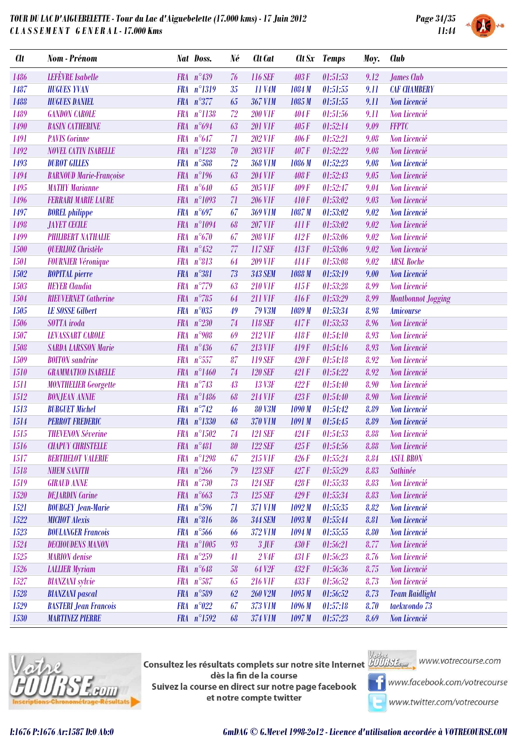

| <b>Clt</b> | Nom - Prénom                   |            | Nat Doss.           | Né | <b>Clt</b> Cat       |                   | Clt Sx Temps | Moy. | <b>Club</b>               |
|------------|--------------------------------|------------|---------------------|----|----------------------|-------------------|--------------|------|---------------------------|
| 1486       | <b>LEFÈVRE</b> Isabelle        |            | FRA n°439           | 76 | <b>116 SEF</b>       | 403F              | 01:51:53     | 9.12 | James Club                |
| 1487       | <b>HUGUES YVAN</b>             |            | FRA n°1319          | 35 | 11 V4M               | 1084 M            | 01:51:55     | 9.11 | <b>CAF CHAMBERY</b>       |
| 1488       | <b>HUGUES DANIEL</b>           |            | FRA $n^{\circ}377$  | 65 | <b>367 V1M</b>       | 1085 M            | 01:51:55     | 9.11 | Non Licencié              |
| 1489       | <b>GANDON CAROLE</b>           | <b>FRA</b> | $n^{\circ}1138$     | 72 | <b>200 V1F</b>       | 404F              | 01:51:56     | 9.11 | Non Licencié              |
| 1490       | <b>BASIN CATHERINE</b>         |            | FRA $n^{\circ}694$  | 63 | <b>201 V1F</b>       | 405F              | 01:52:14     | 9.09 | <b>FFPTC</b>              |
| 1491       | <b>PAVIS Corinne</b>           | <b>FRA</b> | $n^{\circ}647$      | 71 | <b>202 V1F</b>       | 406F              | 01:52:21     | 9.08 | Non Licencié              |
| 1492       | <b>NOVEL CATIN ISABELLE</b>    | <b>FRA</b> | $n^{\circ}1238$     | 70 | <b>203 VIF</b>       | 407F              | 01:52:22     | 9.08 | Non Licencié              |
| 1493       | <b>DUROT GILLES</b>            |            | FRA n°588           | 72 | <b>368 V1M</b>       | 1086 M            | 01:52:23     | 9.08 | Non Licencié              |
| 1494       | <b>BARNOUD Marie-Françoise</b> |            | FRA $n^{\circ}196$  | 63 | <b>204 V1F</b>       | 408F              | 01:52:43     | 9.05 | Non Licencié              |
| 1495       | <b>MATHY Marianne</b>          | <b>FRA</b> | $n^{\circ}640$      | 65 | <b>205 V1F</b>       | 409F              | 01:52:47     | 9.04 | Non Licencié              |
| 1496       | <b>FERRARI MARIE LAURE</b>     |            | FRA n°1093          | 71 | <b>206 V1F</b>       | 410F              | 01:53:02     | 9.03 | Non Licencié              |
| 1497       | <b>BOREL</b> philippe          | <b>FRA</b> | $n^{\circ}697$      | 67 | <b>369 V1M</b>       | 1087 M            | 01:53:02     | 9.02 | Non Licencié              |
| 1498       | <b>JAYET CECILE</b>            |            | FRA n°1094          | 68 | <b>207 V1F</b>       | 411F              | 01:53:02     | 9.02 | Non Licencié              |
| 1499       | <b>PHILIBERT NATHALIE</b>      |            | $FRA n^{\circ}670$  | 67 | <b>208 VIF</b>       | 412F              | 01:53:06     | 9.02 | Non Licencié              |
| 1500       | QUERLIOZ Christèle             | <b>FRA</b> | $n^{\circ}452$      | 77 | 117 SEF              | 413F              | 01:53:06     | 9.02 | Non Licencié              |
| 1501       | <b>FOURNIER Véronique</b>      | <b>FRA</b> | $n^{\circ}813$      | 64 | <b>209 VIF</b>       | 414F              | 01:53:08     | 9.02 | <b>ARSL Roche</b>         |
| 1502       | <b>ROPITAL</b> pierre          |            | FRA n°381           | 73 | <b>343 SEM</b>       | 1088 M            | 01:53:19     | 9.00 | Non Licencié              |
| 1503       | <b>HEYER</b> Claudia           | <b>FRA</b> | $n^{\circ}779$      | 63 | <b>210 VIF</b>       | 415F              | 01:53:28     | 8.99 | Non Licencié              |
| 1504       | <b>RIEUVERNET</b> Catherine    |            | FRA $n^{\circ}785$  | 64 | <b>211 VIF</b>       | 416F              | 01:53:29     | 8.99 | <b>Montbonnot Jogging</b> |
| 1505       | <b>LE SOSSE Gilbert</b>        | <b>FRA</b> | $n^{\circ}035$      | 49 | <b>79 V3M</b>        | 1089 M            | 01:53:34     | 8.98 | <b>Amicourse</b>          |
| 1506       | SOTTA iroda                    | <b>FRA</b> | $n^{\circ}230$      | 74 | <b>118 SEF</b>       | 417F              | 01:53:53     | 8.96 | Non Licencié              |
| 1507       | <b>LEVASSART CAROLE</b>        | <b>FRA</b> | $n^{\circ}908$      | 69 | <b>212 VIF</b>       | 418F              | 01:54:10     | 8.93 | Non Licencié              |
| 1508       | <b>SARDA LARSSON Marie</b>     |            | FRA $n^{\circ}436$  | 67 | <b>213 VIF</b>       | 419F              | 01:54:16     | 8.93 | Non Licencié              |
| 1509       | <b>BOITON</b> sandrine         | <b>FRA</b> | $n^{\circ}557$      | 87 | 119 SEF              | 420 F             | 01:54:18     | 8.92 | Non Licencié              |
| 1510       | <b>GRAMMATICO ISABELLE</b>     |            | FRA n°1460          | 74 | <b>120 SEF</b>       | 421F              | 01:54:22     | 8.92 | Non Licencié              |
| 1511       | <b>MONTHELIER Georgette</b>    |            | FRA $n^{\circ}743$  | 43 | 13 V3F               | 422F              | 01:54:40     | 8.90 | Non Licencié              |
| 1512       | <b>BONJEAN ANNIE</b>           |            | FRA n°1486          | 68 | <b>214 V1F</b>       | 423F              | 01:54:40     | 8.90 | Non Licencié              |
| 1513       | <b>BURGUET Michel</b>          |            | FRA $n^{\circ}$ 742 | 46 | <b>80 V3M</b>        | 1090 M            | 01:54:42     | 8.89 | Non Licencié              |
| 1514       | <b>PERROT FREDERIC</b>         |            | FRA n°1330          | 68 | <b>370 V1M</b>       | 1091 M            | 01:54:45     | 8.89 | Non Licencié              |
| 1515       | <b>THEVENON Séverine</b>       |            | FRA n°1502          | 74 | <b>121 SEF</b>       | 424F              | 01:54:53     | 8.88 | Non Licencié              |
| 1516       | <b>CHAPUY CHRISTELLE</b>       |            | $FRA n^{\circ}481$  |    | 80 122 SEF           | $425\,\mathrm{F}$ | 01:54:56     |      | 8.88 Non Licencié         |
| 1517       | <b>BERTHELOT VALERIE</b>       | <b>FRA</b> | $n^{\circ}1298$     | 67 | <b>215 VIF</b>       | 426F              | 01:55:24     | 8.84 | <b>ASUL BRON</b>          |
| 1518       | <b>NHEM SANITH</b>             |            | FRA $n^{\circ}266$  | 79 | <b>123 SEF</b>       | 427F              | 01:55:29     | 8.83 | Sathinée                  |
| 1519       | <b>GIRAUD ANNE</b>             |            | FRA $n^{\circ}730$  | 73 | <b>124 SEF</b>       | 428F              | 01:55:33     | 8.83 | Non Licencié              |
| 1520       | <b>DEJARDIN</b> Carine         |            | FRA $n^{\circ}663$  | 73 | <b>125 SEF</b>       | 429F              | 01:55:34     | 8.83 | Non Licencié              |
| 1521       | <b>BOURGEY Jean-Marie</b>      |            | FRA $n^{\circ}596$  | 71 | <b>371 V1M</b>       | 1092M             | 01:55:35     | 8.82 | <b>Non Licencié</b>       |
| 1522       | <b>MICHOT</b> Alexis           |            | $FRA n^{\circ}816$  | 86 | <b>344 SEM</b>       | 1093M             | 01:55:44     | 8.81 | Non Licencié              |
| 1523       | <b>BOULANGER Francois</b>      |            | $FRA n^{\circ}566$  | 66 | 372 V1M              | 1094M             | 01:55:55     | 8.80 | Non Licencié              |
| 1524       | <b>DECHOUDENS MANON</b>        |            | FRA n°1005          | 93 | $3$ JUF              | 430 F             | 01:56:21     | 8.77 | Non Licencié              |
| 1525       | <b>MARION</b> denise           |            | FRA $n^{\circ}259$  | 41 | $2$ V <sub>4</sub> F | 431 F             | 01:56:23     | 8.76 | Non Licencié              |
| 1526       | <b>LALLIER Myriam</b>          |            | FRA $n^{\circ}648$  | 58 | 64 V <sub>2F</sub>   | 432F              | 01:56:36     | 8.75 | Non Licencié              |
| 1527       | <b>BIANZANI</b> sylvie         |            | FRA n°587           | 65 | <b>216 VIF</b>       | 433F              | 01:56:52     | 8.73 | Non Licencié              |
| 1528       | <b>BIANZANI</b> pascal         |            | FRA $n^{\circ}589$  | 62 | <b>260 V2M</b>       | 1095M             | 01:56:52     | 8.73 | <b>Team Raidlight</b>     |
| 1529       | <b>BASTERI Jean Francois</b>   | <b>FRA</b> | $n^{\circ}022$      | 67 | 373 V1M              | 1096 M            | 01:57:18     | 8.70 | taekwondo 73              |
| 1530       | <b>MARTINEZ PIERRE</b>         |            | $FRA n^{\circ}1592$ | 68 | 374 V1M              | 1097M             | 01:57:23     | 8.69 | Non Licencié              |



**Consultez les résultats complets sur notre site Internet** Willis Esquise WWW.votrecourse.com dès la fin de la course Suivez la course en direct sur notre page facebook et notre compte twitter



**T** www.facebook.com/votrecourse

www.twitter.com/votrecourse